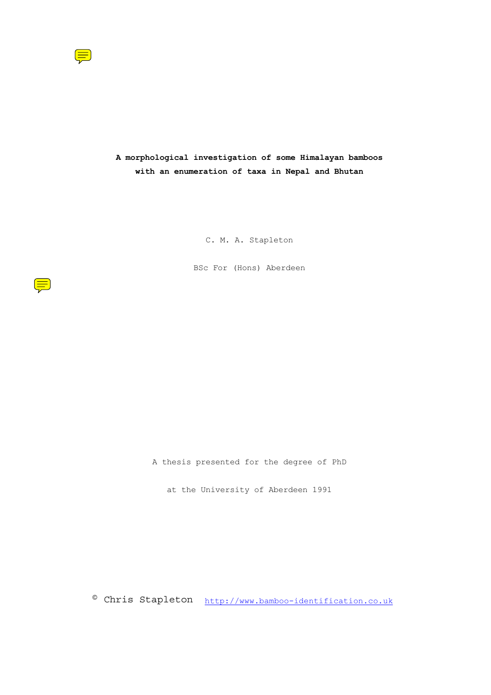

**A morphological investigation of some Himalayan bamboos with an enumeration of taxa in Nepal and Bhutan** 

C. M. A. Stapleton

BSc For (Hons) Aberdeen

A thesis presented for the degree of PhD

at the University of Aberdeen 1991

© Chris Stapleton http://www.bamboo-identification.co.uk

 $\left(\frac{1}{2}\right)$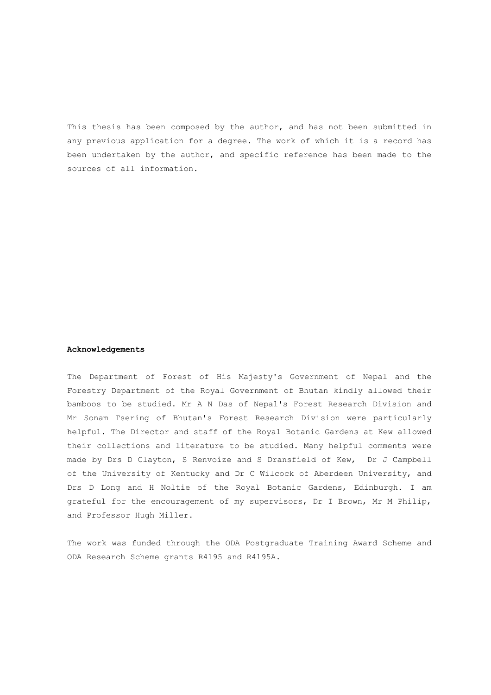This thesis has been composed by the author, and has not been submitted in any previous application for a degree. The work of which it is a record has been undertaken by the author, and specific reference has been made to the sources of all information.

#### **Acknowledgements**

The Department of Forest of His Majesty's Government of Nepal and the Forestry Department of the Royal Government of Bhutan kindly allowed their bamboos to be studied. Mr A N Das of Nepal's Forest Research Division and Mr Sonam Tsering of Bhutan's Forest Research Division were particularly helpful. The Director and staff of the Royal Botanic Gardens at Kew allowed their collections and literature to be studied. Many helpful comments were made by Drs D Clayton, S Renvoize and S Dransfield of Kew, Dr J Campbell of the University of Kentucky and Dr C Wilcock of Aberdeen University, and Drs D Long and H Noltie of the Royal Botanic Gardens, Edinburgh. I am grateful for the encouragement of my supervisors, Dr I Brown, Mr M Philip, and Professor Hugh Miller.

The work was funded through the ODA Postgraduate Training Award Scheme and ODA Research Scheme grants R4195 and R4195A.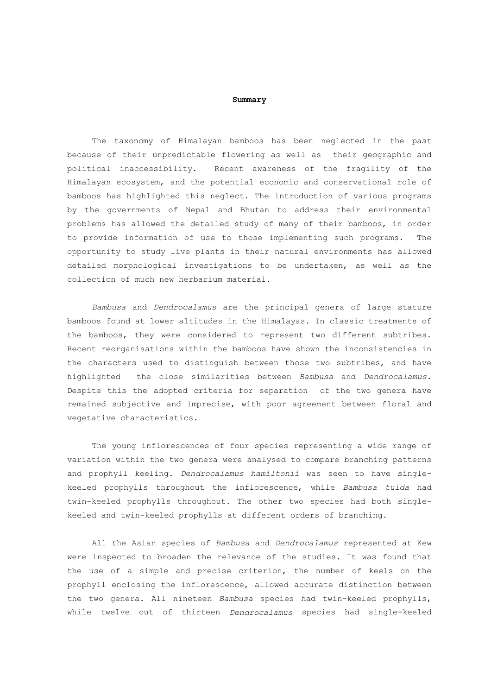#### **Summary**

 The taxonomy of Himalayan bamboos has been neglected in the past because of their unpredictable flowering as well as their geographic and political inaccessibility. Recent awareness of the fragility of the Himalayan ecosystem, and the potential economic and conservational role of bamboos has highlighted this neglect. The introduction of various programs by the governments of Nepal and Bhutan to address their environmental problems has allowed the detailed study of many of their bamboos, in order to provide information of use to those implementing such programs. The opportunity to study live plants in their natural environments has allowed detailed morphological investigations to be undertaken, as well as the collection of much new herbarium material.

*Bambusa* and *Dendrocalamus* are the principal genera of large stature bamboos found at lower altitudes in the Himalayas. In classic treatments of the bamboos, they were considered to represent two different subtribes. Recent reorganisations within the bamboos have shown the inconsistencies in the characters used to distinguish between those two subtribes, and have highlighted the close similarities between *Bambusa* and *Dendrocalamus*. Despite this the adopted criteria for separation of the two genera have remained subjective and imprecise, with poor agreement between floral and vegetative characteristics.

 The young inflorescences of four species representing a wide range of variation within the two genera were analysed to compare branching patterns and prophyll keeling. *Dendrocalamus hamiltonii* was seen to have singlekeeled prophylls throughout the inflorescence, while *Bambusa tulda* had twin-keeled prophylls throughout. The other two species had both singlekeeled and twin-keeled prophylls at different orders of branching.

 All the Asian species of *Bambusa* and *Dendrocalamus* represented at Kew were inspected to broaden the relevance of the studies. It was found that the use of a simple and precise criterion, the number of keels on the prophyll enclosing the inflorescence, allowed accurate distinction between the two genera. All nineteen *Bambusa* species had twin-keeled prophylls, while twelve out of thirteen *Dendrocalamus* species had single-keeled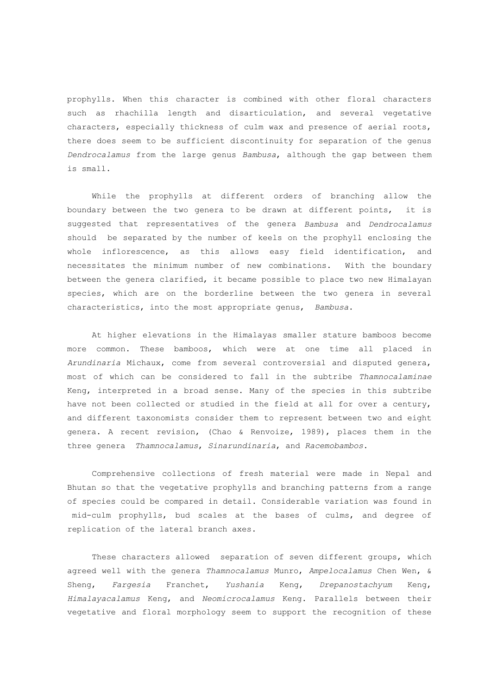prophylls. When this character is combined with other floral characters such as rhachilla length and disarticulation, and several vegetative characters, especially thickness of culm wax and presence of aerial roots, there does seem to be sufficient discontinuity for separation of the genus *Dendrocalamus* from the large genus *Bambusa*, although the gap between them is small.

 While the prophylls at different orders of branching allow the boundary between the two genera to be drawn at different points, it is suggested that representatives of the genera *Bambusa* and *Dendrocalamus* should be separated by the number of keels on the prophyll enclosing the whole inflorescence, as this allows easy field identification, and necessitates the minimum number of new combinations. With the boundary between the genera clarified, it became possible to place two new Himalayan species, which are on the borderline between the two genera in several characteristics, into the most appropriate genus, *Bambusa*.

 At higher elevations in the Himalayas smaller stature bamboos become more common. These bamboos, which were at one time all placed in *Arundinaria* Michaux, come from several controversial and disputed genera, most of which can be considered to fall in the subtribe *Thamnocalaminae* Keng, interpreted in a broad sense. Many of the species in this subtribe have not been collected or studied in the field at all for over a century, and different taxonomists consider them to represent between two and eight genera. A recent revision, (Chao & Renvoize, 1989), places them in the three genera *Thamnocalamus*, *Sinarundinaria*, and *Racemobambos*.

 Comprehensive collections of fresh material were made in Nepal and Bhutan so that the vegetative prophylls and branching patterns from a range of species could be compared in detail. Considerable variation was found in mid-culm prophylls, bud scales at the bases of culms, and degree of replication of the lateral branch axes.

 These characters allowed separation of seven different groups, which agreed well with the genera *Thamnocalamus* Munro, *Ampelocalamus* Chen Wen, & Sheng, *Fargesia* Franchet, *Yushania* Keng, *Drepanostachyum* Keng, *Himalayacalamus* Keng, and *Neomicrocalamus* Keng. Parallels between their vegetative and floral morphology seem to support the recognition of these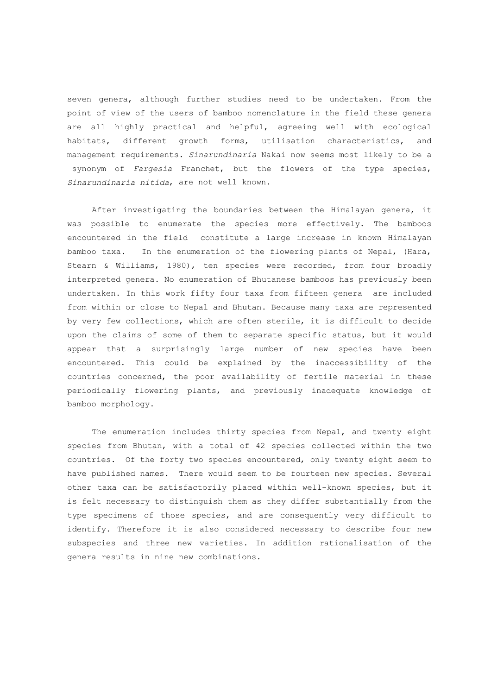seven genera, although further studies need to be undertaken. From the point of view of the users of bamboo nomenclature in the field these genera are all highly practical and helpful, agreeing well with ecological habitats, different growth forms, utilisation characteristics, and management requirements. *Sinarundinaria* Nakai now seems most likely to be a synonym of *Fargesia* Franchet, but the flowers of the type species, *Sinarundinaria nitida*, are not well known.

 After investigating the boundaries between the Himalayan genera, it was possible to enumerate the species more effectively. The bamboos encountered in the field constitute a large increase in known Himalayan bamboo taxa. In the enumeration of the flowering plants of Nepal, (Hara, Stearn & Williams, 1980), ten species were recorded, from four broadly interpreted genera. No enumeration of Bhutanese bamboos has previously been undertaken. In this work fifty four taxa from fifteen genera are included from within or close to Nepal and Bhutan. Because many taxa are represented by very few collections, which are often sterile, it is difficult to decide upon the claims of some of them to separate specific status, but it would appear that a surprisingly large number of new species have been encountered. This could be explained by the inaccessibility of the countries concerned, the poor availability of fertile material in these periodically flowering plants, and previously inadequate knowledge of bamboo morphology.

 The enumeration includes thirty species from Nepal, and twenty eight species from Bhutan, with a total of 42 species collected within the two countries. Of the forty two species encountered, only twenty eight seem to have published names. There would seem to be fourteen new species. Several other taxa can be satisfactorily placed within well-known species, but it is felt necessary to distinguish them as they differ substantially from the type specimens of those species, and are consequently very difficult to identify. Therefore it is also considered necessary to describe four new subspecies and three new varieties. In addition rationalisation of the genera results in nine new combinations.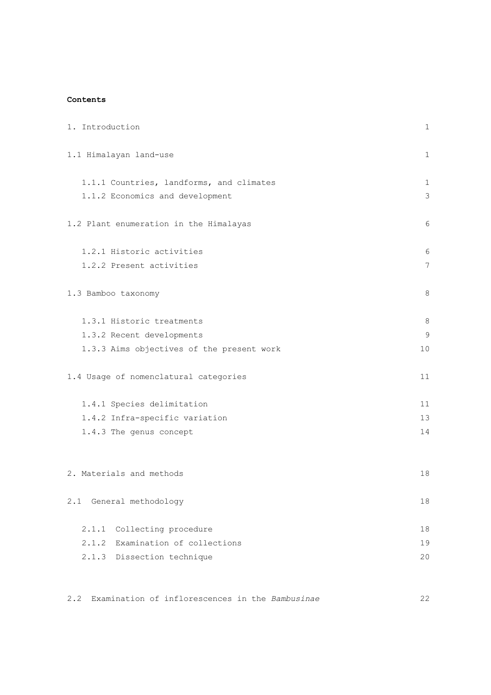# **Contents**

| 1. Introduction                           | 1  |
|-------------------------------------------|----|
| 1.1 Himalayan land-use                    | 1  |
| 1.1.1 Countries, landforms, and climates  | 1  |
| 1.1.2 Economics and development           | 3  |
| 1.2 Plant enumeration in the Himalayas    | 6  |
| 1.2.1 Historic activities                 | 6  |
| 1.2.2 Present activities                  | 7  |
| 1.3 Bamboo taxonomy                       | 8  |
| 1.3.1 Historic treatments                 | 8  |
| 1.3.2 Recent developments                 | 9  |
| 1.3.3 Aims objectives of the present work | 10 |
| 1.4 Usage of nomenclatural categories     | 11 |
| 1.4.1 Species delimitation                | 11 |
| 1.4.2 Infra-specific variation            | 13 |
| 1.4.3 The genus concept                   | 14 |
| 2. Materials and methods                  | 18 |
| General methodology<br>2.1                | 18 |
| 2.1.1<br>Collecting procedure             | 18 |
| 2.1.2<br>Examination of collections       | 19 |
| 2.1.3<br>Dissection technique             | 20 |

2.2 Examination of inflorescences in the *Bambusinae* 22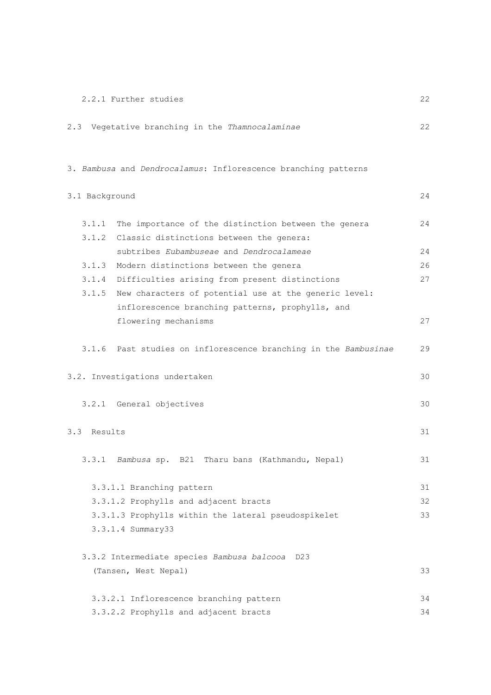| 2.2.1 Further studies |  |
|-----------------------|--|
|-----------------------|--|

| 2.3 Vegetative branching in the Thamnocalaminae                 | 22. |
|-----------------------------------------------------------------|-----|
| 3. Bambusa and Dendrocalamus: Inflorescence branching patterns  |     |
| 3.1 Background                                                  | 24  |
| 3.1.1<br>The importance of the distinction between the genera   | 24  |
| 3.1.2<br>Classic distinctions between the genera:               |     |
| subtribes Eubambuseae and Dendrocalameae                        | 24  |
| 3.1.3<br>Modern distinctions between the genera                 | 26  |
| 3.1.4<br>Difficulties arising from present distinctions         | 27  |
| 3.1.5<br>New characters of potential use at the generic level:  |     |
| inflorescence branching patterns, prophylls, and                |     |
| flowering mechanisms                                            | 27  |
| 3.1.6 Past studies on inflorescence branching in the Bambusinae | 29  |
| 3.2. Investigations undertaken                                  | 30  |
| 3.2.1 General objectives                                        | 30  |
| 3.3 Results                                                     | 31  |
| 3.3.1 Bambusa sp. B21 Tharu bans (Kathmandu, Nepal)             | 31  |
| 3.3.1.1 Branching pattern                                       | 31  |
| 3.3.1.2 Prophylls and adjacent bracts                           | 32  |
| 3.3.1.3 Prophylls within the lateral pseudospikelet             | 33  |
| 3.3.1.4 Summary33                                               |     |
| 3.3.2 Intermediate species Bambusa balcooa<br>D <sub>23</sub>   |     |
| (Tansen, West Nepal)                                            | 33  |
| 3.3.2.1 Inflorescence branching pattern                         | 34  |
| 3.3.2.2 Prophylls and adjacent bracts                           | 34  |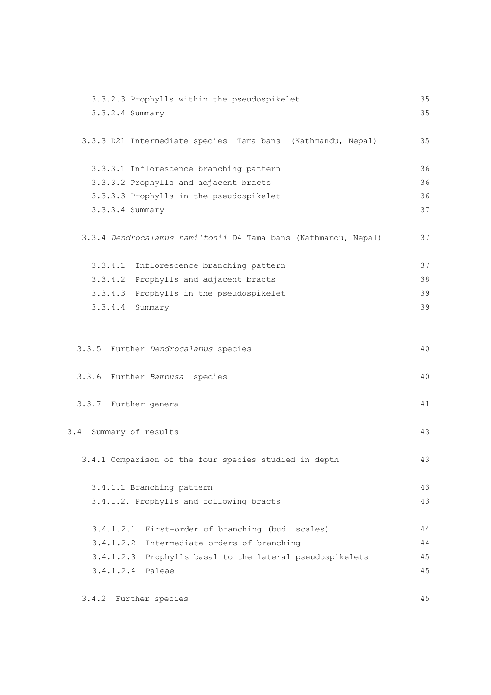| 3.3.2.3 Prophylls within the pseudospikelet                    | 35 |
|----------------------------------------------------------------|----|
| 3.3.2.4 Summary                                                | 35 |
| 3.3.3 D21 Intermediate species Tama bans (Kathmandu, Nepal)    | 35 |
| 3.3.3.1 Inflorescence branching pattern                        | 36 |
| 3.3.3.2 Prophylls and adjacent bracts                          | 36 |
| 3.3.3.3 Prophylls in the pseudospikelet                        | 36 |
| 3.3.3.4 Summary                                                | 37 |
| 3.3.4 Dendrocalamus hamiltonii D4 Tama bans (Kathmandu, Nepal) | 37 |
| 3.3.4.1<br>Inflorescence branching pattern                     | 37 |
| 3.3.4.2<br>Prophylls and adjacent bracts                       | 38 |
| 3.3.4.3<br>Prophylls in the pseudospikelet                     | 39 |
| $3.3.4.4$ Summary                                              | 39 |
|                                                                |    |
| 3.3.5 Further Dendrocalamus species                            | 40 |
| 3.3.6 Further Bambusa species                                  | 40 |
| 3.3.7 Further genera                                           | 41 |
| Summary of results<br>3.4                                      | 43 |
| 3.4.1 Comparison of the four species studied in depth          | 43 |
| 3.4.1.1 Branching pattern                                      | 43 |
| 3.4.1.2. Prophylls and following bracts                        | 43 |
| First-order of branching (bud scales)<br>3.4.1.2.1             | 44 |
| 3.4.1.2.2<br>Intermediate orders of branching                  | 44 |
| 3.4.1.2.3<br>Prophylls basal to the lateral pseudospikelets    | 45 |
| 3.4.1.2.4<br>Paleae                                            | 45 |
|                                                                |    |

3.4.2 Further species 45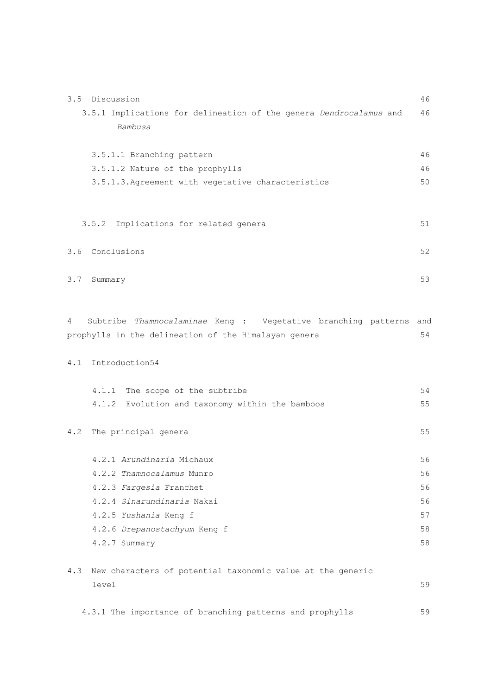| 3.5 | Discussion                                                         | 46  |
|-----|--------------------------------------------------------------------|-----|
|     | 3.5.1 Implications for delineation of the genera Dendrocalamus and | 46  |
|     | Bambusa                                                            |     |
|     |                                                                    |     |
|     | 3.5.1.1 Branching pattern                                          | 46  |
|     | 3.5.1.2 Nature of the prophylls                                    | 46  |
|     | 3.5.1.3. Agreement with vegetative characteristics                 | 50  |
|     |                                                                    |     |
|     |                                                                    |     |
|     | 3.5.2<br>Implications for related genera                           | 51  |
|     |                                                                    |     |
|     | 3.6 Conclusions                                                    | 52  |
|     |                                                                    |     |
| 3.7 | Summary                                                            | 53  |
|     |                                                                    |     |
| 4   | Subtribe Thamnocalaminae Keng : Vegetative branching patterns      | and |
|     | prophylls in the delineation of the Himalayan genera               | 54  |
|     |                                                                    |     |
| 4.1 | Introduction54                                                     |     |
|     |                                                                    |     |
|     | 4.1.1 The scope of the subtribe                                    | 54  |
|     | Evolution and taxonomy within the bamboos<br>4.1.2                 | 55  |
|     |                                                                    |     |
| 4.2 | The principal genera                                               | 55  |
|     |                                                                    |     |
|     | 4.2.1 Arundinaria Michaux                                          | 56  |
|     | 4.2.2 Thamnocalamus Munro                                          | 56  |
|     | 4.2.3 Fargesia Franchet                                            | 56  |
|     | 4.2.4 Sinarundinaria Nakai                                         | 56  |
|     | 4.2.5 Yushania Keng f                                              | 57  |
|     | 4.2.6 Drepanostachyum Keng f                                       | 58  |
|     | 4.2.7 Summary                                                      | 58  |
|     |                                                                    |     |
| 4.3 | New characters of potential taxonomic value at the generic         |     |
|     | level                                                              | 59  |
|     |                                                                    |     |
|     | 4.3.1 The importance of branching patterns and prophylls           | 59  |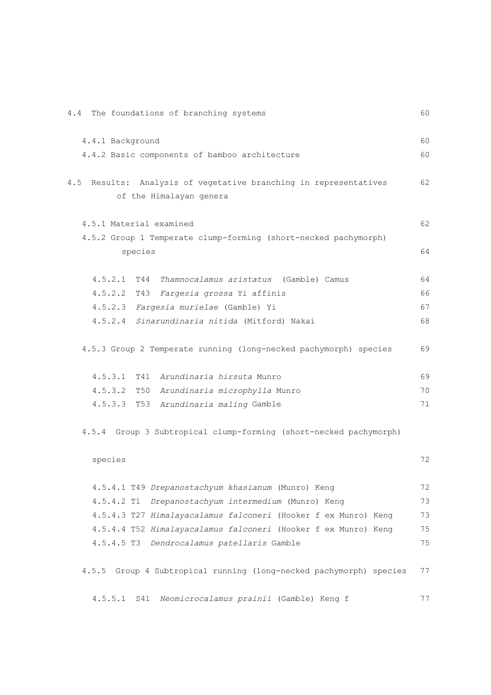| The foundations of branching systems<br>4.4                           | 60 |
|-----------------------------------------------------------------------|----|
| 4.4.1 Background                                                      | 60 |
| 4.4.2 Basic components of bamboo architecture                         | 60 |
|                                                                       |    |
| 4.5<br>Results: Analysis of vegetative branching in representatives   | 62 |
| of the Himalayan genera                                               |    |
| 4.5.1 Material examined                                               | 62 |
| 4.5.2 Group 1 Temperate clump-forming (short-necked pachymorph)       |    |
| species                                                               | 64 |
|                                                                       |    |
| 4.5.2.1<br>T44<br>Thamnocalamus aristatus (Gamble) Camus              | 64 |
| $4.5.2.2$ T43<br>Fargesia grossa Yi affinis                           | 66 |
| 4.5.2.3 Fargesia murielae (Gamble) Yi                                 | 67 |
| 4.5.2.4 Sinarundinaria nitida (Mitford) Nakai                         | 68 |
| 4.5.3 Group 2 Temperate running (long-necked pachymorph) species      | 69 |
| 4.5.3.1<br>T41 Arundinaria hirsuta Munro                              | 69 |
| $4.5.3.2$ T50<br>Arundinaria microphylla Munro                        | 70 |
| 4.5.3.3<br>T53<br>Arundinaria maling Gamble                           | 71 |
| 4.5.4 Group 3 Subtropical clump-forming (short-necked pachymorph)     |    |
| species                                                               | 72 |
|                                                                       |    |
| 4.5.4.1 T49 Drepanostachyum khasianum (Munro) Keng                    | 72 |
| $4.5.4.2$ T1<br>Drepanostachyum intermedium (Munro) Keng              | 73 |
| 4.5.4.3 T27 Himalayacalamus falconeri (Hooker f ex Munro) Keng        | 73 |
| 4.5.4.4 T52 Himalayacalamus falconeri (Hooker f ex Munro) Keng        | 75 |
| $4.5.4.5$ T3<br>Dendrocalamus patellaris Gamble                       | 75 |
| Group 4 Subtropical running (long-necked pachymorph) species<br>4.5.5 | 77 |
| Neomicrocalamus prainii (Gamble) Keng f<br>4.5.5.1<br>S41             | 77 |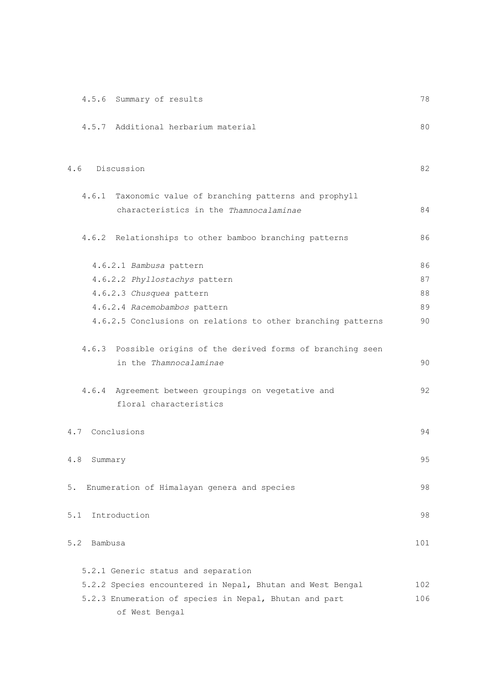| 4.5.6 Summary of results                                                                | 78  |
|-----------------------------------------------------------------------------------------|-----|
| 4.5.7 Additional herbarium material                                                     | 80  |
| Discussion<br>4.6                                                                       | 82  |
| 4.6.1 Taxonomic value of branching patterns and prophyll                                |     |
| characteristics in the Thamnocalaminae                                                  | 84  |
| 4.6.2 Relationships to other bamboo branching patterns                                  | 86  |
| 4.6.2.1 Bambusa pattern                                                                 | 86  |
| 4.6.2.2 Phyllostachys pattern                                                           | 87  |
| 4.6.2.3 Chusquea pattern                                                                | 88  |
| 4.6.2.4 Racemobambos pattern                                                            | 89  |
| 4.6.2.5 Conclusions on relations to other branching patterns                            | 90  |
| 4.6.3 Possible origins of the derived forms of branching seen<br>in the Thamnocalaminae | 90  |
| 4.6.4 Agreement between groupings on vegetative and<br>floral characteristics           | 92  |
| 4.7 Conclusions                                                                         | 94  |
| $4.8\,$<br>Summary                                                                      | 95  |
| Enumeration of Himalayan genera and species<br>5.                                       | 98  |
| Introduction<br>5.1                                                                     | 98  |
| 5.2<br>Bambusa                                                                          | 101 |
| 5.2.1 Generic status and separation                                                     |     |
| 5.2.2 Species encountered in Nepal, Bhutan and West Bengal                              | 102 |
| 5.2.3 Enumeration of species in Nepal, Bhutan and part                                  | 106 |
| of West Bengal                                                                          |     |
|                                                                                         |     |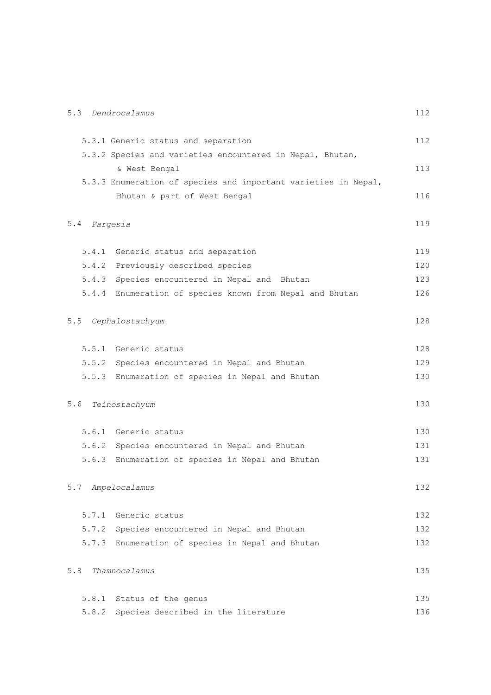|       | 5.3 Dendrocalamus                                              | 112 |
|-------|----------------------------------------------------------------|-----|
|       | 5.3.1 Generic status and separation                            | 112 |
|       | 5.3.2 Species and varieties encountered in Nepal, Bhutan,      |     |
|       | & West Bengal                                                  | 113 |
|       | 5.3.3 Enumeration of species and important varieties in Nepal, |     |
|       | Bhutan & part of West Bengal                                   | 116 |
| 5.4   | Fargesia                                                       | 119 |
|       | 5.4.1 Generic status and separation                            | 119 |
|       | 5.4.2 Previously described species                             | 120 |
|       | 5.4.3 Species encountered in Nepal and Bhutan                  | 123 |
|       | 5.4.4 Enumeration of species known from Nepal and Bhutan       | 126 |
| 5.5   | Cephalostachyum                                                | 128 |
|       | 5.5.1 Generic status                                           | 128 |
|       | 5.5.2 Species encountered in Nepal and Bhutan                  | 129 |
|       | 5.5.3 Enumeration of species in Nepal and Bhutan               | 130 |
| 5.6   | Teinostachyum                                                  | 130 |
|       | 5.6.1 Generic status                                           | 130 |
|       | 5.6.2 Species encountered in Nepal and Bhutan                  | 131 |
|       | 5.6.3 Enumeration of species in Nepal and Bhutan               | 131 |
|       | 5.7 Ampelocalamus                                              | 132 |
|       | 5.7.1 Generic status                                           | 132 |
| 5.7.2 | Species encountered in Nepal and Bhutan                        | 132 |
|       | 5.7.3 Enumeration of species in Nepal and Bhutan               | 132 |
| 5.8   | Thamnocalamus                                                  | 135 |
| 5.8.1 | Status of the genus                                            | 135 |
|       | 5.8.2 Species described in the literature                      | 136 |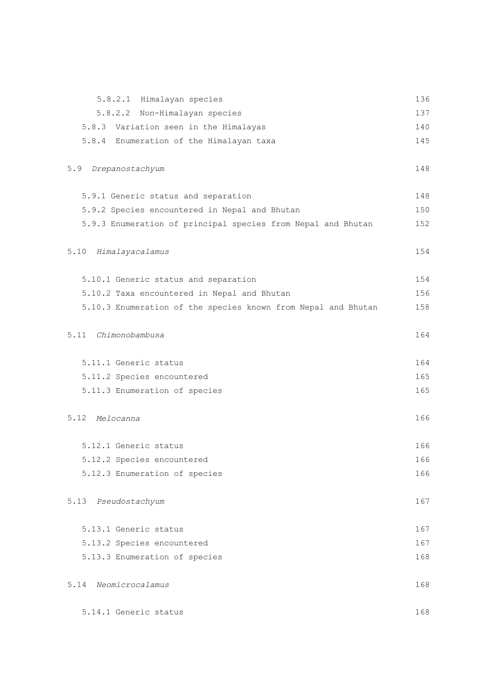| 5.8.2.1 Himalayan species                                     | 136 |
|---------------------------------------------------------------|-----|
| 5.8.2.2 Non-Himalayan species                                 | 137 |
| 5.8.3 Variation seen in the Himalayas                         | 140 |
| 5.8.4 Enumeration of the Himalayan taxa                       | 145 |
| 5.9<br>Drepanostachyum                                        | 148 |
| 5.9.1 Generic status and separation                           | 148 |
| 5.9.2 Species encountered in Nepal and Bhutan                 | 150 |
| 5.9.3 Enumeration of principal species from Nepal and Bhutan  | 152 |
| 5.10<br>Himalayacalamus                                       | 154 |
| 5.10.1 Generic status and separation                          | 154 |
| 5.10.2 Taxa encountered in Nepal and Bhutan                   | 156 |
| 5.10.3 Enumeration of the species known from Nepal and Bhutan | 158 |
| 5.11 Chimonobambusa                                           | 164 |
| 5.11.1 Generic status                                         | 164 |
| 5.11.2 Species encountered                                    | 165 |
| 5.11.3 Enumeration of species                                 | 165 |
| 5.12 Melocanna                                                | 166 |
| 5.12.1 Generic status                                         | 166 |
| 5.12.2 Species encountered                                    | 166 |
| 5.12.3 Enumeration of species                                 | 166 |
| 5.13<br>Pseudostachyum                                        | 167 |
| 5.13.1 Generic status                                         | 167 |
| 5.13.2 Species encountered                                    | 167 |
| 5.13.3 Enumeration of species                                 | 168 |
| 5.14<br>Neomicrocalamus                                       | 168 |
| 5.14.1 Generic status                                         | 168 |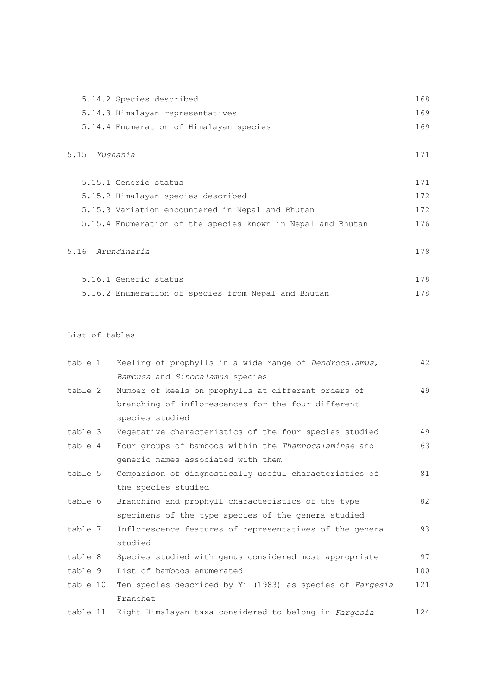| 5.14.2 Species described                | 168 |
|-----------------------------------------|-----|
| 5.14.3 Himalayan representatives        | 169 |
| 5.14.4 Enumeration of Himalayan species | 169 |

# 5.15 *Yushania* 171

| 5.15.1 Generic status                                       | 171 |
|-------------------------------------------------------------|-----|
| 5.15.2 Himalayan species described                          | 172 |
| 5.15.3 Variation encountered in Nepal and Bhutan            | 172 |
| 5.15.4 Enumeration of the species known in Nepal and Bhutan | 176 |
|                                                             |     |

# 5.16 *Arundinaria* 178

| 5.16.1 Generic status                               |  | 178 |
|-----------------------------------------------------|--|-----|
| 5.16.2 Enumeration of species from Nepal and Bhutan |  | 178 |

# List of tables

| table 1  | Keeling of prophylls in a wide range of Dendrocalamus,    | 42  |
|----------|-----------------------------------------------------------|-----|
|          | Bambusa and Sinocalamus species                           |     |
| table 2  | Number of keels on prophylls at different orders of       | 49  |
|          | branching of inflorescences for the four different        |     |
|          | species studied                                           |     |
| table 3  | Vegetative characteristics of the four species studied    | 49  |
| table 4  | Four groups of bamboos within the Thamnocalaminae and     | 63  |
|          | generic names associated with them                        |     |
| table 5  | Comparison of diagnostically useful characteristics of    | 81  |
|          | the species studied                                       |     |
| table 6  | Branching and prophyll characteristics of the type        | 82  |
|          | specimens of the type species of the genera studied       |     |
| table 7  | Inflorescence features of representatives of the genera   | 93  |
|          | studied                                                   |     |
| table 8  | Species studied with genus considered most appropriate    | 97  |
| table 9  | List of bamboos enumerated                                | 100 |
| table 10 | Ten species described by Yi (1983) as species of Fargesia | 121 |
|          | Franchet                                                  |     |
| table 11 | Eight Himalayan taxa considered to belong in Fargesia     | 124 |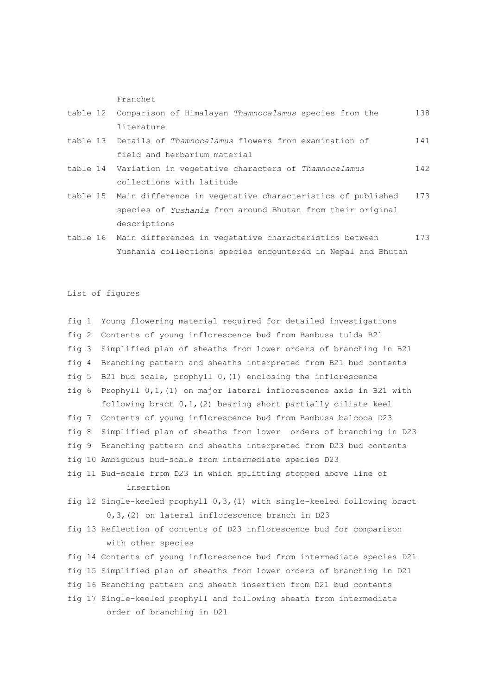Franchet

| table 12 Comparison of Himalayan Thamnocalamus species from the     | 138   |
|---------------------------------------------------------------------|-------|
| literature                                                          |       |
| table 13 Details of Thamnocalamus flowers from examination of       | 141   |
| field and herbarium material                                        |       |
| table 14 Variation in vegetative characters of Thamnocalamus        | 142   |
| collections with latitude                                           |       |
| table 15 Main difference in vegetative characteristics of published | 173   |
| species of Yushania from around Bhutan from their original          |       |
| descriptions                                                        |       |
| talela 10 Main differenzaza in manatatima abanatanistian batunan    | 1 7 2 |

table 16 Main differences in vegetative characteristics between 173 Yushania collections species encountered in Nepal and Bhutan

List of figures

| fiq 1         | Young flowering material required for detailed investigations             |
|---------------|---------------------------------------------------------------------------|
| fig $2$       | Contents of young inflorescence bud from Bambusa tulda B21                |
| fig 3         | Simplified plan of sheaths from lower orders of branching in B21          |
| $fi \sigma 4$ | Branching pattern and sheaths interpreted from B21 bud contents           |
| fiq 5         | B21 bud scale, prophyll $0$ , (1) enclosing the inflorescence             |
| fig 6         | Prophyll 0,1, (1) on major lateral inflorescence axis in B21 with         |
|               | following bract $0,1$ , $(2)$ bearing short partially ciliate keel        |
| fig 7         | Contents of young inflorescence bud from Bambusa balcooa D23              |
| fig 8         | Simplified plan of sheaths from lower orders of branching in D23          |
| fig 9         | Branching pattern and sheaths interpreted from D23 bud contents           |
|               | fig 10 Ambiguous bud-scale from intermediate species D23                  |
|               | fig 11 Bud-scale from D23 in which splitting stopped above line of        |
|               | insertion                                                                 |
|               | fig 12 Single-keeled prophyll 0,3, (1) with single-keeled following bract |
|               | 0,3, (2) on lateral inflorescence branch in D23                           |
|               | fig 13 Reflection of contents of D23 inflorescence bud for comparison     |
|               | with other species                                                        |
|               | fig 14 Contents of young inflorescence bud from intermediate species D21  |
|               | fig 15 Simplified plan of sheaths from lower orders of branching in D21   |
|               | fig 16 Branching pattern and sheath insertion from D21 bud contents       |
|               | fig 17 Single-keeled prophyll and following sheath from intermediate      |
|               | order of branching in D21                                                 |
|               |                                                                           |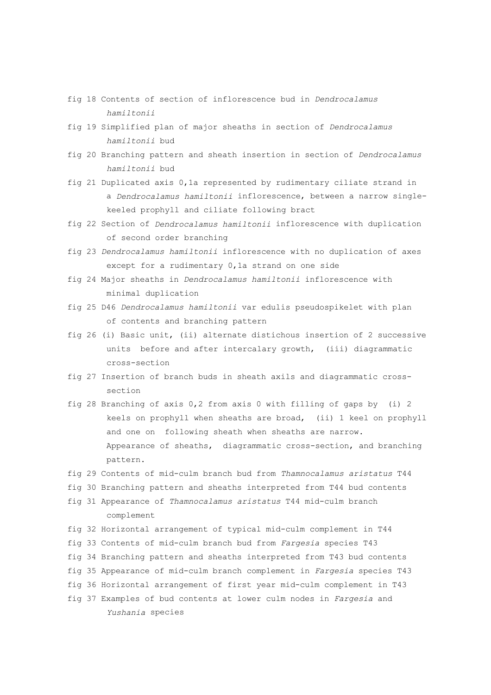- fig 18 Contents of section of inflorescence bud in *Dendrocalamus hamiltonii*
- fig 19 Simplified plan of major sheaths in section of *Dendrocalamus hamiltonii* bud
- fig 20 Branching pattern and sheath insertion in section of *Dendrocalamus hamiltonii* bud
- fig 21 Duplicated axis 0,1a represented by rudimentary ciliate strand in a *Dendrocalamus hamiltonii* inflorescence, between a narrow single keeled prophyll and ciliate following bract
- fig 22 Section of *Dendrocalamus hamiltonii* inflorescence with duplication of second order branching
- fig 23 *Dendrocalamus hamiltonii* inflorescence with no duplication of axes except for a rudimentary 0,1a strand on one side
- fig 24 Major sheaths in *Dendrocalamus hamiltonii* inflorescence with minimal duplication
- fig 25 D46 *Dendrocalamus hamiltonii* var edulis pseudospikelet with plan of contents and branching pattern
- fig 26 (i) Basic unit, (ii) alternate distichous insertion of 2 successive units before and after intercalary growth, (iii) diagrammatic cross-section
- fig 27 Insertion of branch buds in sheath axils and diagrammatic cross section
- fig 28 Branching of axis 0,2 from axis 0 with filling of gaps by (i) 2 keels on prophyll when sheaths are broad, (ii) 1 keel on prophyll and one on following sheath when sheaths are narrow. Appearance of sheaths, diagrammatic cross-section, and branching pattern.
- fig 29 Contents of mid-culm branch bud from *Thamnocalamus aristatus* T44
- fig 30 Branching pattern and sheaths interpreted from T44 bud contents
- fig 31 Appearance of *Thamnocalamus aristatus* T44 mid-culm branch complement
- fig 32 Horizontal arrangement of typical mid-culm complement in T44
- fig 33 Contents of mid-culm branch bud from *Fargesia* species T43
- fig 34 Branching pattern and sheaths interpreted from T43 bud contents
- fig 35 Appearance of mid-culm branch complement in *Fargesia* species T43
- fig 36 Horizontal arrangement of first year mid-culm complement in T43
- fig 37 Examples of bud contents at lower culm nodes in *Fargesia* and *Yushania* species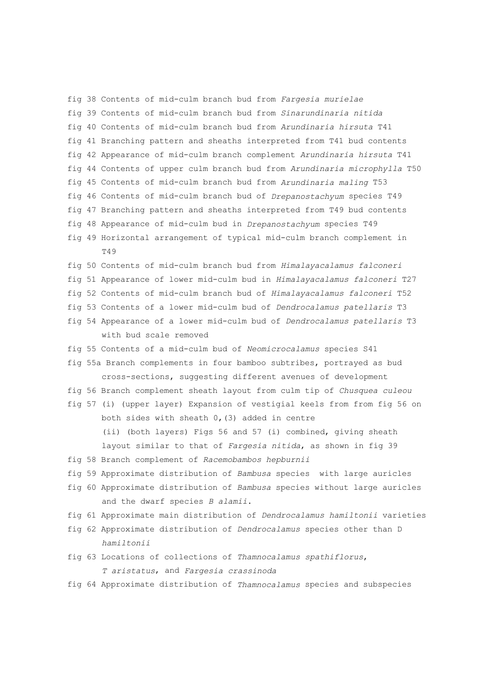fig 38 Contents of mid-culm branch bud from *Fargesia murielae* fig 39 Contents of mid-culm branch bud from *Sinarundinaria nitida* fig 40 Contents of mid-culm branch bud from *Arundinaria hirsuta* T41 fig 41 Branching pattern and sheaths interpreted from T41 bud contents fig 42 Appearance of mid-culm branch complement *Arundinaria hirsuta* T41 fig 44 Contents of upper culm branch bud from *Arundinaria microphylla* T50 fig 45 Contents of mid-culm branch bud from *Arundinaria maling* T53 fig 46 Contents of mid-culm branch bud of *Drepanostachyum* species T49 fig 47 Branching pattern and sheaths interpreted from T49 bud contents fig 48 Appearance of mid-culm bud in *Drepanostachyum* species T49 fig 49 Horizontal arrangement of typical mid-culm branch complement in  $T49$ fig 50 Contents of mid-culm branch bud from *Himalayacalamus falconeri* fig 51 Appearance of lower mid-culm bud in *Himalayacalamus falconeri* T27 fig 52 Contents of mid-culm branch bud of *Himalayacalamus falconeri* T52 fig 53 Contents of a lower mid-culm bud of *Dendrocalamus patellaris* T3 fig 54 Appearance of a lower mid-culm bud of *Dendrocalamus patellaris* T3 with bud scale removed fig 55 Contents of a mid-culm bud of *Neomicrocalamus* species S41 fig 55a Branch complements in four bamboo subtribes, portrayed as bud cross-sections, suggesting different avenues of development fig 56 Branch complement sheath layout from culm tip of *Chusquea culeou* fig 57 (i) (upper layer) Expansion of vestigial keels from from fig 56 on both sides with sheath  $0$ , (3) added in centre (ii) (both layers) Figs 56 and 57 (i) combined, giving sheath layout similar to that of *Fargesia nitida*, as shown in fig 39 fig 58 Branch complement of *Racemobambos hepburnii* fig 59 Approximate distribution of *Bambusa* species with large auricles fig 60 Approximate distribution of *Bambusa* species without large auricles and the dwarf species *B alamii*. fig 61 Approximate main distribution of *Dendrocalamus hamiltonii* varieties fig 62 Approximate distribution of *Dendrocalamus* species other than D *hamiltonii* fig 63 Locations of collections of *Thamnocalamus spathiflorus*, *T aristatus*, and *Fargesia crassinoda* fig 64 Approximate distribution of *Thamnocalamus* species and subspecies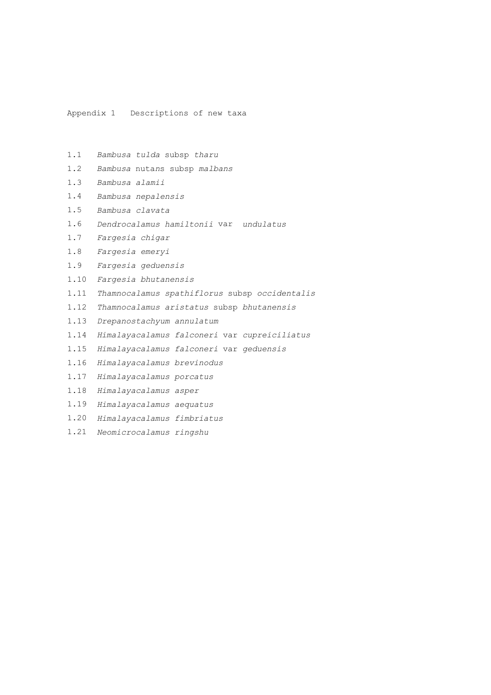Appendix 1 Descriptions of new taxa

- 1.1 *Bambusa tulda* subsp *tharu*
- 1.2 *Bambusa* nuta*n*s subsp *malbans*
- 1.3 *Bambusa alamii*
- 1.4 *Bambusa nepalensis*
- 1.5 *Bambusa clavata*
- 1.6 *Dendrocalamus hamiltonii* var *undulatus*
- 1.7 *Fargesia chigar*
- 1.8 *Fargesia emeryi*
- 1.9 *Fargesia geduensis*
- 1.10 *Fargesia bhutanensis*
- 1.11 *Thamnocalamus spathiflorus* subsp *occidentalis*
- 1.12 *Thamnocalamus aristatus* subsp *bhutanensis*
- 1.13 *Drepanostachyum annulatum*
- 1.14 *Himalayacalamus falconeri* var *cupreiciliatus*
- 1.15 *Himalayacalamus falconeri* var *geduensis*
- 1.16 *Himalayacalamus brevinodus*
- 1.17 *Himalayacalamus porcatus*
- 1.18 *Himalayacalamus asper*
- 1.19 *Himalayacalamus aequatus*
- 1.20 *Himalayacalamus fimbriatus*
- 1.21 *Neomicrocalamus ringshu*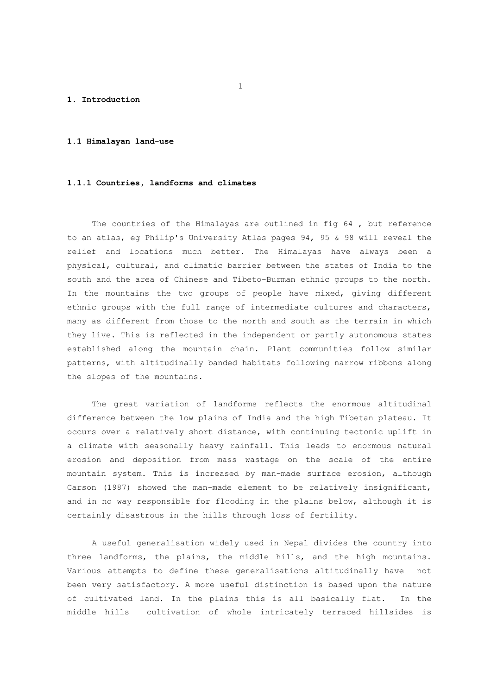### **1. Introduction**

## **1.1 Himalayan land-use**

#### **1.1.1 Countries, landforms and climates**

 The countries of the Himalayas are outlined in fig 64 , but reference to an atlas, eg Philip's University Atlas pages 94, 95 & 98 will reveal the relief and locations much better. The Himalayas have always been a physical, cultural, and climatic barrier between the states of India to the south and the area of Chinese and Tibeto-Burman ethnic groups to the north. In the mountains the two groups of people have mixed, giving different ethnic groups with the full range of intermediate cultures and characters, many as different from those to the north and south as the terrain in which they live. This is reflected in the independent or partly autonomous states established along the mountain chain. Plant communities follow similar patterns, with altitudinally banded habitats following narrow ribbons along the slopes of the mountains.

 The great variation of landforms reflects the enormous altitudinal difference between the low plains of India and the high Tibetan plateau. It occurs over a relatively short distance, with continuing tectonic uplift in a climate with seasonally heavy rainfall. This leads to enormous natural erosion and deposition from mass wastage on the scale of the entire mountain system. This is increased by man-made surface erosion, although Carson (1987) showed the man-made element to be relatively insignificant, and in no way responsible for flooding in the plains below, although it is certainly disastrous in the hills through loss of fertility.

 A useful generalisation widely used in Nepal divides the country into three landforms, the plains, the middle hills, and the high mountains. Various attempts to define these generalisations altitudinally have not been very satisfactory. A more useful distinction is based upon the nature of cultivated land. In the plains this is all basically flat. In the middle hills cultivation of whole intricately terraced hillsides is

 $\sim$  1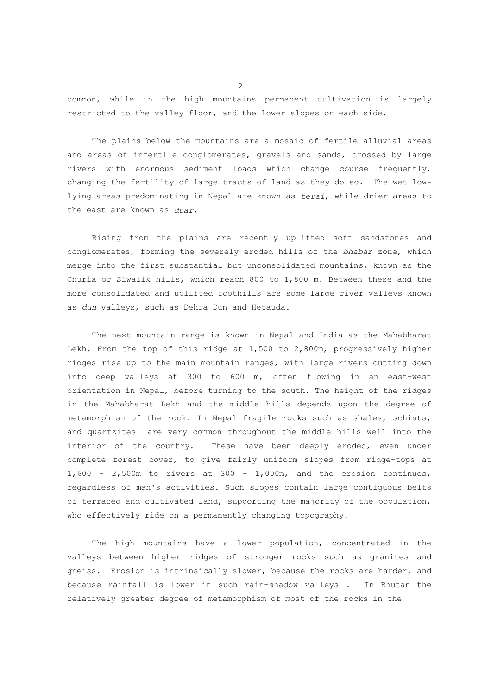common, while in the high mountains permanent cultivation is largely restricted to the valley floor, and the lower slopes on each side.

 The plains below the mountains are a mosaic of fertile alluvial areas and areas of infertile conglomerates, gravels and sands, crossed by large rivers with enormous sediment loads which change course frequently, changing the fertility of large tracts of land as they do so. The wet lowlying areas predominating in Nepal are known as *terai*, while drier areas to the east are known as *duar*.

 Rising from the plains are recently uplifted soft sandstones and conglomerates, forming the severely eroded hills of the *bhabar* zone, which merge into the first substantial but unconsolidated mountains, known as the Churia or Siwalik hills, which reach 800 to 1,800 m. Between these and the more consolidated and uplifted foothills are some large river valleys known as *dun* valleys, such as Dehra Dun and Hetauda.

 The next mountain range is known in Nepal and India as the Mahabharat Lekh. From the top of this ridge at 1,500 to 2,800m, progressively higher ridges rise up to the main mountain ranges, with large rivers cutting down into deep valleys at 300 to 600 m, often flowing in an east-west orientation in Nepal, before turning to the south. The height of the ridges in the Mahabharat Lekh and the middle hills depends upon the degree of metamorphism of the rock. In Nepal fragile rocks such as shales, schists, and quartzites are very common throughout the middle hills well into the interior of the country. These have been deeply eroded, even under complete forest cover, to give fairly uniform slopes from ridge-tops at  $1,600 - 2,500$ m to rivers at 300 - 1,000m, and the erosion continues, regardless of man's activities. Such slopes contain large contiguous belts of terraced and cultivated land, supporting the majority of the population, who effectively ride on a permanently changing topography.

 The high mountains have a lower population, concentrated in the valleys between higher ridges of stronger rocks such as granites and gneiss. Erosion is intrinsically slower, because the rocks are harder, and because rainfall is lower in such rain-shadow valleys . In Bhutan the relatively greater degree of metamorphism of most of the rocks in the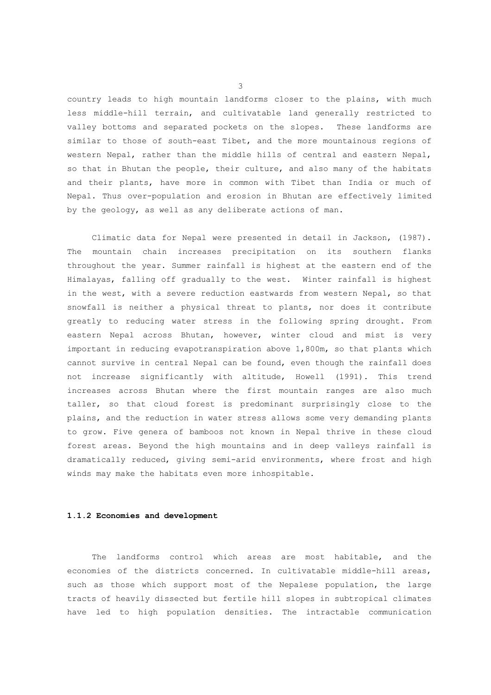country leads to high mountain landforms closer to the plains, with much less middle-hill terrain, and cultivatable land generally restricted to valley bottoms and separated pockets on the slopes. These landforms are similar to those of south-east Tibet, and the more mountainous regions of western Nepal, rather than the middle hills of central and eastern Nepal, so that in Bhutan the people, their culture, and also many of the habitats and their plants, have more in common with Tibet than India or much of Nepal. Thus over-population and erosion in Bhutan are effectively limited by the geology, as well as any deliberate actions of man.

 Climatic data for Nepal were presented in detail in Jackson, (1987). The mountain chain increases precipitation on its southern flanks throughout the year. Summer rainfall is highest at the eastern end of the Himalayas, falling off gradually to the west. Winter rainfall is highest in the west, with a severe reduction eastwards from western Nepal, so that snowfall is neither a physical threat to plants, nor does it contribute greatly to reducing water stress in the following spring drought. From eastern Nepal across Bhutan, however, winter cloud and mist is very important in reducing evapotranspiration above 1,800m, so that plants which cannot survive in central Nepal can be found, even though the rainfall does not increase significantly with altitude, Howell (1991). This trend increases across Bhutan where the first mountain ranges are also much taller, so that cloud forest is predominant surprisingly close to the plains, and the reduction in water stress allows some very demanding plants to grow. Five genera of bamboos not known in Nepal thrive in these cloud forest areas. Beyond the high mountains and in deep valleys rainfall is dramatically reduced, giving semi-arid environments, where frost and high winds may make the habitats even more inhospitable.

#### **1.1.2 Economies and development**

 The landforms control which areas are most habitable, and the economies of the districts concerned. In cultivatable middle-hill areas, such as those which support most of the Nepalese population, the large tracts of heavily dissected but fertile hill slopes in subtropical climates have led to high population densities. The intractable communication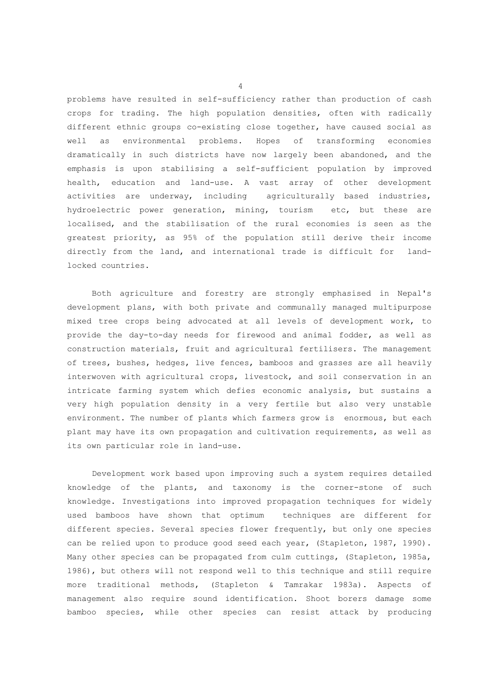problems have resulted in self-sufficiency rather than production of cash crops for trading. The high population densities, often with radically different ethnic groups co-existing close together, have caused social as well as environmental problems. Hopes of transforming economies dramatically in such districts have now largely been abandoned, and the emphasis is upon stabilising a self-sufficient population by improved health, education and land-use. A vast array of other development activities are underway, including agriculturally based industries, hydroelectric power generation, mining, tourism etc, but these are localised, and the stabilisation of the rural economies is seen as the greatest priority, as 95% of the population still derive their income directly from the land, and international trade is difficult for landlocked countries.

 Both agriculture and forestry are strongly emphasised in Nepal's development plans, with both private and communally managed multipurpose mixed tree crops being advocated at all levels of development work, to provide the day-to-day needs for firewood and animal fodder, as well as construction materials, fruit and agricultural fertilisers. The management of trees, bushes, hedges, live fences, bamboos and grasses are all heavily interwoven with agricultural crops, livestock, and soil conservation in an intricate farming system which defies economic analysis, but sustains a very high population density in a very fertile but also very unstable environment. The number of plants which farmers grow is enormous, but each plant may have its own propagation and cultivation requirements, as well as its own particular role in land-use.

 Development work based upon improving such a system requires detailed knowledge of the plants, and taxonomy is the corner-stone of such knowledge. Investigations into improved propagation techniques for widely used bamboos have shown that optimum techniques are different for different species. Several species flower frequently, but only one species can be relied upon to produce good seed each year, (Stapleton, 1987, 1990). Many other species can be propagated from culm cuttings, (Stapleton, 1985a, 1986), but others will not respond well to this technique and still require more traditional methods, (Stapleton & Tamrakar 1983a). Aspects of management also require sound identification. Shoot borers damage some bamboo species, while other species can resist attack by producing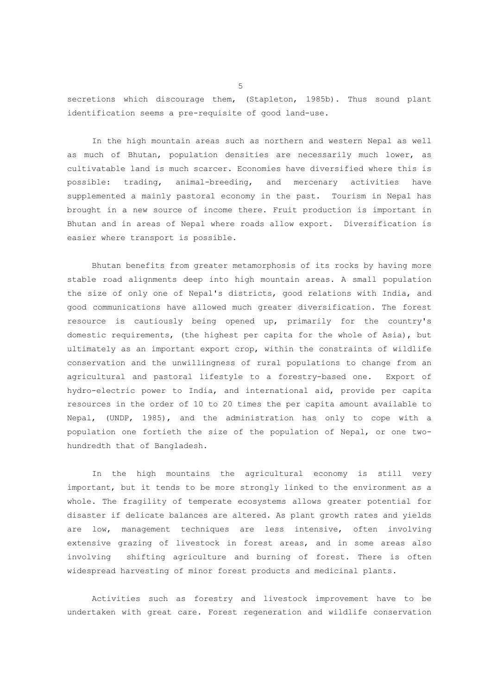secretions which discourage them, (Stapleton, 1985b). Thus sound plant identification seems a pre-requisite of good land-use.

 In the high mountain areas such as northern and western Nepal as well as much of Bhutan, population densities are necessarily much lower, as cultivatable land is much scarcer. Economies have diversified where this is possible: trading, animal-breeding, and mercenary activities have supplemented a mainly pastoral economy in the past. Tourism in Nepal has brought in a new source of income there. Fruit production is important in Bhutan and in areas of Nepal where roads allow export. Diversification is easier where transport is possible.

 Bhutan benefits from greater metamorphosis of its rocks by having more stable road alignments deep into high mountain areas. A small population the size of only one of Nepal's districts, good relations with India, and good communications have allowed much greater diversification. The forest resource is cautiously being opened up, primarily for the country's domestic requirements, (the highest per capita for the whole of Asia), but ultimately as an important export crop, within the constraints of wildlife conservation and the unwillingness of rural populations to change from an agricultural and pastoral lifestyle to a forestry-based one. Export of hydro-electric power to India, and international aid, provide per capita resources in the order of 10 to 20 times the per capita amount available to Nepal, (UNDP, 1985), and the administration has only to cope with a population one fortieth the size of the population of Nepal, or one twohundredth that of Bangladesh.

 In the high mountains the agricultural economy is still very important, but it tends to be more strongly linked to the environment as a whole. The fragility of temperate ecosystems allows greater potential for disaster if delicate balances are altered. As plant growth rates and yields are low, management techniques are less intensive, often involving extensive grazing of livestock in forest areas, and in some areas also involving shifting agriculture and burning of forest. There is often widespread harvesting of minor forest products and medicinal plants.

 Activities such as forestry and livestock improvement have to be undertaken with great care. Forest regeneration and wildlife conservation

 $\sim$  5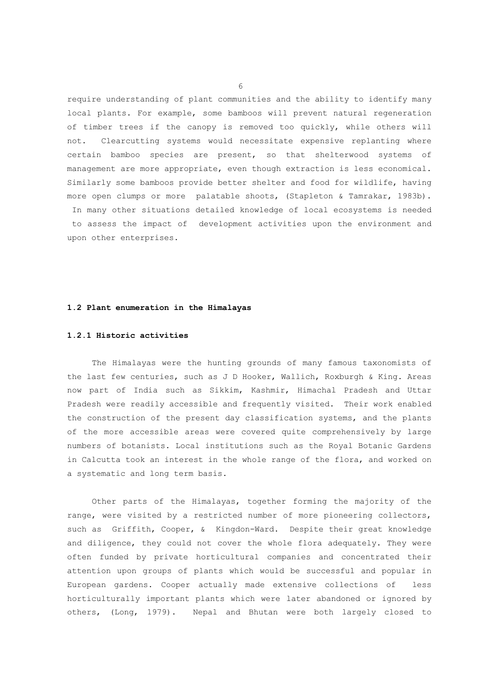require understanding of plant communities and the ability to identify many local plants. For example, some bamboos will prevent natural regeneration of timber trees if the canopy is removed too quickly, while others will not. Clearcutting systems would necessitate expensive replanting where certain bamboo species are present, so that shelterwood systems of management are more appropriate, even though extraction is less economical. Similarly some bamboos provide better shelter and food for wildlife, having more open clumps or more palatable shoots, (Stapleton & Tamrakar, 1983b). In many other situations detailed knowledge of local ecosystems is needed to assess the impact of development activities upon the environment and upon other enterprises.

## **1.2 Plant enumeration in the Himalayas**

#### **1.2.1 Historic activities**

 The Himalayas were the hunting grounds of many famous taxonomists of the last few centuries, such as J D Hooker, Wallich, Roxburgh & King. Areas now part of India such as Sikkim, Kashmir, Himachal Pradesh and Uttar Pradesh were readily accessible and frequently visited. Their work enabled the construction of the present day classification systems, and the plants of the more accessible areas were covered quite comprehensively by large numbers of botanists. Local institutions such as the Royal Botanic Gardens in Calcutta took an interest in the whole range of the flora, and worked on a systematic and long term basis.

 Other parts of the Himalayas, together forming the majority of the range, were visited by a restricted number of more pioneering collectors, such as Griffith, Cooper, & Kingdon-Ward. Despite their great knowledge and diligence, they could not cover the whole flora adequately. They were often funded by private horticultural companies and concentrated their attention upon groups of plants which would be successful and popular in European gardens. Cooper actually made extensive collections of less horticulturally important plants which were later abandoned or ignored by others, (Long, 1979). Nepal and Bhutan were both largely closed to

 $\sim$  6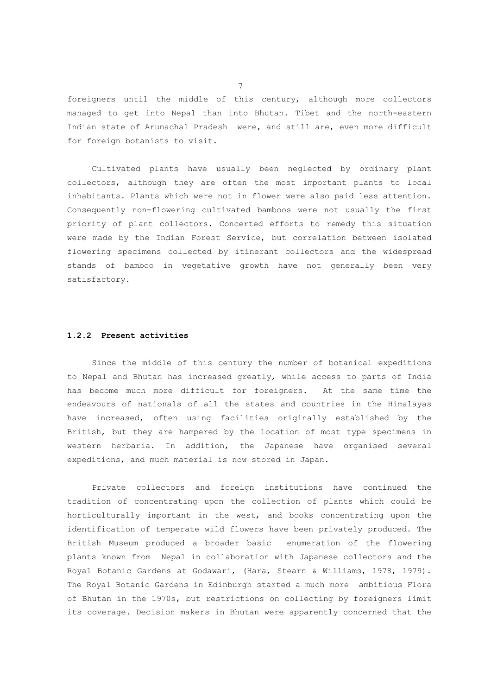foreigners until the middle of this century, although more collectors managed to get into Nepal than into Bhutan. Tibet and the north-eastern Indian state of Arunachal Pradesh were, and still are, even more difficult for foreign botanists to visit.

 Cultivated plants have usually been neglected by ordinary plant collectors, although they are often the most important plants to local inhabitants. Plants which were not in flower were also paid less attention. Consequently non-flowering cultivated bamboos were not usually the first priority of plant collectors. Concerted efforts to remedy this situation were made by the Indian Forest Service, but correlation between isolated flowering specimens collected by itinerant collectors and the widespread stands of bamboo in vegetative growth have not generally been very satisfactory.

#### **1.2.2 Present activities**

 Since the middle of this century the number of botanical expeditions to Nepal and Bhutan has increased greatly, while access to parts of India has become much more difficult for foreigners. At the same time the endeavours of nationals of all the states and countries in the Himalayas have increased, often using facilities originally established by the British, but they are hampered by the location of most type specimens in western herbaria. In addition, the Japanese have organised several expeditions, and much material is now stored in Japan.

 Private collectors and foreign institutions have continued the tradition of concentrating upon the collection of plants which could be horticulturally important in the west, and books concentrating upon the identification of temperate wild flowers have been privately produced. The British Museum produced a broader basic enumeration of the flowering plants known from Nepal in collaboration with Japanese collectors and the Royal Botanic Gardens at Godawari, (Hara, Stearn & Williams, 1978, 1979). The Royal Botanic Gardens in Edinburgh started a much more ambitious Flora of Bhutan in the 1970s, but restrictions on collecting by foreigners limit its coverage. Decision makers in Bhutan were apparently concerned that the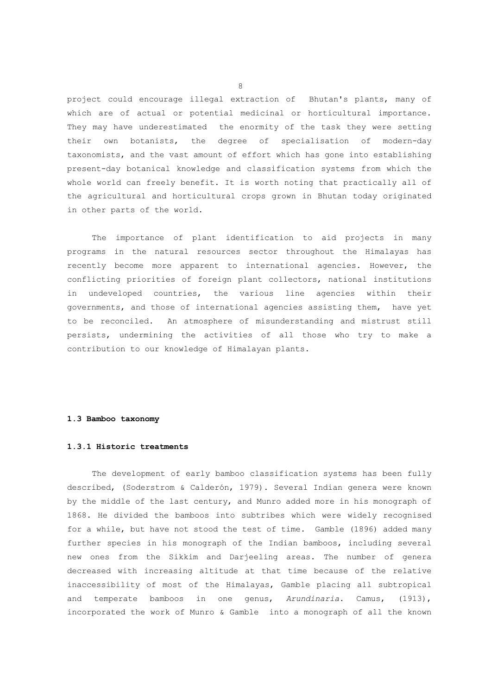project could encourage illegal extraction of Bhutan's plants, many of which are of actual or potential medicinal or horticultural importance. They may have underestimated the enormity of the task they were setting their own botanists, the degree of specialisation of modern-day taxonomists, and the vast amount of effort which has gone into establishing present-day botanical knowledge and classification systems from which the whole world can freely benefit. It is worth noting that practically all of the agricultural and horticultural crops grown in Bhutan today originated in other parts of the world.

 The importance of plant identification to aid projects in many programs in the natural resources sector throughout the Himalayas has recently become more apparent to international agencies. However, the conflicting priorities of foreign plant collectors, national institutions in undeveloped countries, the various line agencies within their governments, and those of international agencies assisting them, have yet to be reconciled. An atmosphere of misunderstanding and mistrust still persists, undermining the activities of all those who try to make a contribution to our knowledge of Himalayan plants.

## **1.3 Bamboo taxonomy**

# **1.3.1 Historic treatments**

 The development of early bamboo classification systems has been fully described, (Soderstrom & Calderón, 1979). Several Indian genera were known by the middle of the last century, and Munro added more in his monograph of 1868. He divided the bamboos into subtribes which were widely recognised for a while, but have not stood the test of time. Gamble (1896) added many further species in his monograph of the Indian bamboos, including several new ones from the Sikkim and Darjeeling areas. The number of genera decreased with increasing altitude at that time because of the relative inaccessibility of most of the Himalayas, Gamble placing all subtropical and temperate bamboos in one genus, *Arundinaria*. Camus, (1913), incorporated the work of Munro & Gamble into a monograph of all the known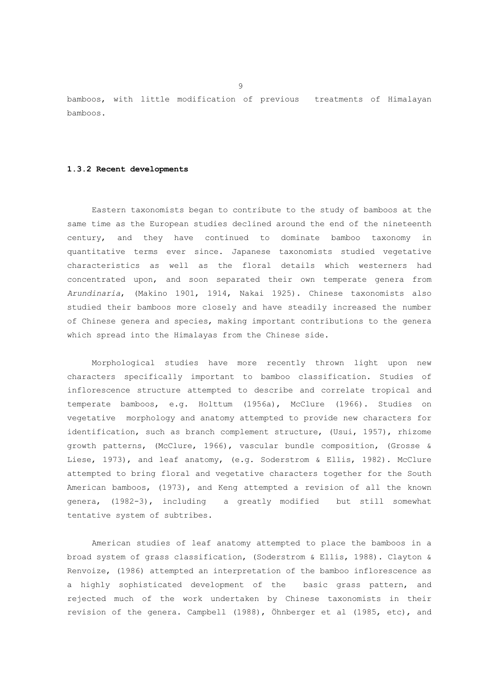bamboos, with little modification of previous treatments of Himalayan bamboos.

#### **1.3.2 Recent developments**

 Eastern taxonomists began to contribute to the study of bamboos at the same time as the European studies declined around the end of the nineteenth century, and they have continued to dominate bamboo taxonomy in quantitative terms ever since. Japanese taxonomists studied vegetative characteristics as well as the floral details which westerners had concentrated upon, and soon separated their own temperate genera from *Arundinaria*, (Makino 1901, 1914, Nakai 1925). Chinese taxonomists also studied their bamboos more closely and have steadily increased the number of Chinese genera and species, making important contributions to the genera which spread into the Himalayas from the Chinese side.

 Morphological studies have more recently thrown light upon new characters specifically important to bamboo classification. Studies of inflorescence structure attempted to describe and correlate tropical and temperate bamboos, e.g. Holttum (1956a), McClure (1966). Studies on vegetative morphology and anatomy attempted to provide new characters for identification, such as branch complement structure, (Usui, 1957), rhizome growth patterns, (McClure, 1966), vascular bundle composition, (Grosse & Liese, 1973), and leaf anatomy, (e.g. Soderstrom & Ellis, 1982). McClure attempted to bring floral and vegetative characters together for the South American bamboos, (1973), and Keng attempted a revision of all the known genera, (1982-3), including a greatly modified but still somewhat tentative system of subtribes.

 American studies of leaf anatomy attempted to place the bamboos in a broad system of grass classification, (Soderstrom & Ellis, 1988). Clayton & Renvoize, (1986) attempted an interpretation of the bamboo inflorescence as a highly sophisticated development of the basic grass pattern, and rejected much of the work undertaken by Chinese taxonomists in their revision of the genera. Campbell (1988), Öhnberger et al (1985, etc), and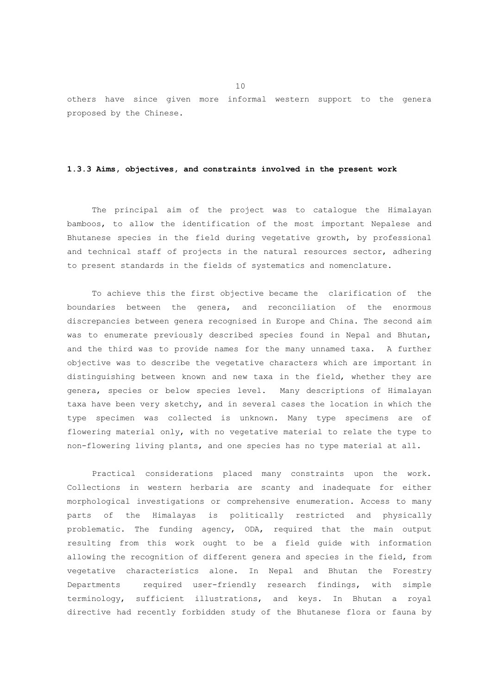others have since given more informal western support to the genera proposed by the Chinese.

# **1.3.3 Aims, objectives, and constraints involved in the present work**

 The principal aim of the project was to catalogue the Himalayan bamboos, to allow the identification of the most important Nepalese and Bhutanese species in the field during vegetative growth, by professional and technical staff of projects in the natural resources sector, adhering to present standards in the fields of systematics and nomenclature.

 To achieve this the first objective became the clarification of the boundaries between the genera, and reconciliation of the enormous discrepancies between genera recognised in Europe and China. The second aim was to enumerate previously described species found in Nepal and Bhutan, and the third was to provide names for the many unnamed taxa. A further objective was to describe the vegetative characters which are important in distinguishing between known and new taxa in the field, whether they are genera, species or below species level. Many descriptions of Himalayan taxa have been very sketchy, and in several cases the location in which the type specimen was collected is unknown. Many type specimens are of flowering material only, with no vegetative material to relate the type to non-flowering living plants, and one species has no type material at all.

 Practical considerations placed many constraints upon the work. Collections in western herbaria are scanty and inadequate for either morphological investigations or comprehensive enumeration. Access to many parts of the Himalayas is politically restricted and physically problematic. The funding agency, ODA, required that the main output resulting from this work ought to be a field guide with information allowing the recognition of different genera and species in the field, from vegetative characteristics alone. In Nepal and Bhutan the Forestry Departments required user-friendly research findings, with simple terminology, sufficient illustrations, and keys. In Bhutan a royal directive had recently forbidden study of the Bhutanese flora or fauna by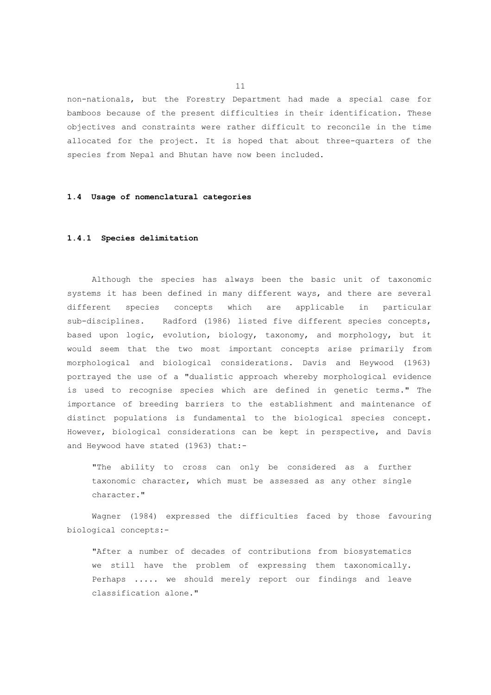non-nationals, but the Forestry Department had made a special case for bamboos because of the present difficulties in their identification. These objectives and constraints were rather difficult to reconcile in the time allocated for the project. It is hoped that about three-quarters of the species from Nepal and Bhutan have now been included.

## **1.4 Usage of nomenclatural categories**

## **1.4.1 Species delimitation**

 Although the species has always been the basic unit of taxonomic systems it has been defined in many different ways, and there are several different species concepts which are applicable in particular sub-disciplines. Radford (1986) listed five different species concepts, based upon logic, evolution, biology, taxonomy, and morphology, but it would seem that the two most important concepts arise primarily from morphological and biological considerations. Davis and Heywood (1963) portrayed the use of a "dualistic approach whereby morphological evidence is used to recognise species which are defined in genetic terms." The importance of breeding barriers to the establishment and maintenance of distinct populations is fundamental to the biological species concept. However, biological considerations can be kept in perspective, and Davis and Heywood have stated (1963) that:-

"The ability to cross can only be considered as a further taxonomic character, which must be assessed as any other single character."

 Wagner (1984) expressed the difficulties faced by those favouring biological concepts:-

"After a number of decades of contributions from biosystematics we still have the problem of expressing them taxonomically. Perhaps ..... we should merely report our findings and leave classification alone."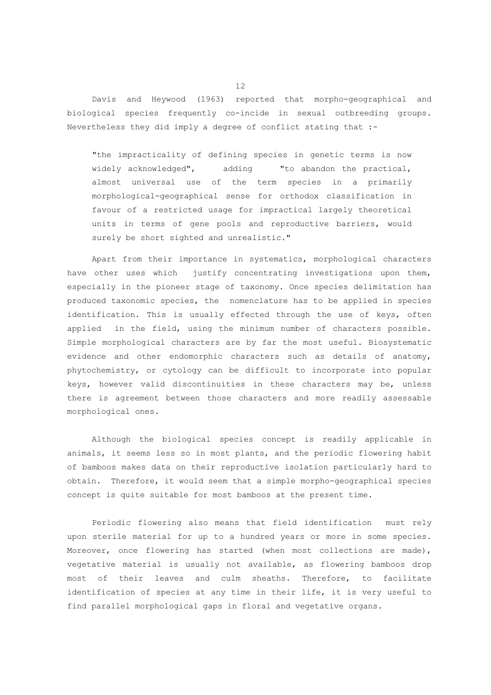Davis and Heywood (1963) reported that morpho-geographical and biological species frequently co-incide in sexual outbreeding groups. Nevertheless they did imply a degree of conflict stating that :-

"the impracticality of defining species in genetic terms is now widely acknowledged", adding "to abandon the practical, almost universal use of the term species in a primarily morphological-geographical sense for orthodox classification in favour of a restricted usage for impractical largely theoretical units in terms of gene pools and reproductive barriers, would surely be short sighted and unrealistic."

 Apart from their importance in systematics, morphological characters have other uses which justify concentrating investigations upon them, especially in the pioneer stage of taxonomy. Once species delimitation has produced taxonomic species, the nomenclature has to be applied in species identification. This is usually effected through the use of keys, often applied in the field, using the minimum number of characters possible. Simple morphological characters are by far the most useful. Biosystematic evidence and other endomorphic characters such as details of anatomy, phytochemistry, or cytology can be difficult to incorporate into popular keys, however valid discontinuities in these characters may be, unless there is agreement between those characters and more readily assessable morphological ones.

 Although the biological species concept is readily applicable in animals, it seems less so in most plants, and the periodic flowering habit of bamboos makes data on their reproductive isolation particularly hard to obtain. Therefore, it would seem that a simple morpho-geographical species concept is quite suitable for most bamboos at the present time.

 Periodic flowering also means that field identification must rely upon sterile material for up to a hundred years or more in some species. Moreover, once flowering has started (when most collections are made), vegetative material is usually not available, as flowering bamboos drop most of their leaves and culm sheaths. Therefore, to facilitate identification of species at any time in their life, it is very useful to find parallel morphological gaps in floral and vegetative organs.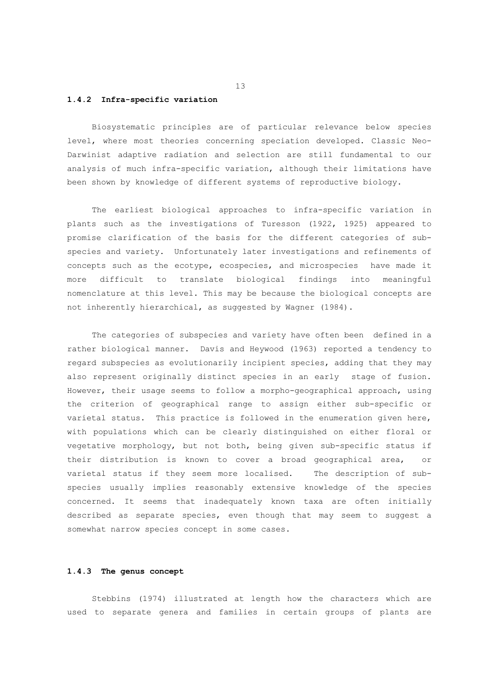#### **1.4.2 Infra-specific variation**

 Biosystematic principles are of particular relevance below species level, where most theories concerning speciation developed. Classic Neo-Darwinist adaptive radiation and selection are still fundamental to our analysis of much infra-specific variation, although their limitations have been shown by knowledge of different systems of reproductive biology.

 The earliest biological approaches to infra-specific variation in plants such as the investigations of Turesson (1922, 1925) appeared to promise clarification of the basis for the different categories of subspecies and variety. Unfortunately later investigations and refinements of concepts such as the ecotype, ecospecies, and microspecies have made it more difficult to translate biological findings into meaningful nomenclature at this level. This may be because the biological concepts are not inherently hierarchical, as suggested by Wagner (1984).

 The categories of subspecies and variety have often been defined in a rather biological manner. Davis and Heywood (1963) reported a tendency to regard subspecies as evolutionarily incipient species, adding that they may also represent originally distinct species in an early stage of fusion. However, their usage seems to follow a morpho-geographical approach, using the criterion of geographical range to assign either sub-specific or varietal status. This practice is followed in the enumeration given here, with populations which can be clearly distinguished on either floral or vegetative morphology, but not both, being given sub-specific status if their distribution is known to cover a broad geographical area, or varietal status if they seem more localised. The description of subspecies usually implies reasonably extensive knowledge of the species concerned. It seems that inadequately known taxa are often initially described as separate species, even though that may seem to suggest a somewhat narrow species concept in some cases.

#### **1.4.3 The genus concept**

 Stebbins (1974) illustrated at length how the characters which are used to separate genera and families in certain groups of plants are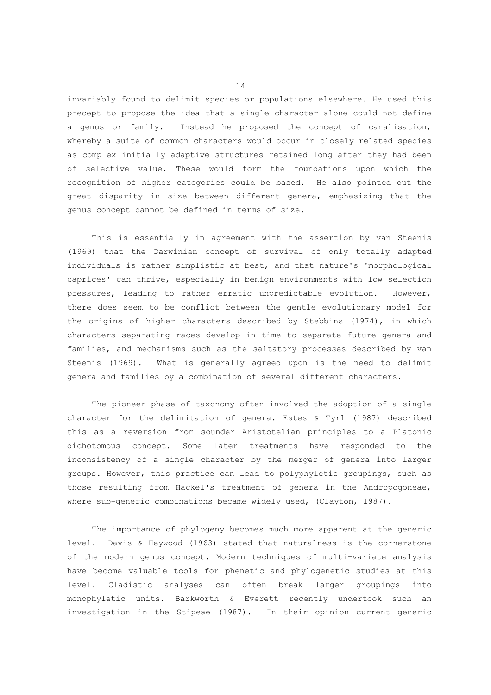invariably found to delimit species or populations elsewhere. He used this precept to propose the idea that a single character alone could not define a genus or family. Instead he proposed the concept of canalisation, whereby a suite of common characters would occur in closely related species as complex initially adaptive structures retained long after they had been of selective value. These would form the foundations upon which the recognition of higher categories could be based. He also pointed out the great disparity in size between different genera, emphasizing that the genus concept cannot be defined in terms of size.

 This is essentially in agreement with the assertion by van Steenis (1969) that the Darwinian concept of survival of only totally adapted individuals is rather simplistic at best, and that nature's 'morphological caprices' can thrive, especially in benign environments with low selection pressures, leading to rather erratic unpredictable evolution. However, there does seem to be conflict between the gentle evolutionary model for the origins of higher characters described by Stebbins (1974), in which characters separating races develop in time to separate future genera and families, and mechanisms such as the saltatory processes described by van Steenis (1969). What is generally agreed upon is the need to delimit genera and families by a combination of several different characters.

 The pioneer phase of taxonomy often involved the adoption of a single character for the delimitation of genera. Estes & Tyrl (1987) described this as a reversion from sounder Aristotelian principles to a Platonic dichotomous concept. Some later treatments have responded to the inconsistency of a single character by the merger of genera into larger groups. However, this practice can lead to polyphyletic groupings, such as those resulting from Hackel's treatment of genera in the Andropogoneae, where sub-generic combinations became widely used, (Clayton, 1987).

 The importance of phylogeny becomes much more apparent at the generic level. Davis & Heywood (1963) stated that naturalness is the cornerstone of the modern genus concept. Modern techniques of multi-variate analysis have become valuable tools for phenetic and phylogenetic studies at this level. Cladistic analyses can often break larger groupings into monophyletic units. Barkworth & Everett recently undertook such an investigation in the Stipeae (1987). In their opinion current generic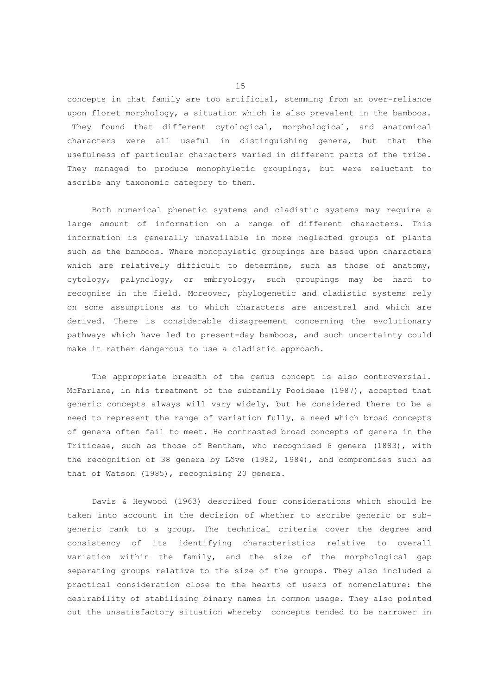concepts in that family are too artificial, stemming from an over-reliance upon floret morphology, a situation which is also prevalent in the bamboos. They found that different cytological, morphological, and anatomical characters were all useful in distinguishing genera, but that the usefulness of particular characters varied in different parts of the tribe. They managed to produce monophyletic groupings, but were reluctant to ascribe any taxonomic category to them.

 Both numerical phenetic systems and cladistic systems may require a large amount of information on a range of different characters. This information is generally unavailable in more neglected groups of plants such as the bamboos. Where monophyletic groupings are based upon characters which are relatively difficult to determine, such as those of anatomy, cytology, palynology, or embryology, such groupings may be hard to recognise in the field. Moreover, phylogenetic and cladistic systems rely on some assumptions as to which characters are ancestral and which are derived. There is considerable disagreement concerning the evolutionary pathways which have led to present-day bamboos, and such uncertainty could make it rather dangerous to use a cladistic approach.

 The appropriate breadth of the genus concept is also controversial. McFarlane, in his treatment of the subfamily Pooideae (1987), accepted that generic concepts always will vary widely, but he considered there to be a need to represent the range of variation fully, a need which broad concepts of genera often fail to meet. He contrasted broad concepts of genera in the Triticeae, such as those of Bentham, who recognised 6 genera (1883), with the recognition of 38 genera by Löve (1982, 1984), and compromises such as that of Watson (1985), recognising 20 genera.

 Davis & Heywood (1963) described four considerations which should be taken into account in the decision of whether to ascribe generic or subgeneric rank to a group. The technical criteria cover the degree and consistency of its identifying characteristics relative to overall variation within the family, and the size of the morphological gap separating groups relative to the size of the groups. They also included a practical consideration close to the hearts of users of nomenclature: the desirability of stabilising binary names in common usage. They also pointed out the unsatisfactory situation whereby concepts tended to be narrower in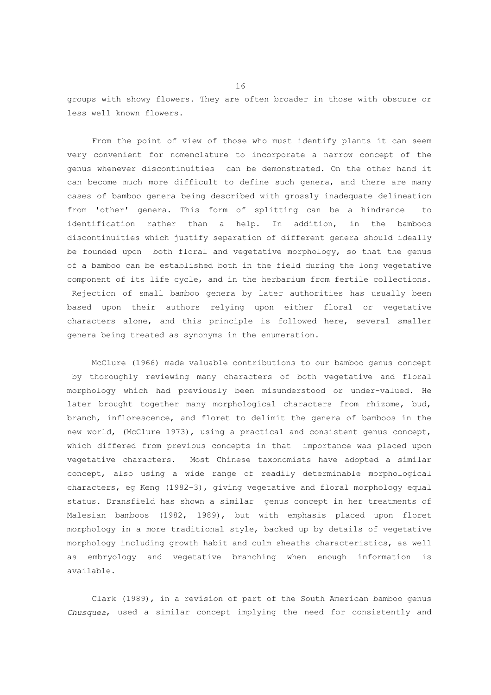groups with showy flowers. They are often broader in those with obscure or less well known flowers.

 From the point of view of those who must identify plants it can seem very convenient for nomenclature to incorporate a narrow concept of the genus whenever discontinuities can be demonstrated. On the other hand it can become much more difficult to define such genera, and there are many cases of bamboo genera being described with grossly inadequate delineation from 'other' genera. This form of splitting can be a hindrance to identification rather than a help. In addition, in the bamboos discontinuities which justify separation of different genera should ideally be founded upon both floral and vegetative morphology, so that the genus of a bamboo can be established both in the field during the long vegetative component of its life cycle, and in the herbarium from fertile collections. Rejection of small bamboo genera by later authorities has usually been based upon their authors relying upon either floral or vegetative characters alone, and this principle is followed here, several smaller genera being treated as synonyms in the enumeration.

 McClure (1966) made valuable contributions to our bamboo genus concept by thoroughly reviewing many characters of both vegetative and floral morphology which had previously been misunderstood or under-valued. He later brought together many morphological characters from rhizome, bud, branch, inflorescence, and floret to delimit the genera of bamboos in the new world, (McClure 1973), using a practical and consistent genus concept, which differed from previous concepts in that importance was placed upon vegetative characters. Most Chinese taxonomists have adopted a similar concept, also using a wide range of readily determinable morphological characters, eg Keng (1982-3), giving vegetative and floral morphology equal status. Dransfield has shown a similar genus concept in her treatments of Malesian bamboos (1982, 1989), but with emphasis placed upon floret morphology in a more traditional style, backed up by details of vegetative morphology including growth habit and culm sheaths characteristics, as well as embryology and vegetative branching when enough information is available.

 Clark (1989), in a revision of part of the South American bamboo genus *Chusquea*, used a similar concept implying the need for consistently and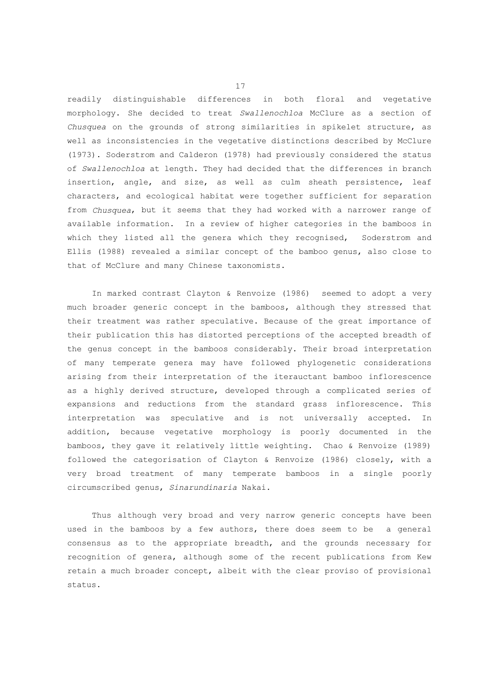readily distinguishable differences in both floral and vegetative morphology. She decided to treat *Swallenochloa* McClure as a section of *Chusquea* on the grounds of strong similarities in spikelet structure, as well as inconsistencies in the vegetative distinctions described by McClure (1973). Soderstrom and Calderon (1978) had previously considered the status of *Swallenochloa* at length. They had decided that the differences in branch insertion, angle, and size, as well as culm sheath persistence, leaf characters, and ecological habitat were together sufficient for separation from *Chusquea*, but it seems that they had worked with a narrower range of available information. In a review of higher categories in the bamboos in which they listed all the genera which they recognised, Soderstrom and Ellis (1988) revealed a similar concept of the bamboo genus, also close to that of McClure and many Chinese taxonomists.

 In marked contrast Clayton & Renvoize (1986) seemed to adopt a very much broader generic concept in the bamboos, although they stressed that their treatment was rather speculative. Because of the great importance of their publication this has distorted perceptions of the accepted breadth of the genus concept in the bamboos considerably. Their broad interpretation of many temperate genera may have followed phylogenetic considerations arising from their interpretation of the iterauctant bamboo inflorescence as a highly derived structure, developed through a complicated series of expansions and reductions from the standard grass inflorescence. This interpretation was speculative and is not universally accepted. In addition, because vegetative morphology is poorly documented in the bamboos, they gave it relatively little weighting. Chao & Renvoize (1989) followed the categorisation of Clayton & Renvoize (1986) closely, with a very broad treatment of many temperate bamboos in a single poorly circumscribed genus, *Sinarundinaria* Nakai.

 Thus although very broad and very narrow generic concepts have been used in the bamboos by a few authors, there does seem to be a general consensus as to the appropriate breadth, and the grounds necessary for recognition of genera, although some of the recent publications from Kew retain a much broader concept, albeit with the clear proviso of provisional status.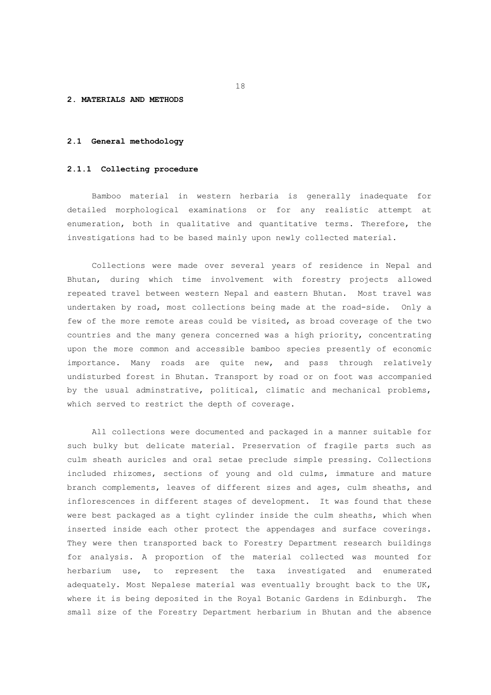#### **2. MATERIALS AND METHODS**

## **2.1 General methodology**

#### **2.1.1 Collecting procedure**

 Bamboo material in western herbaria is generally inadequate for detailed morphological examinations or for any realistic attempt at enumeration, both in qualitative and quantitative terms. Therefore, the investigations had to be based mainly upon newly collected material.

 Collections were made over several years of residence in Nepal and Bhutan, during which time involvement with forestry projects allowed repeated travel between western Nepal and eastern Bhutan. Most travel was undertaken by road, most collections being made at the road-side. Only a few of the more remote areas could be visited, as broad coverage of the two countries and the many genera concerned was a high priority, concentrating upon the more common and accessible bamboo species presently of economic importance. Many roads are quite new, and pass through relatively undisturbed forest in Bhutan. Transport by road or on foot was accompanied by the usual adminstrative, political, climatic and mechanical problems, which served to restrict the depth of coverage.

 All collections were documented and packaged in a manner suitable for such bulky but delicate material. Preservation of fragile parts such as culm sheath auricles and oral setae preclude simple pressing. Collections included rhizomes, sections of young and old culms, immature and mature branch complements, leaves of different sizes and ages, culm sheaths, and inflorescences in different stages of development. It was found that these were best packaged as a tight cylinder inside the culm sheaths, which when inserted inside each other protect the appendages and surface coverings. They were then transported back to Forestry Department research buildings for analysis. A proportion of the material collected was mounted for herbarium use, to represent the taxa investigated and enumerated adequately. Most Nepalese material was eventually brought back to the UK, where it is being deposited in the Royal Botanic Gardens in Edinburgh. The small size of the Forestry Department herbarium in Bhutan and the absence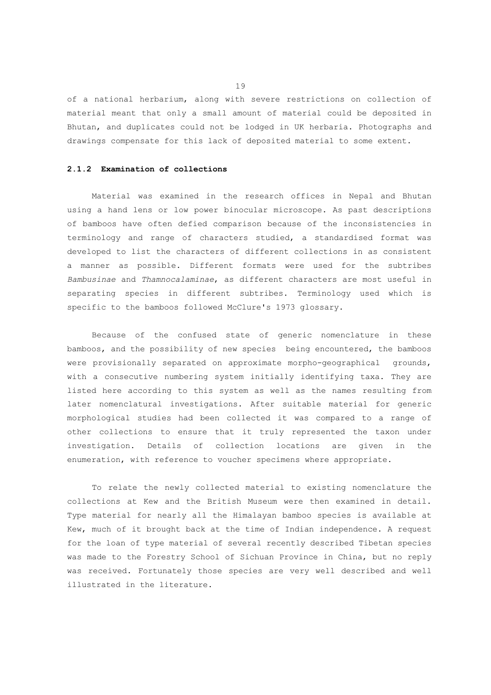of a national herbarium, along with severe restrictions on collection of material meant that only a small amount of material could be deposited in Bhutan, and duplicates could not be lodged in UK herbaria. Photographs and drawings compensate for this lack of deposited material to some extent.

## **2.1.2 Examination of collections**

 Material was examined in the research offices in Nepal and Bhutan using a hand lens or low power binocular microscope. As past descriptions of bamboos have often defied comparison because of the inconsistencies in terminology and range of characters studied, a standardised format was developed to list the characters of different collections in as consistent a manner as possible. Different formats were used for the subtribes *Bambusinae* and *Thamnocalaminae*, as different characters are most useful in separating species in different subtribes. Terminology used which is specific to the bamboos followed McClure's 1973 glossary.

 Because of the confused state of generic nomenclature in these bamboos, and the possibility of new species being encountered, the bamboos were provisionally separated on approximate morpho-geographical grounds, with a consecutive numbering system initially identifying taxa. They are listed here according to this system as well as the names resulting from later nomenclatural investigations. After suitable material for generic morphological studies had been collected it was compared to a range of other collections to ensure that it truly represented the taxon under investigation. Details of collection locations are given in the enumeration, with reference to voucher specimens where appropriate.

 To relate the newly collected material to existing nomenclature the collections at Kew and the British Museum were then examined in detail. Type material for nearly all the Himalayan bamboo species is available at Kew, much of it brought back at the time of Indian independence. A request for the loan of type material of several recently described Tibetan species was made to the Forestry School of Sichuan Province in China, but no reply was received. Fortunately those species are very well described and well illustrated in the literature.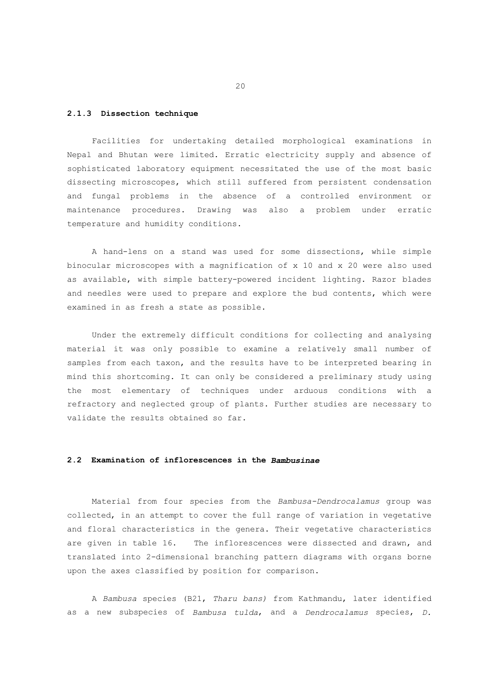# **2.1.3 Dissection technique**

 Facilities for undertaking detailed morphological examinations in Nepal and Bhutan were limited. Erratic electricity supply and absence of sophisticated laboratory equipment necessitated the use of the most basic dissecting microscopes, which still suffered from persistent condensation and fungal problems in the absence of a controlled environment or maintenance procedures. Drawing was also a problem under erratic temperature and humidity conditions.

 A hand-lens on a stand was used for some dissections, while simple binocular microscopes with a magnification of x 10 and x 20 were also used as available, with simple battery-powered incident lighting. Razor blades and needles were used to prepare and explore the bud contents, which were examined in as fresh a state as possible.

 Under the extremely difficult conditions for collecting and analysing material it was only possible to examine a relatively small number of samples from each taxon, and the results have to be interpreted bearing in mind this shortcoming. It can only be considered a preliminary study using the most elementary of techniques under arduous conditions with a refractory and neglected group of plants. Further studies are necessary to validate the results obtained so far.

#### **2.2 Examination of inflorescences in the** *Bambusinae*

 Material from four species from the *Bambusa-Dendrocalamus* group was collected, in an attempt to cover the full range of variation in vegetative and floral characteristics in the genera. Their vegetative characteristics are given in table 16. The inflorescences were dissected and drawn, and translated into 2-dimensional branching pattern diagrams with organs borne upon the axes classified by position for comparison.

 A *Bambusa* species (B21, *Tharu bans)* from Kathmandu, later identified as a new subspecies of *Bambusa tulda*, and a *Dendrocalamus* species, *D.*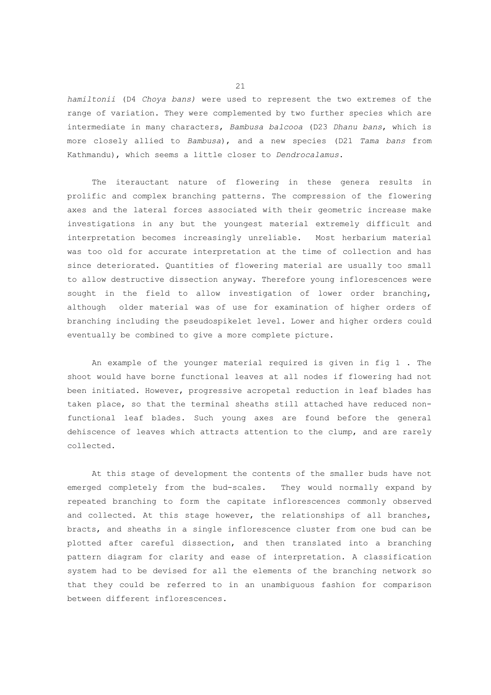*hamiltonii* (D4 *Choya bans)* were used to represent the two extremes of the range of variation. They were complemented by two further species which are intermediate in many characters, *Bambusa balcooa* (D23 *Dhanu bans*, which is more closely allied to *Bambusa*), and a new species (D21 *Tama bans* from Kathmandu), which seems a little closer to *Dendrocalamus*.

 The iterauctant nature of flowering in these genera results in prolific and complex branching patterns. The compression of the flowering axes and the lateral forces associated with their geometric increase make investigations in any but the youngest material extremely difficult and interpretation becomes increasingly unreliable. Most herbarium material was too old for accurate interpretation at the time of collection and has since deteriorated. Quantities of flowering material are usually too small to allow destructive dissection anyway. Therefore young inflorescences were sought in the field to allow investigation of lower order branching, although older material was of use for examination of higher orders of branching including the pseudospikelet level. Lower and higher orders could eventually be combined to give a more complete picture.

 An example of the younger material required is given in fig 1 . The shoot would have borne functional leaves at all nodes if flowering had not been initiated. However, progressive acropetal reduction in leaf blades has taken place, so that the terminal sheaths still attached have reduced nonfunctional leaf blades. Such young axes are found before the general dehiscence of leaves which attracts attention to the clump, and are rarely collected.

 At this stage of development the contents of the smaller buds have not emerged completely from the bud-scales. They would normally expand by repeated branching to form the capitate inflorescences commonly observed and collected. At this stage however, the relationships of all branches, bracts, and sheaths in a single inflorescence cluster from one bud can be plotted after careful dissection, and then translated into a branching pattern diagram for clarity and ease of interpretation. A classification system had to be devised for all the elements of the branching network so that they could be referred to in an unambiguous fashion for comparison between different inflorescences.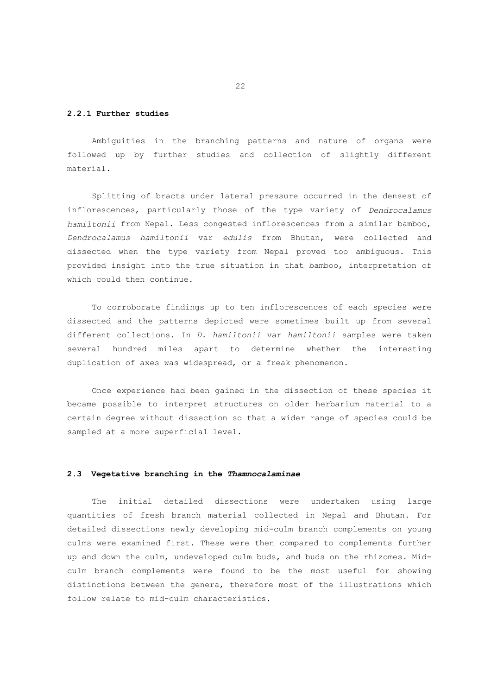# **2.2.1 Further studies**

 Ambiguities in the branching patterns and nature of organs were followed up by further studies and collection of slightly different material.

 Splitting of bracts under lateral pressure occurred in the densest of inflorescences, particularly those of the type variety of *Dendrocalamus hamiltonii* from Nepal. Less congested inflorescences from a similar bamboo, *Dendrocalamus hamiltonii* var *edulis* from Bhutan, were collected and dissected when the type variety from Nepal proved too ambiguous. This provided insight into the true situation in that bamboo, interpretation of which could then continue.

 To corroborate findings up to ten inflorescences of each species were dissected and the patterns depicted were sometimes built up from several different collections. In *D. hamiltonii* var *hamiltonii* samples were taken several hundred miles apart to determine whether the interesting duplication of axes was widespread, or a freak phenomenon.

 Once experience had been gained in the dissection of these species it became possible to interpret structures on older herbarium material to a certain degree without dissection so that a wider range of species could be sampled at a more superficial level.

## **2.3 Vegetative branching in the** *Thamnocalaminae*

 The initial detailed dissections were undertaken using large quantities of fresh branch material collected in Nepal and Bhutan. For detailed dissections newly developing mid-culm branch complements on young culms were examined first. These were then compared to complements further up and down the culm, undeveloped culm buds, and buds on the rhizomes. Midculm branch complements were found to be the most useful for showing distinctions between the genera, therefore most of the illustrations which follow relate to mid-culm characteristics.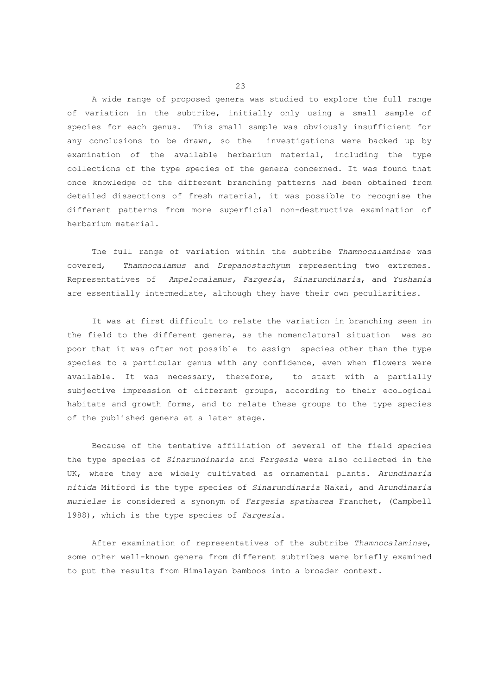A wide range of proposed genera was studied to explore the full range of variation in the subtribe, initially only using a small sample of species for each genus. This small sample was obviously insufficient for any conclusions to be drawn, so the investigations were backed up by examination of the available herbarium material, including the type collections of the type species of the genera concerned. It was found that once knowledge of the different branching patterns had been obtained from detailed dissections of fresh material, it was possible to recognise the different patterns from more superficial non-destructive examination of herbarium material.

 The full range of variation within the subtribe *Thamnocalaminae* was covered, *Thamnocalamus* and *Drepanostachyum* representing two extremes. Representatives of *Ampelocalamus, Fargesia*, *Sinarundinaria*, and *Yushania* are essentially intermediate, although they have their own peculiarities.

 It was at first difficult to relate the variation in branching seen in the field to the different genera, as the nomenclatural situation was so poor that it was often not possible to assign species other than the type species to a particular genus with any confidence, even when flowers were available. It was necessary, therefore, to start with a partially subjective impression of different groups, according to their ecological habitats and growth forms, and to relate these groups to the type species of the published genera at a later stage.

 Because of the tentative affiliation of several of the field species the type species of *Sinarundinaria* and *Fargesia* were also collected in the UK, where they are widely cultivated as ornamental plants. *Arundinaria nitida* Mitford is the type species of *Sinarundinaria* Nakai, and *Arundinaria murielae* is considered a synonym of *Fargesia spathacea* Franchet, (Campbell 1988), which is the type species of *Fargesia*.

 After examination of representatives of the subtribe *Thamnocalaminae*, some other well-known genera from different subtribes were briefly examined to put the results from Himalayan bamboos into a broader context.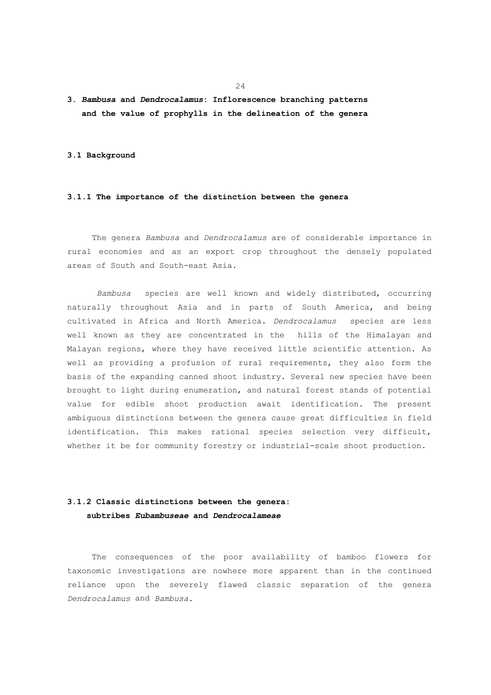# **3.** *Bambusa* **and** *Dendrocalamus***: Inflorescence branching patterns and the value of prophylls in the delineation of the genera**

#### **3.1 Background**

## **3.1.1 The importance of the distinction between the genera**

 The genera *Bambusa* and *Dendrocalamus* are of considerable importance in rural economies and as an export crop throughout the densely populated areas of South and South-east Asia.

*Bambusa* species are well known and widely distributed, occurring naturally throughout Asia and in parts of South America, and being cultivated in Africa and North America. *Dendrocalamus* species are less well known as they are concentrated in the hills of the Himalayan and Malayan regions, where they have received little scientific attention. As well as providing a profusion of rural requirements, they also form the basis of the expanding canned shoot industry. Several new species have been brought to light during enumeration, and natural forest stands of potential value for edible shoot production await identification. The present ambiguous distinctions between the genera cause great difficulties in field identification. This makes rational species selection very difficult, whether it be for community forestry or industrial-scale shoot production.

# **3.1.2 Classic distinctions between the genera: subtribes** *Eubambuseae* **and** *Dendrocalameae*

 The consequences of the poor availability of bamboo flowers for taxonomic investigations are nowhere more apparent than in the continued reliance upon the severely flawed classic separation of the genera *Dendrocalamus* and *Bambusa.*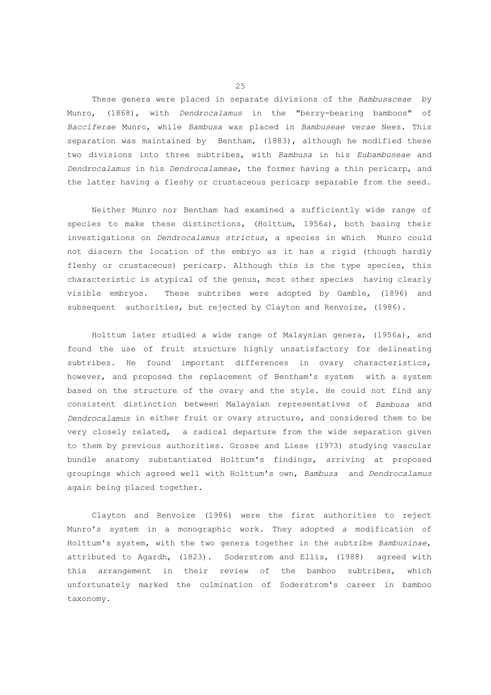These genera were placed in separate divisions of the *Bambusaceae* by Munro, (1868), with *Dendrocalamus* in the "berry-bearing bamboos" of *Bacciferae* Munro, while *Bambusa* was placed in *Bambuseae verae* Nees. This separation was maintained by Bentham, (1883), although he modified these two divisions into three subtribes, with *Bambusa* in his *Eubambuseae* and *Dendrocalamus* in his *Dendrocalameae*, the former having a thin pericarp, and the latter having a fleshy or crustaceous pericarp separable from the seed.

 Neither Munro nor Bentham had examined a sufficiently wide range of species to make these distinctions, (Holttum, 1956a), both basing their investigations on *Dendrocalamus strictus*, a species in which Munro could not discern the location of the embryo as it has a rigid (though hardly fleshy or crustaceous) pericarp. Although this is the type species, this characteristic is atypical of the genus, most other species having clearly visible embryos. These subtribes were adopted by Gamble, (1896) and subsequent authorities, but rejected by Clayton and Renvoize, (1986).

 Holttum later studied a wide range of Malaysian genera, (1956a), and found the use of fruit structure highly unsatisfactory for delineating subtribes. He found important differences in ovary characteristics, however, and proposed the replacement of Bentham's system with a system based on the structure of the ovary and the style. He could not find any consistent distinction between Malaysian representatives of *Bambusa* and *Dendrocalamus* in either fruit or ovary structure, and considered them to be very closely related, a radical departure from the wide separation given to them by previous authorities. Grosse and Liese (1973) studying vascular bundle anatomy substantiated Holttum's findings, arriving at proposed groupings which agreed well with Holttum's own, *Bambusa* and *Dendrocalamus* again being placed together.

 Clayton and Renvoize (1986) were the first authorities to reject Munro's system in a monographic work. They adopted a modification of Holttum's system, with the two genera together in the subtribe *Bambusinae*, attributed to Agardh, (1823). Soderstrom and Ellis, (1988) agreed with this arrangement in their review of the bamboo subtribes, which unfortunately marked the culmination of Soderstrom's career in bamboo taxonomy.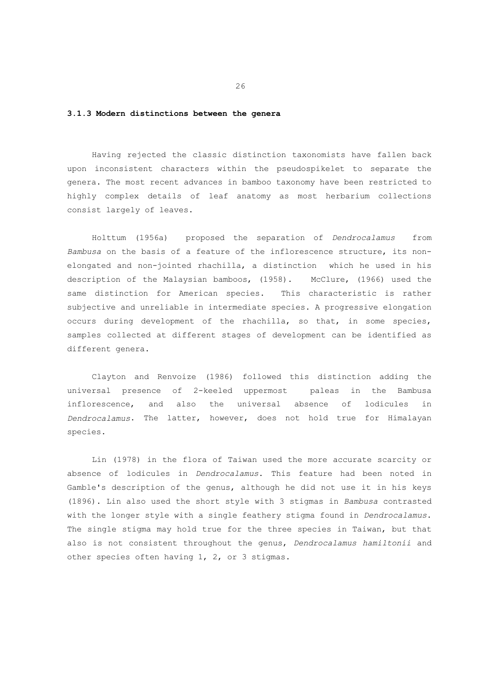# **3.1.3 Modern distinctions between the genera**

 Having rejected the classic distinction taxonomists have fallen back upon inconsistent characters within the pseudospikelet to separate the genera. The most recent advances in bamboo taxonomy have been restricted to highly complex details of leaf anatomy as most herbarium collections consist largely of leaves.

 Holttum (1956a) proposed the separation of *Dendrocalamus* from *Bambusa* on the basis of a feature of the inflorescence structure, its nonelongated and non-jointed rhachilla, a distinction which he used in his description of the Malaysian bamboos, (1958). McClure, (1966) used the same distinction for American species. This characteristic is rather subjective and unreliable in intermediate species. A progressive elongation occurs during development of the rhachilla, so that, in some species, samples collected at different stages of development can be identified as different genera.

 Clayton and Renvoize (1986) followed this distinction adding the universal presence of 2-keeled uppermost paleas in the Bambusa inflorescence, and also the universal absence of lodicules in *Dendrocalamus*. The latter, however, does not hold true for Himalayan species.

 Lin (1978) in the flora of Taiwan used the more accurate scarcity or absence of lodicules in *Dendrocalamus*. This feature had been noted in Gamble's description of the genus, although he did not use it in his keys (1896). Lin also used the short style with 3 stigmas in *Bambusa* contrasted with the longer style with a single feathery stigma found in *Dendrocalamus*. The single stigma may hold true for the three species in Taiwan, but that also is not consistent throughout the genus, *Dendrocalamus hamiltonii* and other species often having 1, 2, or 3 stigmas.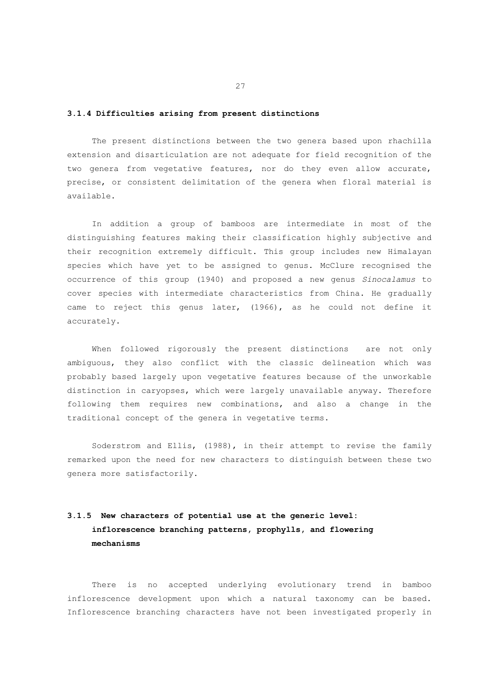# **3.1.4 Difficulties arising from present distinctions**

 The present distinctions between the two genera based upon rhachilla extension and disarticulation are not adequate for field recognition of the two genera from vegetative features, nor do they even allow accurate, precise, or consistent delimitation of the genera when floral material is available.

 In addition a group of bamboos are intermediate in most of the distinguishing features making their classification highly subjective and their recognition extremely difficult. This group includes new Himalayan species which have yet to be assigned to genus. McClure recognised the occurrence of this group (1940) and proposed a new genus *Sinocalamus* to cover species with intermediate characteristics from China. He gradually came to reject this genus later, (1966), as he could not define it accurately.

 When followed rigorously the present distinctions are not only ambiguous, they also conflict with the classic delineation which was probably based largely upon vegetative features because of the unworkable distinction in caryopses, which were largely unavailable anyway. Therefore following them requires new combinations, and also a change in the traditional concept of the genera in vegetative terms.

 Soderstrom and Ellis, (1988), in their attempt to revise the family remarked upon the need for new characters to distinguish between these two genera more satisfactorily.

# **3.1.5 New characters of potential use at the generic level: inflorescence branching patterns, prophylls, and flowering mechanisms**

 There is no accepted underlying evolutionary trend in bamboo inflorescence development upon which a natural taxonomy can be based. Inflorescence branching characters have not been investigated properly in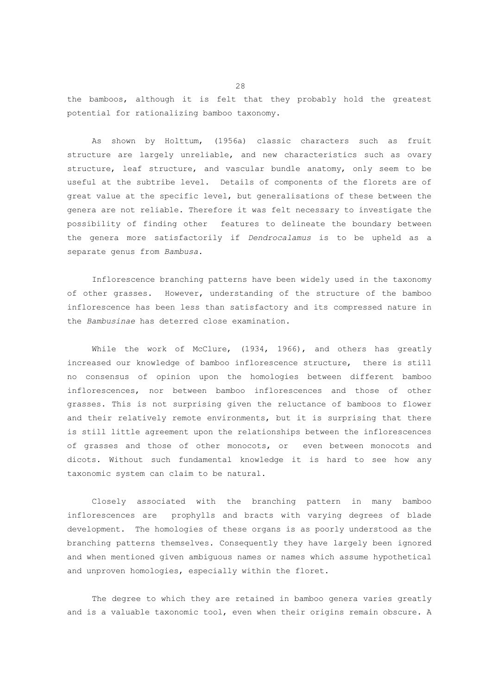the bamboos, although it is felt that they probably hold the greatest potential for rationalizing bamboo taxonomy.

 As shown by Holttum, (1956a) classic characters such as fruit structure are largely unreliable, and new characteristics such as ovary structure, leaf structure, and vascular bundle anatomy, only seem to be useful at the subtribe level. Details of components of the florets are of great value at the specific level, but generalisations of these between the genera are not reliable. Therefore it was felt necessary to investigate the possibility of finding other features to delineate the boundary between the genera more satisfactorily if *Dendrocalamus* is to be upheld as a separate genus from *Bambusa*.

 Inflorescence branching patterns have been widely used in the taxonomy of other grasses. However, understanding of the structure of the bamboo inflorescence has been less than satisfactory and its compressed nature in the *Bambusinae* has deterred close examination.

While the work of McClure, (1934, 1966), and others has greatly increased our knowledge of bamboo inflorescence structure, there is still no consensus of opinion upon the homologies between different bamboo inflorescences, nor between bamboo inflorescences and those of other grasses. This is not surprising given the reluctance of bamboos to flower and their relatively remote environments, but it is surprising that there is still little agreement upon the relationships between the inflorescences of grasses and those of other monocots, or even between monocots and dicots. Without such fundamental knowledge it is hard to see how any taxonomic system can claim to be natural.

 Closely associated with the branching pattern in many bamboo inflorescences are prophylls and bracts with varying degrees of blade development. The homologies of these organs is as poorly understood as the branching patterns themselves. Consequently they have largely been ignored and when mentioned given ambiguous names or names which assume hypothetical and unproven homologies, especially within the floret.

 The degree to which they are retained in bamboo genera varies greatly and is a valuable taxonomic tool, even when their origins remain obscure. A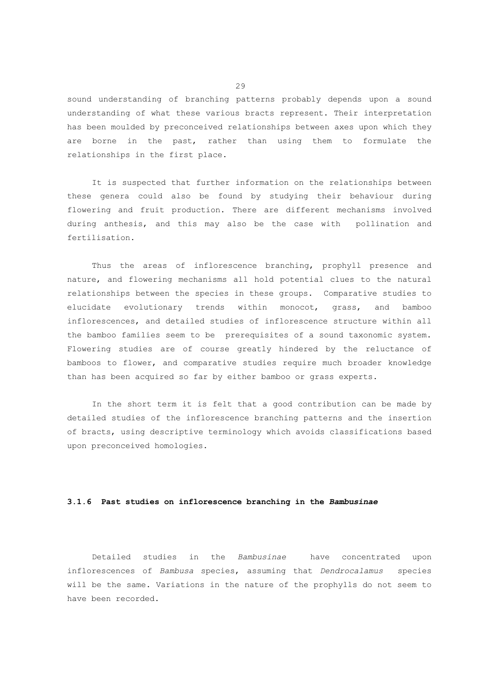sound understanding of branching patterns probably depends upon a sound understanding of what these various bracts represent. Their interpretation has been moulded by preconceived relationships between axes upon which they are borne in the past, rather than using them to formulate the relationships in the first place.

 It is suspected that further information on the relationships between these genera could also be found by studying their behaviour during flowering and fruit production. There are different mechanisms involved during anthesis, and this may also be the case with pollination and fertilisation.

 Thus the areas of inflorescence branching, prophyll presence and nature, and flowering mechanisms all hold potential clues to the natural relationships between the species in these groups. Comparative studies to elucidate evolutionary trends within monocot, grass, and bamboo inflorescences, and detailed studies of inflorescence structure within all the bamboo families seem to be prerequisites of a sound taxonomic system. Flowering studies are of course greatly hindered by the reluctance of bamboos to flower, and comparative studies require much broader knowledge than has been acquired so far by either bamboo or grass experts.

 In the short term it is felt that a good contribution can be made by detailed studies of the inflorescence branching patterns and the insertion of bracts, using descriptive terminology which avoids classifications based upon preconceived homologies.

## **3.1.6 Past studies on inflorescence branching in the** *Bambusinae*

 Detailed studies in the *Bambusinae* have concentrated upon inflorescences of *Bambusa* species, assuming that *Dendrocalamus* species will be the same. Variations in the nature of the prophylls do not seem to have been recorded.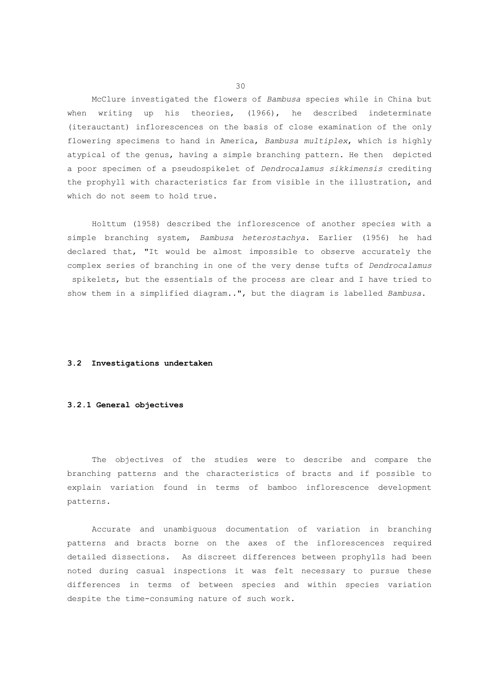McClure investigated the flowers of *Bambusa* species while in China but when writing up his theories, (1966), he described indeterminate (iterauctant) inflorescences on the basis of close examination of the only flowering specimens to hand in America, *Bambusa multiplex*, which is highly atypical of the genus, having a simple branching pattern. He then depicted a poor specimen of a pseudospikelet of *Dendrocalamus sikkimensis* crediting the prophyll with characteristics far from visible in the illustration, and which do not seem to hold true.

 Holttum (1958) described the inflorescence of another species with a simple branching system, *Bambusa heterostachya*. Earlier (1956) he had declared that, "It would be almost impossible to observe accurately the complex series of branching in one of the very dense tufts of *Dendrocalamus* spikelets, but the essentials of the process are clear and I have tried to show them in a simplified diagram..", but the diagram is labelled *Bambusa*.

#### **3.2 Investigations undertaken**

## **3.2.1 General objectives**

 The objectives of the studies were to describe and compare the branching patterns and the characteristics of bracts and if possible to explain variation found in terms of bamboo inflorescence development patterns.

 Accurate and unambiguous documentation of variation in branching patterns and bracts borne on the axes of the inflorescences required detailed dissections. As discreet differences between prophylls had been noted during casual inspections it was felt necessary to pursue these differences in terms of between species and within species variation despite the time-consuming nature of such work.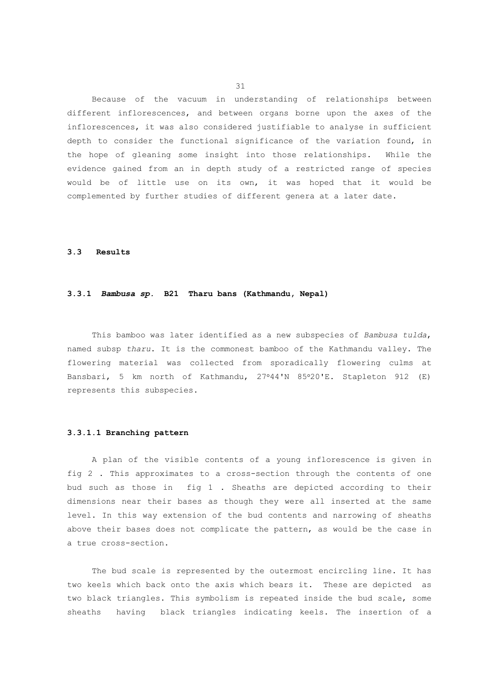Because of the vacuum in understanding of relationships between different inflorescences, and between organs borne upon the axes of the inflorescences, it was also considered justifiable to analyse in sufficient depth to consider the functional significance of the variation found, in the hope of gleaning some insight into those relationships. While the evidence gained from an in depth study of a restricted range of species would be of little use on its own, it was hoped that it would be complemented by further studies of different genera at a later date.

#### **3.3 Results**

## **3.3.1** *Bambusa sp.* **B21 Tharu bans (Kathmandu, Nepal)**

 This bamboo was later identified as a new subspecies of *Bambusa tulda*, named subsp *tharu*. It is the commonest bamboo of the Kathmandu valley. The flowering material was collected from sporadically flowering culms at Bansbari, 5 km north of Kathmandu, 27°44'N 85°20'E. Stapleton 912 (E) represents this subspecies.

### **3.3.1.1 Branching pattern**

 A plan of the visible contents of a young inflorescence is given in fig 2 . This approximates to a cross-section through the contents of one bud such as those in fig 1 . Sheaths are depicted according to their dimensions near their bases as though they were all inserted at the same level. In this way extension of the bud contents and narrowing of sheaths above their bases does not complicate the pattern, as would be the case in a true cross-section.

 The bud scale is represented by the outermost encircling line. It has two keels which back onto the axis which bears it. These are depicted as two black triangles. This symbolism is repeated inside the bud scale, some sheaths having black triangles indicating keels. The insertion of a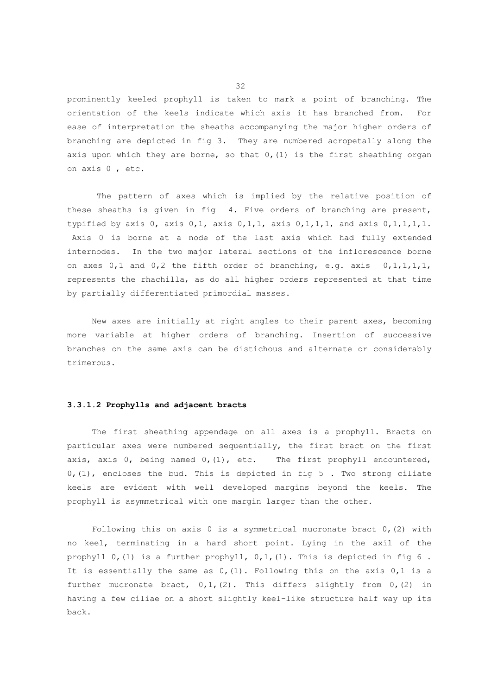prominently keeled prophyll is taken to mark a point of branching. The orientation of the keels indicate which axis it has branched from. For ease of interpretation the sheaths accompanying the major higher orders of branching are depicted in fig 3. They are numbered acropetally along the axis upon which they are borne, so that  $0$ , (1) is the first sheathing organ on axis 0 , etc.

 The pattern of axes which is implied by the relative position of these sheaths is given in fig 4. Five orders of branching are present, typified by axis  $0, 2, x$ is  $0, 1, 1, x$  axis  $0, 1, 1, 1, 1, x$  and axis  $0, 1, 1, 1, 1, 1$ . Axis 0 is borne at a node of the last axis which had fully extended internodes. In the two major lateral sections of the inflorescence borne on axes 0,1 and 0,2 the fifth order of branching, e.g. axis 0,1,1,1,1, represents the rhachilla, as do all higher orders represented at that time by partially differentiated primordial masses.

 New axes are initially at right angles to their parent axes, becoming more variable at higher orders of branching. Insertion of successive branches on the same axis can be distichous and alternate or considerably trimerous.

# **3.3.1.2 Prophylls and adjacent bracts**

 The first sheathing appendage on all axes is a prophyll. Bracts on particular axes were numbered sequentially, the first bract on the first axis, axis  $0$ , being named  $0$ ,  $(1)$ , etc. The first prophyll encountered, 0,(1), encloses the bud. This is depicted in fig 5 . Two strong ciliate keels are evident with well developed margins beyond the keels. The prophyll is asymmetrical with one margin larger than the other.

Following this on axis  $0$  is a symmetrical mucronate bract  $0$ , (2) with no keel, terminating in a hard short point. Lying in the axil of the prophyll  $0$ , (1) is a further prophyll,  $0,1$ , (1). This is depicted in fig 6. It is essentially the same as 0,(1). Following this on the axis 0,1 is a further mucronate bract, 0,1,(2). This differs slightly from 0,(2) in having a few ciliae on a short slightly keel-like structure half way up its back.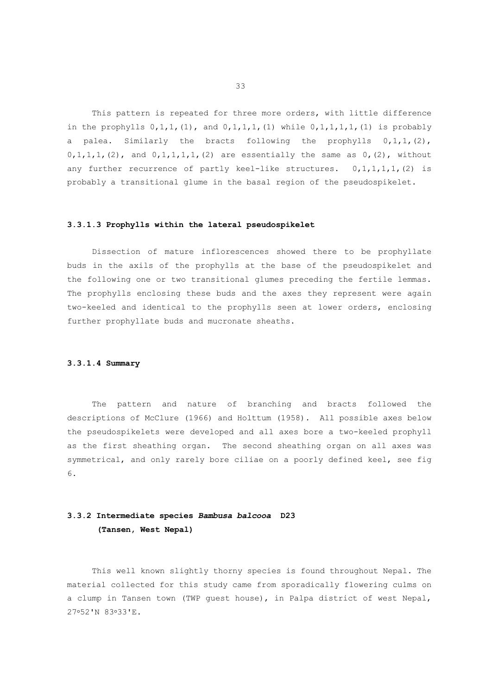This pattern is repeated for three more orders, with little difference in the prophylls  $0,1,1, (1)$ , and  $0,1,1,1, (1)$  while  $0,1,1,1,1, (1)$  is probably a palea. Similarly the bracts following the prophylls  $0, 1, 1, (2)$ ,  $0,1,1,1, (2)$ , and  $0,1,1,1,1, (2)$  are essentially the same as  $0, (2)$ , without any further recurrence of partly keel-like structures.  $0, 1, 1, 1, 1, 2$  is probably a transitional glume in the basal region of the pseudospikelet.

#### **3.3.1.3 Prophylls within the lateral pseudospikelet**

 Dissection of mature inflorescences showed there to be prophyllate buds in the axils of the prophylls at the base of the pseudospikelet and the following one or two transitional glumes preceding the fertile lemmas. The prophylls enclosing these buds and the axes they represent were again two-keeled and identical to the prophylls seen at lower orders, enclosing further prophyllate buds and mucronate sheaths.

### **3.3.1.4 Summary**

 The pattern and nature of branching and bracts followed the descriptions of McClure (1966) and Holttum (1958). All possible axes below the pseudospikelets were developed and all axes bore a two-keeled prophyll as the first sheathing organ. The second sheathing organ on all axes was symmetrical, and only rarely bore ciliae on a poorly defined keel, see fig 6.

# **3.3.2 Intermediate species** *Bambusa balcooa* **D23 (Tansen, West Nepal)**

 This well known slightly thorny species is found throughout Nepal. The material collected for this study came from sporadically flowering culms on a clump in Tansen town (TWP guest house), in Palpa district of west Nepal, 27°52'N 83°33'E.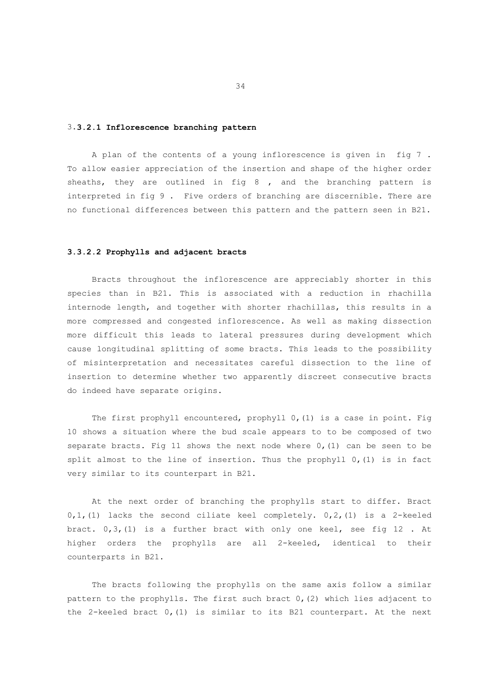### 3.**3.2.1 Inflorescence branching pattern**

 A plan of the contents of a young inflorescence is given in fig 7 . To allow easier appreciation of the insertion and shape of the higher order sheaths, they are outlined in fig 8 , and the branching pattern is interpreted in fig 9 . Five orders of branching are discernible. There are no functional differences between this pattern and the pattern seen in B21.

### **3.3.2.2 Prophylls and adjacent bracts**

 Bracts throughout the inflorescence are appreciably shorter in this species than in B21. This is associated with a reduction in rhachilla internode length, and together with shorter rhachillas, this results in a more compressed and congested inflorescence. As well as making dissection more difficult this leads to lateral pressures during development which cause longitudinal splitting of some bracts. This leads to the possibility of misinterpretation and necessitates careful dissection to the line of insertion to determine whether two apparently discreet consecutive bracts do indeed have separate origins.

 The first prophyll encountered, prophyll 0,(1) is a case in point. Fig 10 shows a situation where the bud scale appears to to be composed of two separate bracts. Fig 11 shows the next node where 0,(1) can be seen to be split almost to the line of insertion. Thus the prophyll  $0, (1)$  is in fact very similar to its counterpart in B21.

 At the next order of branching the prophylls start to differ. Bract  $0,1$ , (1) lacks the second ciliate keel completely.  $0,2$ , (1) is a 2-keeled bract.  $0,3, (1)$  is a further bract with only one keel, see fig 12. At higher orders the prophylls are all 2-keeled, identical to their counterparts in B21.

 The bracts following the prophylls on the same axis follow a similar pattern to the prophylls. The first such bract 0,(2) which lies adjacent to the 2-keeled bract 0,(1) is similar to its B21 counterpart. At the next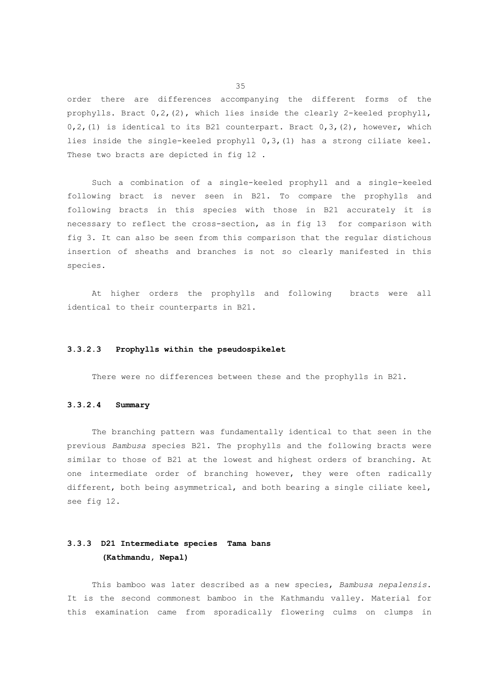order there are differences accompanying the different forms of the prophylls. Bract 0,2,(2), which lies inside the clearly 2-keeled prophyll,  $0, 2$ , (1) is identical to its B21 counterpart. Bract  $0, 3$ , (2), however, which lies inside the single-keeled prophyll 0,3,(1) has a strong ciliate keel. These two bracts are depicted in fig 12.

 Such a combination of a single-keeled prophyll and a single-keeled following bract is never seen in B21. To compare the prophylls and following bracts in this species with those in B21 accurately it is necessary to reflect the cross-section, as in fig 13 for comparison with fig 3. It can also be seen from this comparison that the regular distichous insertion of sheaths and branches is not so clearly manifested in this species.

 At higher orders the prophylls and following bracts were all identical to their counterparts in B21.

### **3.3.2.3 Prophylls within the pseudospikelet**

There were no differences between these and the prophylls in B21.

# **3.3.2.4 Summary**

 The branching pattern was fundamentally identical to that seen in the previous *Bambusa* species B21. The prophylls and the following bracts were similar to those of B21 at the lowest and highest orders of branching. At one intermediate order of branching however, they were often radically different, both being asymmetrical, and both bearing a single ciliate keel, see fig 12.

# **3.3.3 D21 Intermediate species Tama bans (Kathmandu, Nepal)**

 This bamboo was later described as a new species, *Bambusa nepalensis*. It is the second commonest bamboo in the Kathmandu valley. Material for this examination came from sporadically flowering culms on clumps in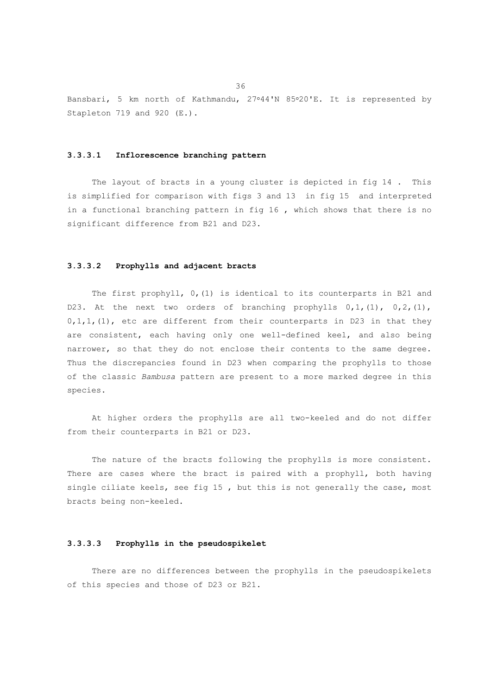Bansbari, 5 km north of Kathmandu, 27°44'N 85°20'E. It is represented by Stapleton 719 and 920 (E.).

## **3.3.3.1 Inflorescence branching pattern**

 The layout of bracts in a young cluster is depicted in fig 14 . This is simplified for comparison with figs 3 and 13 in fig 15 and interpreted in a functional branching pattern in fig 16 , which shows that there is no significant difference from B21 and D23.

# **3.3.3.2 Prophylls and adjacent bracts**

The first prophyll, 0, (1) is identical to its counterparts in B21 and D23. At the next two orders of branching prophylls  $0,1, (1)$ ,  $0,2, (1)$ ,  $0,1,1$ , (1), etc are different from their counterparts in D23 in that they are consistent, each having only one well-defined keel, and also being narrower, so that they do not enclose their contents to the same degree. Thus the discrepancies found in D23 when comparing the prophylls to those of the classic *Bambusa* pattern are present to a more marked degree in this species.

 At higher orders the prophylls are all two-keeled and do not differ from their counterparts in B21 or D23.

The nature of the bracts following the prophylls is more consistent. There are cases where the bract is paired with a prophyll, both having single ciliate keels, see fig 15 , but this is not generally the case, most bracts being non-keeled.

## **3.3.3.3 Prophylls in the pseudospikelet**

 There are no differences between the prophylls in the pseudospikelets of this species and those of D23 or B21.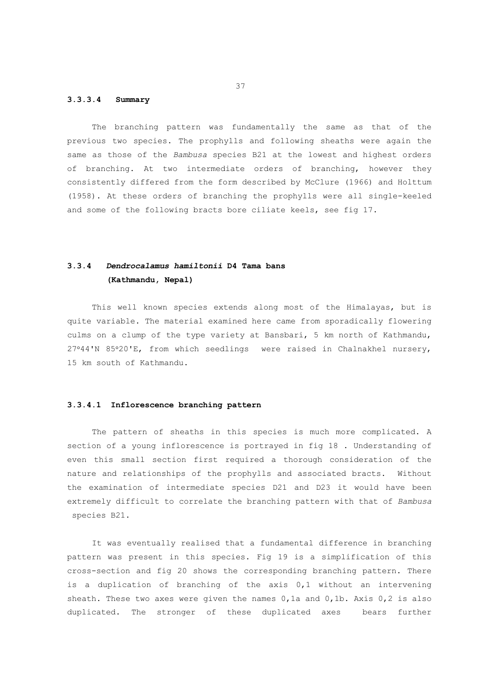## **3.3.3.4 Summary**

 The branching pattern was fundamentally the same as that of the previous two species. The prophylls and following sheaths were again the same as those of the *Bambusa* species B21 at the lowest and highest orders of branching. At two intermediate orders of branching, however they consistently differed from the form described by McClure (1966) and Holttum (1958). At these orders of branching the prophylls were all single-keeled and some of the following bracts bore ciliate keels, see fig 17.

# **3.3.4** *Dendrocalamus hamiltonii* **D4 Tama bans (Kathmandu, Nepal)**

 This well known species extends along most of the Himalayas, but is quite variable. The material examined here came from sporadically flowering culms on a clump of the type variety at Bansbari, 5 km north of Kathmandu, 27°44'N 85°20'E, from which seedlings were raised in Chalnakhel nursery, 15 km south of Kathmandu.

## **3.3.4.1 Inflorescence branching pattern**

 The pattern of sheaths in this species is much more complicated. A section of a young inflorescence is portrayed in fig 18 . Understanding of even this small section first required a thorough consideration of the nature and relationships of the prophylls and associated bracts. Without the examination of intermediate species D21 and D23 it would have been extremely difficult to correlate the branching pattern with that of *Bambusa* species B21.

 It was eventually realised that a fundamental difference in branching pattern was present in this species. Fig 19 is a simplification of this cross-section and fig 20 shows the corresponding branching pattern. There is a duplication of branching of the axis 0,1 without an intervening sheath. These two axes were given the names 0,1a and 0,1b. Axis 0,2 is also duplicated. The stronger of these duplicated axes bears further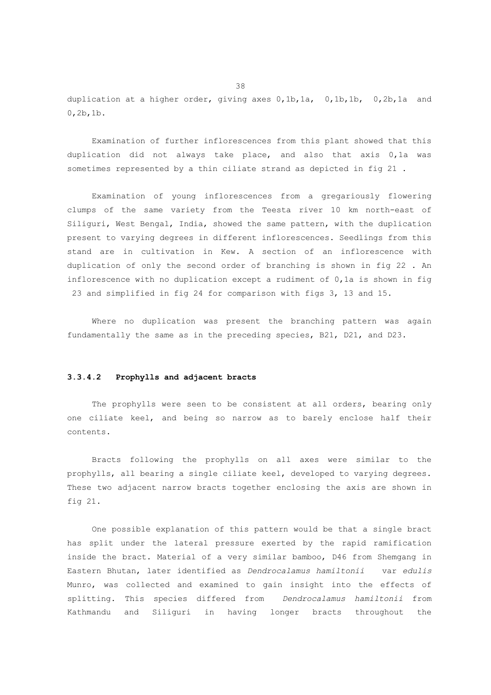duplication at a higher order, giving axes 0,1b,1a, 0,1b,1b, 0,2b,1a and 0,2b,1b.

 Examination of further inflorescences from this plant showed that this duplication did not always take place, and also that axis 0,1a was sometimes represented by a thin ciliate strand as depicted in fig 21 .

 Examination of young inflorescences from a gregariously flowering clumps of the same variety from the Teesta river 10 km north-east of Siliguri, West Bengal, India, showed the same pattern, with the duplication present to varying degrees in different inflorescences. Seedlings from this stand are in cultivation in Kew. A section of an inflorescence with duplication of only the second order of branching is shown in fig 22 . An inflorescence with no duplication except a rudiment of 0,1a is shown in fig 23 and simplified in fig 24 for comparison with figs 3, 13 and 15.

 Where no duplication was present the branching pattern was again fundamentally the same as in the preceding species, B21, D21, and D23.

## **3.3.4.2 Prophylls and adjacent bracts**

 The prophylls were seen to be consistent at all orders, bearing only one ciliate keel, and being so narrow as to barely enclose half their contents.

 Bracts following the prophylls on all axes were similar to the prophylls, all bearing a single ciliate keel, developed to varying degrees. These two adjacent narrow bracts together enclosing the axis are shown in fig 21.

 One possible explanation of this pattern would be that a single bract has split under the lateral pressure exerted by the rapid ramification inside the bract. Material of a very similar bamboo, D46 from Shemgang in Eastern Bhutan, later identified as *Dendrocalamus hamiltonii* var *edulis* Munro, was collected and examined to gain insight into the effects of splitting. This species differed from *Dendrocalamus hamiltonii* from Kathmandu and Siliguri in having longer bracts throughout the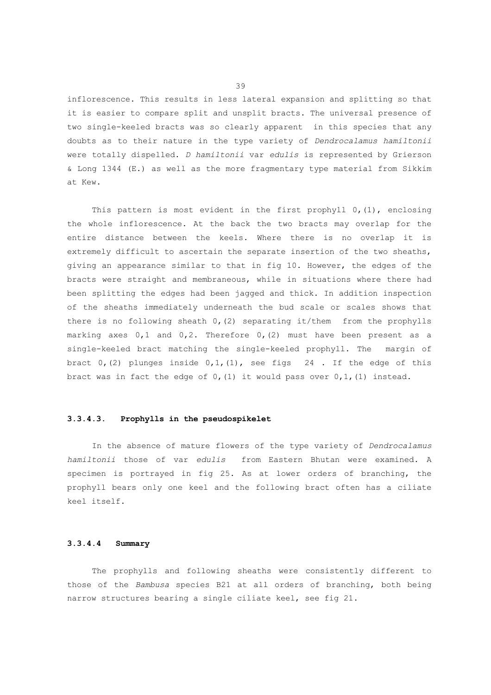inflorescence. This results in less lateral expansion and splitting so that it is easier to compare split and unsplit bracts. The universal presence of two single-keeled bracts was so clearly apparent in this species that any doubts as to their nature in the type variety of *Dendrocalamus hamiltonii*  were totally dispelled. *D hamiltonii* var *edulis* is represented by Grierson & Long 1344 (E.) as well as the more fragmentary type material from Sikkim at Kew.

This pattern is most evident in the first prophyll 0, (1), enclosing the whole inflorescence. At the back the two bracts may overlap for the entire distance between the keels. Where there is no overlap it is extremely difficult to ascertain the separate insertion of the two sheaths, giving an appearance similar to that in fig 10. However, the edges of the bracts were straight and membraneous, while in situations where there had been splitting the edges had been jagged and thick. In addition inspection of the sheaths immediately underneath the bud scale or scales shows that there is no following sheath  $0$ , (2) separating it/them from the prophylls marking axes  $0,1$  and  $0,2$ . Therefore  $0, (2)$  must have been present as a single-keeled bract matching the single-keeled prophyll. The margin of bract  $0, (2)$  plunges inside  $0, 1, (1)$ , see figs 24. If the edge of this bract was in fact the edge of  $0, (1)$  it would pass over  $0, 1, (1)$  instead.

# **3.3.4.3. Prophylls in the pseudospikelet**

 In the absence of mature flowers of the type variety of *Dendrocalamus hamiltonii* those of var *edulis* from Eastern Bhutan were examined. A specimen is portrayed in fig 25. As at lower orders of branching, the prophyll bears only one keel and the following bract often has a ciliate keel itself.

## **3.3.4.4 Summary**

 The prophylls and following sheaths were consistently different to those of the *Bambusa* species B21 at all orders of branching, both being narrow structures bearing a single ciliate keel, see fig 21.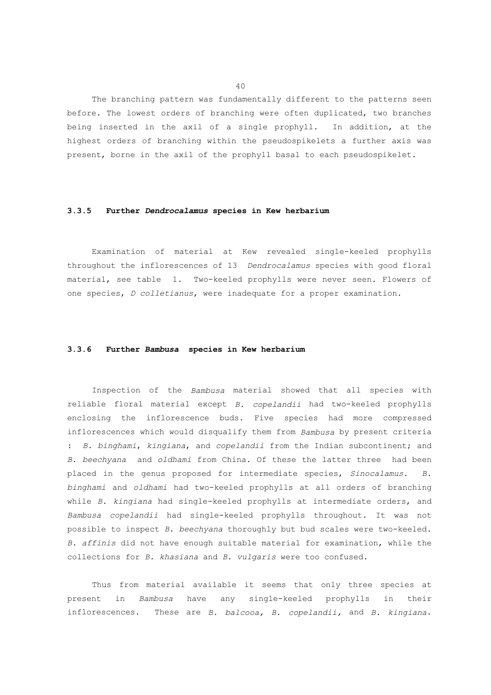The branching pattern was fundamentally different to the patterns seen before. The lowest orders of branching were often duplicated, two branches being inserted in the axil of a single prophyll. In addition, at the highest orders of branching within the pseudospikelets a further axis was present, borne in the axil of the prophyll basal to each pseudospikelet.

## **3.3.5 Further** *Dendrocalamus* **species in Kew herbarium**

 Examination of material at Kew revealed single-keeled prophylls throughout the inflorescences of 13 *Dendrocalamus* species with good floral material, see table 1. Two-keeled prophylls were never seen. Flowers of one species, *D colletianus*, were inadequate for a proper examination.

## **3.3.6 Further** *Bambusa* **species in Kew herbarium**

 Inspection of the *Bambusa* material showed that all species with reliable floral material except *B. copelandii* had two-keeled prophylls enclosing the inflorescence buds. Five species had more compressed inflorescences which would disqualify them from *Bambusa* by present criteria : *B. binghami*, *kingiana*, and *copelandii* from the Indian subcontinent; and *B. beechyana* and *oldhami* from China. Of these the latter three had been placed in the genus proposed for intermediate species, *Sinocalamus*. *B. binghami* and *oldhami* had two-keeled prophylls at all orders of branching while *B. kingiana* had single-keeled prophylls at intermediate orders, and *Bambusa copelandii* had single-keeled prophylls throughout. It was not possible to inspect *B. beechyana* thoroughly but bud scales were two-keeled. *B. affinis* did not have enough suitable material for examination, while the collections for *B. khasiana* and *B. vulgaris* were too confused.

 Thus from material available it seems that only three species at present in *Bambusa* have any single-keeled prophylls in their inflorescences. These are *B. balcooa, B. copelandii,* and *B. kingiana*.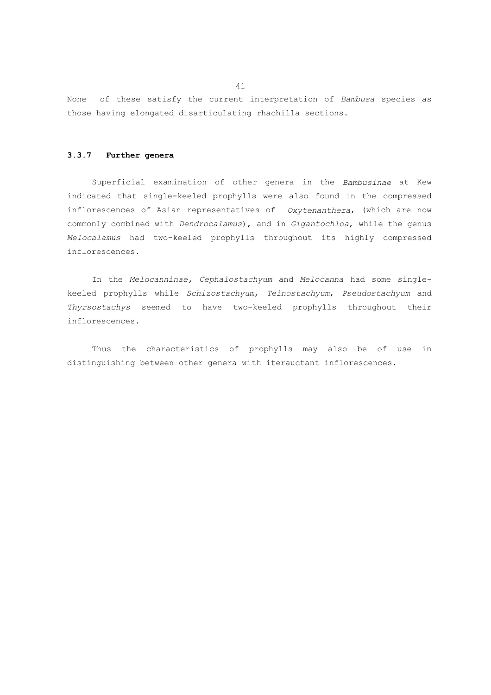None of these satisfy the current interpretation of *Bambusa* species as those having elongated disarticulating rhachilla sections.

#### **3.3.7 Further genera**

 Superficial examination of other genera in the *Bambusinae* at Kew indicated that single-keeled prophylls were also found in the compressed inflorescences of Asian representatives of *Oxytenanthera*, (which are now commonly combined with *Dendrocalamus*), and in *Gigantochloa*, while the genus *Melocalamus* had two-keeled prophylls throughout its highly compressed inflorescences.

 In the *Melocanninae, Cephalostachyum* and *Melocanna* had some singlekeeled prophylls while *Schizostachyum*, *Teinostachyum*, *Pseudostachyum* and *Thyrsostachys* seemed to have two-keeled prophylls throughout their inflorescences.

 Thus the characteristics of prophylls may also be of use in distinguishing between other genera with iterauctant inflorescences.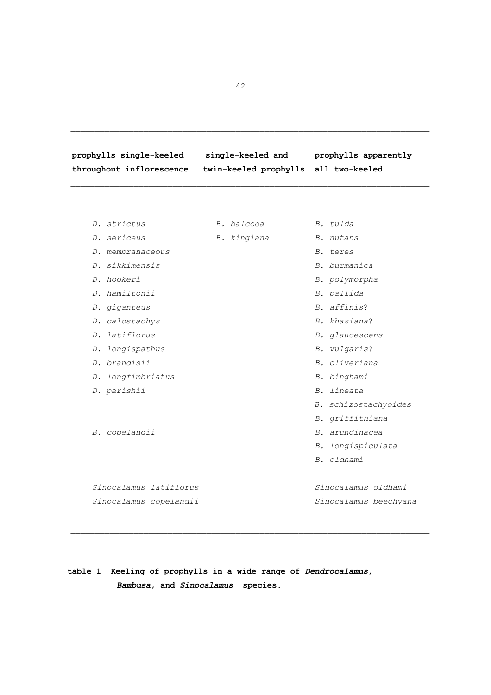**prophylls single-keeled single-keeled and prophylls apparently throughout inflorescence twin-keeled prophylls all two-keeled** 

 *D. strictus B. balcooa B. tulda D. sericeus B. kingiana B. nutans D. membranaceous B. teres D. sikkimensis B. burmanica D. hookeri B. polymorpha D. hamiltonii B. pallida D. giganteus B. affinis*?  *D. calostachys B. khasiana*?  *D. latiflorus B. glaucescens D. longispathus B. vulgaris*?  *D. brandisii B. oliveriana D. longfimbriatus B. binghami D. parishii B. lineata B. schizostachyoides B. griffithiana B. copelandii B. arundinacea B. longispiculata B. oldhami Sinocalamus latiflorus Sinocalamus oldhami Sinocalamus copelandii Sinocalamus beechyana* 

# **table 1 Keeling of prophylls in a wide range of** *Dendrocalamus, Bambusa***, and** *Sinocalamus* **species.**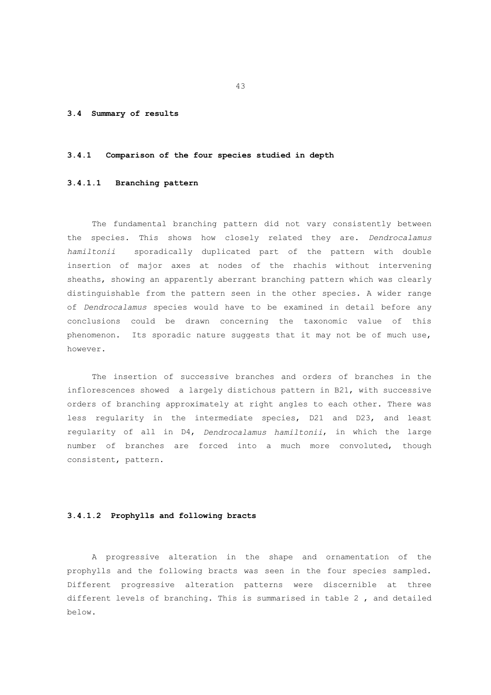## **3.4 Summary of results**

#### **3.4.1 Comparison of the four species studied in depth**

## **3.4.1.1 Branching pattern**

 The fundamental branching pattern did not vary consistently between the species. This shows how closely related they are. *Dendrocalamus hamiltonii* sporadically duplicated part of the pattern with double insertion of major axes at nodes of the rhachis without intervening sheaths, showing an apparently aberrant branching pattern which was clearly distinguishable from the pattern seen in the other species. A wider range of *Dendrocalamus* species would have to be examined in detail before any conclusions could be drawn concerning the taxonomic value of this phenomenon. Its sporadic nature suggests that it may not be of much use, however.

 The insertion of successive branches and orders of branches in the inflorescences showed a largely distichous pattern in B21, with successive orders of branching approximately at right angles to each other. There was less regularity in the intermediate species, D21 and D23, and least regularity of all in D4, *Dendrocalamus hamiltonii*, in which the large number of branches are forced into a much more convoluted, though consistent, pattern.

## **3.4.1.2 Prophylls and following bracts**

 A progressive alteration in the shape and ornamentation of the prophylls and the following bracts was seen in the four species sampled. Different progressive alteration patterns were discernible at three different levels of branching. This is summarised in table 2 , and detailed below.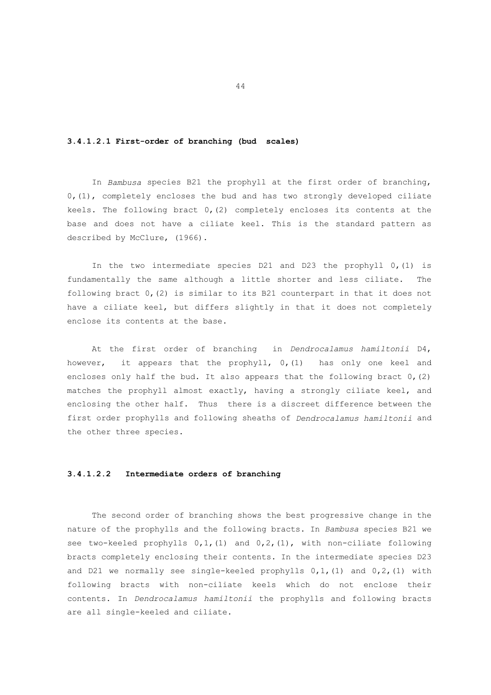### **3.4.1.2.1 First-order of branching (bud scales)**

 In *Bambusa* species B21 the prophyll at the first order of branching, 0,(1), completely encloses the bud and has two strongly developed ciliate keels. The following bract 0,(2) completely encloses its contents at the base and does not have a ciliate keel. This is the standard pattern as described by McClure, (1966).

 In the two intermediate species D21 and D23 the prophyll 0,(1) is fundamentally the same although a little shorter and less ciliate. The following bract 0,(2) is similar to its B21 counterpart in that it does not have a ciliate keel, but differs slightly in that it does not completely enclose its contents at the base.

 At the first order of branching in *Dendrocalamus hamiltonii* D4, however, it appears that the prophyll, 0,(1) has only one keel and encloses only half the bud. It also appears that the following bract  $0$ , (2) matches the prophyll almost exactly, having a strongly ciliate keel, and enclosing the other half. Thus there is a discreet difference between the first order prophylls and following sheaths of *Dendrocalamus hamiltonii* and the other three species.

# **3.4.1.2.2 Intermediate orders of branching**

 The second order of branching shows the best progressive change in the nature of the prophylls and the following bracts. In *Bambusa* species B21 we see two-keeled prophylls 0,1,(1) and 0,2,(1), with non-ciliate following bracts completely enclosing their contents. In the intermediate species D23 and D21 we normally see single-keeled prophylls 0,1,(1) and 0,2,(1) with following bracts with non-ciliate keels which do not enclose their contents. In *Dendrocalamus hamiltonii* the prophylls and following bracts are all single-keeled and ciliate.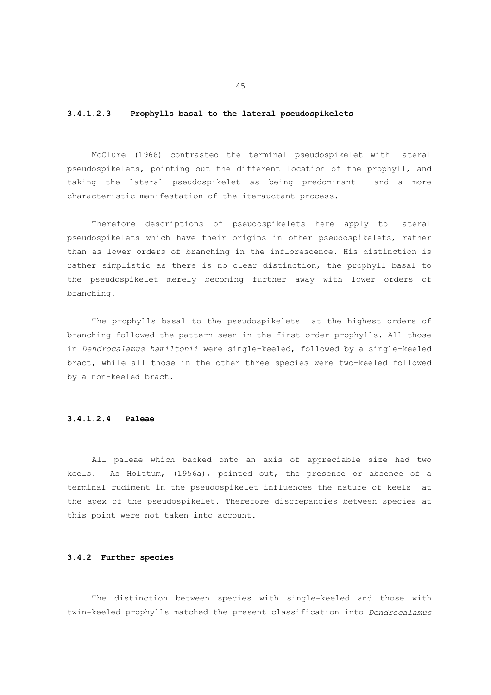# **3.4.1.2.3 Prophylls basal to the lateral pseudospikelets**

 McClure (1966) contrasted the terminal pseudospikelet with lateral pseudospikelets, pointing out the different location of the prophyll, and taking the lateral pseudospikelet as being predominant and a more characteristic manifestation of the iterauctant process.

 Therefore descriptions of pseudospikelets here apply to lateral pseudospikelets which have their origins in other pseudospikelets, rather than as lower orders of branching in the inflorescence. His distinction is rather simplistic as there is no clear distinction, the prophyll basal to the pseudospikelet merely becoming further away with lower orders of branching.

 The prophylls basal to the pseudospikelets at the highest orders of branching followed the pattern seen in the first order prophylls. All those in *Dendrocalamus hamiltonii* were single-keeled, followed by a single-keeled bract, while all those in the other three species were two-keeled followed by a non-keeled bract.

# **3.4.1.2.4 Paleae**

 All paleae which backed onto an axis of appreciable size had two keels. As Holttum, (1956a), pointed out, the presence or absence of a terminal rudiment in the pseudospikelet influences the nature of keels at the apex of the pseudospikelet. Therefore discrepancies between species at this point were not taken into account.

# **3.4.2 Further species**

 The distinction between species with single-keeled and those with twin-keeled prophylls matched the present classification into *Dendrocalamus*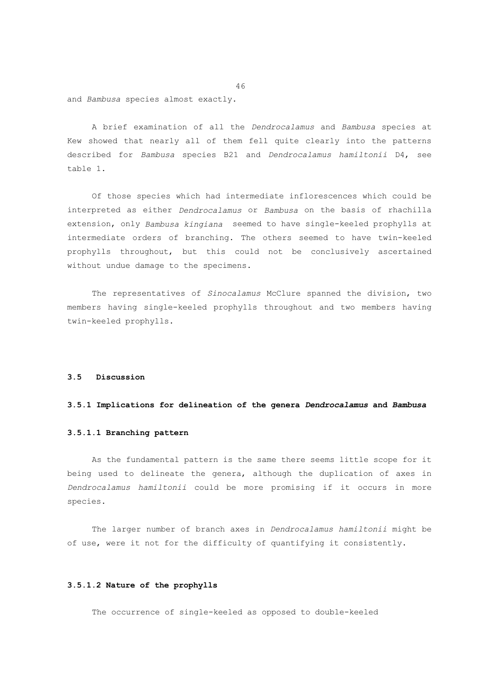and *Bambusa* species almost exactly.

 A brief examination of all the *Dendrocalamus* and *Bambusa* species at Kew showed that nearly all of them fell quite clearly into the patterns described for *Bambusa* species B21 and *Dendrocalamus hamiltonii* D4, see table 1.

 Of those species which had intermediate inflorescences which could be interpreted as either *Dendrocalamus* or *Bambusa* on the basis of rhachilla extension, only *Bambusa kingiana* seemed to have single-keeled prophylls at intermediate orders of branching. The others seemed to have twin-keeled prophylls throughout, but this could not be conclusively ascertained without undue damage to the specimens.

 The representatives of *Sinocalamus* McClure spanned the division, two members having single-keeled prophylls throughout and two members having twin-keeled prophylls.

# **3.5 Discussion**

### **3.5.1 Implications for delineation of the genera** *Dendrocalamus* **and** *Bambusa*

## **3.5.1.1 Branching pattern**

 As the fundamental pattern is the same there seems little scope for it being used to delineate the genera, although the duplication of axes in *Dendrocalamus hamiltonii* could be more promising if it occurs in more species.

 The larger number of branch axes in *Dendrocalamus hamiltonii* might be of use, were it not for the difficulty of quantifying it consistently.

## **3.5.1.2 Nature of the prophylls**

The occurrence of single-keeled as opposed to double-keeled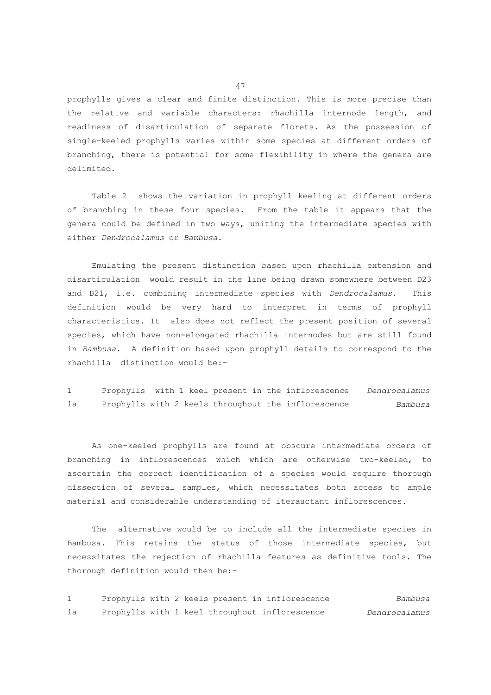prophylls gives a clear and finite distinction. This is more precise than the relative and variable characters: rhachilla internode length, and readiness of disarticulation of separate florets. As the possession of single-keeled prophylls varies within some species at different orders of branching, there is potential for some flexibility in where the genera are delimited.

 Table 2 shows the variation in prophyll keeling at different orders of branching in these four species. From the table it appears that the genera could be defined in two ways, uniting the intermediate species with either *Dendrocalamus* or *Bambusa*.

 Emulating the present distinction based upon rhachilla extension and disarticulation would result in the line being drawn somewhere between D23 and B21, i.e. combining intermediate species with *Dendrocalamus*. This definition would be very hard to interpret in terms of prophyll characteristics. It also does not reflect the present position of several species, which have non-elongated rhachilla internodes but are still found in *Bambusa*. A definition based upon prophyll details to correspond to the rhachilla distinction would be:-

1 Prophylls with 1 keel present in the inflorescence *Dendrocalamus* 1a Prophylls with 2 keels throughout the inflorescence *Bambusa*

 As one-keeled prophylls are found at obscure intermediate orders of branching in inflorescences which which are otherwise two-keeled, to ascertain the correct identification of a species would require thorough dissection of several samples, which necessitates both access to ample material and considerable understanding of iterauctant inflorescences.

 The alternative would be to include all the intermediate species in Bambusa. This retains the status of those intermediate species, but necessitates the rejection of rhachilla features as definitive tools. The thorough definition would then be:-

1 Prophylls with 2 keels present in inflorescence *Bambusa* 1a Prophylls with 1 keel throughout inflorescence *Dendrocalamus*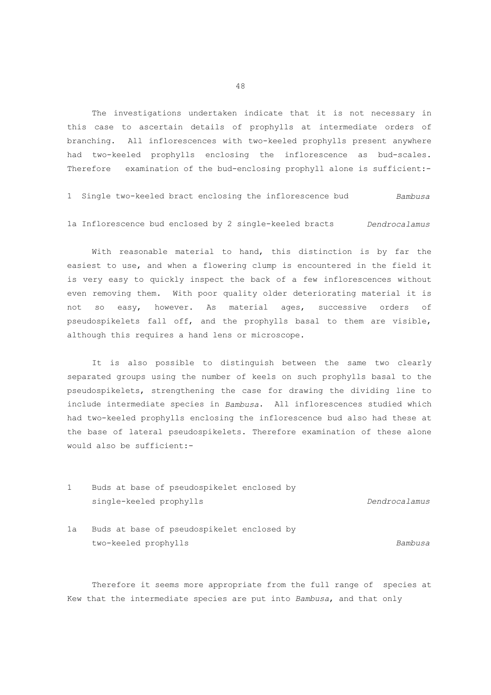The investigations undertaken indicate that it is not necessary in this case to ascertain details of prophylls at intermediate orders of branching. All inflorescences with two-keeled prophylls present anywhere had two-keeled prophylls enclosing the inflorescence as bud-scales. Therefore examination of the bud-enclosing prophyll alone is sufficient:-

1 Single two-keeled bract enclosing the inflorescence bud *Bambusa* 1a Inflorescence bud enclosed by 2 single-keeled bracts *Dendrocalamus*

 With reasonable material to hand, this distinction is by far the easiest to use, and when a flowering clump is encountered in the field it is very easy to quickly inspect the back of a few inflorescences without even removing them. With poor quality older deteriorating material it is not so easy, however. As material ages, successive orders of pseudospikelets fall off, and the prophylls basal to them are visible, although this requires a hand lens or microscope.

 It is also possible to distinguish between the same two clearly separated groups using the number of keels on such prophylls basal to the pseudospikelets, strengthening the case for drawing the dividing line to include intermediate species in *Bambusa*. All inflorescences studied which had two-keeled prophylls enclosing the inflorescence bud also had these at the base of lateral pseudospikelets. Therefore examination of these alone would also be sufficient:-

- 1 Buds at base of pseudospikelet enclosed by single-keeled prophylls *Dendrocalamus*
- 1a Buds at base of pseudospikelet enclosed by two-keeled prophylls *Bambusa*

 Therefore it seems more appropriate from the full range of species at Kew that the intermediate species are put into *Bambusa*, and that only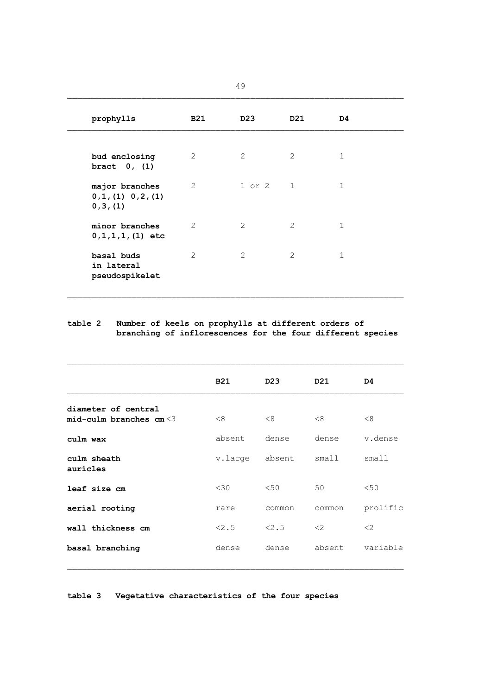|                                                    |            | 49              |                |              |
|----------------------------------------------------|------------|-----------------|----------------|--------------|
| prophylls                                          | <b>B21</b> | D <sub>23</sub> | D21            | D4           |
| bud enclosing<br>bract $0, (1)$                    | 2          | 2               | $\mathcal{L}$  | $\mathbf{1}$ |
| major branches<br>0, 1, (1) 0, 2, (1)<br>0, 3, (1) | 2          | 1 or 2 1        |                | $\mathbf{1}$ |
| minor branches<br>$0, 1, 1, 1, (1)$ etc            | 2          | 2               | $\overline{2}$ | $\mathbf{1}$ |
| basal buds<br>in lateral<br>pseudospikelet         | 2          | $\overline{2}$  | $\mathcal{L}$  | $\mathbf{1}$ |

## **table 2 Number of keels on prophylls at different orders of branching of inflorescences for the four different species**

|                                                   | <b>B21</b> | D <sub>23</sub> | D21    | D4       |
|---------------------------------------------------|------------|-----------------|--------|----------|
| diameter of central<br>mid-culm branches $cm < 3$ | <8         | < 8             | <8     | <8       |
| culm wax                                          | absent     | dense           | dense  | v.dense  |
| culm sheath<br>auricles                           | v.large    | absent          | small  | small1   |
| leaf size cm                                      | $<$ 30     | < 50            | 50     | < 50     |
| aerial rooting                                    | rare       | common          | common | prolific |
| wall thickness cm                                 | < 2.5      | < 2.5           | <      | <        |
| basal branching                                   | dense      | dense           | absent | variable |

**table 3 Vegetative characteristics of the four species**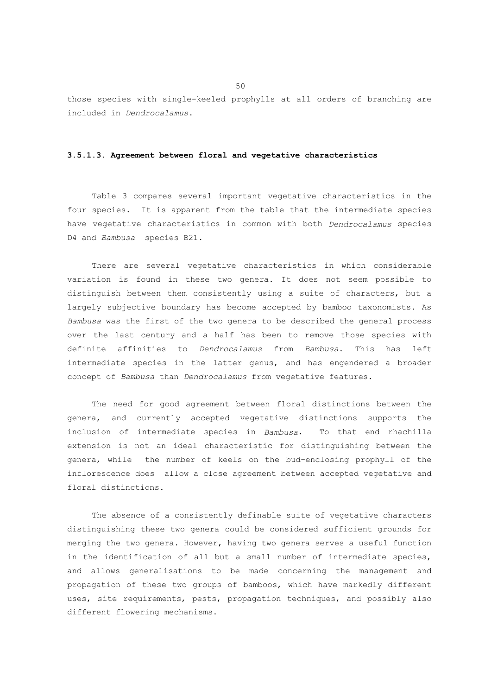those species with single-keeled prophylls at all orders of branching are included in *Dendrocalamus*.

#### **3.5.1.3. Agreement between floral and vegetative characteristics**

 Table 3 compares several important vegetative characteristics in the four species. It is apparent from the table that the intermediate species have vegetative characteristics in common with both *Dendrocalamus* species D4 and *Bambusa* species B21.

 There are several vegetative characteristics in which considerable variation is found in these two genera. It does not seem possible to distinguish between them consistently using a suite of characters, but a largely subjective boundary has become accepted by bamboo taxonomists. As *Bambusa* was the first of the two genera to be described the general process over the last century and a half has been to remove those species with definite affinities to *Dendrocalamus* from *Bambusa*. This has left intermediate species in the latter genus, and has engendered a broader concept of *Bambusa* than *Dendrocalamus* from vegetative features.

 The need for good agreement between floral distinctions between the genera, and currently accepted vegetative distinctions supports the inclusion of intermediate species in *Bambusa*. To that end rhachilla extension is not an ideal characteristic for distinguishing between the genera, while the number of keels on the bud-enclosing prophyll of the inflorescence does allow a close agreement between accepted vegetative and floral distinctions.

 The absence of a consistently definable suite of vegetative characters distinguishing these two genera could be considered sufficient grounds for merging the two genera. However, having two genera serves a useful function in the identification of all but a small number of intermediate species, and allows generalisations to be made concerning the management and propagation of these two groups of bamboos, which have markedly different uses, site requirements, pests, propagation techniques, and possibly also different flowering mechanisms.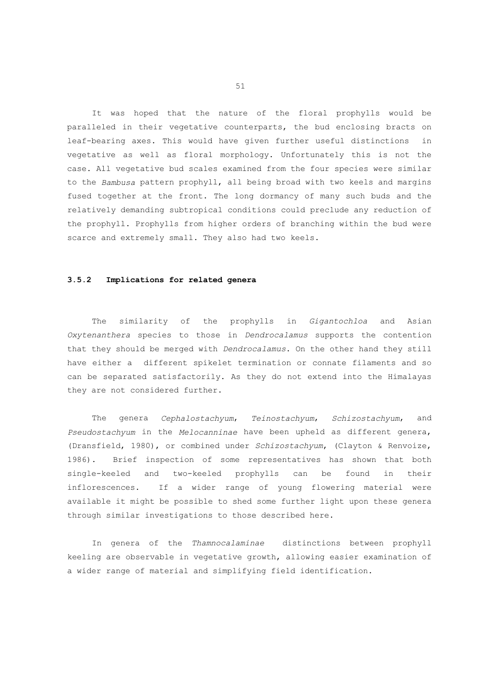It was hoped that the nature of the floral prophylls would be paralleled in their vegetative counterparts, the bud enclosing bracts on leaf-bearing axes. This would have given further useful distinctions in vegetative as well as floral morphology. Unfortunately this is not the case. All vegetative bud scales examined from the four species were similar to the *Bambusa* pattern prophyll, all being broad with two keels and margins fused together at the front. The long dormancy of many such buds and the relatively demanding subtropical conditions could preclude any reduction of the prophyll. Prophylls from higher orders of branching within the bud were scarce and extremely small. They also had two keels.

## **3.5.2 Implications for related genera**

 The similarity of the prophylls in *Gigantochloa* and Asian *Oxytenanthera* species to those in *Dendrocalamus* supports the contention that they should be merged with *Dendrocalamus*. On the other hand they still have either a different spikelet termination or connate filaments and so can be separated satisfactorily. As they do not extend into the Himalayas they are not considered further.

 The genera *Cephalostachyum*, *Teinostachyum*, *Schizostachyum*, and *Pseudostachyum* in the *Melocanninae* have been upheld as different genera, (Dransfield, 1980), or combined under *Schizostachyum*, (Clayton & Renvoize, 1986). Brief inspection of some representatives has shown that both single-keeled and two-keeled prophylls can be found in their inflorescences. If a wider range of young flowering material were available it might be possible to shed some further light upon these genera through similar investigations to those described here.

 In genera of the *Thamnocalaminae* distinctions between prophyll keeling are observable in vegetative growth, allowing easier examination of a wider range of material and simplifying field identification.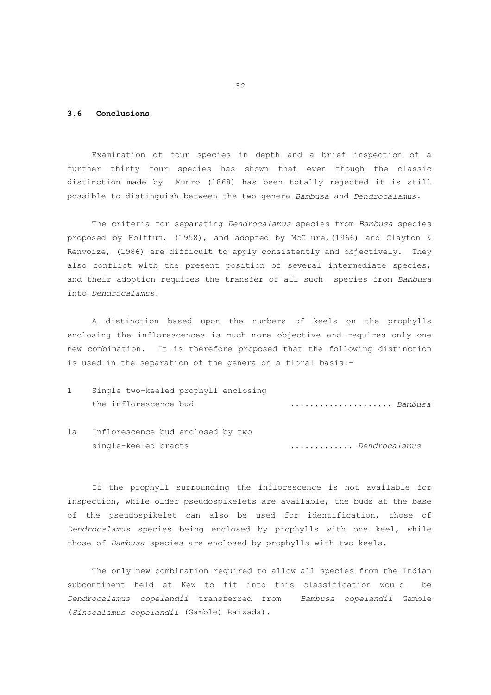# **3.6 Conclusions**

 Examination of four species in depth and a brief inspection of a further thirty four species has shown that even though the classic distinction made by Munro (1868) has been totally rejected it is still possible to distinguish between the two genera *Bambusa* and *Dendrocalamus*.

 The criteria for separating *Dendrocalamus* species from *Bambusa* species proposed by Holttum, (1958), and adopted by McClure,(1966) and Clayton & Renvoize, (1986) are difficult to apply consistently and objectively. They also conflict with the present position of several intermediate species, and their adoption requires the transfer of all such species from *Bambusa* into *Dendrocalamus*.

 A distinction based upon the numbers of keels on the prophylls enclosing the inflorescences is much more objective and requires only one new combination. It is therefore proposed that the following distinction is used in the separation of the genera on a floral basis:-

- 1 Single two-keeled prophyll enclosing the inflorescence bud ..................... *Bambusa*
- 1a Inflorescence bud enclosed by two single-keeled bracts ............. *Dendrocalamus*

 If the prophyll surrounding the inflorescence is not available for inspection, while older pseudospikelets are available, the buds at the base of the pseudospikelet can also be used for identification, those of *Dendrocalamus* species being enclosed by prophylls with one keel, while those of *Bambusa* species are enclosed by prophylls with two keels.

 The only new combination required to allow all species from the Indian subcontinent held at Kew to fit into this classification would be *Dendrocalamus copelandii* transferred from *Bambusa copelandii* Gamble (*Sinocalamus copelandii* (Gamble) Raizada).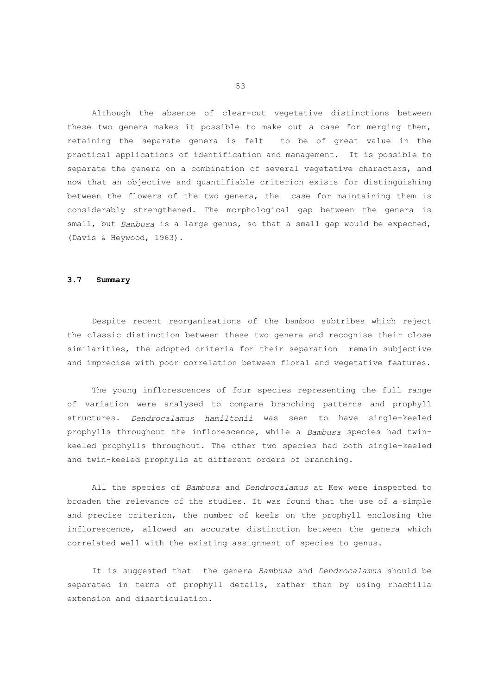Although the absence of clear-cut vegetative distinctions between these two genera makes it possible to make out a case for merging them, retaining the separate genera is felt to be of great value in the practical applications of identification and management. It is possible to separate the genera on a combination of several vegetative characters, and now that an objective and quantifiable criterion exists for distinguishing between the flowers of the two genera, the case for maintaining them is considerably strengthened. The morphological gap between the genera is small, but *Bambusa* is a large genus, so that a small gap would be expected, (Davis & Heywood, 1963).

#### **3.7 Summary**

 Despite recent reorganisations of the bamboo subtribes which reject the classic distinction between these two genera and recognise their close similarities, the adopted criteria for their separation remain subjective and imprecise with poor correlation between floral and vegetative features.

 The young inflorescences of four species representing the full range of variation were analysed to compare branching patterns and prophyll structures. *Dendrocalamus hamiltonii* was seen to have single-keeled prophylls throughout the inflorescence, while a *Bambusa* species had twinkeeled prophylls throughout. The other two species had both single-keeled and twin-keeled prophylls at different orders of branching.

 All the species of *Bambusa* and *Dendrocalamus* at Kew were inspected to broaden the relevance of the studies. It was found that the use of a simple and precise criterion, the number of keels on the prophyll enclosing the inflorescence, allowed an accurate distinction between the genera which correlated well with the existing assignment of species to genus.

 It is suggested that the genera *Bambusa* and *Dendrocalamus* should be separated in terms of prophyll details, rather than by using rhachilla extension and disarticulation.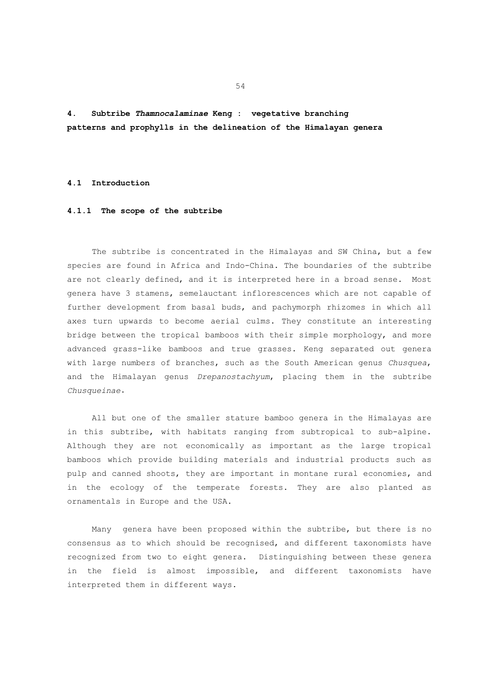**4. Subtribe** *Thamnocalaminae* **Keng : vegetative branching patterns and prophylls in the delineation of the Himalayan genera**

#### **4.1 Introduction**

#### **4.1.1 The scope of the subtribe**

 The subtribe is concentrated in the Himalayas and SW China, but a few species are found in Africa and Indo-China. The boundaries of the subtribe are not clearly defined, and it is interpreted here in a broad sense. Most genera have 3 stamens, semelauctant inflorescences which are not capable of further development from basal buds, and pachymorph rhizomes in which all axes turn upwards to become aerial culms. They constitute an interesting bridge between the tropical bamboos with their simple morphology, and more advanced grass-like bamboos and true grasses. Keng separated out genera with large numbers of branches, such as the South American genus *Chusquea*, and the Himalayan genus *Drepanostachyum*, placing them in the subtribe *Chusqueinae*.

 All but one of the smaller stature bamboo genera in the Himalayas are in this subtribe, with habitats ranging from subtropical to sub-alpine. Although they are not economically as important as the large tropical bamboos which provide building materials and industrial products such as pulp and canned shoots, they are important in montane rural economies, and in the ecology of the temperate forests. They are also planted as ornamentals in Europe and the USA.

 Many genera have been proposed within the subtribe, but there is no consensus as to which should be recognised, and different taxonomists have recognized from two to eight genera. Distinguishing between these genera in the field is almost impossible, and different taxonomists have interpreted them in different ways.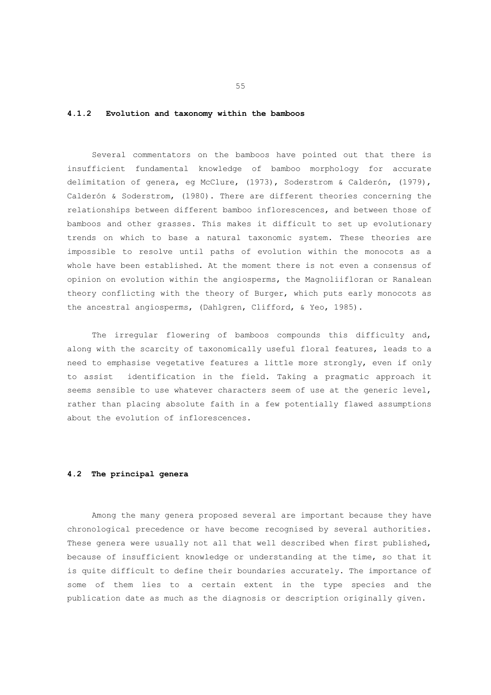# **4.1.2 Evolution and taxonomy within the bamboos**

 Several commentators on the bamboos have pointed out that there is insufficient fundamental knowledge of bamboo morphology for accurate delimitation of genera, eg McClure, (1973), Soderstrom & Calderón, (1979), Calderón & Soderstrom, (1980). There are different theories concerning the relationships between different bamboo inflorescences, and between those of bamboos and other grasses. This makes it difficult to set up evolutionary trends on which to base a natural taxonomic system. These theories are impossible to resolve until paths of evolution within the monocots as a whole have been established. At the moment there is not even a consensus of opinion on evolution within the angiosperms, the Magnoliifloran or Ranalean theory conflicting with the theory of Burger, which puts early monocots as the ancestral angiosperms, (Dahlgren, Clifford, & Yeo, 1985).

The irregular flowering of bamboos compounds this difficulty and, along with the scarcity of taxonomically useful floral features, leads to a need to emphasise vegetative features a little more strongly, even if only to assist identification in the field. Taking a pragmatic approach it seems sensible to use whatever characters seem of use at the generic level, rather than placing absolute faith in a few potentially flawed assumptions about the evolution of inflorescences.

# **4.2 The principal genera**

 Among the many genera proposed several are important because they have chronological precedence or have become recognised by several authorities. These genera were usually not all that well described when first published, because of insufficient knowledge or understanding at the time, so that it is quite difficult to define their boundaries accurately. The importance of some of them lies to a certain extent in the type species and the publication date as much as the diagnosis or description originally given.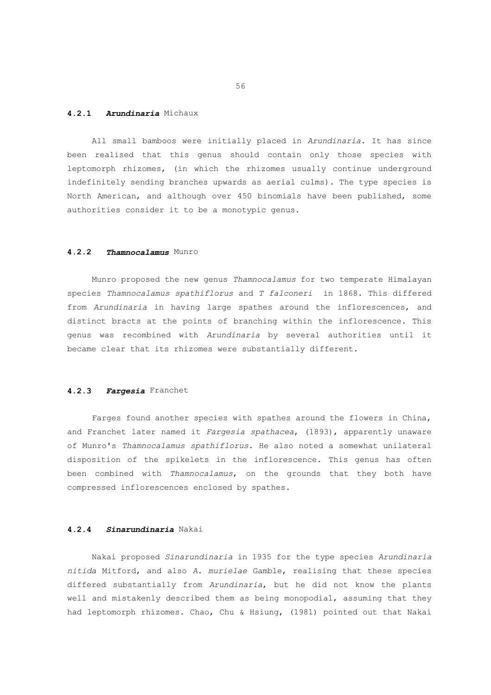## **4.2.1** *Arundinaria* Michaux

 All small bamboos were initially placed in *Arundinaria*. It has since been realised that this genus should contain only those species with leptomorph rhizomes, (in which the rhizomes usually continue underground indefinitely sending branches upwards as aerial culms). The type species is North American, and although over 450 binomials have been published, some authorities consider it to be a monotypic genus.

## **4.2.2** *Thamnocalamus* Munro

 Munro proposed the new genus *Thamnocalamus* for two temperate Himalayan species *Thamnocalamus spathiflorus* and *T falconeri* in 1868. This differed from *Arundinaria* in having large spathes around the inflorescences, and distinct bracts at the points of branching within the inflorescence. This genus was recombined with *Arundinaria* by several authorities until it became clear that its rhizomes were substantially different.

#### **4.2.3** *Fargesia* Franchet

 Farges found another species with spathes around the flowers in China, and Franchet later named it *Fargesia spathacea*, (1893), apparently unaware of Munro's *Thamnocalamus spathiflorus*. He also noted a somewhat unilateral disposition of the spikelets in the inflorescence. This genus has often been combined with *Thamnocalamus*, on the grounds that they both have compressed inflorescences enclosed by spathes.

## **4.2.4** *Sinarundinaria* Nakai

 Nakai proposed *Sinarundinaria* in 1935 for the type species *Arundinaria nitida* Mitford, and also *A. murielae* Gamble, realising that these species differed substantially from *Arundinaria*, but he did not know the plants well and mistakenly described them as being monopodial, assuming that they had leptomorph rhizomes. Chao, Chu & Hsiung, (1981) pointed out that Nakai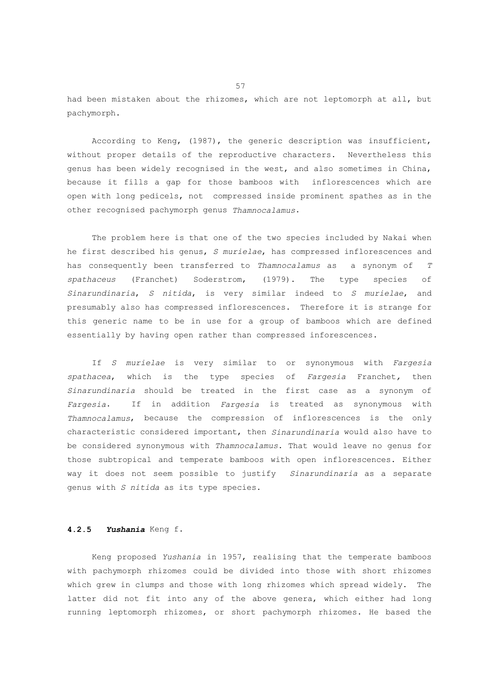had been mistaken about the rhizomes, which are not leptomorph at all, but pachymorph.

 According to Keng, (1987), the generic description was insufficient, without proper details of the reproductive characters. Nevertheless this genus has been widely recognised in the west, and also sometimes in China, because it fills a gap for those bamboos with inflorescences which are open with long pedicels, not compressed inside prominent spathes as in the other recognised pachymorph genus *Thamnocalamus*.

 The problem here is that one of the two species included by Nakai when he first described his genus, *S murielae*, has compressed inflorescences and has consequently been transferred to *Thamnocalamus* as a synonym of *T spathaceus* (Franchet) Soderstrom, (1979). The type species of *Sinarundinaria*, *S nitida*, is very similar indeed to *S murielae*, and presumably also has compressed inflorescences. Therefore it is strange for this generic name to be in use for a group of bamboos which are defined essentially by having open rather than compressed inforescences.

 If *S murielae* is very similar to or synonymous with *Fargesia spathacea*, which is the type species of *Fargesia* Franchet*,* then *Sinarundinaria* should be treated in the first case as a synonym of *Fargesia*. If in addition *Fargesia* is treated as synonymous with *Thamnocalamus*, because the compression of inflorescences is the only characteristic considered important, then *Sinarundinaria* would also have to be considered synonymous with *Thamnocalamus*. That would leave no genus for those subtropical and temperate bamboos with open inflorescences. Either way it does not seem possible to justify *Sinarundinaria* as a separate genus with *S nitida* as its type species.

# **4.2.5** *Yushania* Keng f.

 Keng proposed *Yushania* in 1957, realising that the temperate bamboos with pachymorph rhizomes could be divided into those with short rhizomes which grew in clumps and those with long rhizomes which spread widely. The latter did not fit into any of the above genera, which either had long running leptomorph rhizomes, or short pachymorph rhizomes. He based the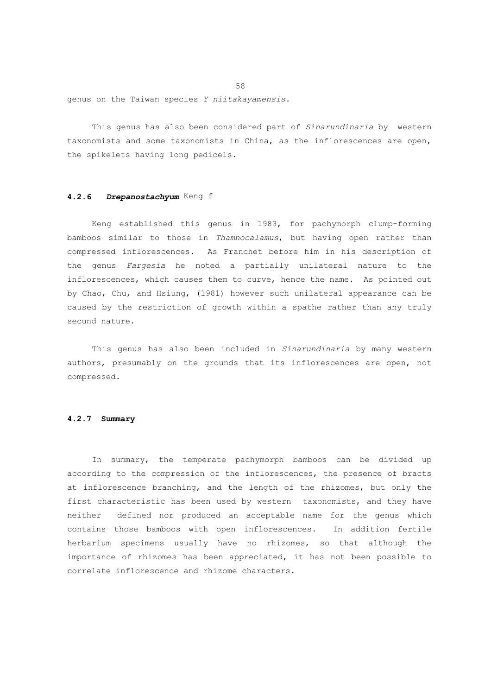genus on the Taiwan species *Y niitakayamensis*.

 This genus has also been considered part of *Sinarundinaria* by western taxonomists and some taxonomists in China, as the inflorescences are open, the spikelets having long pedicels.

# **4.2.6** *Drepanostachyum* Keng f

 Keng established this genus in 1983, for pachymorph clump-forming bamboos similar to those in *Thamnocalamus*, but having open rather than compressed inflorescences. As Franchet before him in his description of the genus *Fargesia* he noted a partially unilateral nature to the inflorescences, which causes them to curve, hence the name. As pointed out by Chao, Chu, and Hsiung, (1981) however such unilateral appearance can be caused by the restriction of growth within a spathe rather than any truly secund nature.

 This genus has also been included in *Sinarundinaria* by many western authors, presumably on the grounds that its inflorescences are open, not compressed.

# **4.2.7 Summary**

 In summary, the temperate pachymorph bamboos can be divided up according to the compression of the inflorescences, the presence of bracts at inflorescence branching, and the length of the rhizomes, but only the first characteristic has been used by western taxonomists, and they have neither defined nor produced an acceptable name for the genus which contains those bamboos with open inflorescences. In addition fertile herbarium specimens usually have no rhizomes, so that although the importance of rhizomes has been appreciated, it has not been possible to correlate inflorescence and rhizome characters.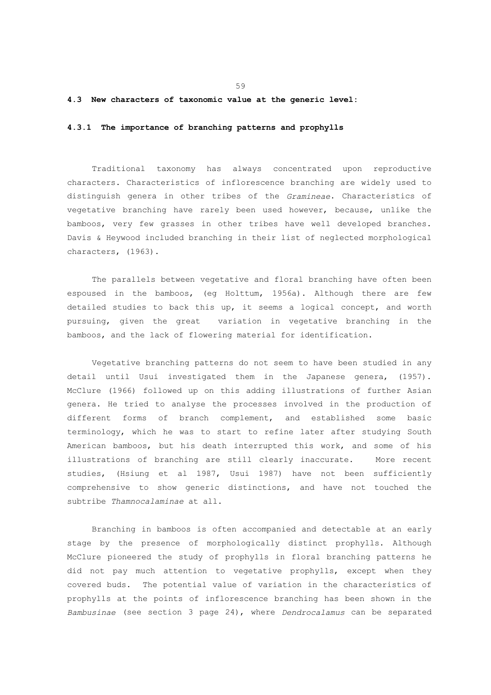#### **4.3 New characters of taxonomic value at the generic level:**

#### **4.3.1 The importance of branching patterns and prophylls**

 Traditional taxonomy has always concentrated upon reproductive characters. Characteristics of inflorescence branching are widely used to distinguish genera in other tribes of the *Gramineae*. Characteristics of vegetative branching have rarely been used however, because, unlike the bamboos, very few grasses in other tribes have well developed branches. Davis & Heywood included branching in their list of neglected morphological characters, (1963).

 The parallels between vegetative and floral branching have often been espoused in the bamboos, (eg Holttum, 1956a). Although there are few detailed studies to back this up, it seems a logical concept, and worth pursuing, given the great variation in vegetative branching in the bamboos, and the lack of flowering material for identification.

 Vegetative branching patterns do not seem to have been studied in any detail until Usui investigated them in the Japanese genera, (1957). McClure (1966) followed up on this adding illustrations of further Asian genera. He tried to analyse the processes involved in the production of different forms of branch complement, and established some basic terminology, which he was to start to refine later after studying South American bamboos, but his death interrupted this work, and some of his illustrations of branching are still clearly inaccurate. More recent studies, (Hsiung et al 1987, Usui 1987) have not been sufficiently comprehensive to show generic distinctions, and have not touched the subtribe *Thamnocalaminae* at all.

 Branching in bamboos is often accompanied and detectable at an early stage by the presence of morphologically distinct prophylls. Although McClure pioneered the study of prophylls in floral branching patterns he did not pay much attention to vegetative prophylls, except when they covered buds. The potential value of variation in the characteristics of prophylls at the points of inflorescence branching has been shown in the *Bambusinae* (see section 3 page 24), where *Dendrocalamus* can be separated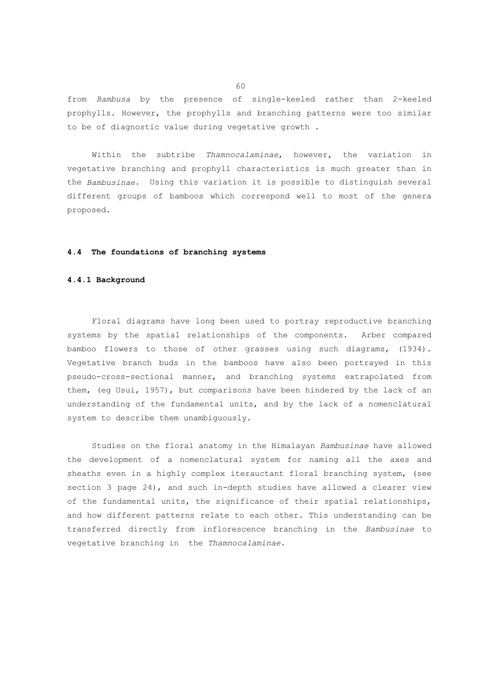from *Bambusa* by the presence of single-keeled rather than 2-keeled prophylls. However, the prophylls and branching patterns were too similar to be of diagnostic value during vegetative growth .

 Within the subtribe *Thamnocalaminae*, however, the variation in vegetative branching and prophyll characteristics is much greater than in the *Bambusinae*. Using this variation it is possible to distinguish several different groups of bamboos which correspond well to most of the genera proposed.

## **4.4 The foundations of branching systems**

#### **4.4.1 Background**

 Floral diagrams have long been used to portray reproductive branching systems by the spatial relationships of the components. Arber compared bamboo flowers to those of other grasses using such diagrams, (1934). Vegetative branch buds in the bamboos have also been portrayed in this pseudo-cross-sectional manner, and branching systems extrapolated from them, (eg Usui, 1957), but comparisons have been hindered by the lack of an understanding of the fundamental units, and by the lack of a nomenclatural system to describe them unambiguously.

 Studies on the floral anatomy in the Himalayan *Bambusinae* have allowed the development of a nomenclatural system for naming all the axes and sheaths even in a highly complex iterauctant floral branching system, (see section 3 page 24), and such in-depth studies have allowed a clearer view of the fundamental units, the significance of their spatial relationships, and how different patterns relate to each other. This understanding can be transferred directly from inflorescence branching in the *Bambusinae* to vegetative branching in the *Thamnocalaminae*.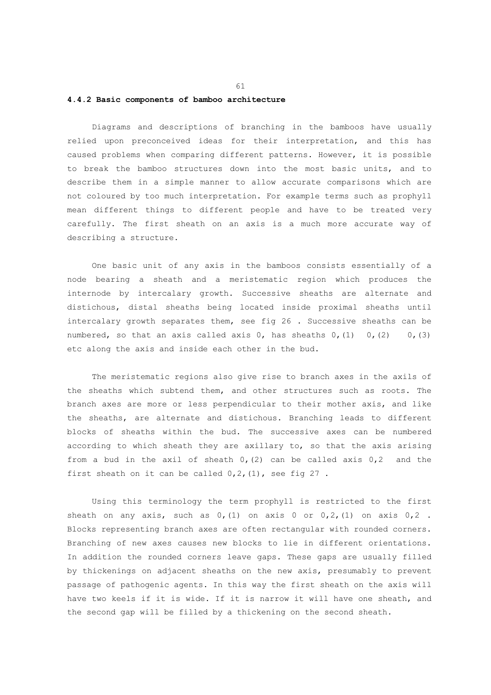#### **4.4.2 Basic components of bamboo architecture**

 Diagrams and descriptions of branching in the bamboos have usually relied upon preconceived ideas for their interpretation, and this has caused problems when comparing different patterns. However, it is possible to break the bamboo structures down into the most basic units, and to describe them in a simple manner to allow accurate comparisons which are not coloured by too much interpretation. For example terms such as prophyll mean different things to different people and have to be treated very carefully. The first sheath on an axis is a much more accurate way of describing a structure.

 One basic unit of any axis in the bamboos consists essentially of a node bearing a sheath and a meristematic region which produces the internode by intercalary growth. Successive sheaths are alternate and distichous, distal sheaths being located inside proximal sheaths until intercalary growth separates them, see fig 26 . Successive sheaths can be numbered, so that an axis called axis  $0$ , has sheaths  $0$ ,  $(1)$  0,  $(2)$  0,  $(3)$ etc along the axis and inside each other in the bud.

 The meristematic regions also give rise to branch axes in the axils of the sheaths which subtend them, and other structures such as roots. The branch axes are more or less perpendicular to their mother axis, and like the sheaths, are alternate and distichous. Branching leads to different blocks of sheaths within the bud. The successive axes can be numbered according to which sheath they are axillary to, so that the axis arising from a bud in the axil of sheath  $0(2)$  can be called axis  $0,2$  and the first sheath on it can be called  $0, 2, (1)$ , see fig  $27$ .

 Using this terminology the term prophyll is restricted to the first sheath on any axis, such as  $0, (1)$  on axis 0 or  $0, 2, (1)$  on axis  $0, 2$ . Blocks representing branch axes are often rectangular with rounded corners. Branching of new axes causes new blocks to lie in different orientations. In addition the rounded corners leave gaps. These gaps are usually filled by thickenings on adjacent sheaths on the new axis, presumably to prevent passage of pathogenic agents. In this way the first sheath on the axis will have two keels if it is wide. If it is narrow it will have one sheath, and the second gap will be filled by a thickening on the second sheath.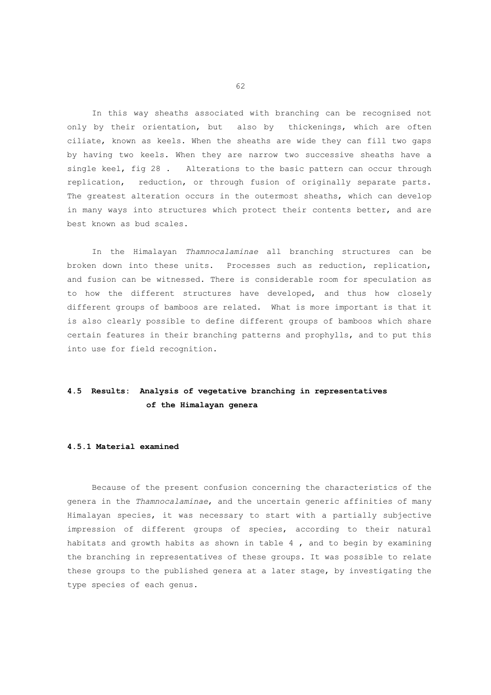In this way sheaths associated with branching can be recognised not only by their orientation, but also by thickenings, which are often ciliate, known as keels. When the sheaths are wide they can fill two gaps by having two keels. When they are narrow two successive sheaths have a single keel, fig 28 . Alterations to the basic pattern can occur through replication, reduction, or through fusion of originally separate parts. The greatest alteration occurs in the outermost sheaths, which can develop in many ways into structures which protect their contents better, and are best known as bud scales.

 In the Himalayan *Thamnocalaminae* all branching structures can be broken down into these units. Processes such as reduction, replication, and fusion can be witnessed. There is considerable room for speculation as to how the different structures have developed, and thus how closely different groups of bamboos are related. What is more important is that it is also clearly possible to define different groups of bamboos which share certain features in their branching patterns and prophylls, and to put this into use for field recognition.

# **4.5 Results: Analysis of vegetative branching in representatives of the Himalayan genera**

## **4.5.1 Material examined**

 Because of the present confusion concerning the characteristics of the genera in the *Thamnocalaminae*, and the uncertain generic affinities of many Himalayan species, it was necessary to start with a partially subjective impression of different groups of species, according to their natural habitats and growth habits as shown in table 4 , and to begin by examining the branching in representatives of these groups. It was possible to relate these groups to the published genera at a later stage, by investigating the type species of each genus.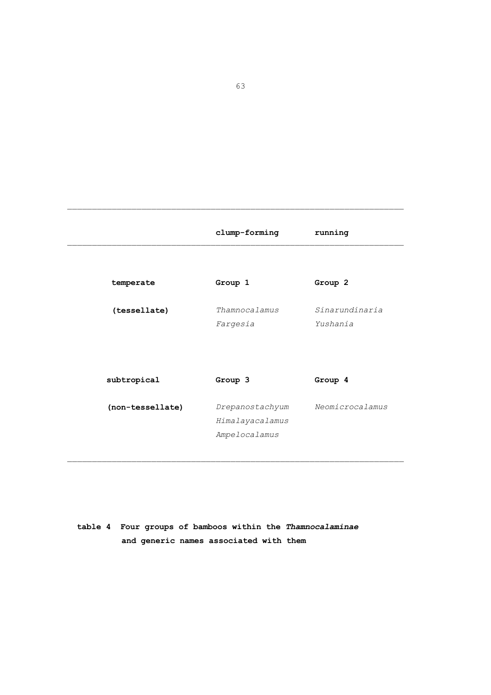|                  | clump-forming                                       | running                    |
|------------------|-----------------------------------------------------|----------------------------|
|                  |                                                     |                            |
| temperate        | Group 1                                             | Group 2                    |
| (tessellate)     | Thamnocalamus<br>Fargesia                           | Sinarundinaria<br>Yushania |
| subtropical      | Group 3                                             | Group 4                    |
| (non-tessellate) | Drepanostachyum<br>Himalayacalamus<br>Ampelocalamus | Neomicrocalamus            |

 **table 4 Four groups of bamboos within the** *Thamnocalaminae*  **and generic names associated with them**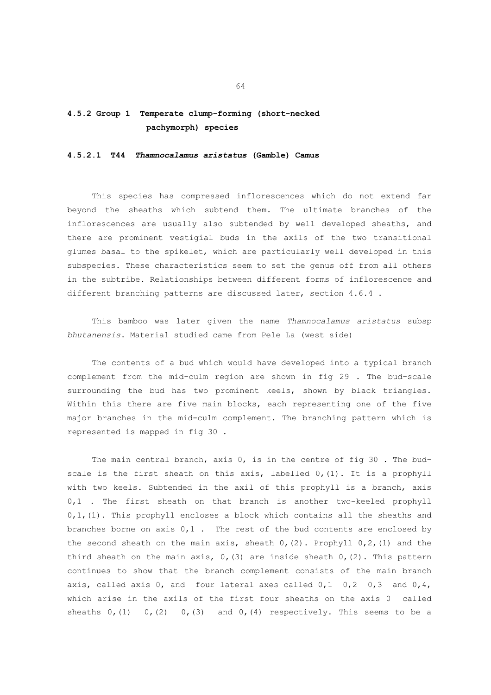# **4.5.2 Group 1 Temperate clump-forming (short-necked pachymorph) species**

#### **4.5.2.1 T44** *Thamnocalamus aristatus* **(Gamble) Camus**

 This species has compressed inflorescences which do not extend far beyond the sheaths which subtend them. The ultimate branches of the inflorescences are usually also subtended by well developed sheaths, and there are prominent vestigial buds in the axils of the two transitional glumes basal to the spikelet, which are particularly well developed in this subspecies. These characteristics seem to set the genus off from all others in the subtribe. Relationships between different forms of inflorescence and different branching patterns are discussed later, section 4.6.4 .

 This bamboo was later given the name *Thamnocalamus aristatus* subsp *bhutanensis*. Material studied came from Pele La (west side)

 The contents of a bud which would have developed into a typical branch complement from the mid-culm region are shown in fig 29 . The bud-scale surrounding the bud has two prominent keels, shown by black triangles. Within this there are five main blocks, each representing one of the five major branches in the mid-culm complement. The branching pattern which is represented is mapped in fig 30 .

 The main central branch, axis 0, is in the centre of fig 30 . The budscale is the first sheath on this axis, labelled 0, (1). It is a prophyll with two keels. Subtended in the axil of this prophyll is a branch, axis 0,1 . The first sheath on that branch is another two-keeled prophyll  $0,1$ , (1). This prophyll encloses a block which contains all the sheaths and branches borne on axis  $0,1$ . The rest of the bud contents are enclosed by the second sheath on the main axis, sheath  $0$ ,  $(2)$ . Prophyll  $0$ ,  $2$ ,  $(1)$  and the third sheath on the main axis,  $0$ , (3) are inside sheath  $0$ , (2). This pattern continues to show that the branch complement consists of the main branch axis, called axis  $0$ , and four lateral axes called  $0,1$   $0,2$   $0,3$  and  $0,4$ , which arise in the axils of the first four sheaths on the axis 0 called sheaths  $0, (1)$   $0, (2)$   $0, (3)$  and  $0, (4)$  respectively. This seems to be a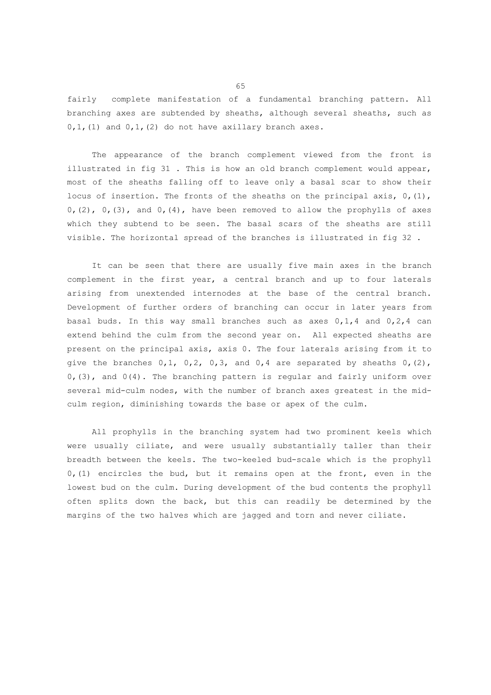fairly complete manifestation of a fundamental branching pattern. All branching axes are subtended by sheaths, although several sheaths, such as  $0,1$ , (1) and  $0,1$ , (2) do not have axillary branch axes.

 The appearance of the branch complement viewed from the front is illustrated in fig 31 . This is how an old branch complement would appear, most of the sheaths falling off to leave only a basal scar to show their locus of insertion. The fronts of the sheaths on the principal axis,  $0, (1)$ ,  $0, (2)$ ,  $0, (3)$ , and  $0, (4)$ , have been removed to allow the prophylls of axes which they subtend to be seen. The basal scars of the sheaths are still visible. The horizontal spread of the branches is illustrated in fig 32 .

 It can be seen that there are usually five main axes in the branch complement in the first year, a central branch and up to four laterals arising from unextended internodes at the base of the central branch. Development of further orders of branching can occur in later years from basal buds. In this way small branches such as axes  $0,1,4$  and  $0,2,4$  can extend behind the culm from the second year on. All expected sheaths are present on the principal axis, axis 0. The four laterals arising from it to give the branches  $0,1$ ,  $0,2$ ,  $0,3$ , and  $0,4$  are separated by sheaths  $0$ ,  $(2)$ , 0,(3), and 0(4). The branching pattern is regular and fairly uniform over several mid-culm nodes, with the number of branch axes greatest in the midculm region, diminishing towards the base or apex of the culm.

 All prophylls in the branching system had two prominent keels which were usually ciliate, and were usually substantially taller than their breadth between the keels. The two-keeled bud-scale which is the prophyll 0,(1) encircles the bud, but it remains open at the front, even in the lowest bud on the culm. During development of the bud contents the prophyll often splits down the back, but this can readily be determined by the margins of the two halves which are jagged and torn and never ciliate.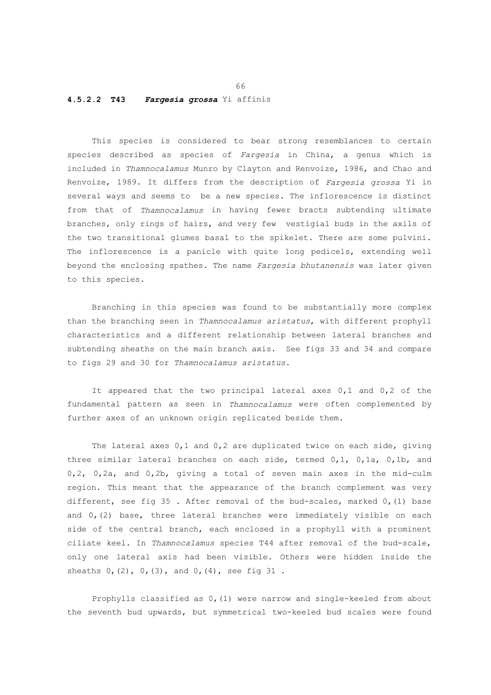#### **4.5.2.2 T43** *Fargesia grossa* Yi affinis

 This species is considered to bear strong resemblances to certain species described as species of *Fargesia* in China, a genus which is included in *Thamnocalamus* Munro by Clayton and Renvoize, 1986, and Chao and Renvoize, 1989. It differs from the description of *Fargesia grossa* Yi in several ways and seems to be a new species. The inflorescence is distinct from that of *Thamnocalamus* in having fewer bracts subtending ultimate branches, only rings of hairs, and very few vestigial buds in the axils of the two transitional glumes basal to the spikelet. There are some pulvini. The inflorescence is a panicle with quite long pedicels, extending well beyond the enclosing spathes. The name *Fargesia bhutanensis* was later given to this species.

 Branching in this species was found to be substantially more complex than the branching seen in *Thamnocalamus aristatus*, with different prophyll characteristics and a different relationship between lateral branches and subtending sheaths on the main branch axis. See figs 33 and 34 and compare to figs 29 and 30 for *Thamnocalamus aristatus*.

 It appeared that the two principal lateral axes 0,1 and 0,2 of the fundamental pattern as seen in *Thamnocalamus* were often complemented by further axes of an unknown origin replicated beside them.

 The lateral axes 0,1 and 0,2 are duplicated twice on each side, giving three similar lateral branches on each side, termed 0,1, 0,1a, 0,1b, and 0,2, 0,2a, and 0,2b, giving a total of seven main axes in the mid-culm region. This meant that the appearance of the branch complement was very different, see fig 35 . After removal of the bud-scales, marked 0,(1) base and  $0, (2)$  base, three lateral branches were immediately visible on each side of the central branch, each enclosed in a prophyll with a prominent ciliate keel. In *Thamnocalamus* species T44 after removal of the bud-scale, only one lateral axis had been visible. Others were hidden inside the sheaths 0, (2), 0, (3), and 0, (4), see fig 31.

 Prophylls classified as 0,(1) were narrow and single-keeled from about the seventh bud upwards, but symmetrical two-keeled bud scales were found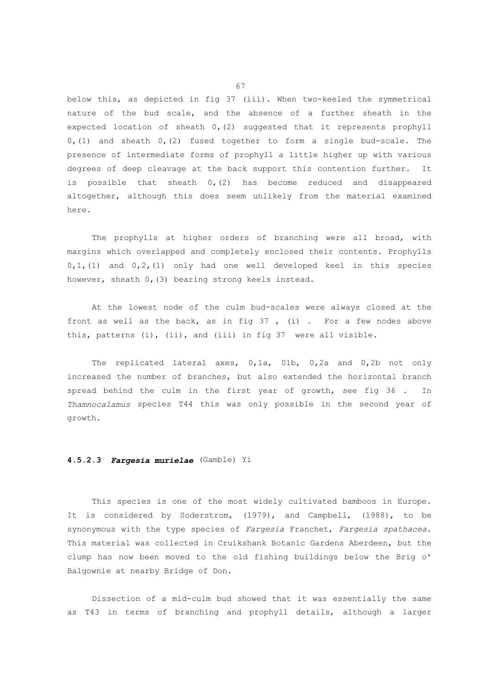below this, as depicted in fig 37 (iii). When two-keeled the symmetrical nature of the bud scale, and the absence of a further sheath in the expected location of sheath 0,(2) suggested that it represents prophyll  $0, (1)$  and sheath  $0, (2)$  fused together to form a single bud-scale. The presence of intermediate forms of prophyll a little higher up with various degrees of deep cleavage at the back support this contention further. It is possible that sheath  $0, (2)$  has become reduced and disappeared altogether, although this does seem unlikely from the material examined here.

The prophylls at higher orders of branching were all broad, with margins which overlapped and completely enclosed their contents. Prophylls 0,1,(1) and 0,2,(1) only had one well developed keel in this species however, sheath 0,(3) bearing strong keels instead.

 At the lowest node of the culm bud-scales were always closed at the front as well as the back, as in fig  $37$ , (i). For a few nodes above this, patterns (i), (ii), and (iii) in fig 37 were all visible.

 The replicated lateral axes, 0,1a, 01b, 0,2a and 0,2b not only increased the number of branches, but also extended the horizontal branch spread behind the culm in the first year of growth, see fig 36 . In *Thamnocalamus* species T44 this was only possible in the second year of growth.

## **4.5.2.3** *Fargesia murielae* (Gamble) Yi

 This species is one of the most widely cultivated bamboos in Europe. It is considered by Soderstrom, (1979), and Campbell, (1988), to be synonymous with the type species of *Fargesia* Franchet, *Fargesia spathacea*. This material was collected in Cruikshank Botanic Gardens Aberdeen, but the clump has now been moved to the old fishing buildings below the Brig o' Balgownie at nearby Bridge of Don.

 Dissection of a mid-culm bud showed that it was essentially the same as T43 in terms of branching and prophyll details, although a larger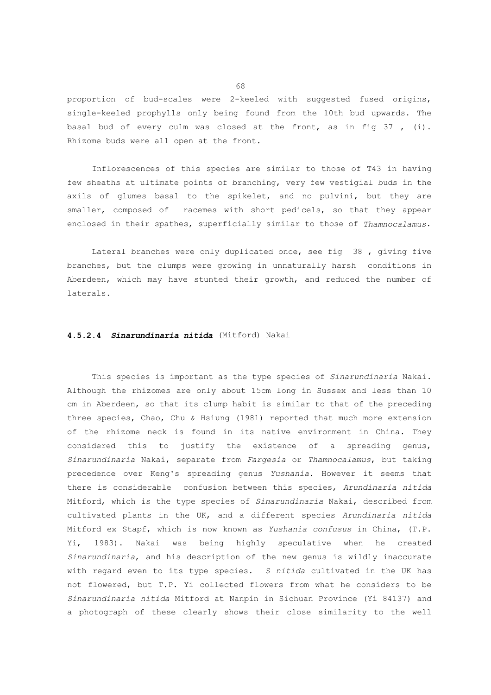proportion of bud-scales were 2-keeled with suggested fused origins, single-keeled prophylls only being found from the 10th bud upwards. The basal bud of every culm was closed at the front, as in fig 37 , (i). Rhizome buds were all open at the front.

 Inflorescences of this species are similar to those of T43 in having few sheaths at ultimate points of branching, very few vestigial buds in the axils of glumes basal to the spikelet, and no pulvini, but they are smaller, composed of racemes with short pedicels, so that they appear enclosed in their spathes, superficially similar to those of *Thamnocalamus*.

 Lateral branches were only duplicated once, see fig 38 , giving five branches, but the clumps were growing in unnaturally harsh conditions in Aberdeen, which may have stunted their growth, and reduced the number of laterals.

#### **4.5.2.4** *Sinarundinaria nitida* (Mitford) Nakai

 This species is important as the type species of *Sinarundinaria* Nakai. Although the rhizomes are only about 15cm long in Sussex and less than 10 cm in Aberdeen, so that its clump habit is similar to that of the preceding three species, Chao, Chu & Hsiung (1981) reported that much more extension of the rhizome neck is found in its native environment in China. They considered this to justify the existence of a spreading genus, *Sinarundinaria* Nakai, separate from *Fargesia* or *Thamnocalamus*, but taking precedence over Keng's spreading genus *Yushania*. However it seems that there is considerable confusion between this species, *Arundinaria nitida* Mitford, which is the type species of *Sinarundinaria* Nakai, described from cultivated plants in the UK, and a different species *Arundinaria nitida* Mitford ex Stapf, which is now known as *Yushania confusus* in China, (T.P. Yi, 1983). Nakai was being highly speculative when he created *Sinarundinaria*, and his description of the new genus is wildly inaccurate with regard even to its type species. *S nitida* cultivated in the UK has not flowered, but T.P. Yi collected flowers from what he considers to be *Sinarundinaria nitida* Mitford at Nanpin in Sichuan Province (Yi 84137) and a photograph of these clearly shows their close similarity to the well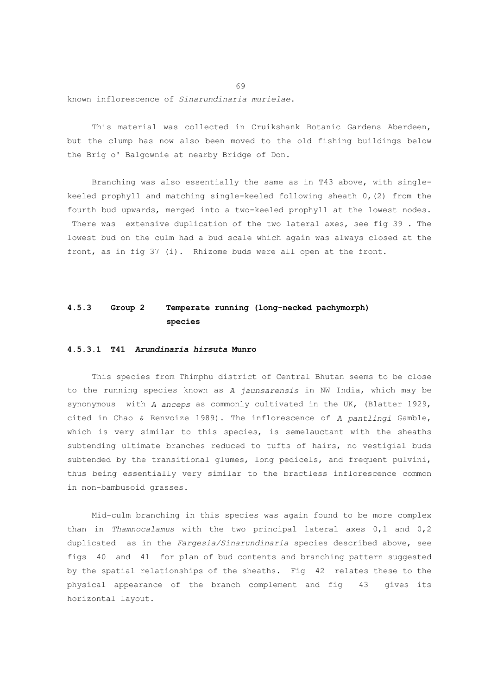known inflorescence of *Sinarundinaria murielae*.

 This material was collected in Cruikshank Botanic Gardens Aberdeen, but the clump has now also been moved to the old fishing buildings below the Brig o' Balgownie at nearby Bridge of Don.

 Branching was also essentially the same as in T43 above, with singlekeeled prophyll and matching single-keeled following sheath 0,(2) from the fourth bud upwards, merged into a two-keeled prophyll at the lowest nodes. There was extensive duplication of the two lateral axes, see fig 39 . The lowest bud on the culm had a bud scale which again was always closed at the front, as in fig 37 (i). Rhizome buds were all open at the front.

# **4.5.3 Group 2 Temperate running (long-necked pachymorph) species**

### **4.5.3.1 T41** *Arundinaria hirsuta* **Munro**

 This species from Thimphu district of Central Bhutan seems to be close to the running species known as *A jaunsarensis* in NW India, which may be synonymous with *A anceps* as commonly cultivated in the UK, (Blatter 1929, cited in Chao & Renvoize 1989). The inflorescence of *A pantlingi* Gamble, which is very similar to this species, is semelauctant with the sheaths subtending ultimate branches reduced to tufts of hairs, no vestigial buds subtended by the transitional glumes, long pedicels, and frequent pulvini, thus being essentially very similar to the bractless inflorescence common in non-bambusoid grasses.

 Mid-culm branching in this species was again found to be more complex than in *Thamnocalamus* with the two principal lateral axes 0,1 and 0,2 duplicated as in the *Fargesia/Sinarundinaria* species described above, see figs 40 and 41 for plan of bud contents and branching pattern suggested by the spatial relationships of the sheaths. Fig 42 relates these to the physical appearance of the branch complement and fig 43 gives its horizontal layout.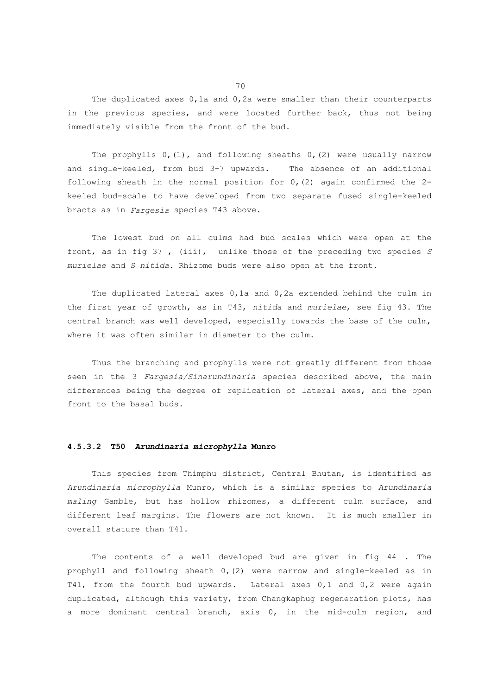The duplicated axes 0,1a and 0,2a were smaller than their counterparts in the previous species, and were located further back, thus not being immediately visible from the front of the bud.

The prophylls  $0, (1)$ , and following sheaths  $0, (2)$  were usually narrow and single-keeled, from bud 3-7 upwards. The absence of an additional following sheath in the normal position for  $0$ , (2) again confirmed the 2keeled bud-scale to have developed from two separate fused single-keeled bracts as in *Fargesia* species T43 above.

 The lowest bud on all culms had bud scales which were open at the front, as in fig 37 , (iii), unlike those of the preceding two species *S murielae* and *S nitida*. Rhizome buds were also open at the front.

 The duplicated lateral axes 0,1a and 0,2a extended behind the culm in the first year of growth, as in T43, *nitida* and *murielae*, see fig 43. The central branch was well developed, especially towards the base of the culm, where it was often similar in diameter to the culm.

 Thus the branching and prophylls were not greatly different from those seen in the 3 *Fargesia/Sinarundinaria* species described above, the main differences being the degree of replication of lateral axes, and the open front to the basal buds.

## **4.5.3.2 T50** *Arundinaria microphylla* **Munro**

 This species from Thimphu district, Central Bhutan, is identified as *Arundinaria microphylla* Munro, which is a similar species to *Arundinaria maling* Gamble, but has hollow rhizomes, a different culm surface, and different leaf margins. The flowers are not known. It is much smaller in overall stature than T41.

 The contents of a well developed bud are given in fig 44 . The prophyll and following sheath 0,(2) were narrow and single-keeled as in T41, from the fourth bud upwards. Lateral axes 0,1 and 0,2 were again duplicated, although this variety, from Changkaphug regeneration plots, has a more dominant central branch, axis 0, in the mid-culm region, and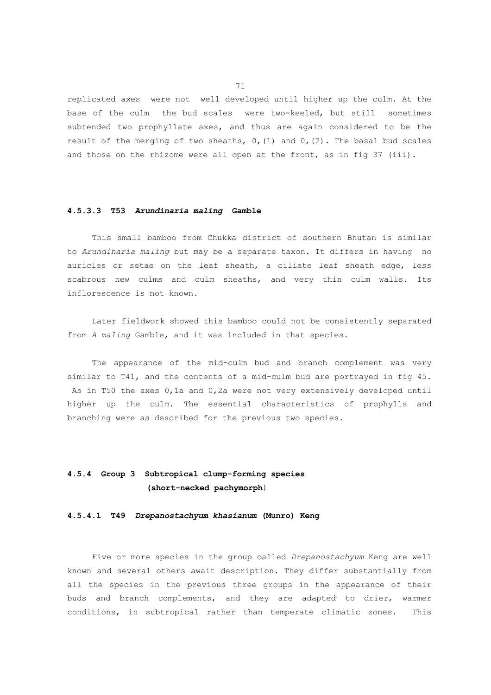replicated axes were not well developed until higher up the culm. At the base of the culm the bud scales were two-keeled, but still sometimes subtended two prophyllate axes, and thus are again considered to be the result of the merging of two sheaths,  $0$ , (1) and  $0$ , (2). The basal bud scales and those on the rhizome were all open at the front, as in fig 37 (iii).

#### **4.5.3.3 T53** *Arundinaria maling* **Gamble**

 This small bamboo from Chukka district of southern Bhutan is similar to *Arundinaria maling* but may be a separate taxon. It differs in having no auricles or setae on the leaf sheath, a ciliate leaf sheath edge, less scabrous new culms and culm sheaths, and very thin culm walls. Its inflorescence is not known.

 Later fieldwork showed this bamboo could not be consistently separated from *A maling* Gamble, and it was included in that species.

 The appearance of the mid-culm bud and branch complement was very similar to T41, and the contents of a mid-culm bud are portrayed in fig 45. As in T50 the axes 0,1a and 0,2a were not very extensively developed until higher up the culm. The essential characteristics of prophylls and branching were as described for the previous two species.

# **4.5.4 Group 3 Subtropical clump-forming species (short-necked pachymorph**)

#### **4.5.4.1 T49** *Drepanostachyum khasianum* **(Munro) Keng**

 Five or more species in the group called *Drepanostachyum* Keng are well known and several others await description. They differ substantially from all the species in the previous three groups in the appearance of their buds and branch complements, and they are adapted to drier, warmer conditions, in subtropical rather than temperate climatic zones. This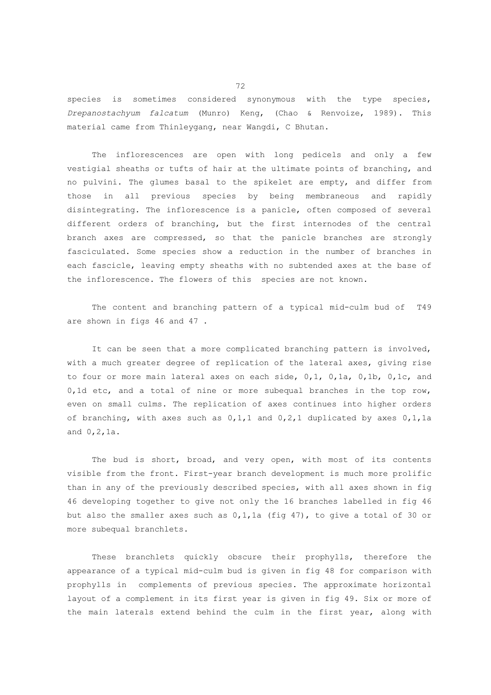species is sometimes considered synonymous with the type species, *Drepanostachyum falcatum* (Munro) Keng, (Chao & Renvoize, 1989). This material came from Thinleygang, near Wangdi, C Bhutan.

 The inflorescences are open with long pedicels and only a few vestigial sheaths or tufts of hair at the ultimate points of branching, and no pulvini. The glumes basal to the spikelet are empty, and differ from those in all previous species by being membraneous and rapidly disintegrating. The inflorescence is a panicle, often composed of several different orders of branching, but the first internodes of the central branch axes are compressed, so that the panicle branches are strongly fasciculated. Some species show a reduction in the number of branches in each fascicle, leaving empty sheaths with no subtended axes at the base of the inflorescence. The flowers of this species are not known.

 The content and branching pattern of a typical mid-culm bud of T49 are shown in figs 46 and 47 .

It can be seen that a more complicated branching pattern is involved, with a much greater degree of replication of the lateral axes, giving rise to four or more main lateral axes on each side, 0,1, 0,1a, 0,1b, 0,1c, and 0,1d etc, and a total of nine or more subequal branches in the top row, even on small culms. The replication of axes continues into higher orders of branching, with axes such as 0,1,1 and 0,2,1 duplicated by axes 0,1,1a and 0,2,1a.

 The bud is short, broad, and very open, with most of its contents visible from the front. First-year branch development is much more prolific than in any of the previously described species, with all axes shown in fig 46 developing together to give not only the 16 branches labelled in fig 46 but also the smaller axes such as 0,1,1a (fig 47), to give a total of 30 or more subequal branchlets.

 These branchlets quickly obscure their prophylls, therefore the appearance of a typical mid-culm bud is given in fig 48 for comparison with prophylls in complements of previous species. The approximate horizontal layout of a complement in its first year is given in fig 49. Six or more of the main laterals extend behind the culm in the first year, along with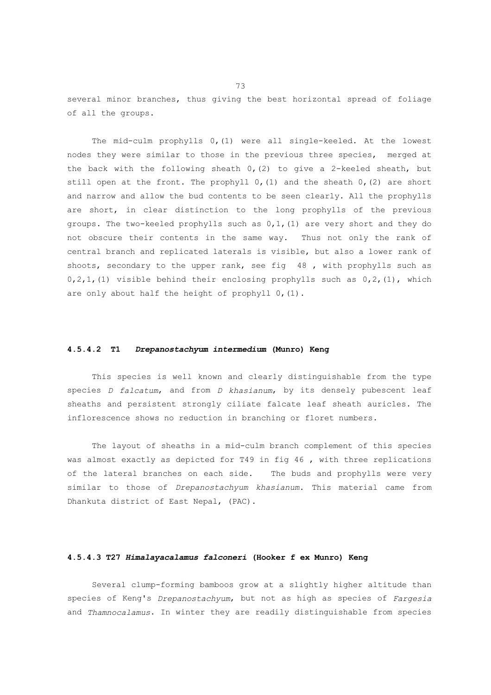several minor branches, thus giving the best horizontal spread of foliage of all the groups.

 The mid-culm prophylls 0,(1) were all single-keeled. At the lowest nodes they were similar to those in the previous three species, merged at the back with the following sheath  $0(2)$  to give a 2-keeled sheath, but still open at the front. The prophyll  $0$ , (1) and the sheath  $0$ , (2) are short and narrow and allow the bud contents to be seen clearly. All the prophylls are short, in clear distinction to the long prophylls of the previous groups. The two-keeled prophylls such as  $0,1, (1)$  are very short and they do not obscure their contents in the same way. Thus not only the rank of central branch and replicated laterals is visible, but also a lower rank of shoots, secondary to the upper rank, see fig 48 , with prophylls such as  $0,2,1$ , (1) visible behind their enclosing prophylls such as  $0,2$ , (1), which are only about half the height of prophyll 0, (1).

### **4.5.4.2 T1** *Drepanostachyum intermedium* **(Munro) Keng**

 This species is well known and clearly distinguishable from the type species *D falcatum*, and from *D khasianum*, by its densely pubescent leaf sheaths and persistent strongly ciliate falcate leaf sheath auricles. The inflorescence shows no reduction in branching or floret numbers.

 The layout of sheaths in a mid-culm branch complement of this species was almost exactly as depicted for T49 in fig 46, with three replications of the lateral branches on each side. The buds and prophylls were very similar to those of *Drepanostachyum khasianum*. This material came from Dhankuta district of East Nepal, (PAC).

### **4.5.4.3 T27** *Himalayacalamus falconeri* **(Hooker f ex Munro) Keng**

 Several clump-forming bamboos grow at a slightly higher altitude than species of Keng's *Drepanostachyum*, but not as high as species of *Fargesia* and *Thamnocalamus*. In winter they are readily distinguishable from species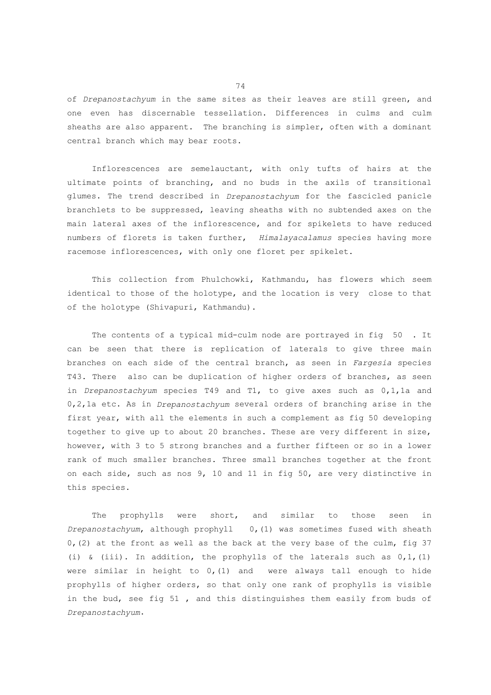of *Drepanostachyum* in the same sites as their leaves are still green, and one even has discernable tessellation. Differences in culms and culm sheaths are also apparent. The branching is simpler, often with a dominant central branch which may bear roots.

 Inflorescences are semelauctant, with only tufts of hairs at the ultimate points of branching, and no buds in the axils of transitional glumes. The trend described in *Drepanostachyum* for the fascicled panicle branchlets to be suppressed, leaving sheaths with no subtended axes on the main lateral axes of the inflorescence, and for spikelets to have reduced numbers of florets is taken further, *Himalayacalamus* species having more racemose inflorescences, with only one floret per spikelet.

 This collection from Phulchowki, Kathmandu, has flowers which seem identical to those of the holotype, and the location is very close to that of the holotype (Shivapuri, Kathmandu).

The contents of a typical mid-culm node are portrayed in fig 50. It can be seen that there is replication of laterals to give three main branches on each side of the central branch, as seen in *Fargesia* species T43. There also can be duplication of higher orders of branches, as seen in *Drepanostachyum* species T49 and T1, to give axes such as 0,1,1a and 0,2,1a etc. As in *Drepanostachyum* several orders of branching arise in the first year, with all the elements in such a complement as fig 50 developing together to give up to about 20 branches. These are very different in size, however, with 3 to 5 strong branches and a further fifteen or so in a lower rank of much smaller branches. Three small branches together at the front on each side, such as nos 9, 10 and 11 in fig 50, are very distinctive in this species.

 The prophylls were short, and similar to those seen in *Drepanostachyum*, although prophyll 0,(1) was sometimes fused with sheath 0,(2) at the front as well as the back at the very base of the culm, fig 37 (i) & (iii). In addition, the prophylls of the laterals such as  $0,1, (1)$ were similar in height to  $0$ ,  $(1)$  and were always tall enough to hide prophylls of higher orders, so that only one rank of prophylls is visible in the bud, see fig 51 , and this distinguishes them easily from buds of *Drepanostachyum*.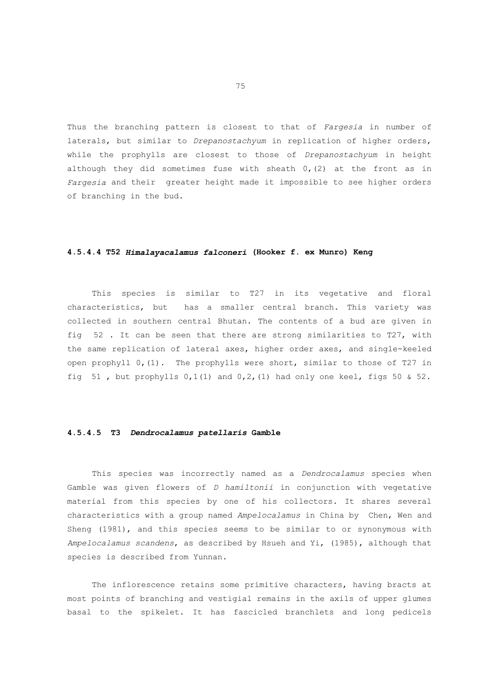Thus the branching pattern is closest to that of *Fargesia* in number of laterals, but similar to *Drepanostachyum* in replication of higher orders, while the prophylls are closest to those of *Drepanostachyum* in height although they did sometimes fuse with sheath  $0, (2)$  at the front as in *Fargesia* and their greater height made it impossible to see higher orders of branching in the bud.

## **4.5.4.4 T52** *Himalayacalamus falconeri* **(Hooker f. ex Munro) Keng**

 This species is similar to T27 in its vegetative and floral characteristics, but has a smaller central branch. This variety was collected in southern central Bhutan. The contents of a bud are given in fig 52 . It can be seen that there are strong similarities to T27, with the same replication of lateral axes, higher order axes, and single-keeled open prophyll 0,(1). The prophylls were short, similar to those of T27 in fig 51, but prophylls  $0,1(1)$  and  $0,2$ , (1) had only one keel, figs 50 & 52.

# **4.5.4.5 T3** *Dendrocalamus patellaris* **Gamble**

 This species was incorrectly named as a *Dendrocalamus* species when Gamble was given flowers of *D hamiltonii* in conjunction with vegetative material from this species by one of his collectors. It shares several characteristics with a group named *Ampelocalamus* in China by Chen, Wen and Sheng (1981), and this species seems to be similar to or synonymous with *Ampelocalamus scandens*, as described by Hsueh and Yi, (1985), although that species is described from Yunnan.

 The inflorescence retains some primitive characters, having bracts at most points of branching and vestigial remains in the axils of upper glumes basal to the spikelet. It has fascicled branchlets and long pedicels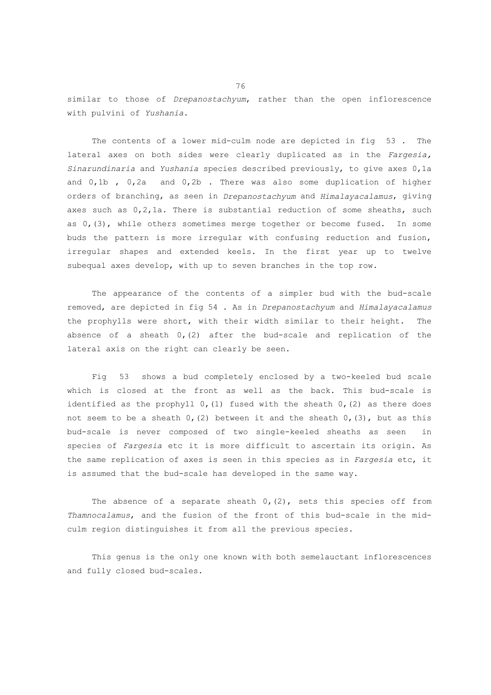similar to those of *Drepanostachyum*, rather than the open inflorescence with pulvini of *Yushania*.

 The contents of a lower mid-culm node are depicted in fig 53 . The lateral axes on both sides were clearly duplicated as in the *Fargesia, Sinarundinaria* and *Yushania* species described previously, to give axes 0,1a and 0,1b , 0,2a and 0,2b . There was also some duplication of higher orders of branching, as seen in *Drepanostachyum* and *Himalayacalamus*, giving axes such as 0,2,1a. There is substantial reduction of some sheaths, such as 0,(3), while others sometimes merge together or become fused. In some buds the pattern is more irregular with confusing reduction and fusion, irregular shapes and extended keels. In the first year up to twelve subequal axes develop, with up to seven branches in the top row.

 The appearance of the contents of a simpler bud with the bud-scale removed, are depicted in fig 54 . As in *Drepanostachyum* and *Himalayacalamus* the prophylls were short, with their width similar to their height. The absence of a sheath  $0$ , (2) after the bud-scale and replication of the lateral axis on the right can clearly be seen.

 Fig 53 shows a bud completely enclosed by a two-keeled bud scale which is closed at the front as well as the back. This bud-scale is identified as the prophyll  $0$ , (1) fused with the sheath  $0$ , (2) as there does not seem to be a sheath  $0$ , (2) between it and the sheath  $0$ , (3), but as this bud-scale is never composed of two single-keeled sheaths as seen in species of *Fargesia* etc it is more difficult to ascertain its origin. As the same replication of axes is seen in this species as in *Fargesia* etc, it is assumed that the bud-scale has developed in the same way.

The absence of a separate sheath  $0, (2)$ , sets this species off from *Thamnocalamus*, and the fusion of the front of this bud-scale in the midculm region distinguishes it from all the previous species.

 This genus is the only one known with both semelauctant inflorescences and fully closed bud-scales.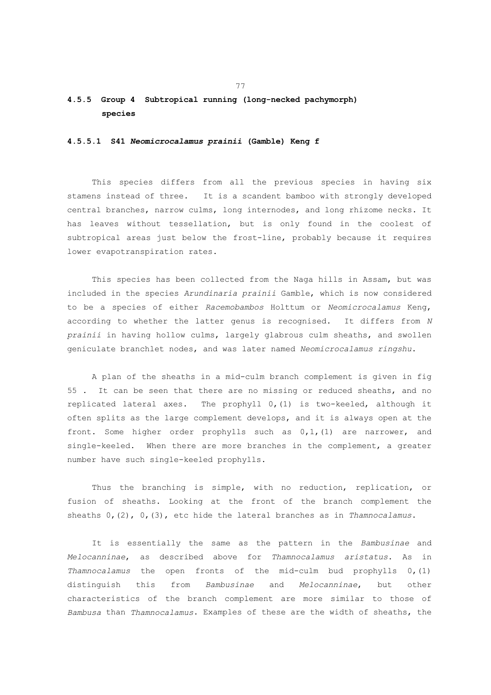# **4.5.5 Group 4 Subtropical running (long-necked pachymorph) species**

## **4.5.5.1 S41** *Neomicrocalamus prainii* **(Gamble) Keng f**

 This species differs from all the previous species in having six stamens instead of three. It is a scandent bamboo with strongly developed central branches, narrow culms, long internodes, and long rhizome necks. It has leaves without tessellation, but is only found in the coolest of subtropical areas just below the frost-line, probably because it requires lower evapotranspiration rates.

 This species has been collected from the Naga hills in Assam, but was included in the species *Arundinaria prainii* Gamble, which is now considered to be a species of either *Racemobambos* Holttum or *Neomicrocalamus* Keng, according to whether the latter genus is recognised. It differs from *N prainii* in having hollow culms, largely glabrous culm sheaths, and swollen geniculate branchlet nodes, and was later named *Neomicrocalamus ringshu*.

 A plan of the sheaths in a mid-culm branch complement is given in fig 55 . It can be seen that there are no missing or reduced sheaths, and no replicated lateral axes. The prophyll 0,(1) is two-keeled, although it often splits as the large complement develops, and it is always open at the front. Some higher order prophylls such as  $0,1, (1)$  are narrower, and single-keeled. When there are more branches in the complement, a greater number have such single-keeled prophylls.

 Thus the branching is simple, with no reduction, replication, or fusion of sheaths. Looking at the front of the branch complement the sheaths 0,(2), 0,(3), etc hide the lateral branches as in *Thamnocalamus*.

 It is essentially the same as the pattern in the *Bambusinae* and *Melocanninae*, as described above for *Thamnocalamus aristatus*. As in *Thamnocalamus* the open fronts of the mid-culm bud prophylls 0,(1) distinguish this from *Bambusinae* and *Melocanninae*, but other characteristics of the branch complement are more similar to those of *Bambusa* than *Thamnocalamus*. Examples of these are the width of sheaths, the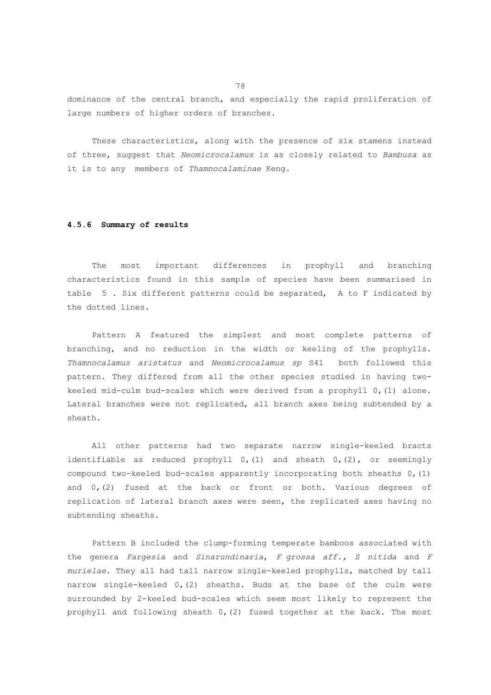dominance of the central branch, and especially the rapid proliferation of large numbers of higher orders of branches.

 These characteristics, along with the presence of six stamens instead of three, suggest that *Neomicrocalamus* is as closely related to *Bambusa* as it is to any members of *Thamnocalaminae* Keng.

#### **4.5.6 Summary of results**

 The most important differences in prophyll and branching characteristics found in this sample of species have been summarised in table 5 . Six different patterns could be separated, A to F indicated by the dotted lines.

 Pattern A featured the simplest and most complete patterns of branching, and no reduction in the width or keeling of the prophylls. *Thamnocalamus aristatus* and *Neomicrocalamus sp* S41 both followed this pattern. They differed from all the other species studied in having twokeeled mid-culm bud-scales which were derived from a prophyll 0,(1) alone. Lateral branches were not replicated, all branch axes being subtended by a sheath.

 All other patterns had two separate narrow single-keeled bracts identifiable as reduced prophyll  $0, (1)$  and sheath  $0, (2)$ , or seemingly compound two-keeled bud-scales apparently incorporating both sheaths 0,(1) and  $0, (2)$  fused at the back or front or both. Various degrees of replication of lateral branch axes were seen, the replicated axes having no subtending sheaths.

 Pattern B included the clump-forming temperate bamboos associated with the genera *Fargesia* and *Sinarundinaria*, *F grossa aff., S nitida* and *F murielae*. They all had tall narrow single-keeled prophylls, matched by tall narrow single-keeled 0,(2) sheaths. Buds at the base of the culm were surrounded by 2-keeled bud-scales which seem most likely to represent the prophyll and following sheath 0,(2) fused together at the back. The most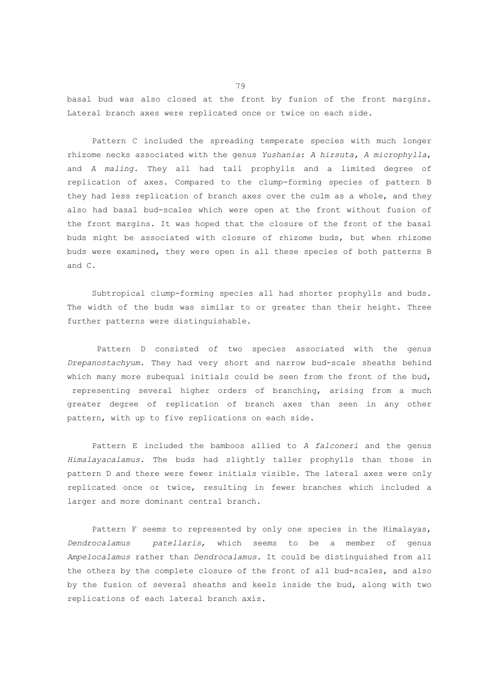basal bud was also closed at the front by fusion of the front margins. Lateral branch axes were replicated once or twice on each side.

 Pattern C included the spreading temperate species with much longer rhizome necks associated with the genus *Yushania*: *A hirsuta, A microphylla*, and *A maling.* They all had tall prophylls and a limited degree of replication of axes. Compared to the clump-forming species of pattern B they had less replication of branch axes over the culm as a whole, and they also had basal bud-scales which were open at the front without fusion of the front margins. It was hoped that the closure of the front of the basal buds might be associated with closure of rhizome buds, but when rhizome buds were examined, they were open in all these species of both patterns B and C.

 Subtropical clump-forming species all had shorter prophylls and buds. The width of the buds was similar to or greater than their height. Three further patterns were distinguishable.

 Pattern D consisted of two species associated with the genus *Drepanostachyum*. They had very short and narrow bud-scale sheaths behind which many more subequal initials could be seen from the front of the bud, representing several higher orders of branching, arising from a much greater degree of replication of branch axes than seen in any other pattern, with up to five replications on each side.

 Pattern E included the bamboos allied to *A falconeri* and the genus *Himalayacalamus*. The buds had slightly taller prophylls than those in pattern D and there were fewer initials visible. The lateral axes were only replicated once or twice, resulting in fewer branches which included a larger and more dominant central branch.

 Pattern F seems to represented by only one species in the Himalayas, *Dendrocalamus patellaris*, which seems to be a member of genus *Ampelocalamus* rather than *Dendrocalamus*. It could be distinguished from all the others by the complete closure of the front of all bud-scales, and also by the fusion of several sheaths and keels inside the bud, along with two replications of each lateral branch axis.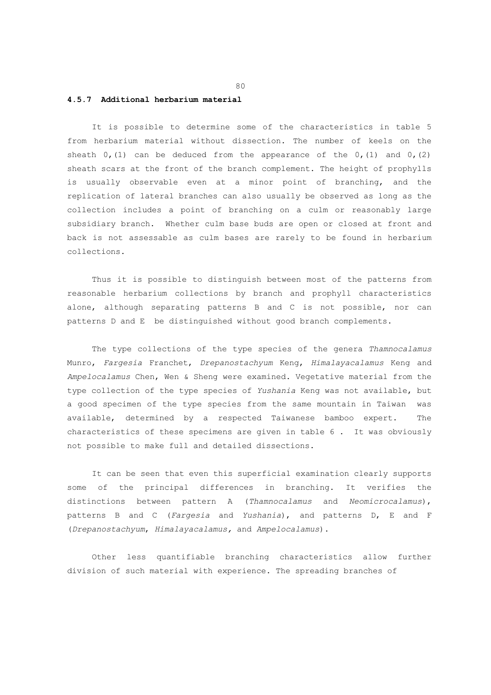#### **4.5.7 Additional herbarium material**

 It is possible to determine some of the characteristics in table 5 from herbarium material without dissection. The number of keels on the sheath  $0$ , (1) can be deduced from the appearance of the  $0$ , (1) and  $0$ , (2) sheath scars at the front of the branch complement. The height of prophylls is usually observable even at a minor point of branching, and the replication of lateral branches can also usually be observed as long as the collection includes a point of branching on a culm or reasonably large subsidiary branch. Whether culm base buds are open or closed at front and back is not assessable as culm bases are rarely to be found in herbarium collections.

 Thus it is possible to distinguish between most of the patterns from reasonable herbarium collections by branch and prophyll characteristics alone, although separating patterns B and C is not possible, nor can patterns D and E be distinguished without good branch complements.

 The type collections of the type species of the genera *Thamnocalamus* Munro, *Fargesia* Franchet, *Drepanostachyum* Keng, *Himalayacalamus* Keng and *Ampelocalamus* Chen, Wen & Sheng were examined. Vegetative material from the type collection of the type species of *Yushania* Keng was not available, but a good specimen of the type species from the same mountain in Taiwan was available, determined by a respected Taiwanese bamboo expert. The characteristics of these specimens are given in table 6 . It was obviously not possible to make full and detailed dissections.

 It can be seen that even this superficial examination clearly supports some of the principal differences in branching. It verifies the distinctions between pattern A (*Thamnocalamus* and *Neomicrocalamus*), patterns B and C (*Fargesia* and *Yushania*), and patterns D, E and F (*Drepanostachyum*, *Himalayacalamus,* and *Ampelocalamus*).

 Other less quantifiable branching characteristics allow further division of such material with experience. The spreading branches of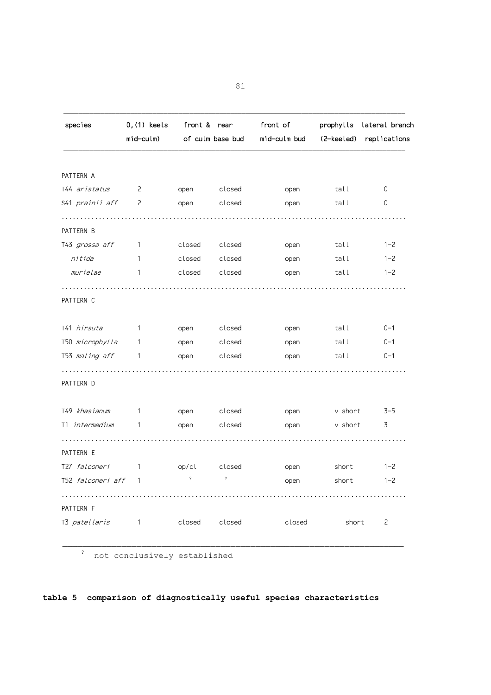| species                | 0, (1) keels<br>mid-culm) | front & rear | of culm base bud | front of<br>mid-culm bud | prophylls<br>(2-keeled) | lateral branch<br>replications |
|------------------------|---------------------------|--------------|------------------|--------------------------|-------------------------|--------------------------------|
|                        |                           |              |                  |                          |                         |                                |
| PATTERN A              |                           |              |                  |                          |                         |                                |
| T44 aristatus          | $\overline{c}$            | open         | closed           | open                     | tall                    | 0                              |
| S41 <i>prainii aff</i> | 2                         | open         | closed           | open                     | tall                    | 0                              |
| PATTERN B              |                           |              |                  |                          |                         |                                |
| T43 grossa aff         | -1                        | closed       | closed           | open                     | tall                    | $1 - 2$                        |
| nitida                 | 1                         | closed       | closed           | open                     | tall                    | $1 - 2$                        |
| murielae               | 1                         | closed       | closed           | open                     | tall                    | $1 - 2$                        |
| PATTERN C              |                           |              |                  |                          |                         |                                |
| T41 hirsuta            | 1                         | open         | closed           | open                     | tall                    | $0 - 1$                        |
| T50 microphylla        | 1                         | open         | closed           | open                     | tall                    | $0 - 1$                        |
| T53 maling aff         | 1                         | open         | closed           | open                     | tall                    | $0 - 1$                        |
| PATTERN D              |                           |              |                  |                          |                         |                                |
| T49 khasianum          | 1                         | open         | closed           | open                     | v short                 | $3 - 5$                        |
| T1 intermedium         | 1                         | open         | closed           | open                     | v short                 | 3                              |
| PATTERN E              |                           |              |                  |                          |                         |                                |
| T27 falconeri          | 1                         | op/cl        | closed           | open                     | short                   | $1 - 2$                        |
| T52 falconeri aff      | $\overline{1}$            | $\ddot{?}$   | $\ddot{?}$       | open                     | short                   | $1 - 2$                        |
| PATTERN F              |                           |              |                  |                          |                         |                                |
| T3 patellaris          | -1                        | closed       | closed           | closed                   | short                   | 2                              |

? not conclusively established

**table 5 comparison of diagnostically useful species characteristics**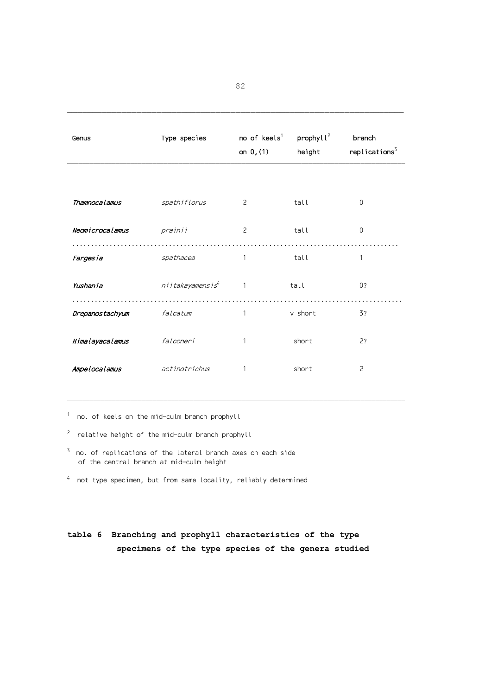| Genus           | Type species                 | no of $keels1$<br>on $0, (1)$ | prophyll <sup>2</sup><br>height | branch<br>replications <sup>3</sup> |
|-----------------|------------------------------|-------------------------------|---------------------------------|-------------------------------------|
|                 |                              |                               |                                 |                                     |
| Thamnocalamus   | spathiflorus                 | 2                             | tall                            | $\Omega$                            |
| Neomicrocalamus | prainii                      | 2                             | tall                            | $\Omega$                            |
| Fargesia        | spathacea                    | 1                             | tall                            | 1                                   |
| Yushania        | niitakayamensis <sup>4</sup> | $\mathbf{1}$                  | tall                            | 0?                                  |
| Drepanostachyum | falcatum                     | 1                             | v short                         | 3?                                  |
| Himalayacalamus | falconeri                    | 1                             | short                           | 2?                                  |
| Ampelocalamus   | actinotrichus                | 1                             | short                           | $\overline{c}$                      |

 $^{\rm 1}$  no. of keels on the mid-culm branch prophyll

- $2$  relative height of the mid-culm branch prophyll
- $3$  no. of replications of the lateral branch axes on each side of the central branch at mid-culm height
- $^4$  not type specimen, but from same locality, reliably determined

# **table 6 Branching and prophyll characteristics of the type specimens of the type species of the genera studied**

82

 $\mathcal{L}_\text{max}$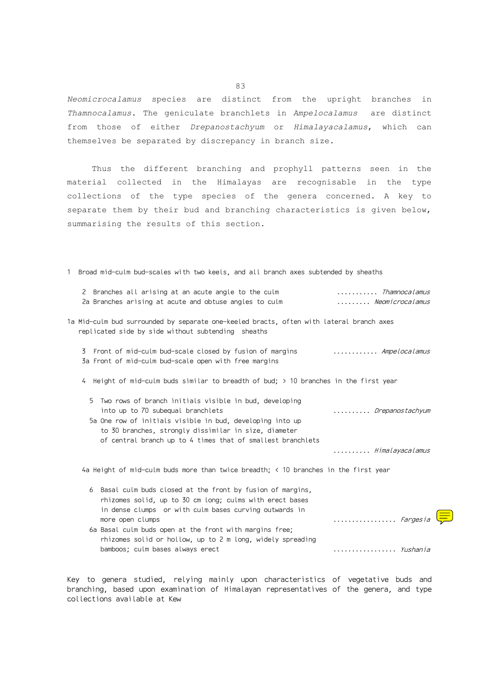*Neomicrocalamus* species are distinct from the upright branches in *Thamnocalamus*. The geniculate branchlets in *Ampelocalamus* are distinct from those of either *Drepanostachyum* or *Himalayacalamus*, which can themselves be separated by discrepancy in branch size.

 Thus the different branching and prophyll patterns seen in the material collected in the Himalayas are recognisable in the type collections of the type species of the genera concerned. A key to separate them by their bud and branching characteristics is given below, summarising the results of this section.

1 Broad mid-culm bud-scales with two keels, and all branch axes subtended by sheaths

| 2 Branches all arising at an acute angle to the culm<br>2a Branches arising at acute and obtuse angles to culm                                                                                                                                                      | Thamnocalamus<br>Neomicrocalamus |
|---------------------------------------------------------------------------------------------------------------------------------------------------------------------------------------------------------------------------------------------------------------------|----------------------------------|
| 1a Mid-culm bud surrounded by separate one-keeled bracts, often with lateral branch axes<br>replicated side by side without subtending sheaths                                                                                                                      |                                  |
| Front of mid-culm bud-scale closed by fusion of margins<br>3<br>3a Front of mid-culm bud-scale open with free margins                                                                                                                                               | <i>Ampelocalamus</i>             |
| 4 Height of mid-culm buds similar to breadth of bud; > 10 branches in the first year                                                                                                                                                                                |                                  |
| Two rows of branch initials visible in bud, developing<br>5<br>into up to 70 subequal branchlets<br>5a One row of initials visible in bud, developing into up<br>to 30 branches, strongly dissimilar in size, diameter                                              | Drepanostachyum                  |
| of central branch up to 4 times that of smallest branchlets                                                                                                                                                                                                         | Himalayacalamus                  |
| 4a Height of mid-culm buds more than twice breadth; $\leq$ 10 branches in the first year                                                                                                                                                                            |                                  |
| Basal culm buds closed at the front by fusion of margins,<br>6<br>rhizomes solid, up to 30 cm long; culms with erect bases<br>in dense clumps or with culm bases curving outwards in<br>more open clumps<br>6a Basal culm buds open at the front with margins free; | Fargesia                         |
| rhizomes solid or hollow, up to 2 m long, widely spreading<br>bamboos; culm bases always erect                                                                                                                                                                      | <i>Yushania</i>                  |
|                                                                                                                                                                                                                                                                     |                                  |

Key to genera studied, relying mainly upon characteristics of vegetative buds and branching, based upon examination of Himalayan representatives of the genera, and type collections available at Kew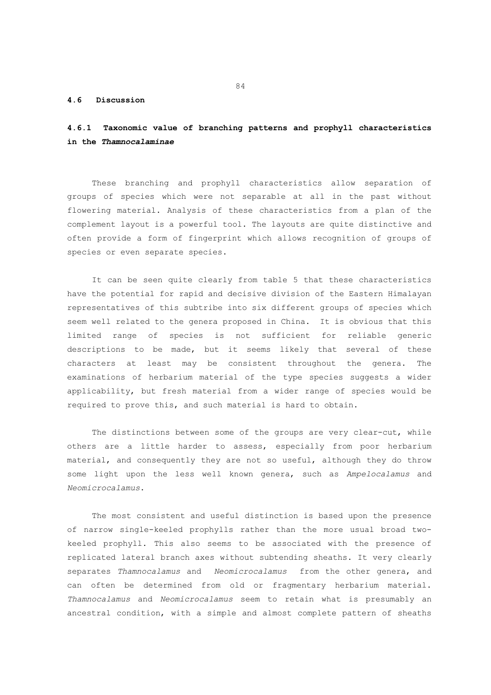## **4.6 Discussion**

# **4.6.1 Taxonomic value of branching patterns and prophyll characteristics in the** *Thamnocalaminae*

 These branching and prophyll characteristics allow separation of groups of species which were not separable at all in the past without flowering material. Analysis of these characteristics from a plan of the complement layout is a powerful tool. The layouts are quite distinctive and often provide a form of fingerprint which allows recognition of groups of species or even separate species.

 It can be seen quite clearly from table 5 that these characteristics have the potential for rapid and decisive division of the Eastern Himalayan representatives of this subtribe into six different groups of species which seem well related to the genera proposed in China. It is obvious that this limited range of species is not sufficient for reliable generic descriptions to be made, but it seems likely that several of these characters at least may be consistent throughout the genera. The examinations of herbarium material of the type species suggests a wider applicability, but fresh material from a wider range of species would be required to prove this, and such material is hard to obtain.

The distinctions between some of the groups are very clear-cut, while others are a little harder to assess, especially from poor herbarium material, and consequently they are not so useful, although they do throw some light upon the less well known genera, such as *Ampelocalamus* and *Neomicrocalamus*.

 The most consistent and useful distinction is based upon the presence of narrow single-keeled prophylls rather than the more usual broad twokeeled prophyll. This also seems to be associated with the presence of replicated lateral branch axes without subtending sheaths. It very clearly separates *Thamnocalamus* and *Neomicrocalamus* from the other genera, and can often be determined from old or fragmentary herbarium material. *Thamnocalamus* and *Neomicrocalamus* seem to retain what is presumably an ancestral condition, with a simple and almost complete pattern of sheaths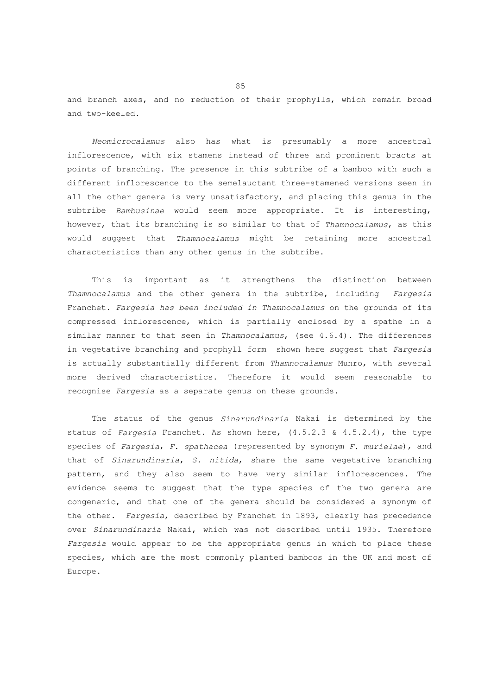and branch axes, and no reduction of their prophylls, which remain broad and two-keeled.

 *Neomicrocalamus* also has what is presumably a more ancestral inflorescence, with six stamens instead of three and prominent bracts at points of branching. The presence in this subtribe of a bamboo with such a different inflorescence to the semelauctant three-stamened versions seen in all the other genera is very unsatisfactory, and placing this genus in the subtribe *Bambusinae* would seem more appropriate. It is interesting, however, that its branching is so similar to that of *Thamnocalamus*, as this would suggest that *Thamnocalamus* might be retaining more ancestral characteristics than any other genus in the subtribe.

 This is important as it strengthens the distinction between *Thamnocalamus* and the other genera in the subtribe, including *Fargesia* Franchet. *Fargesia has been included in Thamnocalamus* on the grounds of its compressed inflorescence, which is partially enclosed by a spathe in a similar manner to that seen in *Thamnocalamus*, (see 4.6.4). The differences in vegetative branching and prophyll form shown here suggest that *Fargesia* is actually substantially different from *Thamnocalamus* Munro, with several more derived characteristics. Therefore it would seem reasonable to recognise *Fargesia* as a separate genus on these grounds.

 The status of the genus *Sinarundinaria* Nakai is determined by the status of *Fargesia* Franchet. As shown here, (4.5.2.3 & 4.5.2.4), the type species of *Fargesia*, *F. spathacea* (represented by synonym *F. murielae*), and that of *Sinarundinaria*, *S. nitida*, share the same vegetative branching pattern, and they also seem to have very similar inflorescences. The evidence seems to suggest that the type species of the two genera are congeneric, and that one of the genera should be considered a synonym of the other. *Fargesia*, described by Franchet in 1893, clearly has precedence over *Sinarundinaria* Nakai, which was not described until 1935. Therefore *Fargesia* would appear to be the appropriate genus in which to place these species, which are the most commonly planted bamboos in the UK and most of Europe.

experience of the state of the state of the state of the state of the state of the state of the state of the s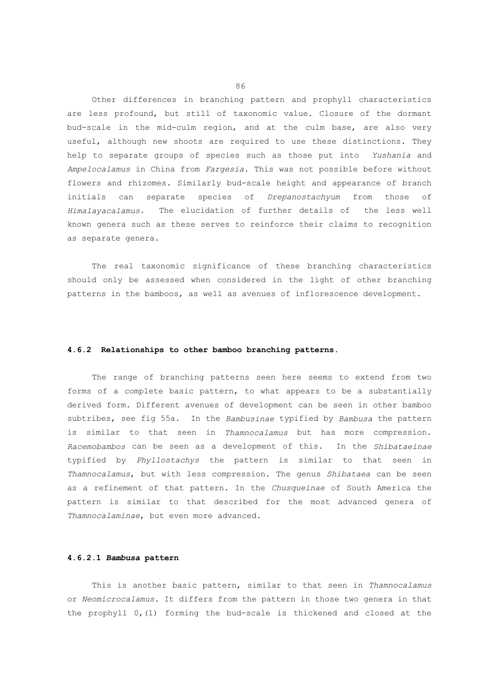Other differences in branching pattern and prophyll characteristics are less profound, but still of taxonomic value. Closure of the dormant bud-scale in the mid-culm region, and at the culm base, are also very useful, although new shoots are required to use these distinctions. They help to separate groups of species such as those put into *Yushania* and *Ampelocalamus* in China from *Fargesia*. This was not possible before without flowers and rhizomes. Similarly bud-scale height and appearance of branch initials can separate species of *Drepanostachyum* from those *Himalayacalamus*. The elucidation of further details of the less well known genera such as these serves to reinforce their claims to recognition as separate genera.

 The real taxonomic significance of these branching characteristics should only be assessed when considered in the light of other branching patterns in the bamboos, as well as avenues of inflorescence development.

## **4.6.2 Relationships to other bamboo branching patterns.**

 The range of branching patterns seen here seems to extend from two forms of a complete basic pattern, to what appears to be a substantially derived form. Different avenues of development can be seen in other bamboo subtribes, see fig 55a. In the *Bambusinae* typified by *Bambusa* the pattern is similar to that seen in *Thamnocalamus* but has more compression. *Racemobambos* can be seen as a development of this. In the *Shibataeinae* typified by *Phyllostachys* the pattern is similar to that seen in *Thamnocalamus*, but with less compression. The genus *Shibataea* can be seen as a refinement of that pattern. In the *Chusqueinae* of South America the pattern is similar to that described for the most advanced genera of *Thamnocalaminae*, but even more advanced.

### **4.6.2.1** *Bambusa* **pattern**

 This is another basic pattern, similar to that seen in *Thamnocalamus* or *Neomicrocalamus*. It differs from the pattern in those two genera in that the prophyll 0,(1) forming the bud-scale is thickened and closed at the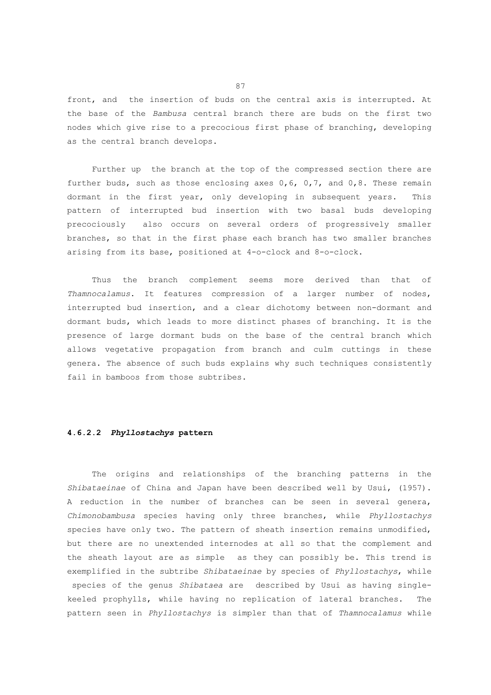front, and the insertion of buds on the central axis is interrupted. At the base of the *Bambusa* central branch there are buds on the first two nodes which give rise to a precocious first phase of branching, developing as the central branch develops.

 Further up the branch at the top of the compressed section there are further buds, such as those enclosing axes 0,6, 0,7, and 0,8. These remain dormant in the first year, only developing in subsequent years. This pattern of interrupted bud insertion with two basal buds developing precociously also occurs on several orders of progressively smaller branches, so that in the first phase each branch has two smaller branches arising from its base, positioned at 4-o-clock and 8-o-clock.

 Thus the branch complement seems more derived than that of *Thamnocalamus*. It features compression of a larger number of nodes, interrupted bud insertion, and a clear dichotomy between non-dormant and dormant buds, which leads to more distinct phases of branching. It is the presence of large dormant buds on the base of the central branch which allows vegetative propagation from branch and culm cuttings in these genera. The absence of such buds explains why such techniques consistently fail in bamboos from those subtribes.

# **4.6.2.2** *Phyllostachys* **pattern**

 The origins and relationships of the branching patterns in the *Shibataeinae* of China and Japan have been described well by Usui, (1957). A reduction in the number of branches can be seen in several genera, *Chimonobambusa* species having only three branches, while *Phyllostachys* species have only two. The pattern of sheath insertion remains unmodified, but there are no unextended internodes at all so that the complement and the sheath layout are as simple as they can possibly be. This trend is exemplified in the subtribe *Shibataeinae* by species of *Phyllostachys*, while species of the genus *Shibataea* are described by Usui as having singlekeeled prophylls, while having no replication of lateral branches. The pattern seen in *Phyllostachys* is simpler than that of *Thamnocalamus* while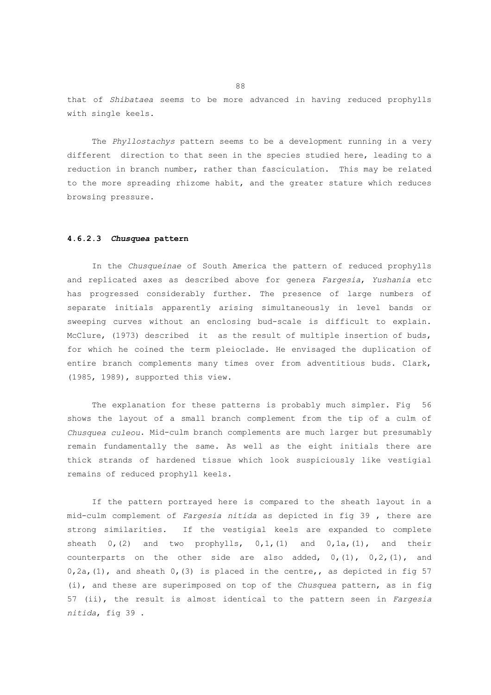that of *Shibataea* seems to be more advanced in having reduced prophylls with single keels.

 The *Phyllostachys* pattern seems to be a development running in a very different direction to that seen in the species studied here, leading to a reduction in branch number, rather than fasciculation. This may be related to the more spreading rhizome habit, and the greater stature which reduces browsing pressure.

# **4.6.2.3** *Chusquea* **pattern**

 In the *Chusqueinae* of South America the pattern of reduced prophylls and replicated axes as described above for genera *Fargesia*, *Yushania* etc has progressed considerably further. The presence of large numbers of separate initials apparently arising simultaneously in level bands or sweeping curves without an enclosing bud-scale is difficult to explain. McClure, (1973) described it as the result of multiple insertion of buds, for which he coined the term pleioclade. He envisaged the duplication of entire branch complements many times over from adventitious buds. Clark, (1985, 1989), supported this view.

 The explanation for these patterns is probably much simpler. Fig 56 shows the layout of a small branch complement from the tip of a culm of *Chusquea culeou*. Mid-culm branch complements are much larger but presumably remain fundamentally the same. As well as the eight initials there are thick strands of hardened tissue which look suspiciously like vestigial remains of reduced prophyll keels.

 If the pattern portrayed here is compared to the sheath layout in a mid-culm complement of *Fargesia nitida* as depicted in fig 39 , there are strong similarities. If the vestigial keels are expanded to complete sheath  $0, (2)$  and two prophylls,  $0, 1, (1)$  and  $0, 1$ a,  $(1)$ , and their counterparts on the other side are also added,  $0, (1)$ ,  $0, 2, (1)$ , and  $0, 2a$ , (1), and sheath  $0$ , (3) is placed in the centre,, as depicted in fig 57 (i), and these are superimposed on top of the *Chusquea* pattern, as in fig 57 (ii), the result is almost identical to the pattern seen in *Fargesia nitida*, fig 39 .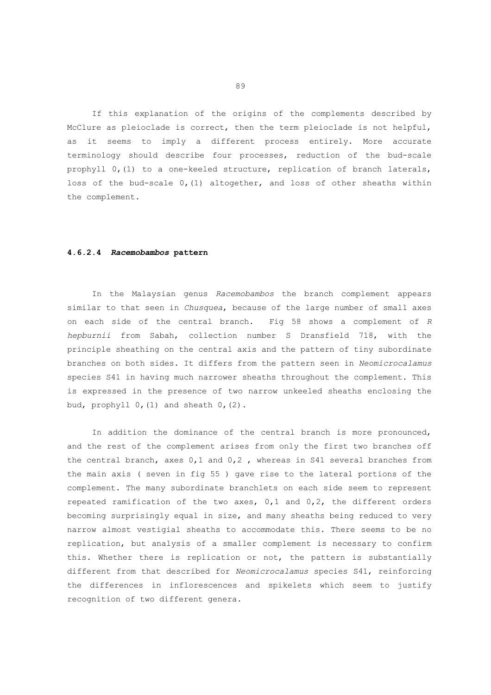If this explanation of the origins of the complements described by McClure as pleioclade is correct, then the term pleioclade is not helpful, as it seems to imply a different process entirely. More accurate terminology should describe four processes, reduction of the bud-scale prophyll 0,(1) to a one-keeled structure, replication of branch laterals, loss of the bud-scale 0,(1) altogether, and loss of other sheaths within the complement.

## **4.6.2.4** *Racemobambos* **pattern**

 In the Malaysian genus *Racemobambos* the branch complement appears similar to that seen in *Chusquea*, because of the large number of small axes on each side of the central branch. Fig 58 shows a complement of *R hepburnii* from Sabah, collection number S Dransfield 718, with the principle sheathing on the central axis and the pattern of tiny subordinate branches on both sides. It differs from the pattern seen in *Neomicrocalamus* species S41 in having much narrower sheaths throughout the complement. This is expressed in the presence of two narrow unkeeled sheaths enclosing the bud, prophyll  $0$ ,  $(1)$  and sheath  $0$ ,  $(2)$ .

 In addition the dominance of the central branch is more pronounced, and the rest of the complement arises from only the first two branches off the central branch, axes  $0,1$  and  $0,2$  , whereas in S41 several branches from the main axis ( seven in fig 55 ) gave rise to the lateral portions of the complement. The many subordinate branchlets on each side seem to represent repeated ramification of the two axes, 0,1 and 0,2, the different orders becoming surprisingly equal in size, and many sheaths being reduced to very narrow almost vestigial sheaths to accommodate this. There seems to be no replication, but analysis of a smaller complement is necessary to confirm this. Whether there is replication or not, the pattern is substantially different from that described for *Neomicrocalamus* species S41, reinforcing the differences in inflorescences and spikelets which seem to justify recognition of two different genera.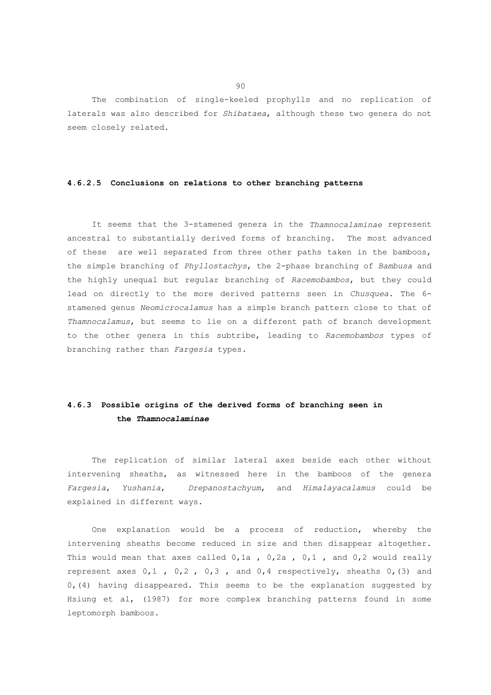The combination of single-keeled prophylls and no replication of laterals was also described for *Shibataea*, although these two genera do not seem closely related.

#### **4.6.2.5 Conclusions on relations to other branching patterns**

 It seems that the 3-stamened genera in the *Thamnocalaminae* represent ancestral to substantially derived forms of branching. The most advanced of these are well separated from three other paths taken in the bamboos, the simple branching of *Phyllostachys*, the 2-phase branching of *Bambusa* and the highly unequal but regular branching of *Racemobambos*, but they could lead on directly to the more derived patterns seen in *Chusquea*. The 6 stamened genus *Neomicrocalamus* has a simple branch pattern close to that of *Thamnocalamus*, but seems to lie on a different path of branch development to the other genera in this subtribe, leading to *Racemobambos* types of branching rather than *Fargesia* types.

# **4.6.3 Possible origins of the derived forms of branching seen in the** *Thamnocalaminae*

 The replication of similar lateral axes beside each other without intervening sheaths, as witnessed here in the bamboos of the genera *Fargesia*, *Yushania*, *Drepanostachyum*, and *Himalayacalamus* could be explained in different ways.

 One explanation would be a process of reduction, whereby the intervening sheaths become reduced in size and then disappear altogether. This would mean that axes called  $0,1a$ ,  $0,2a$ ,  $0,1$ , and  $0,2$  would really represent axes 0,1 , 0,2 , 0,3 , and 0,4 respectively, sheaths 0,(3) and  $0, (4)$  having disappeared. This seems to be the explanation suggested by Hsiung et al, (1987) for more complex branching patterns found in some leptomorph bamboos.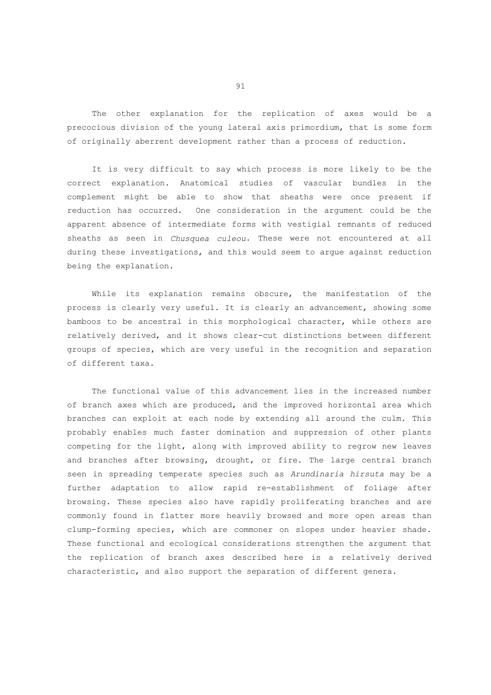The other explanation for the replication of axes would be a precocious division of the young lateral axis primordium, that is some form of originally aberrent development rather than a process of reduction.

 It is very difficult to say which process is more likely to be the correct explanation. Anatomical studies of vascular bundles in the complement might be able to show that sheaths were once present if reduction has occurred. One consideration in the argument could be the apparent absence of intermediate forms with vestigial remnants of reduced sheaths as seen in *Chusquea culeou*. These were not encountered at all during these investigations, and this would seem to argue against reduction being the explanation.

 While its explanation remains obscure, the manifestation of the process is clearly very useful. It is clearly an advancement, showing some bamboos to be ancestral in this morphological character, while others are relatively derived, and it shows clear-cut distinctions between different groups of species, which are very useful in the recognition and separation of different taxa.

 The functional value of this advancement lies in the increased number of branch axes which are produced, and the improved horizontal area which branches can exploit at each node by extending all around the culm. This probably enables much faster domination and suppression of other plants competing for the light, along with improved ability to regrow new leaves and branches after browsing, drought, or fire. The large central branch seen in spreading temperate species such as *Arundinaria hirsuta* may be a further adaptation to allow rapid re-establishment of foliage after browsing. These species also have rapidly proliferating branches and are commonly found in flatter more heavily browsed and more open areas than clump-forming species, which are commoner on slopes under heavier shade. These functional and ecological considerations strengthen the argument that the replication of branch axes described here is a relatively derived characteristic, and also support the separation of different genera.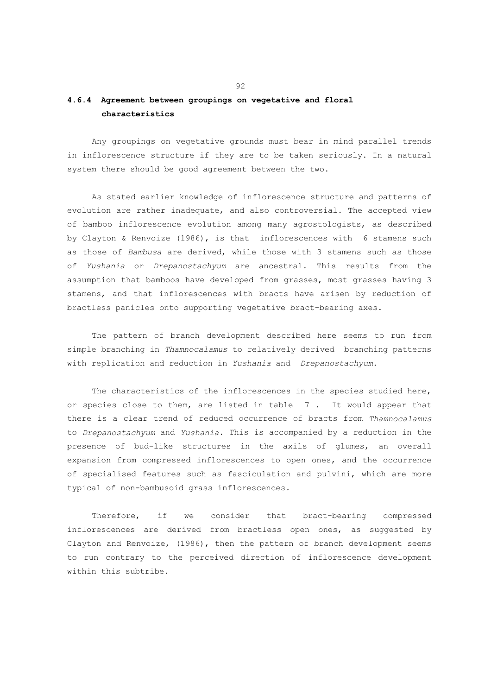## **4.6.4 Agreement between groupings on vegetative and floral characteristics**

 Any groupings on vegetative grounds must bear in mind parallel trends in inflorescence structure if they are to be taken seriously. In a natural system there should be good agreement between the two.

 As stated earlier knowledge of inflorescence structure and patterns of evolution are rather inadequate, and also controversial. The accepted view of bamboo inflorescence evolution among many agrostologists, as described by Clayton & Renvoize (1986), is that inflorescences with 6 stamens such as those of *Bambusa* are derived, while those with 3 stamens such as those of *Yushania* or *Drepanostachyum* are ancestral. This results from the assumption that bamboos have developed from grasses, most grasses having 3 stamens, and that inflorescences with bracts have arisen by reduction of bractless panicles onto supporting vegetative bract-bearing axes.

 The pattern of branch development described here seems to run from simple branching in *Thamnocalamus* to relatively derived branching patterns with replication and reduction in *Yushania* and *Drepanostachyum*.

 The characteristics of the inflorescences in the species studied here, or species close to them, are listed in table 7 . It would appear that there is a clear trend of reduced occurrence of bracts from *Thamnocalamus* to *Drepanostachyum* and *Yushania*. This is accompanied by a reduction in the presence of bud-like structures in the axils of glumes, an overall expansion from compressed inflorescences to open ones, and the occurrence of specialised features such as fasciculation and pulvini, which are more typical of non-bambusoid grass inflorescences.

 Therefore, if we consider that bract-bearing compressed inflorescences are derived from bractless open ones, as suggested by Clayton and Renvoize, (1986), then the pattern of branch development seems to run contrary to the perceived direction of inflorescence development within this subtribe.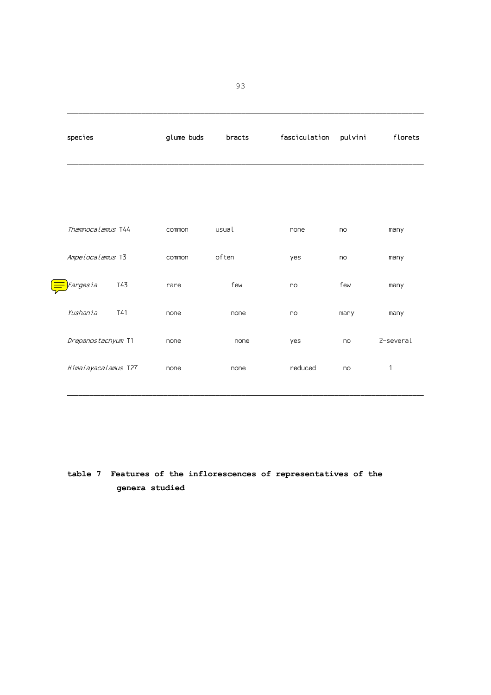|  | species             |     | glume buds<br>bracts |       | fasciculation | pulvini | florets   |
|--|---------------------|-----|----------------------|-------|---------------|---------|-----------|
|  |                     |     |                      |       |               |         |           |
|  | Thamnocalamus T44   |     | common               | usual | none          | no      | many      |
|  | Ampelocalamus T3    |     | common               | often | yes           | no      | many      |
|  | Fargesia            | T43 | rare                 | few   | no            | few     | many      |
|  | Yushania            | T41 | none                 | none  | no            | many    | many      |
|  | Drepanostachyum T1  |     | none                 | none  | yes           | no      | 2-several |
|  | Himalayacalamus T27 |     | none                 | none  | reduced       | no      | 1         |

# **table 7 Features of the inflorescences of representatives of the genera studied**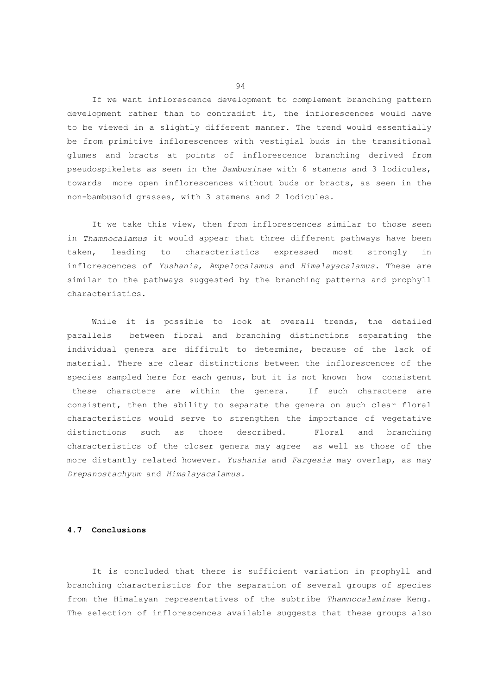If we want inflorescence development to complement branching pattern development rather than to contradict it, the inflorescences would have to be viewed in a slightly different manner. The trend would essentially be from primitive inflorescences with vestigial buds in the transitional glumes and bracts at points of inflorescence branching derived from pseudospikelets as seen in the *Bambusinae* with 6 stamens and 3 lodicules, towards more open inflorescences without buds or bracts, as seen in the non-bambusoid grasses, with 3 stamens and 2 lodicules.

 It we take this view, then from inflorescences similar to those seen in *Thamnocalamus* it would appear that three different pathways have been taken, leading to characteristics expressed most strongly in inflorescences of *Yushania*, *Ampelocalamus* and *Himalayacalamus*. These are similar to the pathways suggested by the branching patterns and prophyll characteristics.

 While it is possible to look at overall trends, the detailed parallels between floral and branching distinctions separating the individual genera are difficult to determine, because of the lack of material. There are clear distinctions between the inflorescences of the species sampled here for each genus, but it is not known how consistent these characters are within the genera. If such characters are consistent, then the ability to separate the genera on such clear floral characteristics would serve to strengthen the importance of vegetative distinctions such as those described. Floral and branching characteristics of the closer genera may agree as well as those of the more distantly related however. *Yushania* and *Fargesia* may overlap, as may *Drepanostachyum* and *Himalayacalamus.*

## **4.7 Conclusions**

 It is concluded that there is sufficient variation in prophyll and branching characteristics for the separation of several groups of species from the Himalayan representatives of the subtribe *Thamnocalaminae* Keng. The selection of inflorescences available suggests that these groups also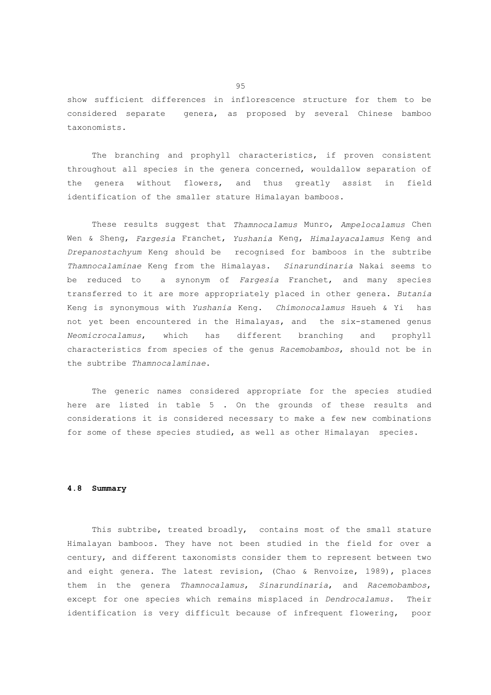show sufficient differences in inflorescence structure for them to be considered separate genera, as proposed by several Chinese bamboo taxonomists.

 The branching and prophyll characteristics, if proven consistent throughout all species in the genera concerned, wouldallow separation of the genera without flowers, and thus greatly assist in field identification of the smaller stature Himalayan bamboos.

 These results suggest that *Thamnocalamus* Munro, *Ampelocalamus* Chen Wen & Sheng, *Fargesia* Franchet, *Yushania* Keng, *Himalayacalamus* Keng and *Drepanostachyum* Keng should be recognised for bamboos in the subtribe *Thamnocalaminae* Keng from the Himalayas. *Sinarundinaria* Nakai seems to be reduced to a synonym of *Fargesia* Franchet, and many species transferred to it are more appropriately placed in other genera. *Butania* Keng is synonymous with *Yushania* Keng. *Chimonocalamus* Hsueh & Yi has not yet been encountered in the Himalayas, and the six-stamened genus *Neomicrocalamus*, which has different branching and prophyll characteristics from species of the genus *Racemobambos*, should not be in the subtribe *Thamnocalaminae*.

 The generic names considered appropriate for the species studied here are listed in table 5 . On the grounds of these results and considerations it is considered necessary to make a few new combinations for some of these species studied, as well as other Himalayan species.

#### **4.8 Summary**

 This subtribe, treated broadly, contains most of the small stature Himalayan bamboos. They have not been studied in the field for over a century, and different taxonomists consider them to represent between two and eight genera. The latest revision, (Chao & Renvoize, 1989), places them in the genera *Thamnocalamus*, *Sinarundinaria*, and *Racemobambos*, except for one species which remains misplaced in *Dendrocalamus*. Their identification is very difficult because of infrequent flowering, poor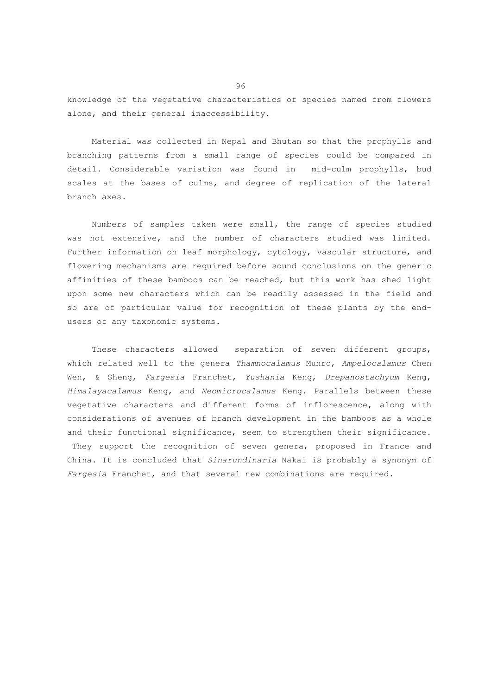knowledge of the vegetative characteristics of species named from flowers alone, and their general inaccessibility.

 Material was collected in Nepal and Bhutan so that the prophylls and branching patterns from a small range of species could be compared in detail. Considerable variation was found in mid-culm prophylls, bud scales at the bases of culms, and degree of replication of the lateral branch axes.

 Numbers of samples taken were small, the range of species studied was not extensive, and the number of characters studied was limited. Further information on leaf morphology, cytology, vascular structure, and flowering mechanisms are required before sound conclusions on the generic affinities of these bamboos can be reached, but this work has shed light upon some new characters which can be readily assessed in the field and so are of particular value for recognition of these plants by the endusers of any taxonomic systems.

These characters allowed separation of seven different groups, which related well to the genera *Thamnocalamus* Munro, *Ampelocalamus* Chen Wen, & Sheng, *Fargesia* Franchet, *Yushania* Keng, *Drepanostachyum* Keng, *Himalayacalamus* Keng, and *Neomicrocalamus* Keng. Parallels between these vegetative characters and different forms of inflorescence, along with considerations of avenues of branch development in the bamboos as a whole and their functional significance, seem to strengthen their significance. They support the recognition of seven genera, proposed in France and China. It is concluded that *Sinarundinaria* Nakai is probably a synonym of *Fargesia* Franchet, and that several new combinations are required.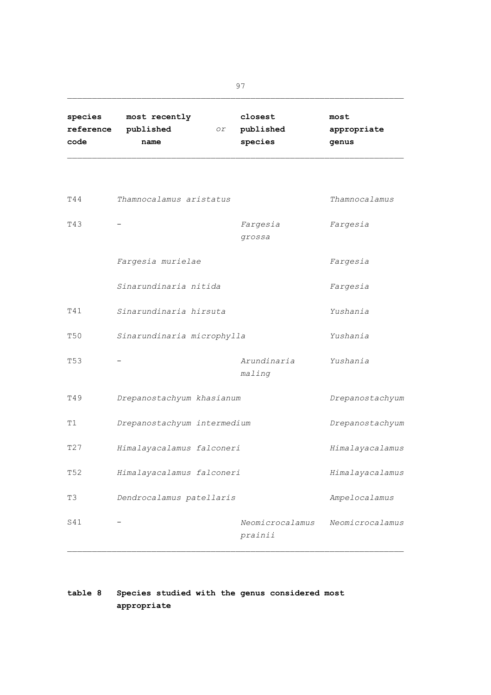| species   | most recently |    | closest   | most        |
|-----------|---------------|----|-----------|-------------|
| reference | published     | Оr | published | appropriate |
| code      | name          |    | species   | genus       |

| T44             | Thamnocalamus aristatus     |                            | Thamnocalamus   |  |  |
|-----------------|-----------------------------|----------------------------|-----------------|--|--|
| T43             |                             | Fargesia<br>grossa         | Fargesia        |  |  |
|                 | Fargesia murielae           |                            | Fargesia        |  |  |
|                 | Sinarundinaria nitida       |                            | Fargesia        |  |  |
| T41             | Sinarundinaria hirsuta      |                            | Yushania        |  |  |
| <b>T50</b>      | Sinarundinaria microphylla  |                            | Yushania        |  |  |
| T <sub>53</sub> |                             | Arundinaria<br>maling      | Yushania        |  |  |
| T49             | Drepanostachyum khasianum   |                            | Drepanostachyum |  |  |
| T1              | Drepanostachyum intermedium |                            | Drepanostachyum |  |  |
| T27             | Himalayacalamus falconeri   |                            | Himalayacalamus |  |  |
| T <sub>52</sub> | Himalayacalamus falconeri   |                            | Himalayacalamus |  |  |
| T3              | Dendrocalamus patellaris    |                            | Ampelocalamus   |  |  |
| S41             |                             | Neomicrocalamus<br>prainii | Neomicrocalamus |  |  |

# **table 8 Species studied with the genus considered most appropriate**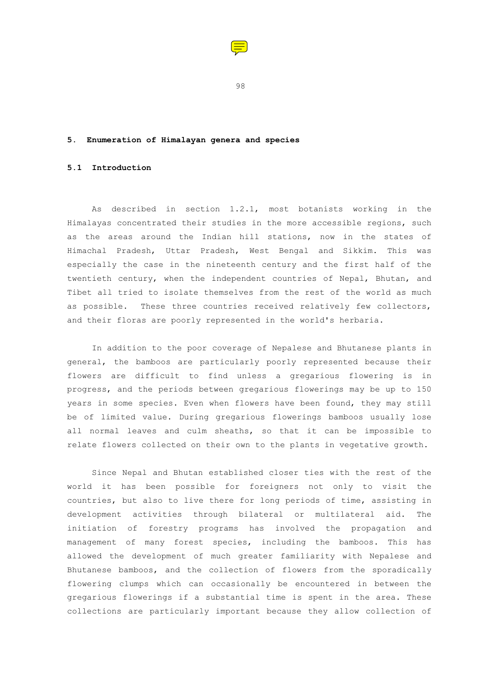

98

## **5. Enumeration of Himalayan genera and species**

## **5.1 Introduction**

 As described in section 1.2.1, most botanists working in the Himalayas concentrated their studies in the more accessible regions, such as the areas around the Indian hill stations, now in the states of Himachal Pradesh, Uttar Pradesh, West Bengal and Sikkim. This was especially the case in the nineteenth century and the first half of the twentieth century, when the independent countries of Nepal, Bhutan, and Tibet all tried to isolate themselves from the rest of the world as much as possible. These three countries received relatively few collectors, and their floras are poorly represented in the world's herbaria.

 In addition to the poor coverage of Nepalese and Bhutanese plants in general, the bamboos are particularly poorly represented because their flowers are difficult to find unless a gregarious flowering is in progress, and the periods between gregarious flowerings may be up to 150 years in some species. Even when flowers have been found, they may still be of limited value. During gregarious flowerings bamboos usually lose all normal leaves and culm sheaths, so that it can be impossible to relate flowers collected on their own to the plants in vegetative growth.

 Since Nepal and Bhutan established closer ties with the rest of the world it has been possible for foreigners not only to visit the countries, but also to live there for long periods of time, assisting in development activities through bilateral or multilateral aid. The initiation of forestry programs has involved the propagation and management of many forest species, including the bamboos. This has allowed the development of much greater familiarity with Nepalese and Bhutanese bamboos, and the collection of flowers from the sporadically flowering clumps which can occasionally be encountered in between the gregarious flowerings if a substantial time is spent in the area. These collections are particularly important because they allow collection of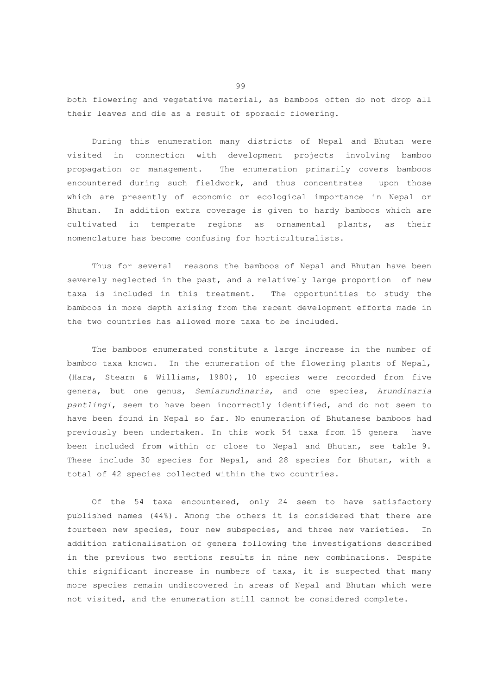both flowering and vegetative material, as bamboos often do not drop all their leaves and die as a result of sporadic flowering.

 During this enumeration many districts of Nepal and Bhutan were visited in connection with development projects involving bamboo propagation or management. The enumeration primarily covers bamboos encountered during such fieldwork, and thus concentrates upon those which are presently of economic or ecological importance in Nepal or Bhutan. In addition extra coverage is given to hardy bamboos which are cultivated in temperate regions as ornamental plants, as their nomenclature has become confusing for horticulturalists.

 Thus for several reasons the bamboos of Nepal and Bhutan have been severely neglected in the past, and a relatively large proportion of new taxa is included in this treatment. The opportunities to study the bamboos in more depth arising from the recent development efforts made in the two countries has allowed more taxa to be included.

 The bamboos enumerated constitute a large increase in the number of bamboo taxa known. In the enumeration of the flowering plants of Nepal, (Hara, Stearn & Williams, 1980), 10 species were recorded from five genera, but one genus, *Semiarundinaria*, and one species, *Arundinaria pantlingi*, seem to have been incorrectly identified, and do not seem to have been found in Nepal so far. No enumeration of Bhutanese bamboos had previously been undertaken. In this work 54 taxa from 15 genera have been included from within or close to Nepal and Bhutan, see table 9. These include 30 species for Nepal, and 28 species for Bhutan, with a total of 42 species collected within the two countries.

 Of the 54 taxa encountered, only 24 seem to have satisfactory published names (44%). Among the others it is considered that there are fourteen new species, four new subspecies, and three new varieties. In addition rationalisation of genera following the investigations described in the previous two sections results in nine new combinations. Despite this significant increase in numbers of taxa, it is suspected that many more species remain undiscovered in areas of Nepal and Bhutan which were not visited, and the enumeration still cannot be considered complete.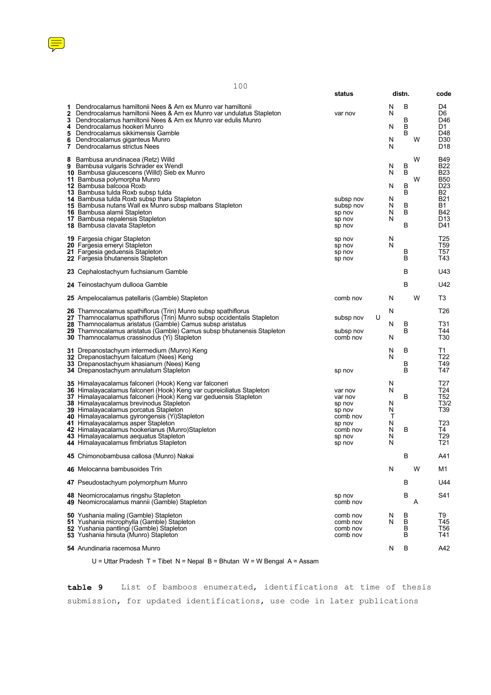

| 100<br>- - - |
|--------------|
|              |

|                             |                                                                                                                                                                                                                                                                                                                                                                                                                                                                                   | status                                                                             |   |                                      | distn.                          |        |                                                                                                                              |
|-----------------------------|-----------------------------------------------------------------------------------------------------------------------------------------------------------------------------------------------------------------------------------------------------------------------------------------------------------------------------------------------------------------------------------------------------------------------------------------------------------------------------------|------------------------------------------------------------------------------------|---|--------------------------------------|---------------------------------|--------|------------------------------------------------------------------------------------------------------------------------------|
| 1<br>3<br>4<br>5<br>6<br>7. | Dendrocalamus hamiltonii Nees & Arn ex Munro var hamiltonii<br>2 Dendrocalamus hamiltonii Nees & Arn ex Munro var undulatus Stapleton<br>Dendrocalamus hamiltonii Nees & Arn ex Munro var edulis Munro<br>Dendrocalamus hookeri Munro<br>Dendrocalamus sikkimensis Gamble<br>Dendrocalamus giganteus Munro<br>Dendrocalamus strictus Nees                                                                                                                                         | var nov                                                                            |   | N<br>N<br>N<br>N<br>N                | в<br>В<br>B<br>B                | W      | D4<br>D6<br>D46<br>D1<br>D48<br>D30<br>D <sub>18</sub>                                                                       |
| 8                           | Bambusa arundinacea (Retz) Willd<br>9 Bambusa vulgaris Schrader ex Wendl<br>10 Bambusa glaucescens (Willd) Sieb ex Munro<br>11 Bambusa polymorpha Munro<br>12 Bambusa balcooa Roxb<br>13 Bambusa tulda Roxb subsp tulda<br>14 Bambusa tulda Roxb subsp tharu Stapleton<br>15 Bambusa nutans Wall ex Munro subsp malbans Stapleton<br><b>16</b> Bambusa alamii Stapleton<br><b>17</b> Bambusa nepalensis Stapleton<br><b>18</b> Bambusa clavata Stapleton                          | subsp nov<br>subsp nov<br>sp nov<br>sp nov<br>sp nov                               |   | N<br>N<br>N<br>N<br>N<br>N<br>N      | B<br>B<br>в<br>B<br>в<br>B<br>B | W<br>W | <b>B49</b><br><b>B22</b><br><b>B23</b><br><b>B50</b><br>D <sub>23</sub><br>B2<br>B21<br>B1.<br>B42<br>D <sub>13</sub><br>D41 |
|                             | <b>19 Fargesia chigar Stapleton</b><br>20 Fargesia emeryi Stapleton<br>21 Fargesia geduensis Stapleton<br>22 Fargesia bhutanensis Stapleton                                                                                                                                                                                                                                                                                                                                       | sp nov<br>sp nov<br>sp nov<br>sp nov                                               |   | N<br>N                               | В<br>в                          |        | T25<br>T59<br>T57<br>T43                                                                                                     |
|                             | 23 Cephalostachyum fuchsianum Gamble                                                                                                                                                                                                                                                                                                                                                                                                                                              |                                                                                    |   |                                      | в                               |        | U43                                                                                                                          |
|                             | 24 Teinostachyum dullooa Gamble                                                                                                                                                                                                                                                                                                                                                                                                                                                   |                                                                                    |   |                                      | B                               |        | U42                                                                                                                          |
|                             | 25 Ampelocalamus patellaris (Gamble) Stapleton                                                                                                                                                                                                                                                                                                                                                                                                                                    | comb nov                                                                           |   | N                                    |                                 | W      | T3                                                                                                                           |
|                             | 26 Thamnocalamus spathiflorus (Trin) Munro subsp spathiflorus<br>27 Thamnocalamus spathiflorus (Trin) Munro subsp occidentalis Stapleton<br>28 Thamnocalamus aristatus (Gamble) Camus subsp aristatus<br>29 Thamnocalamus aristatus (Gamble) Camus subsp bhutanensis Stapleton<br><b>30</b> Thamnocalamus crassinodus (Yi) Stapleton                                                                                                                                              | subsp nov<br>subsp nov<br>comb nov                                                 | U | N<br>N<br>N                          | в<br>B                          |        | T <sub>26</sub><br>T31<br>T44<br>T <sub>30</sub>                                                                             |
|                             | 31 Drepanostachyum intermedium (Munro) Keng<br>32 Drepanostachyum falcatum (Nees) Keng<br>33 Drepanostachyum khasianum (Nees) Keng<br>34 Drepanostachyum annulatum Stapleton                                                                                                                                                                                                                                                                                                      | sp nov                                                                             |   | N<br>N                               | В<br>В<br>B                     |        | T1<br>T <sub>22</sub><br>T49<br>T47                                                                                          |
|                             | 35 Himalayacalamus falconeri (Hook) Keng var falconeri<br><b>36</b> Himalayacalamus falconeri (Hook) Keng var cupreiciliatus Stapleton<br>37 Himalayacalamus falconeri (Hook) Keng var geduensis Stapleton<br>38 Himalayacalamus brevinodus Stapleton<br>39 Himalayacalamus porcatus Stapleton<br>40 Himalayacalamus gyirongensis (Yi)Stapleton<br>41 Himalayacalamus asper Stapleton<br>42 Himalayacalamus hookerianus (Munro)Stapleton<br>43 Himalayacalamus aequatus Stapleton | var nov<br>var nov<br>sp nov<br>sp nov<br>comb nov<br>sp nov<br>comb nov<br>sp nov |   | N<br>N<br>N<br>N<br>т<br>N<br>N<br>N | в<br>в                          |        | T27<br>T24<br>T52<br>T3/2<br>T <sub>39</sub><br>T <sub>23</sub><br>T4<br>T29                                                 |
|                             | 44 Himalayacalamus fimbriatus Stapleton                                                                                                                                                                                                                                                                                                                                                                                                                                           | sp nov                                                                             |   | N                                    |                                 |        | T21                                                                                                                          |
|                             | 45 Chimonobambusa callosa (Munro) Nakai                                                                                                                                                                                                                                                                                                                                                                                                                                           |                                                                                    |   |                                      | в                               |        | A41                                                                                                                          |
|                             | 46 Melocanna bambusoides Trin                                                                                                                                                                                                                                                                                                                                                                                                                                                     |                                                                                    |   | N                                    |                                 | W      | M1                                                                                                                           |
|                             | 47 Pseudostachyum polymorphum Munro                                                                                                                                                                                                                                                                                                                                                                                                                                               |                                                                                    |   |                                      | в                               |        | U44                                                                                                                          |
|                             | 48 Neomicrocalamus ringshu Stapleton<br>49 Neomicrocalamus mannii (Gamble) Stapleton                                                                                                                                                                                                                                                                                                                                                                                              | sp nov<br>comb nov                                                                 |   |                                      | В                               | Α      | S41                                                                                                                          |
|                             | 50 Yushania maling (Gamble) Stapleton<br>51 Yushania microphylla (Gamble) Stapleton<br>52 Yushania pantlingi (Gamble) Stapleton<br>53 Yushania hirsuta (Munro) Stapleton                                                                                                                                                                                                                                                                                                          | comb nov<br>comb nov<br>comb nov<br>comb nov                                       |   | N<br>N                               | B<br>B<br>В<br>В                |        | T9<br>T45<br>T56<br>T41                                                                                                      |
|                             | 54 Arundinaria racemosa Munro                                                                                                                                                                                                                                                                                                                                                                                                                                                     |                                                                                    |   | N                                    | в                               |        | A42                                                                                                                          |

U = Uttar Pradesh T = Tibet N = Nepal B = Bhutan W = W Bengal A = Assam

**table 9** List of bamboos enumerated, identifications at time of thesis submission, for updated identifications, use code in later publications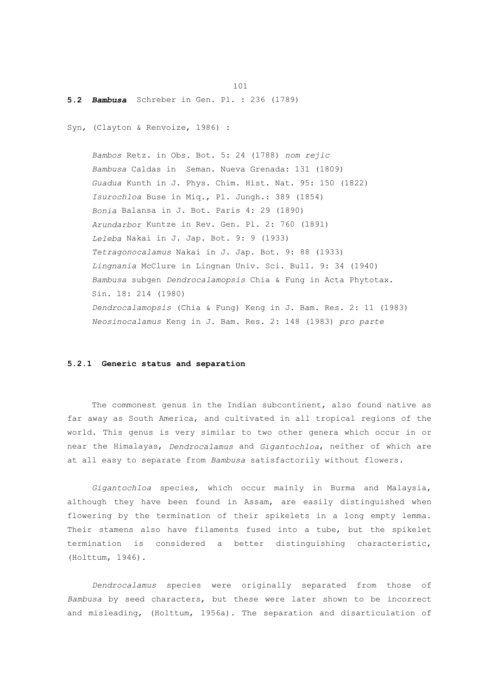#### **5.2** *Bambusa* Schreber in Gen. Pl. : 236 (1789)

Syn, (Clayton & Renvoize, 1986) :

101

 *Bambos* Retz. in Obs. Bot. 5: 24 (1788) *nom rejic Bambusa* Caldas in Seman. Nueva Grenada: 131 (1809)  *Guadua* Kunth in J. Phys. Chim. Hist. Nat. 95: 150 (1822)  *Isurochloa* Buse in Miq., Pl. Jungh.: 389 (1854)  *Bonia* Balansa in J. Bot. Paris 4: 29 (1890)  *Arundarbor* Kuntze in Rev. Gen. Pl. 2: 760 (1891)  *Leleba* Nakai in J. Jap. Bot. 9: 9 (1933)  *Tetragonocalamus* Nakai in J. Jap. Bot. 9: 88 (1933)  *Lingnania* McClure in Lingnan Univ. Sci. Bull. 9: 34 (1940)  *Bambusa* subgen *Dendrocalamopsis* Chia & Fung in Acta Phytotax. Sin. 18: 214 (1980)  *Dendrocalamopsis* (Chia & Fung) Keng in J. Bam. Res. 2: 11 (1983)  *Neosinocalamus* Keng in J. Bam. Res. 2: 148 (1983) *pro parte*

## **5.2.1 Generic status and separation**

 The commonest genus in the Indian subcontinent, also found native as far away as South America, and cultivated in all tropical regions of the world. This genus is very similar to two other genera which occur in or near the Himalayas, *Dendrocalamus* and *Gigantochloa*, neither of which are at all easy to separate from *Bambusa* satisfactorily without flowers.

 *Gigantochloa* species, which occur mainly in Burma and Malaysia, although they have been found in Assam, are easily distinguished when flowering by the termination of their spikelets in a long empty lemma. Their stamens also have filaments fused into a tube, but the spikelet termination is considered a better distinguishing characteristic, (Holttum, 1946).

 *Dendrocalamus* species were originally separated from those of *Bambusa* by seed characters, but these were later shown to be incorrect and misleading, (Holttum, 1956a). The separation and disarticulation of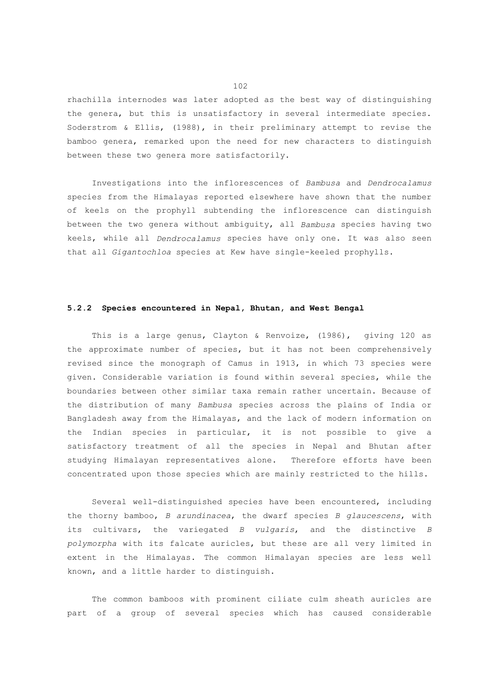rhachilla internodes was later adopted as the best way of distinguishing the genera, but this is unsatisfactory in several intermediate species. Soderstrom & Ellis, (1988), in their preliminary attempt to revise the bamboo genera, remarked upon the need for new characters to distinguish between these two genera more satisfactorily.

 Investigations into the inflorescences of *Bambusa* and *Dendrocalamus* species from the Himalayas reported elsewhere have shown that the number of keels on the prophyll subtending the inflorescence can distinguish between the two genera without ambiguity, all *Bambusa* species having two keels, while all *Dendrocalamus* species have only one. It was also seen that all *Gigantochloa* species at Kew have single-keeled prophylls.

#### **5.2.2 Species encountered in Nepal, Bhutan, and West Bengal**

 This is a large genus, Clayton & Renvoize, (1986), giving 120 as the approximate number of species, but it has not been comprehensively revised since the monograph of Camus in 1913, in which 73 species were given. Considerable variation is found within several species, while the boundaries between other similar taxa remain rather uncertain. Because of the distribution of many *Bambusa* species across the plains of India or Bangladesh away from the Himalayas, and the lack of modern information on the Indian species in particular, it is not possible to give a satisfactory treatment of all the species in Nepal and Bhutan after studying Himalayan representatives alone. Therefore efforts have been concentrated upon those species which are mainly restricted to the hills.

 Several well-distinguished species have been encountered, including the thorny bamboo, *B arundinacea*, the dwarf species *B glaucescens*, with its cultivars, the variegated *B vulgaris*, and the distinctive *B polymorpha* with its falcate auricles, but these are all very limited in extent in the Himalayas. The common Himalayan species are less well known, and a little harder to distinguish.

 The common bamboos with prominent ciliate culm sheath auricles are part of a group of several species which has caused considerable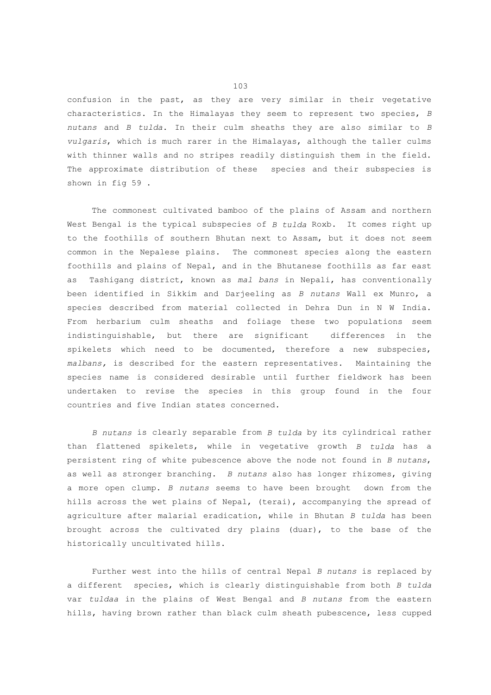confusion in the past, as they are very similar in their vegetative characteristics. In the Himalayas they seem to represent two species, *B nutans* and *B tulda*. In their culm sheaths they are also similar to *B vulgaris*, which is much rarer in the Himalayas, although the taller culms with thinner walls and no stripes readily distinguish them in the field. The approximate distribution of these species and their subspecies is shown in fig 59 .

 The commonest cultivated bamboo of the plains of Assam and northern West Bengal is the typical subspecies of *B tulda* Roxb. It comes right up to the foothills of southern Bhutan next to Assam, but it does not seem common in the Nepalese plains. The commonest species along the eastern foothills and plains of Nepal, and in the Bhutanese foothills as far east as Tashigang district, known as *mal bans* in Nepali, has conventionally been identified in Sikkim and Darjeeling as *B nutans* Wall ex Munro, a species described from material collected in Dehra Dun in N W India. From herbarium culm sheaths and foliage these two populations seem indistinguishable, but there are significant differences in the spikelets which need to be documented, therefore a new subspecies, *malbans,* is described for the eastern representatives. Maintaining the species name is considered desirable until further fieldwork has been undertaken to revise the species in this group found in the four countries and five Indian states concerned.

 *B nutans* is clearly separable from *B tulda* by its cylindrical rather than flattened spikelets, while in vegetative growth *B tulda* has a persistent ring of white pubescence above the node not found in *B nutans*, as well as stronger branching. *B nutans* also has longer rhizomes, giving a more open clump. *B nutans* seems to have been brought down from the hills across the wet plains of Nepal, (terai), accompanying the spread of agriculture after malarial eradication, while in Bhutan *B tulda* has been brought across the cultivated dry plains (duar), to the base of the historically uncultivated hills.

 Further west into the hills of central Nepal *B nutans* is replaced by a different species, which is clearly distinguishable from both *B tulda* var *tuldaa* in the plains of West Bengal and *B nutans* from the eastern hills, having brown rather than black culm sheath pubescence, less cupped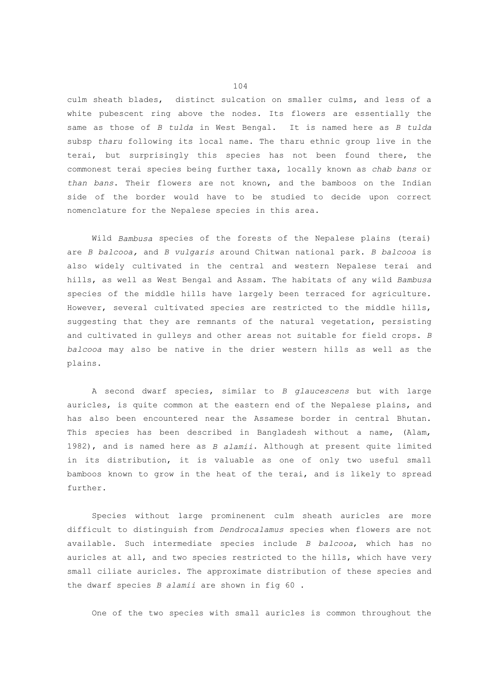culm sheath blades, distinct sulcation on smaller culms, and less of a white pubescent ring above the nodes. Its flowers are essentially the same as those of *B tulda* in West Bengal. It is named here as *B tulda* subsp *tharu* following its local name. The tharu ethnic group live in the terai, but surprisingly this species has not been found there, the commonest terai species being further taxa, locally known as *chab bans* or *than bans*. Their flowers are not known, and the bamboos on the Indian side of the border would have to be studied to decide upon correct nomenclature for the Nepalese species in this area.

 Wild *Bambusa* species of the forests of the Nepalese plains (terai) are *B balcooa,* and *B vulgaris* around Chitwan national park. *B balcooa* is also widely cultivated in the central and western Nepalese terai and hills, as well as West Bengal and Assam. The habitats of any wild *Bambusa* species of the middle hills have largely been terraced for agriculture. However, several cultivated species are restricted to the middle hills, suggesting that they are remnants of the natural vegetation, persisting and cultivated in gulleys and other areas not suitable for field crops. *B balcooa* may also be native in the drier western hills as well as the plains.

 A second dwarf species, similar to *B glaucescens* but with large auricles, is quite common at the eastern end of the Nepalese plains, and has also been encountered near the Assamese border in central Bhutan. This species has been described in Bangladesh without a name, (Alam, 1982), and is named here as *B alamii*. Although at present quite limited in its distribution, it is valuable as one of only two useful small bamboos known to grow in the heat of the terai, and is likely to spread further.

 Species without large prominenent culm sheath auricles are more difficult to distinguish from *Dendrocalamus* species when flowers are not available. Such intermediate species include *B balcooa*, which has no auricles at all, and two species restricted to the hills, which have very small ciliate auricles. The approximate distribution of these species and the dwarf species *B alamii* are shown in fig 60 .

One of the two species with small auricles is common throughout the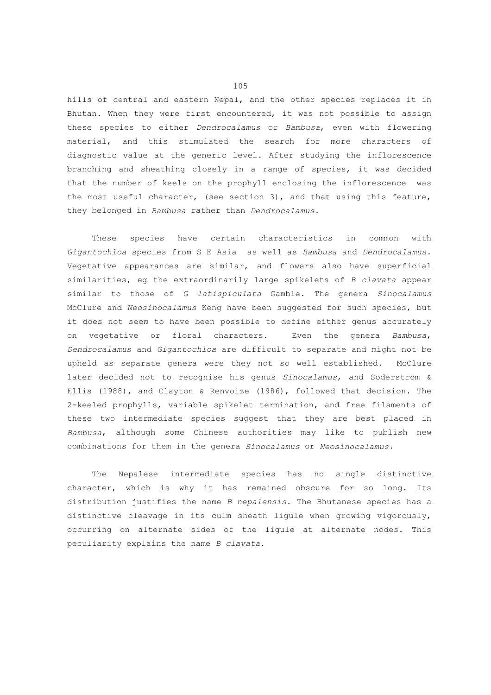hills of central and eastern Nepal, and the other species replaces it in Bhutan. When they were first encountered, it was not possible to assign these species to either *Dendrocalamus* or *Bambusa*, even with flowering material, and this stimulated the search for more characters of diagnostic value at the generic level. After studying the inflorescence branching and sheathing closely in a range of species, it was decided that the number of keels on the prophyll enclosing the inflorescence was the most useful character, (see section 3), and that using this feature, they belonged in *Bambusa* rather than *Dendrocalamus*.

 These species have certain characteristics in common with *Gigantochloa* species from S E Asia as well as *Bambusa* and *Dendrocalamus*. Vegetative appearances are similar, and flowers also have superficial similarities, eg the extraordinarily large spikelets of *B clavata* appear similar to those of *G latispiculata* Gamble. The genera *Sinocalamus* McClure and *Neosinocalamus* Keng have been suggested for such species, but it does not seem to have been possible to define either genus accurately on vegetative or floral characters. Even the genera *Bambusa*, *Dendrocalamus* and *Gigantochloa* are difficult to separate and might not be upheld as separate genera were they not so well established. McClure later decided not to recognise his genus *Sinocalamus*, and Soderstrom & Ellis (1988), and Clayton & Renvoize (1986), followed that decision. The 2-keeled prophylls, variable spikelet termination, and free filaments of these two intermediate species suggest that they are best placed in *Bambusa*, although some Chinese authorities may like to publish new combinations for them in the genera *Sinocalamus* or *Neosinocalamus*.

 The Nepalese intermediate species has no single distinctive character, which is why it has remained obscure for so long. Its distribution justifies the name *B nepalensis*. The Bhutanese species has a distinctive cleavage in its culm sheath ligule when growing vigorously, occurring on alternate sides of the ligule at alternate nodes. This peculiarity explains the name *B clavata*.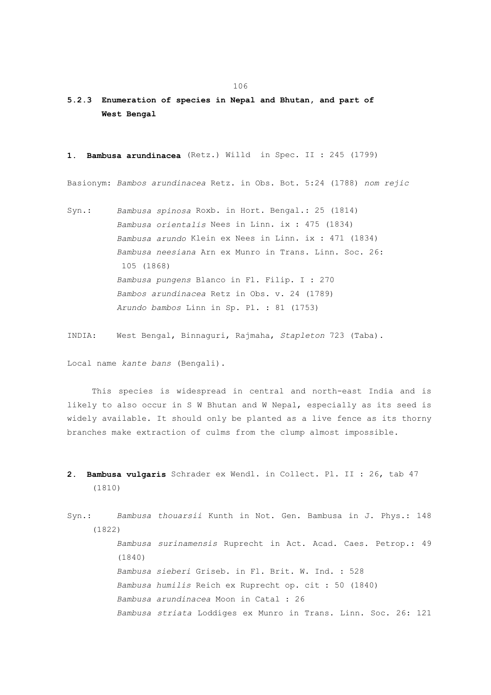## **5.2.3 Enumeration of species in Nepal and Bhutan, and part of West Bengal**

**1. Bambusa arundinacea** (Retz.) Willd in Spec. II : 245 (1799)

Basionym: *Bambos arundinacea* Retz. in Obs. Bot. 5:24 (1788) *nom rejic*

Syn.: *Bambusa spinosa* Roxb. in Hort. Bengal.: 25 (1814)  *Bambusa orientalis* Nees in Linn. ix : 475 (1834)  *Bambusa arundo* Klein ex Nees in Linn. ix : 471 (1834)  *Bambusa neesiana* Arn ex Munro in Trans. Linn. Soc. 26: 105 (1868)  *Bambusa pungens* Blanco in Fl. Filip. I : 270  *Bambos arundinacea* Retz in Obs. v. 24 (1789)  *Arundo bambos* Linn in Sp. Pl. : 81 (1753)

INDIA: West Bengal, Binnaguri, Rajmaha, *Stapleton* 723 (Taba).

Local name *kante bans* (Bengali).

 This species is widespread in central and north-east India and is likely to also occur in S W Bhutan and W Nepal, especially as its seed is widely available. It should only be planted as a live fence as its thorny branches make extraction of culms from the clump almost impossible.

**2. Bambusa vulgaris** Schrader ex Wendl. in Collect. Pl. II : 26, tab 47 (1810)

Syn.: *Bambusa thouarsii* Kunth in Not. Gen. Bambusa in J. Phys.: 148 (1822)  *Bambusa surinamensis* Ruprecht in Act. Acad. Caes. Petrop.: 49 (1840)  *Bambusa sieberi* Griseb. in Fl. Brit. W. Ind. : 528  *Bambusa humilis* Reich ex Ruprecht op. cit : 50 (1840)  *Bambusa arundinacea* Moon in Catal : 26  *Bambusa striata* Loddiges ex Munro in Trans. Linn. Soc. 26: 121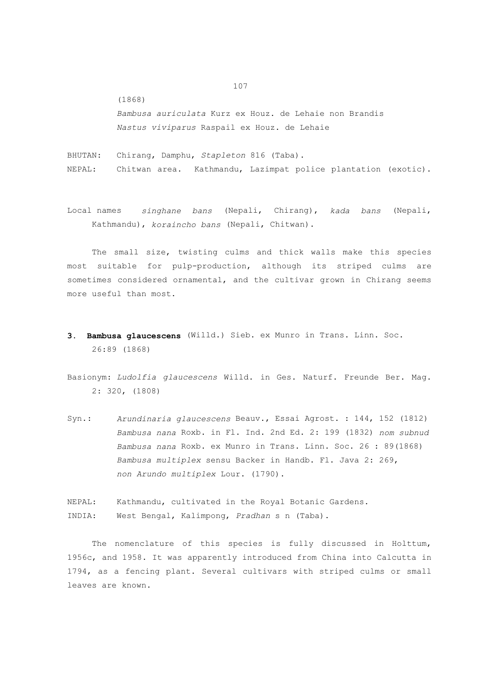(1868)

 *Bambusa auriculata* Kurz ex Houz. de Lehaie non Brandis  *Nastus viviparus* Raspail ex Houz. de Lehaie

BHUTAN: Chirang, Damphu, *Stapleton* 816 (Taba). NEPAL: Chitwan area. Kathmandu, Lazimpat police plantation (exotic).

Local names *singhane bans* (Nepali, Chirang), *kada bans* (Nepali, Kathmandu), *koraincho bans* (Nepali, Chitwan).

 The small size, twisting culms and thick walls make this species most suitable for pulp-production, although its striped culms are sometimes considered ornamental, and the cultivar grown in Chirang seems more useful than most.

- **3. Bambusa glaucescens** (Willd.) Sieb. ex Munro in Trans. Linn. Soc. 26:89 (1868)
- Basionym: *Ludolfia glaucescens* Willd. in Ges. Naturf. Freunde Ber. Mag. 2: 320, (1808)
- Syn.: *Arundinaria glaucescens* Beauv., Essai Agrost. : 144, 152 (1812)  *Bambusa nana* Roxb. in Fl. Ind. 2nd Ed. 2: 199 (1832) *nom subnud Bambusa nana* Roxb. ex Munro in Trans. Linn. Soc. 26 : 89(1868)  *Bambusa multiplex* sensu Backer in Handb. Fl. Java 2: 269,  *non Arundo multiplex* Lour. (1790).

NEPAL: Kathmandu, cultivated in the Royal Botanic Gardens. INDIA: West Bengal, Kalimpong, *Pradhan* s n (Taba).

 The nomenclature of this species is fully discussed in Holttum, 1956c, and 1958. It was apparently introduced from China into Calcutta in 1794, as a fencing plant. Several cultivars with striped culms or small leaves are known.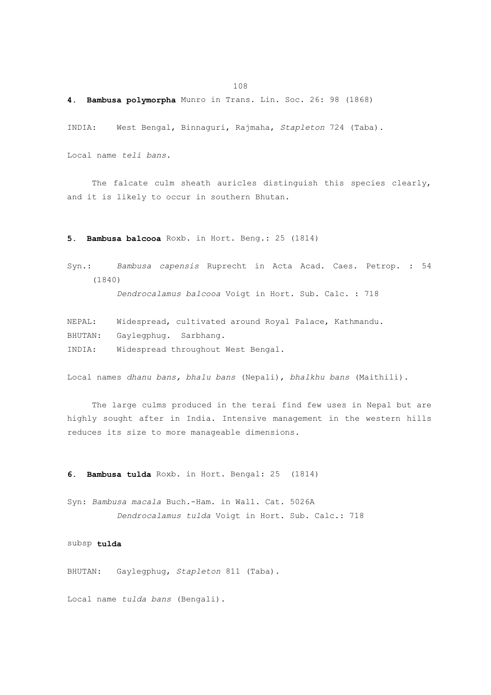# **4. Bambusa polymorpha** Munro in Trans. Lin. Soc. 26: 98 (1868)

INDIA: West Bengal, Binnaguri, Rajmaha, *Stapleton* 724 (Taba).

Local name *teli bans*.

108

 The falcate culm sheath auricles distinguish this species clearly, and it is likely to occur in southern Bhutan.

**5. Bambusa balcooa** Roxb. in Hort. Beng.: 25 (1814)

Syn.: *Bambusa capensis* Ruprecht in Acta Acad. Caes. Petrop. : 54 (1840)

 *Dendrocalamus balcooa* Voigt in Hort. Sub. Calc. : 718

NEPAL: Widespread, cultivated around Royal Palace, Kathmandu. BHUTAN: Gaylegphug. Sarbhang. INDIA: Widespread throughout West Bengal.

Local names *dhanu bans, bhalu bans* (Nepali), *bhalkhu bans* (Maithili).

 The large culms produced in the terai find few uses in Nepal but are highly sought after in India. Intensive management in the western hills reduces its size to more manageable dimensions.

**6. Bambusa tulda** Roxb. in Hort. Bengal: 25 (1814)

Syn: *Bambusa macala* Buch.-Ham. in Wall. Cat. 5026A  *Dendrocalamus tulda* Voigt in Hort. Sub. Calc.: 718

subsp **tulda**

BHUTAN: Gaylegphug, *Stapleton* 811 (Taba).

Local name *tulda bans* (Bengali).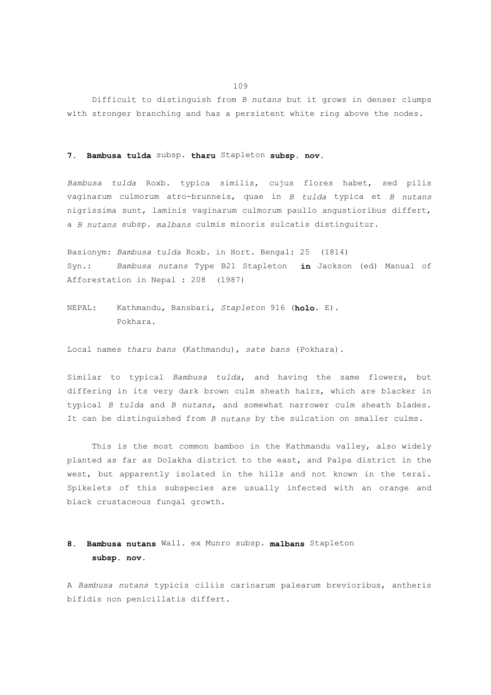Difficult to distinguish from *B nutans* but it grows in denser clumps with stronger branching and has a persistent white ring above the nodes.

#### **7. Bambusa tulda** subsp. **tharu** Stapleton **subsp. nov.**

*Bambusa tulda* Roxb. typica similis, cujus flores habet, sed pilis vaginarum culmorum atro-brunneis, quae in *B tulda* typica et *B nutans* nigrissima sunt, laminis vaginarum culmorum paullo angustioribus differt, a *B nutans* subsp. *malbans* culmis minoris sulcatis distinguitur.

Basionym: *Bambusa tulda* Roxb. in Hort. Bengal: 25 (1814) Syn.: *Bambusa nutans* Type B21 Stapleton **in** Jackson (ed) Manual of Afforestation in Nepal : 208 (1987)

NEPAL: Kathmandu, Bansbari, *Stapleton* 916 (**holo**. E). Pokhara.

Local names *tharu bans* (Kathmandu), *sate bans* (Pokhara).

Similar to typical *Bambusa tulda*, and having the same flowers, but differing in its very dark brown culm sheath hairs, which are blacker in typical *B tulda* and *B nutans*, and somewhat narrower culm sheath blades. It can be distinguished from *B nutans* by the sulcation on smaller culms.

This is the most common bamboo in the Kathmandu valley, also widely planted as far as Dolakha district to the east, and Palpa district in the west, but apparently isolated in the hills and not known in the terai. Spikelets of this subspecies are usually infected with an orange and black crustaceous fungal growth.

# **8. Bambusa nutans** Wall. ex Munro subsp. **malbans** Stapleton  **subsp. nov.**

A *Bambusa nutans* typicis ciliis carinarum palearum brevioribus, antheris bifidis non penicillatis differt.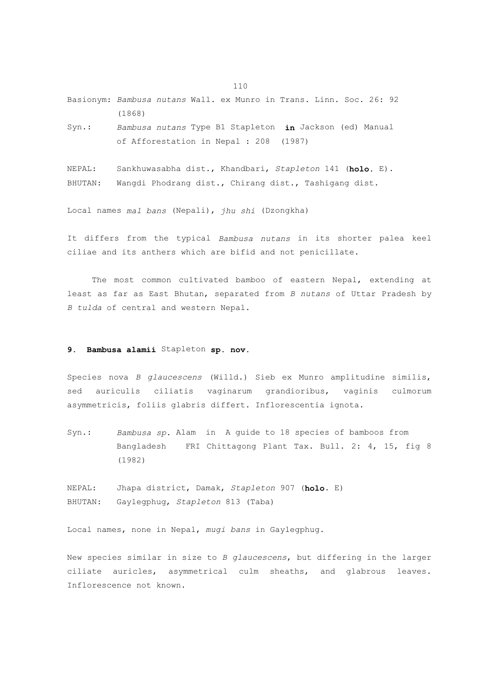Basionym: *Bambusa nutans* Wall. ex Munro in Trans. Linn. Soc. 26: 92 (1868)

Syn.: *Bambusa nutans* Type B1 Stapleton **in** Jackson (ed) Manual of Afforestation in Nepal : 208 (1987)

NEPAL: Sankhuwasabha dist., Khandbari, *Stapleton* 141 (**holo.** E). BHUTAN: Wangdi Phodrang dist., Chirang dist., Tashigang dist.

Local names *mal bans* (Nepali), *jhu shi* (Dzongkha)

It differs from the typical *Bambusa nutans* in its shorter palea keel ciliae and its anthers which are bifid and not penicillate.

 The most common cultivated bamboo of eastern Nepal, extending at least as far as East Bhutan, separated from *B nutans* of Uttar Pradesh by *B tulda* of central and western Nepal.

## **9. Bambusa alamii** Stapleton **sp. nov.**

Species nova *B glaucescens* (Willd.) Sieb ex Munro amplitudine similis, sed auriculis ciliatis vaginarum grandioribus, vaginis culmorum asymmetricis, foliis glabris differt. Inflorescentia ignota.

Syn.: *Bambusa sp.* Alam in A guide to 18 species of bamboos from Bangladesh FRI Chittagong Plant Tax. Bull. 2: 4, 15, fig 8 (1982)

NEPAL: Jhapa district, Damak, *Stapleton* 907 (**holo**. E) BHUTAN: Gaylegphug, *Stapleton* 813 (Taba)

Local names, none in Nepal, *mugi bans* in Gaylegphug.

New species similar in size to *B glaucescens*, but differing in the larger ciliate auricles, asymmetrical culm sheaths, and glabrous leaves. Inflorescence not known.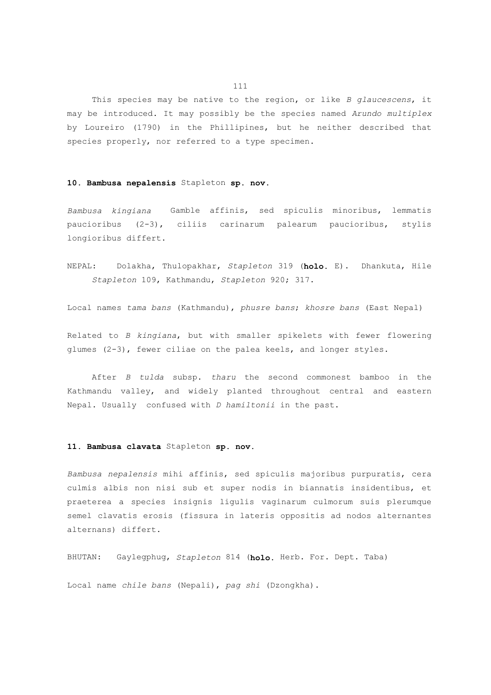This species may be native to the region, or like *B glaucescens*, it may be introduced. It may possibly be the species named *Arundo multiplex* by Loureiro (1790) in the Phillipines, but he neither described that species properly, nor referred to a type specimen.

#### **10. Bambusa nepalensis** Stapleton **sp. nov.**

*Bambusa kingiana* Gamble affinis, sed spiculis minoribus, lemmatis paucioribus (2-3), ciliis carinarum palearum paucioribus, stylis longioribus differt.

NEPAL: Dolakha, Thulopakhar, *Stapleton* 319 (**holo.** E). Dhankuta, Hile *Stapleton* 109, Kathmandu, *Stapleton* 920; 317.

Local names *tama bans* (Kathmandu), *phusre bans*; *khosre bans* (East Nepal)

Related to *B kingiana*, but with smaller spikelets with fewer flowering glumes (2-3), fewer ciliae on the palea keels, and longer styles.

 After *B tulda* subsp. *tharu* the second commonest bamboo in the Kathmandu valley, and widely planted throughout central and eastern Nepal. Usually confused with *D hamiltonii* in the past.

#### **11. Bambusa clavata** Stapleton **sp. nov.**

*Bambusa nepalensis* mihi affinis, sed spiculis majoribus purpuratis, cera culmis albis non nisi sub et super nodis in biannatis insidentibus, et praeterea a species insignis ligulis vaginarum culmorum suis plerumque semel clavatis erosis (fissura in lateris oppositis ad nodos alternantes alternans) differt.

BHUTAN: Gaylegphug, *Stapleton* 814 (**holo.** Herb. For. Dept. Taba)

Local name *chile bans* (Nepali), *pag shi* (Dzongkha).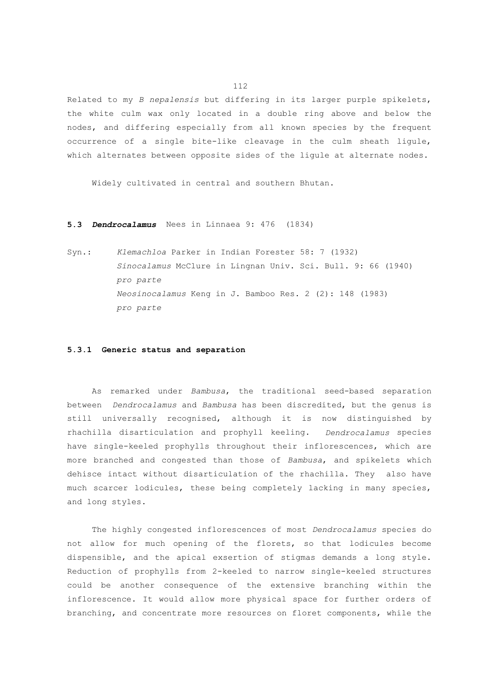Related to my *B nepalensis* but differing in its larger purple spikelets, the white culm wax only located in a double ring above and below the nodes, and differing especially from all known species by the frequent occurrence of a single bite-like cleavage in the culm sheath ligule, which alternates between opposite sides of the ligule at alternate nodes.

Widely cultivated in central and southern Bhutan.

#### **5.3** *Dendrocalamus* Nees in Linnaea 9: 476 (1834)

Syn.: *Klemachloa* Parker in Indian Forester 58: 7 (1932)  *Sinocalamus* McClure in Lingnan Univ. Sci. Bull. 9: 66 (1940)  *pro parte Neosinocalamus* Keng in J. Bamboo Res. 2 (2): 148 (1983)  *pro parte*

## **5.3.1 Generic status and separation**

 As remarked under *Bambusa*, the traditional seed-based separation between *Dendrocalamus* and *Bambusa* has been discredited, but the genus is still universally recognised, although it is now distinguished by rhachilla disarticulation and prophyll keeling. *Dendrocalamus* species have single-keeled prophylls throughout their inflorescences, which are more branched and congested than those of *Bambusa*, and spikelets which dehisce intact without disarticulation of the rhachilla. They also have much scarcer lodicules, these being completely lacking in many species, and long styles.

 The highly congested inflorescences of most *Dendrocalamus* species do not allow for much opening of the florets, so that lodicules become dispensible, and the apical exsertion of stigmas demands a long style. Reduction of prophylls from 2-keeled to narrow single-keeled structures could be another consequence of the extensive branching within the inflorescence. It would allow more physical space for further orders of branching, and concentrate more resources on floret components, while the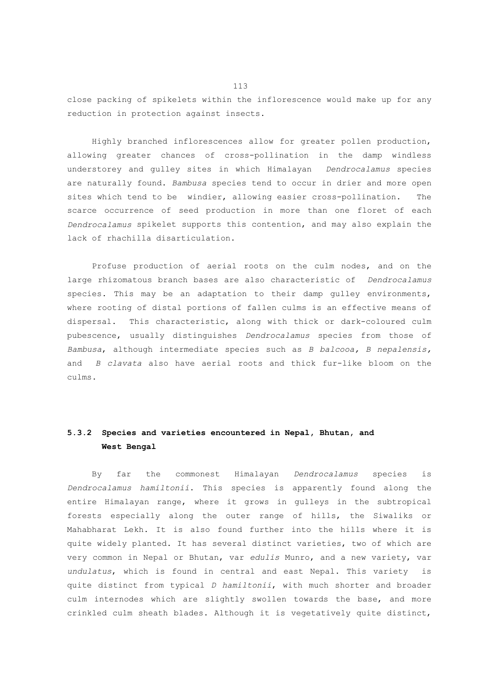close packing of spikelets within the inflorescence would make up for any reduction in protection against insects.

 Highly branched inflorescences allow for greater pollen production, allowing greater chances of cross-pollination in the damp windless understorey and gulley sites in which Himalayan *Dendrocalamus* species are naturally found. *Bambusa* species tend to occur in drier and more open sites which tend to be windier, allowing easier cross-pollination. The scarce occurrence of seed production in more than one floret of each *Dendrocalamus* spikelet supports this contention, and may also explain the lack of rhachilla disarticulation.

 Profuse production of aerial roots on the culm nodes, and on the large rhizomatous branch bases are also characteristic of *Dendrocalamus* species. This may be an adaptation to their damp gulley environments, where rooting of distal portions of fallen culms is an effective means of dispersal. This characteristic, along with thick or dark-coloured culm pubescence, usually distinguishes *Dendrocalamus* species from those of *Bambusa*, although intermediate species such as *B balcooa, B nepalensis,*  and *B clavata* also have aerial roots and thick fur-like bloom on the culms.

## **5.3.2 Species and varieties encountered in Nepal, Bhutan, and West Bengal**

 By far the commonest Himalayan *Dendrocalamus* species is *Dendrocalamus hamiltonii*. This species is apparently found along the entire Himalayan range, where it grows in gulleys in the subtropical forests especially along the outer range of hills, the Siwaliks or Mahabharat Lekh. It is also found further into the hills where it is quite widely planted. It has several distinct varieties, two of which are very common in Nepal or Bhutan, var *edulis* Munro, and a new variety, var *undulatus*, which is found in central and east Nepal. This variety is quite distinct from typical *D hamiltonii*, with much shorter and broader culm internodes which are slightly swollen towards the base, and more crinkled culm sheath blades. Although it is vegetatively quite distinct,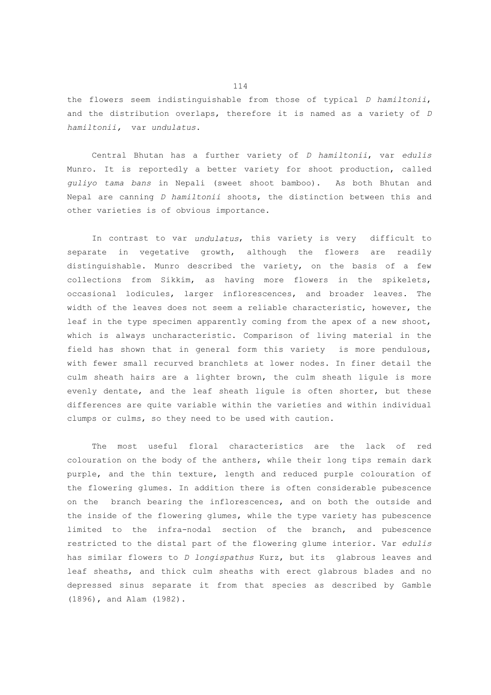the flowers seem indistinguishable from those of typical *D hamiltonii*, and the distribution overlaps, therefore it is named as a variety of *D hamiltonii,* var *undulatus*.

 Central Bhutan has a further variety of *D hamiltonii*, var *edulis* Munro. It is reportedly a better variety for shoot production, called *guliyo tama bans* in Nepali (sweet shoot bamboo). As both Bhutan and Nepal are canning *D hamiltonii* shoots, the distinction between this and other varieties is of obvious importance.

 In contrast to var *undulatus*, this variety is very difficult to separate in vegetative growth, although the flowers are readily distinguishable. Munro described the variety, on the basis of a few collections from Sikkim, as having more flowers in the spikelets, occasional lodicules, larger inflorescences, and broader leaves. The width of the leaves does not seem a reliable characteristic, however, the leaf in the type specimen apparently coming from the apex of a new shoot, which is always uncharacteristic. Comparison of living material in the field has shown that in general form this variety is more pendulous, with fewer small recurved branchlets at lower nodes. In finer detail the culm sheath hairs are a lighter brown, the culm sheath ligule is more evenly dentate, and the leaf sheath ligule is often shorter, but these differences are quite variable within the varieties and within individual clumps or culms, so they need to be used with caution.

 The most useful floral characteristics are the lack of red colouration on the body of the anthers, while their long tips remain dark purple, and the thin texture, length and reduced purple colouration of the flowering glumes. In addition there is often considerable pubescence on the branch bearing the inflorescences, and on both the outside and the inside of the flowering glumes, while the type variety has pubescence limited to the infra-nodal section of the branch, and pubescence restricted to the distal part of the flowering glume interior. Var *edulis* has similar flowers to *D longispathus* Kurz, but its glabrous leaves and leaf sheaths, and thick culm sheaths with erect glabrous blades and no depressed sinus separate it from that species as described by Gamble (1896), and Alam (1982).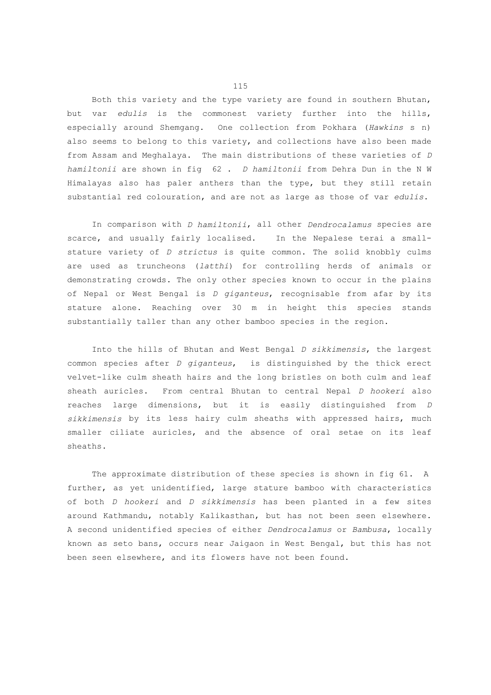Both this variety and the type variety are found in southern Bhutan, but var *edulis* is the commonest variety further into the hills, especially around Shemgang. One collection from Pokhara (*Hawkins* s n) also seems to belong to this variety, and collections have also been made from Assam and Meghalaya. The main distributions of these varieties of *D hamiltonii* are shown in fig 62 . *D hamiltonii* from Dehra Dun in the N W Himalayas also has paler anthers than the type, but they still retain substantial red colouration, and are not as large as those of var *edulis*.

 In comparison with *D hamiltonii*, all other *Dendrocalamus* species are scarce, and usually fairly localised. In the Nepalese terai a smallstature variety of *D strictus* is quite common. The solid knobbly culms are used as truncheons (*latthi*) for controlling herds of animals or demonstrating crowds. The only other species known to occur in the plains of Nepal or West Bengal is *D giganteus*, recognisable from afar by its stature alone. Reaching over 30 m in height this species stands substantially taller than any other bamboo species in the region.

 Into the hills of Bhutan and West Bengal *D sikkimensis*, the largest common species after *D giganteus*, is distinguished by the thick erect velvet-like culm sheath hairs and the long bristles on both culm and leaf sheath auricles. From central Bhutan to central Nepal *D hookeri* also reaches large dimensions, but it is easily distinguished from *D sikkimensis* by its less hairy culm sheaths with appressed hairs, much smaller ciliate auricles, and the absence of oral setae on its leaf sheaths.

 The approximate distribution of these species is shown in fig 61. A further, as yet unidentified, large stature bamboo with characteristics of both *D hookeri* and *D sikkimensis* has been planted in a few sites around Kathmandu, notably Kalikasthan, but has not been seen elsewhere. A second unidentified species of either *Dendrocalamus* or *Bambusa*, locally known as seto bans, occurs near Jaigaon in West Bengal, but this has not been seen elsewhere, and its flowers have not been found.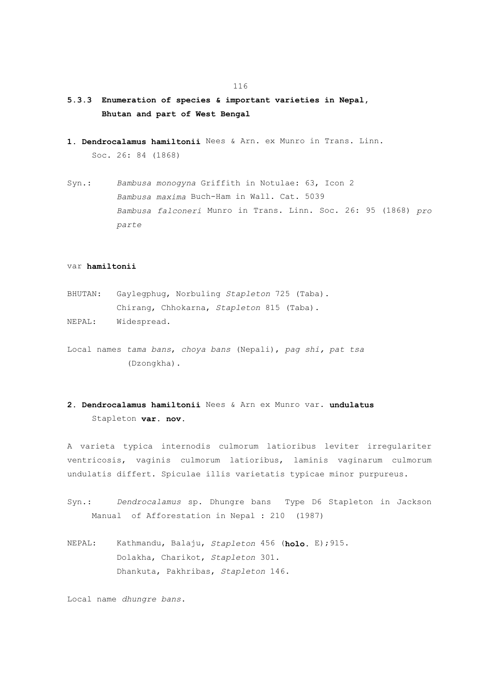- **5.3.3 Enumeration of species & important varieties in Nepal, Bhutan and part of West Bengal**
- **1. Dendrocalamus hamiltonii** Nees & Arn. ex Munro in Trans. Linn. Soc. 26: 84 (1868)
- Syn.: *Bambusa monogyna* Griffith in Notulae: 63, Icon 2  *Bambusa maxima* Buch-Ham in Wall. Cat. 5039  *Bambusa falconeri* Munro in Trans. Linn. Soc. 26: 95 (1868) *pro parte*

## var **hamiltonii**

- BHUTAN: Gaylegphug, Norbuling *Stapleton* 725 (Taba). Chirang, Chhokarna, *Stapleton* 815 (Taba).
- NEPAL: Widespread.
- Local names *tama bans*, *choya bans* (Nepali), *pag shi, pat tsa* (Dzongkha).

## **2. Dendrocalamus hamiltonii** Nees & Arn ex Munro var. **undulatus** Stapleton **var. nov.**

A varieta typica internodis culmorum latioribus leviter irregulariter ventricosis, vaginis culmorum latioribus, laminis vaginarum culmorum undulatis differt. Spiculae illis varietatis typicae minor purpureus.

- Syn.: *Dendrocalamus* sp. Dhungre bans Type D6 Stapleton in Jackson Manual of Afforestation in Nepal : 210 (1987)
- NEPAL: Kathmandu, Balaju, *Stapleton* 456 (**holo.** E);915. Dolakha, Charikot, *Stapleton* 301. Dhankuta, Pakhribas, *Stapleton* 146.

Local name *dhungre bans*.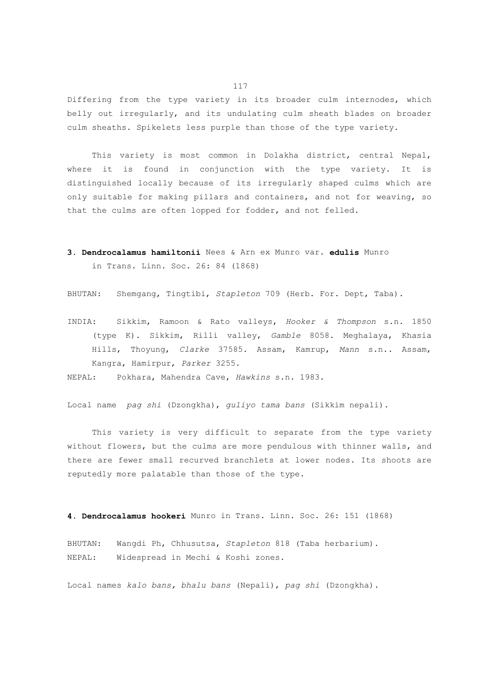Differing from the type variety in its broader culm internodes, which belly out irregularly, and its undulating culm sheath blades on broader culm sheaths. Spikelets less purple than those of the type variety.

 This variety is most common in Dolakha district, central Nepal, where it is found in conjunction with the type variety. It is distinguished locally because of its irregularly shaped culms which are only suitable for making pillars and containers, and not for weaving, so that the culms are often lopped for fodder, and not felled.

**3. Dendrocalamus hamiltonii** Nees & Arn ex Munro var. **edulis** Munro in Trans. Linn. Soc. 26: 84 (1868)

BHUTAN: Shemgang, Tingtibi, *Stapleton* 709 (Herb. For. Dept, Taba).

INDIA: Sikkim, Ramoon & Rato valleys, *Hooker & Thompson* s.n. 1850 (type K). Sikkim, Rilli valley, *Gamble* 8058. Meghalaya, Khasia Hills, Thoyung, *Clarke* 37585. Assam, Kamrup, *Mann* s.n.. Assam, Kangra, Hamirpur, *Parker* 3255.

NEPAL: Pokhara, Mahendra Cave, *Hawkins* s.n. 1983.

Local name *pag shi* (Dzongkha), *guliyo tama bans* (Sikkim nepali).

 This variety is very difficult to separate from the type variety without flowers, but the culms are more pendulous with thinner walls, and there are fewer small recurved branchlets at lower nodes. Its shoots are reputedly more palatable than those of the type.

**4. Dendrocalamus hookeri** Munro in Trans. Linn. Soc. 26: 151 (1868)

BHUTAN: Wangdi Ph, Chhusutsa, *Stapleton* 818 (Taba herbarium). NEPAL: Widespread in Mechi & Koshi zones.

Local names *kalo bans, bhalu bans* (Nepali), *pag shi* (Dzongkha).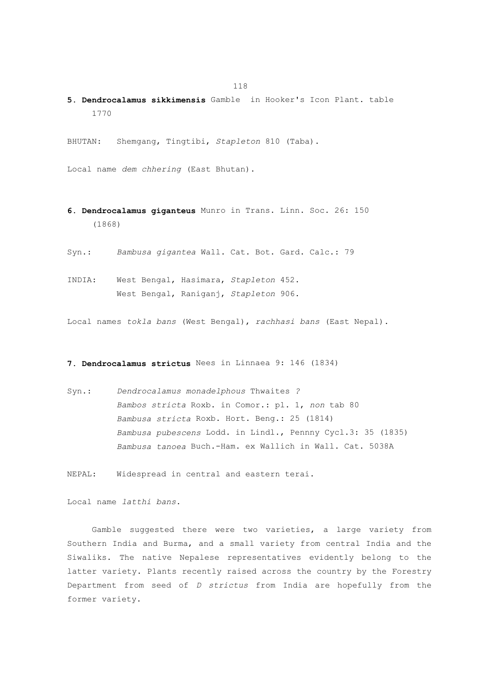**5. Dendrocalamus sikkimensis** Gamble in Hooker's Icon Plant. table 1770

BHUTAN: Shemgang, Tingtibi, *Stapleton* 810 (Taba).

Local name *dem chhering* (East Bhutan).

- **6. Dendrocalamus giganteus** Munro in Trans. Linn. Soc. 26: 150 (1868)
- Syn.: *Bambusa gigantea* Wall. Cat. Bot. Gard. Calc.: 79
- INDIA: West Bengal, Hasimara, *Stapleton* 452. West Bengal, Raniganj, *Stapleton* 906.

Local names *tokla bans* (West Bengal), *rachhasi bans* (East Nepal).

## **7. Dendrocalamus strictus** Nees in Linnaea 9: 146 (1834)

Syn.: *Dendrocalamus monadelphous* Thwaites *? Bambos stricta* Roxb. in Comor.: pl. 1, *non* tab 80  *Bambusa stricta* Roxb. Hort. Beng.: 25 (1814)  *Bambusa pubescens* Lodd. in Lindl., Pennny Cycl.3: 35 (1835)  *Bambusa tanoea* Buch.-Ham. ex Wallich in Wall. Cat. 5038A

NEPAL: Widespread in central and eastern terai.

Local name *latthi bans*.

 Gamble suggested there were two varieties, a large variety from Southern India and Burma, and a small variety from central India and the Siwaliks. The native Nepalese representatives evidently belong to the latter variety. Plants recently raised across the country by the Forestry Department from seed of *D strictus* from India are hopefully from the former variety.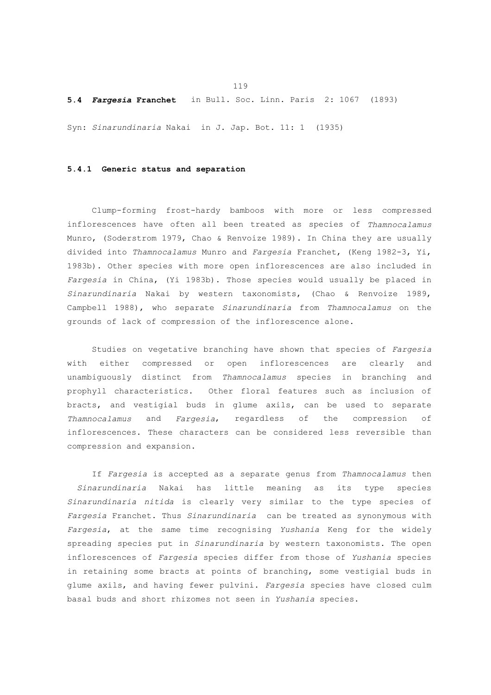**5.4** *Fargesia* **Franchet** in Bull. Soc. Linn. Paris 2: 1067 (1893)

Syn: *Sinarundinaria* Nakai in J. Jap. Bot. 11: 1 (1935)

## **5.4.1 Generic status and separation**

 Clump-forming frost-hardy bamboos with more or less compressed inflorescences have often all been treated as species of *Thamnocalamus* Munro, (Soderstrom 1979, Chao & Renvoize 1989). In China they are usually divided into *Thamnocalamus* Munro and *Fargesia* Franchet, (Keng 1982-3, Yi, 1983b). Other species with more open inflorescences are also included in *Fargesia* in China, (Yi 1983b). Those species would usually be placed in *Sinarundinaria* Nakai by western taxonomists, (Chao & Renvoize 1989, Campbell 1988), who separate *Sinarundinaria* from *Thamnocalamus* on the grounds of lack of compression of the inflorescence alone.

 Studies on vegetative branching have shown that species of *Fargesia* with either compressed or open inflorescences are clearly and unambiguously distinct from *Thamnocalamus* species in branching and prophyll characteristics. Other floral features such as inclusion of bracts, and vestigial buds in glume axils, can be used to separate *Thamnocalamus* and *Fargesia*, regardless of the compression of inflorescences. These characters can be considered less reversible than compression and expansion.

 If *Fargesia* is accepted as a separate genus from *Thamnocalamus* then *Sinarundinaria* Nakai has little meaning as its type species *Sinarundinaria nitida* is clearly very similar to the type species of *Fargesia* Franchet. Thus *Sinarundinaria* can be treated as synonymous with *Fargesia*, at the same time recognising *Yushania* Keng for the widely spreading species put in *Sinarundinaria* by western taxonomists. The open inflorescences of *Fargesia* species differ from those of *Yushania* species in retaining some bracts at points of branching, some vestigial buds in glume axils, and having fewer pulvini. *Fargesia* species have closed culm basal buds and short rhizomes not seen in *Yushania* species.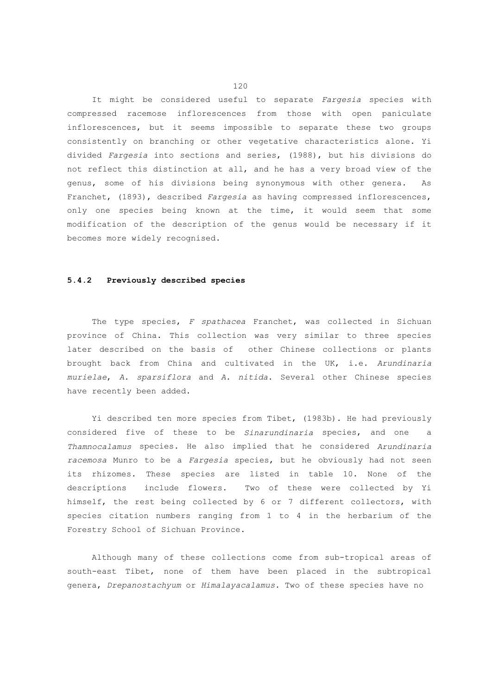It might be considered useful to separate *Fargesia* species with compressed racemose inflorescences from those with open paniculate inflorescences, but it seems impossible to separate these two groups consistently on branching or other vegetative characteristics alone. Yi divided *Fargesia* into sections and series, (1988), but his divisions do not reflect this distinction at all, and he has a very broad view of the genus, some of his divisions being synonymous with other genera. As Franchet, (1893), described *Fargesia* as having compressed inflorescences, only one species being known at the time, it would seem that some modification of the description of the genus would be necessary if it becomes more widely recognised.

### **5.4.2 Previously described species**

 The type species, *F spathacea* Franchet, was collected in Sichuan province of China. This collection was very similar to three species later described on the basis of other Chinese collections or plants brought back from China and cultivated in the UK, i.e. *Arundinaria murielae*, *A. sparsiflora* and *A. nitida*. Several other Chinese species have recently been added.

 Yi described ten more species from Tibet, (1983b). He had previously considered five of these to be *Sinarundinaria* species, and one a *Thamnocalamus* species. He also implied that he considered *Arundinaria racemosa* Munro to be a *Fargesia* species, but he obviously had not seen its rhizomes. These species are listed in table 10. None of the descriptions include flowers. Two of these were collected by Yi himself, the rest being collected by 6 or 7 different collectors, with species citation numbers ranging from 1 to 4 in the herbarium of the Forestry School of Sichuan Province.

 Although many of these collections come from sub-tropical areas of south-east Tibet, none of them have been placed in the subtropical genera, *Drepanostachyum* or *Himalayacalamus*. Two of these species have no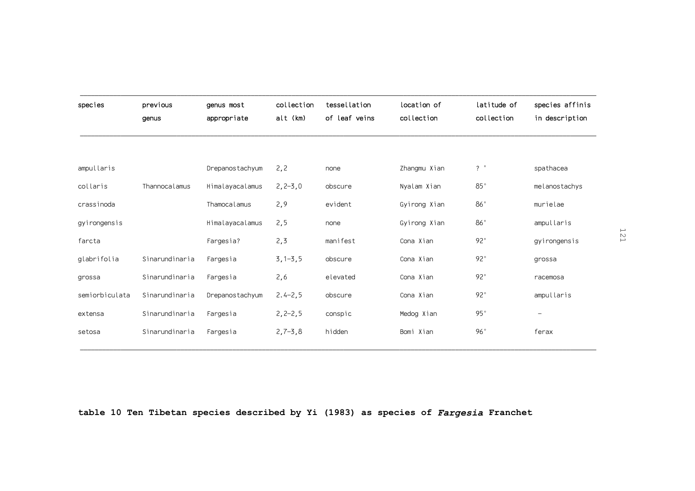| species        | previous<br>genus | genus most<br>appropriate | collection<br>alt (km) | tessellation<br>of leaf veins | location of<br>collection | latitude of<br>collection | species affinis<br>in description |
|----------------|-------------------|---------------------------|------------------------|-------------------------------|---------------------------|---------------------------|-----------------------------------|
|                |                   |                           |                        |                               |                           |                           |                                   |
| ampullaris     |                   | Drepanostachyum           | 2, 2                   | none                          | Zhangmu Xian              | $?$ $^{\circ}$            | spathacea                         |
| collaris       | Thannocalamus     | Himalayacalamus           | $2, 2 - 3, 0$          | obscure                       | Nyalam Xian               | $85^{\circ}$              | melanostachys                     |
| crassinoda     |                   | Thamocalamus              | 2,9                    | evident                       | Gyirong Xian              | 86°                       | murielae                          |
| gyirongensis   |                   | Himalayacalamus           | 2, 5                   | none                          | Gyirong Xian              | 86°                       | ampullaris                        |
| farcta         |                   | Fargesia?                 | 2, 3                   | manifest                      | Cona Xian                 | $92^{\circ}$              | gyirongensis                      |
| glabrifolia    | Sinarundinaria    | Fargesia                  | $3, 1 - 3, 5$          | obscure                       | Cona Xian                 | $92^\circ$                | grossa                            |
| grossa         | Sinarundinaria    | Fargesia                  | 2,6                    | elevated                      | Cona Xian                 | $92^\circ$                | racemosa                          |
| semiorbiculata | Sinarundinaria    | Drepanostachyum           | $2.4 - 2,5$            | obscure                       | Cona Xian                 | $92^{\circ}$              | ampullaris                        |
| extensa        | Sinarundinaria    | Fargesia                  | $2, 2 - 2, 5$          | conspic                       | Medog Xian                | 95°                       | $\overline{\phantom{m}}$          |
| setosa         | Sinarundinaria    | Fargesia                  | $2,7-3,8$              | hidden                        | Bomi Xian                 | 96°                       | ferax                             |

**table 10 Ten Tibetan species described by Yi (1983) as species of** *Fargesia* **Franchet**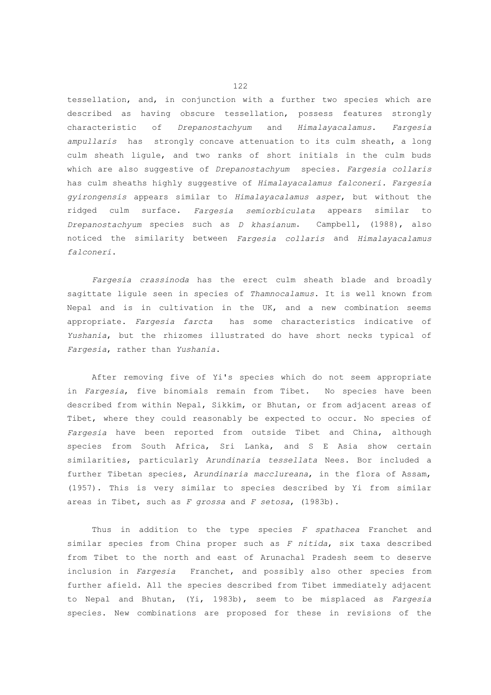tessellation, and, in conjunction with a further two species which are described as having obscure tessellation, possess features strongly characteristic of *Drepanostachyum* and *Himalayacalamus*. *Fargesia ampullaris* has strongly concave attenuation to its culm sheath, a long culm sheath ligule, and two ranks of short initials in the culm buds which are also suggestive of *Drepanostachyum* species. *Fargesia collaris* has culm sheaths highly suggestive of *Himalayacalamus falconeri. Fargesia gyirongensis* appears similar to *Himalayacalamus asper*, but without the ridged culm surface. *Fargesia semiorbiculata* appears similar to *Drepanostachyum* species such as *D khasianum*. Campbell, (1988), also noticed the similarity between *Fargesia collaris* and *Himalayacalamus falconeri*.

 *Fargesia crassinoda* has the erect culm sheath blade and broadly sagittate ligule seen in species of *Thamnocalamus*. It is well known from Nepal and is in cultivation in the UK, and a new combination seems appropriate. *Fargesia farcta* has some characteristics indicative of *Yushania*, but the rhizomes illustrated do have short necks typical of *Fargesia*, rather than *Yushania*.

 After removing five of Yi's species which do not seem appropriate in *Fargesia*, five binomials remain from Tibet. No species have been described from within Nepal, Sikkim, or Bhutan, or from adjacent areas of Tibet, where they could reasonably be expected to occur. No species of *Fargesia* have been reported from outside Tibet and China, although species from South Africa, Sri Lanka, and S E Asia show certain similarities, particularly *Arundinaria tessellata* Nees. Bor included a further Tibetan species, *Arundinaria macclureana*, in the flora of Assam, (1957). This is very similar to species described by Yi from similar areas in Tibet, such as *F grossa* and *F setosa*, (1983b).

 Thus in addition to the type species *F spathacea* Franchet and similar species from China proper such as *F nitida*, six taxa described from Tibet to the north and east of Arunachal Pradesh seem to deserve inclusion in *Fargesia* Franchet, and possibly also other species from further afield. All the species described from Tibet immediately adjacent to Nepal and Bhutan, (Yi, 1983b), seem to be misplaced as *Fargesia* species. New combinations are proposed for these in revisions of the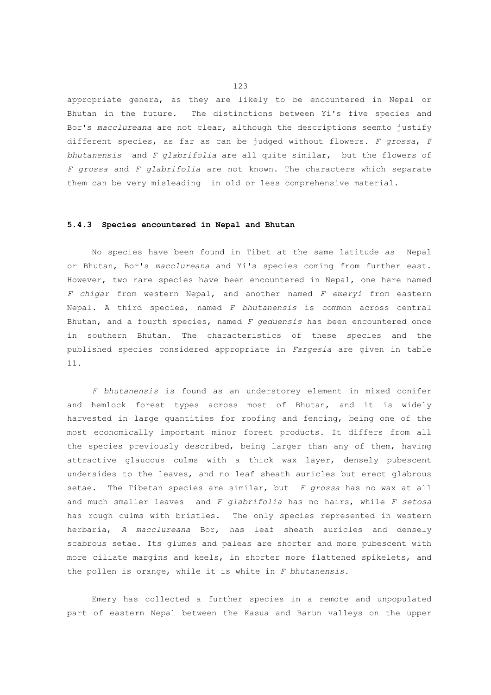appropriate genera, as they are likely to be encountered in Nepal or Bhutan in the future. The distinctions between Yi's five species and Bor's *macclureana* are not clear, although the descriptions seemto justify different species, as far as can be judged without flowers. *F grossa*, *F bhutanensis* and *F glabrifolia* are all quite similar, but the flowers of *F grossa* and *F glabrifolia* are not known. The characters which separate them can be very misleading in old or less comprehensive material.

#### **5.4.3 Species encountered in Nepal and Bhutan**

 No species have been found in Tibet at the same latitude as Nepal or Bhutan, Bor's *macclureana* and Yi's species coming from further east. However, two rare species have been encountered in Nepal, one here named *F chigar* from western Nepal, and another named *F emeryi* from eastern Nepal. A third species, named *F bhutanensis* is common across central Bhutan, and a fourth species, named *F geduensis* has been encountered once in southern Bhutan. The characteristics of these species and the published species considered appropriate in *Fargesia* are given in table 11.

 *F bhutanensis* is found as an understorey element in mixed conifer and hemlock forest types across most of Bhutan, and it is widely harvested in large quantities for roofing and fencing, being one of the most economically important minor forest products. It differs from all the species previously described, being larger than any of them, having attractive glaucous culms with a thick wax layer, densely pubescent undersides to the leaves, and no leaf sheath auricles but erect glabrous setae. The Tibetan species are similar, but *F grossa* has no wax at all and much smaller leaves and *F glabrifolia* has no hairs, while *F setosa* has rough culms with bristles. The only species represented in western herbaria, *A macclureana* Bor, has leaf sheath auricles and densely scabrous setae. Its glumes and paleas are shorter and more pubescent with more ciliate margins and keels, in shorter more flattened spikelets, and the pollen is orange, while it is white in *F bhutanensis*.

 Emery has collected a further species in a remote and unpopulated part of eastern Nepal between the Kasua and Barun valleys on the upper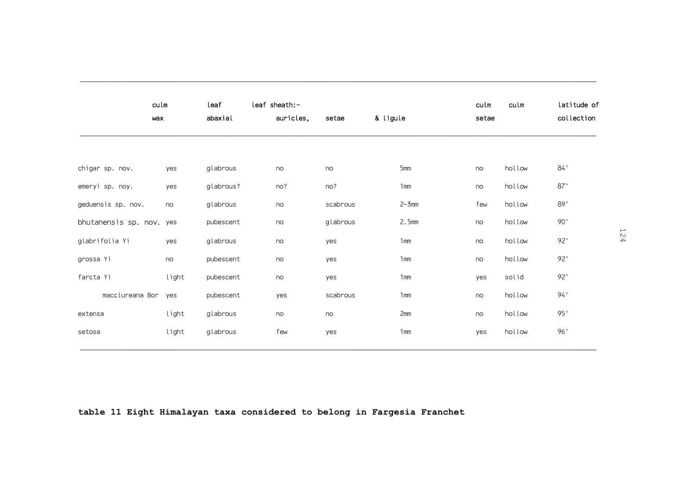|                          | culm<br>wax | leaf<br>abaxial | leaf sheath:-<br>auricles, | setae    | & ligule        | culm<br>setae | culm   | latitude of<br>collection |
|--------------------------|-------------|-----------------|----------------------------|----------|-----------------|---------------|--------|---------------------------|
|                          |             |                 |                            |          |                 |               |        |                           |
| chigar sp. nov.          | yes         | glabrous        | no                         | no       | 5mm             | no            | hollow | $84\,^{\circ}$            |
| emeryi sp. noy.          | yes         | glabrous?       | no?                        | no?      | 1mm             | no            | hollow | 87°                       |
| geduensis sp. nov.       | no          | glabrous        | no                         | scabrous | $2 - 3$ mm      | few           | hollow | 89°                       |
| bhutanensis sp. nov. yes |             | pubescent       | no                         | glabrous | 2.5mm           | no            | hollow | $90^{\circ}$              |
| glabrifolia Yi           | yes         | glabrous        | no                         | yes      | 1mm             | no            | hollow | 92°                       |
| grossa Yi                | no          | pubescent       | no                         | yes      | 1mm             | no            | hollow | $92^{\circ}$              |
| farcta Yi                | light       | pubescent       | no                         | yes      | 1 <sub>mm</sub> | yes           | solid  | $92^{\circ}$              |
| macclureana Bor          | yes         | pubescent       | yes                        | scabrous | 1 <sub>mm</sub> | no            | hollow | $94^{\circ}$              |
| extensa                  | light       | glabrous        | no                         | no       | 2mm             | no            | hollow | $95^{\circ}$              |
| setosa                   | light       | glabrous        | few                        | yes      | 1 <sub>mm</sub> | yes           | hollow | 96°                       |

**table 11 Eight Himalayan taxa considered to belong in Fargesia Franchet**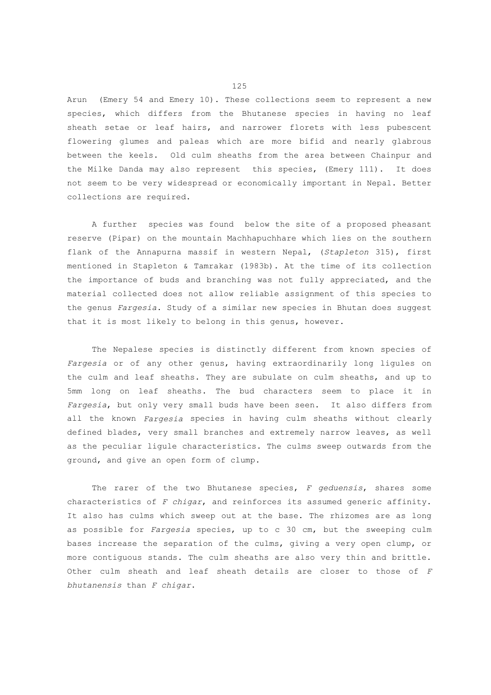Arun (Emery 54 and Emery 10). These collections seem to represent a new species, which differs from the Bhutanese species in having no leaf sheath setae or leaf hairs, and narrower florets with less pubescent flowering glumes and paleas which are more bifid and nearly glabrous between the keels. Old culm sheaths from the area between Chainpur and the Milke Danda may also represent this species, (Emery 111). It does not seem to be very widespread or economically important in Nepal. Better collections are required.

 A further species was found below the site of a proposed pheasant reserve (Pipar) on the mountain Machhapuchhare which lies on the southern flank of the Annapurna massif in western Nepal, (*Stapleton* 315), first mentioned in Stapleton & Tamrakar (1983b). At the time of its collection the importance of buds and branching was not fully appreciated, and the material collected does not allow reliable assignment of this species to the genus *Fargesia*. Study of a similar new species in Bhutan does suggest that it is most likely to belong in this genus, however.

 The Nepalese species is distinctly different from known species of *Fargesia* or of any other genus, having extraordinarily long ligules on the culm and leaf sheaths. They are subulate on culm sheaths, and up to 5mm long on leaf sheaths. The bud characters seem to place it in *Fargesia*, but only very small buds have been seen. It also differs from all the known *Fargesia* species in having culm sheaths without clearly defined blades, very small branches and extremely narrow leaves, as well as the peculiar ligule characteristics. The culms sweep outwards from the ground, and give an open form of clump.

 The rarer of the two Bhutanese species, *F geduensis*, shares some characteristics of *F chigar*, and reinforces its assumed generic affinity. It also has culms which sweep out at the base. The rhizomes are as long as possible for *Fargesia* species, up to c 30 cm, but the sweeping culm bases increase the separation of the culms, giving a very open clump, or more contiguous stands. The culm sheaths are also very thin and brittle. Other culm sheath and leaf sheath details are closer to those of *F bhutanensis* than *F chigar*.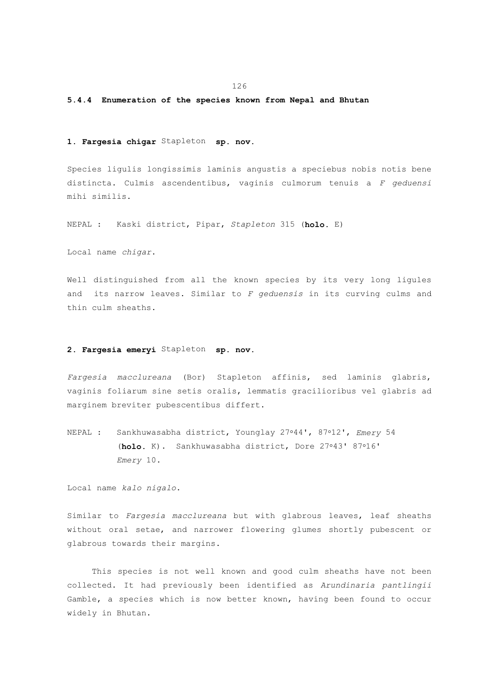## **5.4.4 Enumeration of the species known from Nepal and Bhutan**

### **1. Fargesia chigar** Stapleton **sp. nov.**

Species ligulis longissimis laminis angustis a speciebus nobis notis bene distincta. Culmis ascendentibus, vaginis culmorum tenuis a *F geduensi* mihi similis.

NEPAL : Kaski district, Pipar, *Stapleton* 315 (**holo.** E)

Local name *chigar*.

Well distinguished from all the known species by its very long ligules and its narrow leaves. Similar to *F geduensis* in its curving culms and thin culm sheaths.

## **2. Fargesia emeryi** Stapleton **sp. nov.**

*Fargesia macclureana* (Bor) Stapleton affinis, sed laminis glabris, vaginis foliarum sine setis oralis, lemmatis gracilioribus vel glabris ad marginem breviter pubescentibus differt.

NEPAL : Sankhuwasabha district, Younglay 27-44', 87-12', *Emery* 54 (holo. K). Sankhuwasabha district, Dore 27°43' 87°16'  *Emery* 10.

Local name *kalo nigalo*.

Similar to *Fargesia macclureana* but with glabrous leaves, leaf sheaths without oral setae, and narrower flowering glumes shortly pubescent or glabrous towards their margins.

 This species is not well known and good culm sheaths have not been collected. It had previously been identified as *Arundinaria pantlingii* Gamble, a species which is now better known, having been found to occur widely in Bhutan.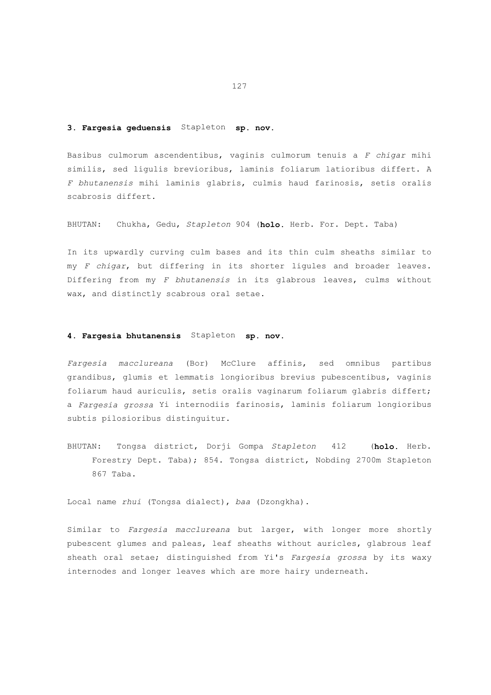#### **3. Fargesia geduensis** Stapleton **sp. nov.**

Basibus culmorum ascendentibus, vaginis culmorum tenuis a *F chigar* mihi similis, sed ligulis brevioribus, laminis foliarum latioribus differt. A *F bhutanensis* mihi laminis glabris, culmis haud farinosis, setis oralis scabrosis differt.

BHUTAN: Chukha, Gedu, *Stapleton* 904 (**holo.** Herb. For. Dept. Taba)

In its upwardly curving culm bases and its thin culm sheaths similar to my *F chigar*, but differing in its shorter ligules and broader leaves. Differing from my *F bhutanensis* in its glabrous leaves, culms without wax, and distinctly scabrous oral setae.

## **4. Fargesia bhutanensis** Stapleton **sp. nov.**

*Fargesia macclureana* (Bor) McClure affinis, sed omnibus partibus grandibus, glumis et lemmatis longioribus brevius pubescentibus, vaginis foliarum haud auriculis, setis oralis vaginarum foliarum glabris differt; a *Fargesia grossa* Yi internodiis farinosis, laminis foliarum longioribus subtis pilosioribus distinguitur.

BHUTAN: Tongsa district, Dorji Gompa *Stapleton* 412 (**holo.** Herb. Forestry Dept. Taba); 854. Tongsa district, Nobding 2700m Stapleton 867 Taba.

Local name *rhui* (Tongsa dialect), *baa* (Dzongkha).

Similar to *Fargesia macclureana* but larger, with longer more shortly pubescent glumes and paleas, leaf sheaths without auricles, glabrous leaf sheath oral setae; distinguished from Yi's *Fargesia grossa* by its waxy internodes and longer leaves which are more hairy underneath.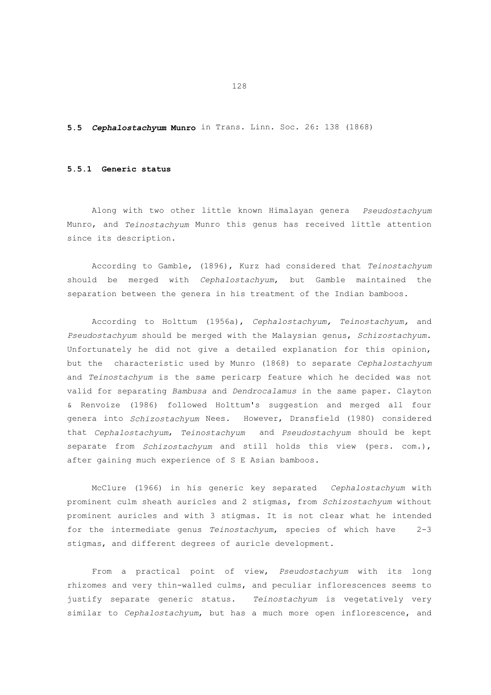## **5.5** *Cephalostachyum* **Munro** in Trans. Linn. Soc. 26: 138 (1868)

## **5.5.1 Generic status**

 Along with two other little known Himalayan genera *Pseudostachyum* Munro, and *Teinostachyum* Munro this genus has received little attention since its description.

 According to Gamble, (1896), Kurz had considered that *Teinostachyum* should be merged with *Cephalostachyum*, but Gamble maintained the separation between the genera in his treatment of the Indian bamboos.

 According to Holttum (1956a), *Cephalostachyum, Teinostachyum,* and *Pseudostachyum* should be merged with the Malaysian genus, *Schizostachyum*. Unfortunately he did not give a detailed explanation for this opinion, but the characteristic used by Munro (1868) to separate *Cephalostachyum* and *Teinostachyum* is the same pericarp feature which he decided was not valid for separating *Bambusa* and *Dendrocalamus* in the same paper. Clayton & Renvoize (1986) followed Holttum's suggestion and merged all four genera into *Schizostachyum* Nees. However, Dransfield (1980) considered that *Cephalostachyum*, *Teinostachyum* and *Pseudostachyum* should be kept separate from *Schizostachyum* and still holds this view (pers. com.), after gaining much experience of S E Asian bamboos.

 McClure (1966) in his generic key separated *Cephalostachyum* with prominent culm sheath auricles and 2 stigmas, from *Schizostachyum* without prominent auricles and with 3 stigmas. It is not clear what he intended for the intermediate genus *Teinostachyum*, species of which have 2-3 stigmas, and different degrees of auricle development.

 From a practical point of view, *Pseudostachyum* with its long rhizomes and very thin-walled culms, and peculiar inflorescences seems to justify separate generic status. *Teinostachyum* is vegetatively very similar to *Cephalostachyum*, but has a much more open inflorescence, and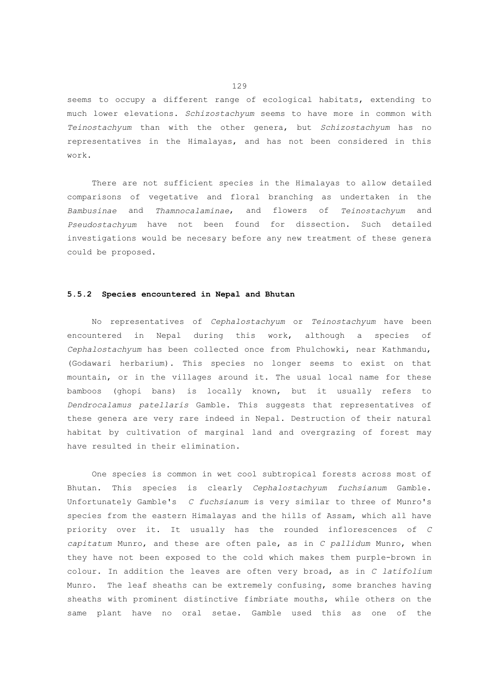seems to occupy a different range of ecological habitats, extending to much lower elevations. *Schizostachyum* seems to have more in common with *Teinostachyum* than with the other genera, but *Schizostachyum* has no representatives in the Himalayas, and has not been considered in this work.

 There are not sufficient species in the Himalayas to allow detailed comparisons of vegetative and floral branching as undertaken in the *Bambusinae* and *Thamnocalaminae*, and flowers of *Teinostachyum* and *Pseudostachyum* have not been found for dissection. Such detailed investigations would be necesary before any new treatment of these genera could be proposed.

# **5.5.2 Species encountered in Nepal and Bhutan**

 No representatives of *Cephalostachyum* or *Teinostachyum* have been encountered in Nepal during this work, although a species of *Cephalostachyum* has been collected once from Phulchowki, near Kathmandu, (Godawari herbarium). This species no longer seems to exist on that mountain, or in the villages around it. The usual local name for these bamboos (ghopi bans) is locally known, but it usually refers to *Dendrocalamus patellaris* Gamble. This suggests that representatives of these genera are very rare indeed in Nepal. Destruction of their natural habitat by cultivation of marginal land and overgrazing of forest may have resulted in their elimination.

 One species is common in wet cool subtropical forests across most of Bhutan. This species is clearly *Cephalostachyum fuchsianum* Gamble. Unfortunately Gamble's *C fuchsianum* is very similar to three of Munro's species from the eastern Himalayas and the hills of Assam, which all have priority over it. It usually has the rounded inflorescences of *C capitatum* Munro, and these are often pale, as in *C pallidum* Munro, when they have not been exposed to the cold which makes them purple-brown in colour. In addition the leaves are often very broad, as in *C latifolium* Munro. The leaf sheaths can be extremely confusing, some branches having sheaths with prominent distinctive fimbriate mouths, while others on the same plant have no oral setae. Gamble used this as one of the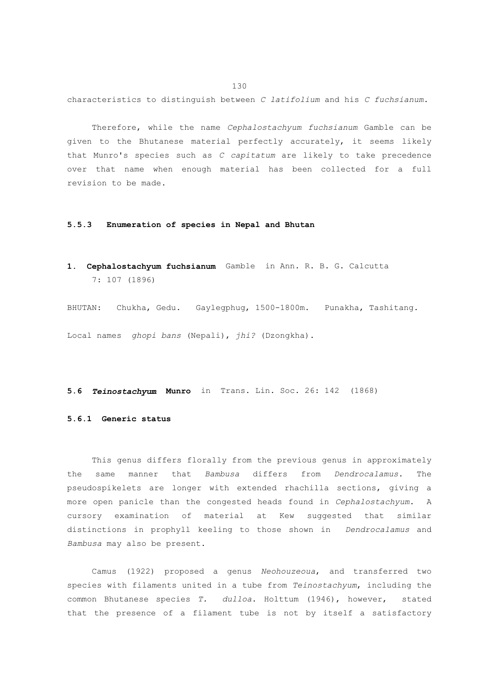characteristics to distinguish between *C latifolium* and his *C fuchsianum*.

 Therefore, while the name *Cephalostachyum fuchsianum* Gamble can be given to the Bhutanese material perfectly accurately, it seems likely that Munro's species such as *C capitatum* are likely to take precedence over that name when enough material has been collected for a full revision to be made.

#### **5.5.3 Enumeration of species in Nepal and Bhutan**

**1. Cephalostachyum fuchsianum** Gamble in Ann. R. B. G. Calcutta 7: 107 (1896)

BHUTAN: Chukha, Gedu. Gaylegphug, 1500-1800m. Punakha, Tashitang. Local names *ghopi bans* (Nepali), *jhi?* (Dzongkha).

# **5.6** *Teinostachyum* **Munro** in Trans. Lin. Soc. 26: 142 (1868)

# **5.6.1 Generic status**

 This genus differs florally from the previous genus in approximately the same manner that *Bambusa* differs from *Dendrocalamus*. The pseudospikelets are longer with extended rhachilla sections, giving a more open panicle than the congested heads found in *Cephalostachyum*. A cursory examination of material at Kew suggested that similar distinctions in prophyll keeling to those shown in *Dendrocalamus* and *Bambusa* may also be present.

 Camus (1922) proposed a genus *Neohouzeoua*, and transferred two species with filaments united in a tube from *Teinostachyum*, including the common Bhutanese species *T. dulloa*. Holttum (1946), however, stated that the presence of a filament tube is not by itself a satisfactory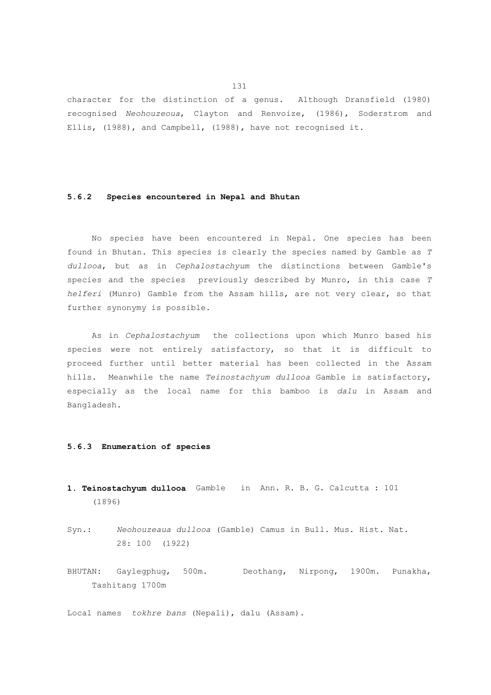character for the distinction of a genus. Although Dransfield (1980) recognised *Neohouzeoua*, Clayton and Renvoize, (1986), Soderstrom and Ellis, (1988), and Campbell, (1988), have not recognised it.

# **5.6.2 Species encountered in Nepal and Bhutan**

 No species have been encountered in Nepal. One species has been found in Bhutan. This species is clearly the species named by Gamble as *T dullooa*, but as in *Cephalostachyum* the distinctions between Gamble's species and the species previously described by Munro, in this case *T helferi* (Munro) Gamble from the Assam hills, are not very clear, so that further synonymy is possible.

 As in *Cephalostachyum* the collections upon which Munro based his species were not entirely satisfactory, so that it is difficult to proceed further until better material has been collected in the Assam hills. Meanwhile the name *Teinostachyum dullooa* Gamble is satisfactory, especially as the local name for this bamboo is *dalu* in Assam and Bangladesh.

# **5.6.3 Enumeration of species**

- **1. Teinostachyum dullooa** Gamble in Ann. R. B. G. Calcutta : 101 (1896)
- Syn.: *Neohouzeaua dullooa* (Gamble) Camus in Bull. Mus. Hist. Nat. 28: 100 (1922)
- BHUTAN: Gaylegphug, 500m. Deothang, Nirpong, 1900m. Punakha, Tashitang 1700m

Local names *tokhre bans* (Nepali), dalu (Assam).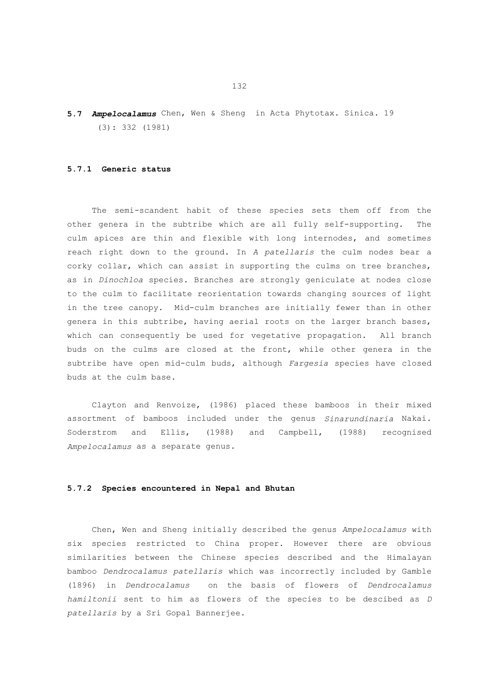**5.7** *Ampelocalamus* Chen, Wen & Sheng in Acta Phytotax. Sinica. 19 (3): 332 (1981)

## **5.7.1 Generic status**

 The semi-scandent habit of these species sets them off from the other genera in the subtribe which are all fully self-supporting. The culm apices are thin and flexible with long internodes, and sometimes reach right down to the ground. In *A patellaris* the culm nodes bear a corky collar, which can assist in supporting the culms on tree branches, as in *Dinochloa* species. Branches are strongly geniculate at nodes close to the culm to facilitate reorientation towards changing sources of light in the tree canopy. Mid-culm branches are initially fewer than in other genera in this subtribe, having aerial roots on the larger branch bases, which can consequently be used for vegetative propagation. All branch buds on the culms are closed at the front, while other genera in the subtribe have open mid-culm buds, although *Fargesia* species have closed buds at the culm base.

 Clayton and Renvoize, (1986) placed these bamboos in their mixed assortment of bamboos included under the genus *Sinarundinaria* Nakai. Soderstrom and Ellis, (1988) and Campbell, (1988) recognised *Ampelocalamus* as a separate genus.

#### **5.7.2 Species encountered in Nepal and Bhutan**

 Chen, Wen and Sheng initially described the genus *Ampelocalamus* with six species restricted to China proper. However there are obvious similarities between the Chinese species described and the Himalayan bamboo *Dendrocalamus patellaris* which was incorrectly included by Gamble (1896) in *Dendrocalamus* on the basis of flowers of *Dendrocalamus hamiltonii* sent to him as flowers of the species to be descibed as *D patellaris* by a Sri Gopal Bannerjee.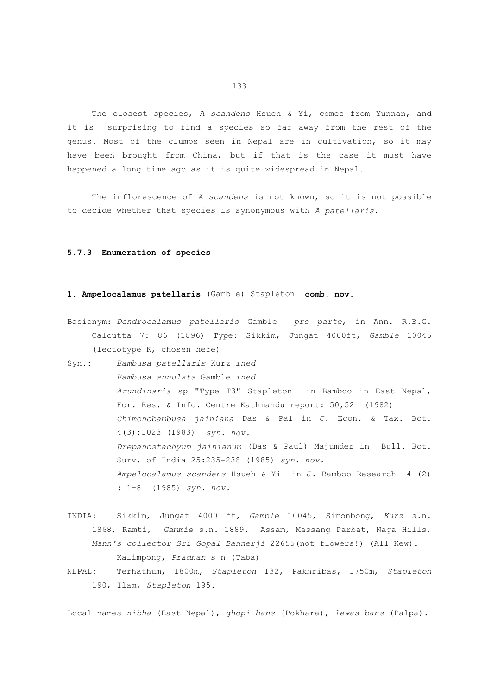The closest species, *A scandens* Hsueh & Yi, comes from Yunnan, and it is surprising to find a species so far away from the rest of the genus. Most of the clumps seen in Nepal are in cultivation, so it may have been brought from China, but if that is the case it must have happened a long time ago as it is quite widespread in Nepal.

 The inflorescence of *A scandens* is not known, so it is not possible to decide whether that species is synonymous with *A patellaris*.

## **5.7.3 Enumeration of species**

## **1. Ampelocalamus patellaris** (Gamble) Stapleton **comb. nov.**

- Basionym: *Dendrocalamus patellaris* Gamble *pro parte*, in Ann. R.B.G. Calcutta 7: 86 (1896) Type: Sikkim, Jungat 4000ft, *Gamble* 10045 (lectotype K, chosen here)
- Syn.: *Bambusa patellaris* Kurz *ined Bambusa annulata* Gamble *ined Arundinaria* sp "Type T3" Stapleton in Bamboo in East Nepal, For. Res. & Info. Centre Kathmandu report: 50,52 (1982)  *Chimonobambusa jainiana* Das & Pal in J. Econ. & Tax. Bot. 4(3):1023 (1983) *syn. nov. Drepanostachyum jainianum* (Das & Paul) Majumder in Bull. Bot. Surv. of India 25:235-238 (1985) *syn. nov. Ampelocalamus scandens* Hsueh & Yi in J. Bamboo Research 4 (2) : 1-8 (1985) *syn. nov.*
- INDIA: Sikkim, Jungat 4000 ft, *Gamble* 10045, Simonbong, *Kurz* s.n. 1868, Ramti, *Gammie* s.n. 1889. Assam, Massang Parbat, Naga Hills, *Mann's collector Sri Gopal Bannerji* 22655(not flowers!) (All Kew). Kalimpong, *Pradhan* s n (Taba)
- NEPAL: Terhathum, 1800m, *Stapleton* 132, Pakhribas, 1750m, *Stapleton* 190, Ilam, *Stapleton* 195.

Local names *nibha* (East Nepal), *ghopi bans* (Pokhara), *lewas bans* (Palpa).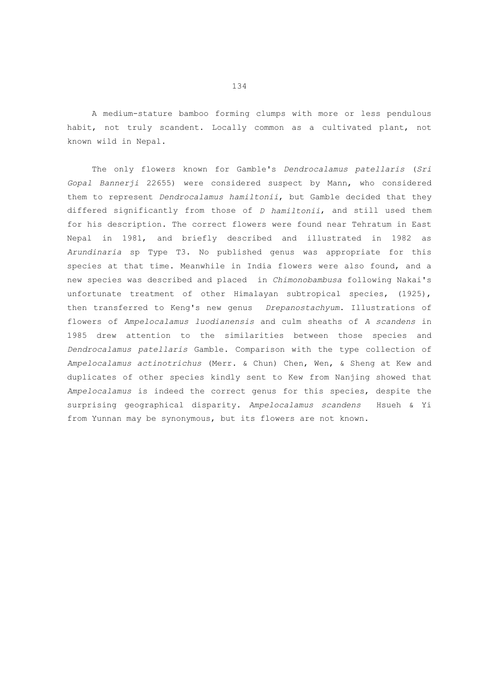A medium-stature bamboo forming clumps with more or less pendulous habit, not truly scandent. Locally common as a cultivated plant, not known wild in Nepal.

 The only flowers known for Gamble's *Dendrocalamus patellaris* (*Sri Gopal Bannerji* 22655) were considered suspect by Mann, who considered them to represent *Dendrocalamus hamiltonii*, but Gamble decided that they differed significantly from those of *D hamiltonii*, and still used them for his description. The correct flowers were found near Tehratum in East Nepal in 1981, and briefly described and illustrated in 1982 as *Arundinaria* sp Type T3. No published genus was appropriate for this species at that time. Meanwhile in India flowers were also found, and a new species was described and placed in *Chimonobambusa* following Nakai's unfortunate treatment of other Himalayan subtropical species, (1925), then transferred to Keng's new genus *Drepanostachyum*. Illustrations of flowers of *Ampelocalamus luodianensis* and culm sheaths of *A scandens* in 1985 drew attention to the similarities between those species and *Dendrocalamus patellaris* Gamble. Comparison with the type collection of *Ampelocalamus actinotrichus* (Merr. & Chun) Chen, Wen, & Sheng at Kew and duplicates of other species kindly sent to Kew from Nanjing showed that *Ampelocalamus* is indeed the correct genus for this species, despite the surprising geographical disparity. *Ampelocalamus scandens* Hsueh & Yi from Yunnan may be synonymous, but its flowers are not known.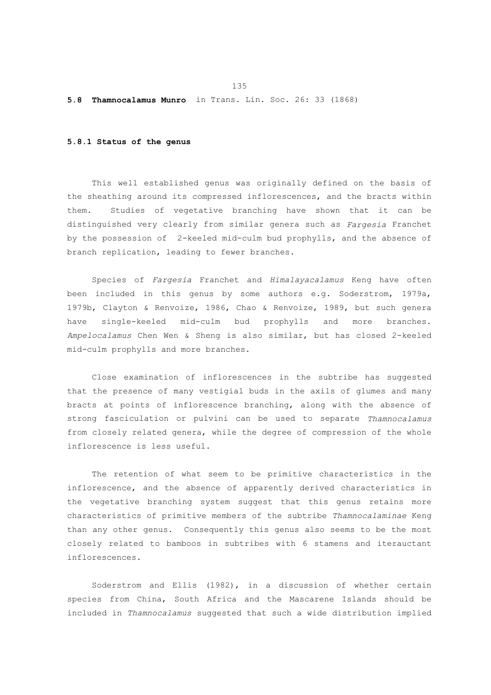#### **5.8 Thamnocalamus Munro** in Trans. Lin. Soc. 26: 33 (1868)

## **5.8.1 Status of the genus**

 This well established genus was originally defined on the basis of the sheathing around its compressed inflorescences, and the bracts within them. Studies of vegetative branching have shown that it can be distinguished very clearly from similar genera such as *Fargesia* Franchet by the possession of 2-keeled mid-culm bud prophylls, and the absence of branch replication, leading to fewer branches.

 Species of *Fargesia* Franchet and *Himalayacalamus* Keng have often been included in this genus by some authors e.g. Soderstrom, 1979a, 1979b, Clayton & Renvoize, 1986, Chao & Renvoize, 1989, but such genera have single-keeled mid-culm bud prophylls and more branches. *Ampelocalamus* Chen Wen & Sheng is also similar, but has closed 2-keeled mid-culm prophylls and more branches.

 Close examination of inflorescences in the subtribe has suggested that the presence of many vestigial buds in the axils of glumes and many bracts at points of inflorescence branching, along with the absence of strong fasciculation or pulvini can be used to separate *Thamnocalamus* from closely related genera, while the degree of compression of the whole inflorescence is less useful.

 The retention of what seem to be primitive characteristics in the inflorescence, and the absence of apparently derived characteristics in the vegetative branching system suggest that this genus retains more characteristics of primitive members of the subtribe *Thamnocalaminae* Keng than any other genus. Consequently this genus also seems to be the most closely related to bamboos in subtribes with 6 stamens and iterauctant inflorescences.

 Soderstrom and Ellis (1982), in a discussion of whether certain species from China, South Africa and the Mascarene Islands should be included in *Thamnocalamus* suggested that such a wide distribution implied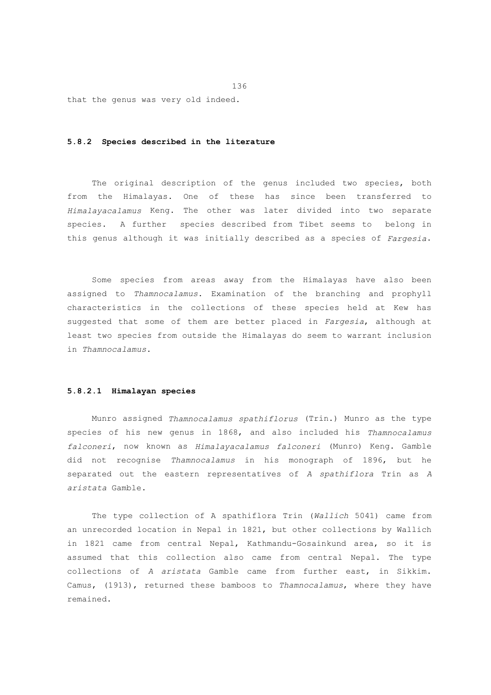that the genus was very old indeed.

## **5.8.2 Species described in the literature**

 The original description of the genus included two species, both from the Himalayas. One of these has since been transferred to *Himalayacalamus* Keng. The other was later divided into two separate species. A further species described from Tibet seems to belong in this genus although it was initially described as a species of *Fargesia*.

 Some species from areas away from the Himalayas have also been assigned to *Thamnocalamus*. Examination of the branching and prophyll characteristics in the collections of these species held at Kew has suggested that some of them are better placed in *Fargesia*, although at least two species from outside the Himalayas do seem to warrant inclusion in *Thamnocalamus*.

## **5.8.2.1 Himalayan species**

 Munro assigned *Thamnocalamus spathiflorus* (Trin.) Munro as the type species of his new genus in 1868, and also included his *Thamnocalamus falconeri*, now known as *Himalayacalamus falconeri* (Munro) Keng. Gamble did not recognise *Thamnocalamus* in his monograph of 1896, but he separated out the eastern representatives of *A spathiflora* Trin as *A aristata* Gamble.

 The type collection of A spathiflora Trin (*Wallich* 5041) came from an unrecorded location in Nepal in 1821, but other collections by Wallich in 1821 came from central Nepal, Kathmandu-Gosainkund area, so it is assumed that this collection also came from central Nepal. The type collections of *A aristata* Gamble came from further east, in Sikkim. Camus, (1913), returned these bamboos to *Thamnocalamus*, where they have remained.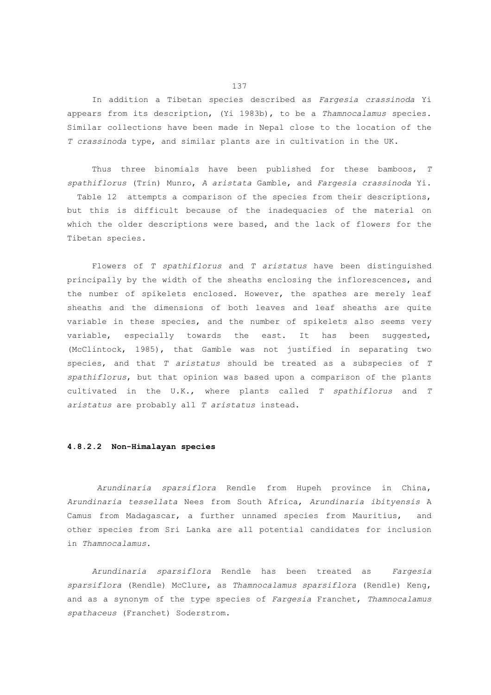In addition a Tibetan species described as *Fargesia crassinoda* Yi appears from its description, (Yi 1983b), to be a *Thamnocalamus* species. Similar collections have been made in Nepal close to the location of the *T crassinoda* type, and similar plants are in cultivation in the UK.

 Thus three binomials have been published for these bamboos, *T spathiflorus* (Trin) Munro, *A aristata* Gamble, and *Fargesia crassinoda* Yi. Table 12 attempts a comparison of the species from their descriptions, but this is difficult because of the inadequacies of the material on which the older descriptions were based, and the lack of flowers for the Tibetan species.

 Flowers of *T spathiflorus* and *T aristatus* have been distinguished principally by the width of the sheaths enclosing the inflorescences, and the number of spikelets enclosed. However, the spathes are merely leaf sheaths and the dimensions of both leaves and leaf sheaths are quite variable in these species, and the number of spikelets also seems very variable, especially towards the east. It has been suggested, (McClintock, 1985), that Gamble was not justified in separating two species, and that *T aristatus* should be treated as a subspecies of *T spathiflorus*, but that opinion was based upon a comparison of the plants cultivated in the U.K., where plants called *T spathiflorus* and *T aristatus* are probably all *T aristatus* instead.

# **4.8.2.2 Non-Himalayan species**

*Arundinaria sparsiflora* Rendle from Hupeh province in China, *Arundinaria tessellata* Nees from South Africa, *Arundinaria ibityensis* A Camus from Madagascar, a further unnamed species from Mauritius, and other species from Sri Lanka are all potential candidates for inclusion in *Thamnocalamus*.

 *Arundinaria sparsiflora* Rendle has been treated as *Fargesia sparsiflora* (Rendle) McClure, as *Thamnocalamus sparsiflora* (Rendle) Keng, and as a synonym of the type species of *Fargesia* Franchet, *Thamnocalamus spathaceus* (Franchet) Soderstrom.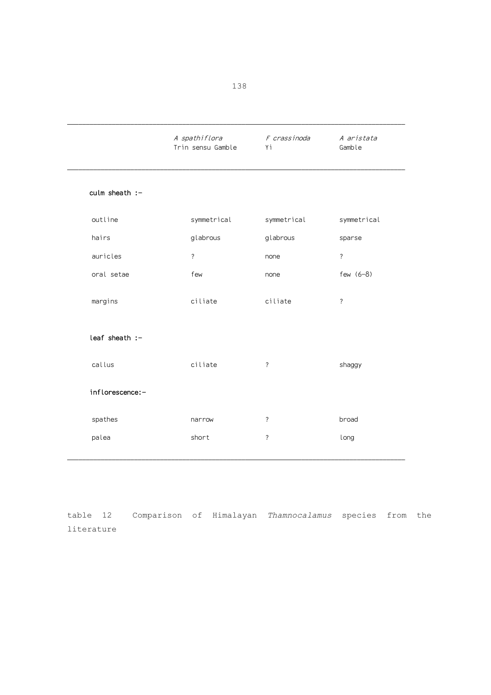|                    | A spathiflora<br>Trin sensu Gamble | F crassinoda<br>Υi       | A aristata<br>Gamble     |  |  |
|--------------------|------------------------------------|--------------------------|--------------------------|--|--|
| culm sheath $:-$   |                                    |                          |                          |  |  |
| outline            | symmetrical                        | symmetrical              | symmetrical              |  |  |
| hairs              | glabrous                           | glabrous                 | sparse                   |  |  |
| auricles           | $\overline{\phantom{a}}$           | none                     | $\overline{\phantom{a}}$ |  |  |
| oral setae         | few                                | none                     | few $(6-8)$              |  |  |
| margins            | ciliate                            | ciliate                  | $\overline{\phantom{a}}$ |  |  |
| $leaf$ sheath $:-$ |                                    |                          |                          |  |  |
| callus             | ciliate                            | $\overline{\cdot}$       | shaggy                   |  |  |
| inflorescence:-    |                                    |                          |                          |  |  |
| spathes            | narrow                             | $\overline{\phantom{a}}$ | broad                    |  |  |
| palea              | short                              | ?                        | long                     |  |  |
|                    |                                    |                          |                          |  |  |

table 12 Comparison of Himalayan *Thamnocalamus* species from the literature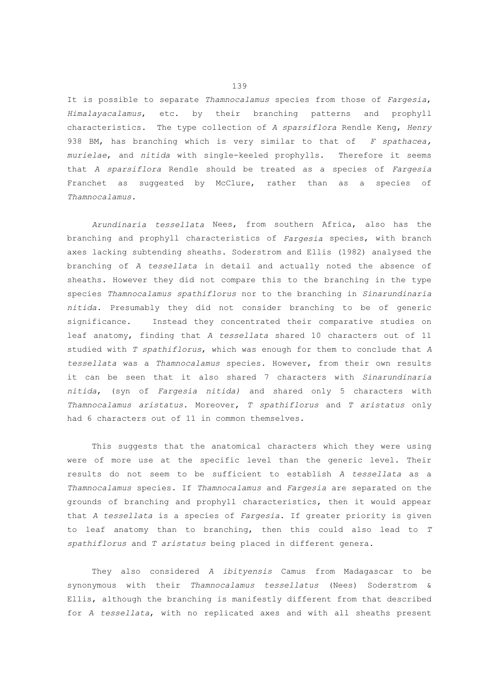It is possible to separate *Thamnocalamus* species from those of *Fargesia*, *Himalayacalamus*, etc. by their branching patterns and prophyll characteristics. The type collection of *A sparsiflora* Rendle Keng, *Henry* 938 BM, has branching which is very similar to that of *F spathacea, murielae*, and *nitida* with single-keeled prophylls. Therefore it seems that *A sparsiflora* Rendle should be treated as a species of *Fargesia* Franchet as suggested by McClure, rather than as a species of *Thamnocalamus*.

 *Arundinaria tessellata* Nees, from southern Africa, also has the branching and prophyll characteristics of *Fargesia* species, with branch axes lacking subtending sheaths. Soderstrom and Ellis (1982) analysed the branching of *A tessellata* in detail and actually noted the absence of sheaths. However they did not compare this to the branching in the type species *Thamnocalamus spathiflorus* nor to the branching in *Sinarundinaria nitida*. Presumably they did not consider branching to be of generic significance. Instead they concentrated their comparative studies on leaf anatomy, finding that *A tessellata* shared 10 characters out of 11 studied with *T spathiflorus*, which was enough for them to conclude that *A tessellata* was a *Thamnocalamus* species. However, from their own results it can be seen that it also shared 7 characters with *Sinarundinaria nitida*, (syn of *Fargesia nitida)* and shared only 5 characters with *Thamnocalamus aristatus*. Moreover, *T spathiflorus* and *T aristatus* only had 6 characters out of 11 in common themselves.

 This suggests that the anatomical characters which they were using were of more use at the specific level than the generic level. Their results do not seem to be sufficient to establish *A tessellata* as a *Thamnocalamus* species. If *Thamnocalamus* and *Fargesia* are separated on the grounds of branching and prophyll characteristics, then it would appear that *A tessellata* is a species of *Fargesia*. If greater priority is given to leaf anatomy than to branching, then this could also lead to *T spathiflorus* and *T aristatus* being placed in different genera.

 They also considered *A ibityensis* Camus from Madagascar to be synonymous with their *Thamnocalamus tessellatus* (Nees) Soderstrom & Ellis, although the branching is manifestly different from that described for *A tessellata*, with no replicated axes and with all sheaths present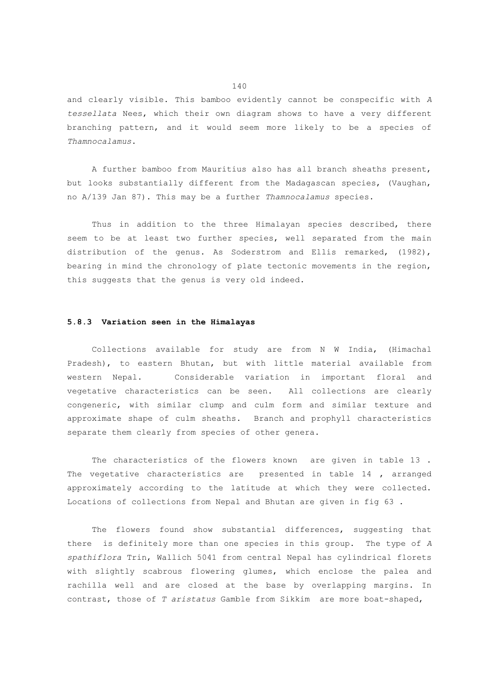and clearly visible. This bamboo evidently cannot be conspecific with *A tessellata* Nees, which their own diagram shows to have a very different branching pattern, and it would seem more likely to be a species of *Thamnocalamus*.

 A further bamboo from Mauritius also has all branch sheaths present, but looks substantially different from the Madagascan species, (Vaughan, no A/139 Jan 87). This may be a further *Thamnocalamus* species.

Thus in addition to the three Himalayan species described, there seem to be at least two further species, well separated from the main distribution of the genus. As Soderstrom and Ellis remarked, (1982), bearing in mind the chronology of plate tectonic movements in the region, this suggests that the genus is very old indeed.

# **5.8.3 Variation seen in the Himalayas**

 Collections available for study are from N W India, (Himachal Pradesh), to eastern Bhutan, but with little material available from western Nepal. Considerable variation in important floral and vegetative characteristics can be seen. All collections are clearly congeneric, with similar clump and culm form and similar texture and approximate shape of culm sheaths. Branch and prophyll characteristics separate them clearly from species of other genera.

 The characteristics of the flowers known are given in table 13 . The vegetative characteristics are presented in table 14 , arranged approximately according to the latitude at which they were collected. Locations of collections from Nepal and Bhutan are given in fig 63 .

 The flowers found show substantial differences, suggesting that there is definitely more than one species in this group. The type of *A spathiflora* Trin, Wallich 5041 from central Nepal has cylindrical florets with slightly scabrous flowering glumes, which enclose the palea and rachilla well and are closed at the base by overlapping margins. In contrast, those of *T aristatus* Gamble from Sikkim are more boat-shaped,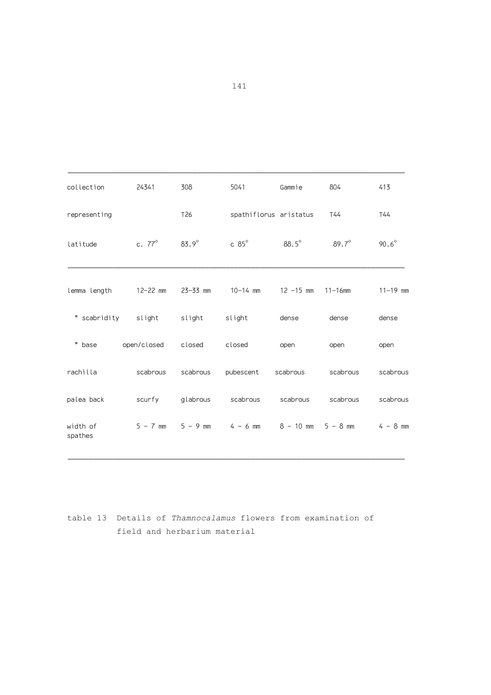| collection          | 24341                     | 308             | 5041                                                               | Gammie       | 804          | 413            |
|---------------------|---------------------------|-----------------|--------------------------------------------------------------------|--------------|--------------|----------------|
| representing        |                           | T <sub>26</sub> | spathiflorus aristatus                                             |              | T44          | T44            |
| latitude            | c. $77^\circ$             | $83.9^\circ$    | $c 85^\circ$                                                       | $88.5^\circ$ | $89.7^\circ$ | $90.6^{\circ}$ |
| lemma length        | 12-22 mm                  | $23 - 33$ mm    | $10 - 14$ mm                                                       | $12 - 15$ mm | $11 - 16$ mm | $11 - 19$ mm   |
|                     | "scabridity slight slight |                 | slight                                                             | dense        | dense        | dense          |
| " base              | open/closed closed        |                 | closed                                                             | open         | open         | open           |
| rachilla            | scabrous                  | scabrous        | pubescent                                                          | scabrous     | scabrous     | scabrous       |
| palea back          | scurfy                    | glabrous        | scabrous                                                           | scabrous     | scabrous     | scabrous       |
| width of<br>spathes |                           |                 | $5 - 7$ mm $5 - 9$ mm $4 - 6$ mm $8 - 10$ mm $5 - 8$ mm $4 - 8$ mm |              |              |                |

table 13 Details of *Thamnocalamus* flowers from examination of field and herbarium material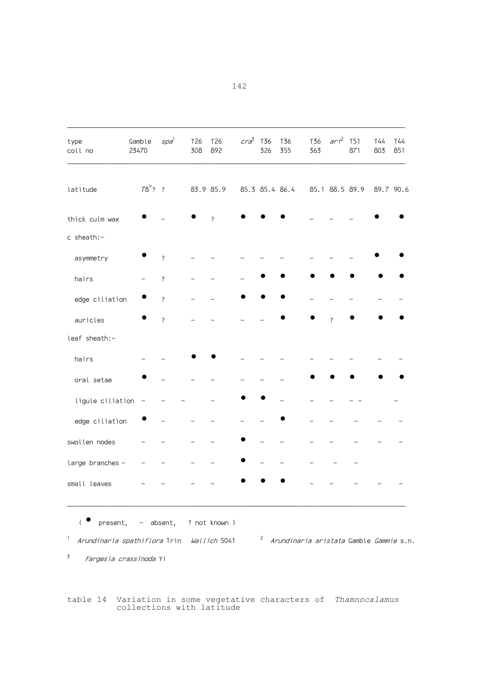| type<br>coll no  | Gamble<br>23470  | $spa^1$                  | T26<br>308 | T26<br>892               | $cr\bar{a}^3$ | T36<br>326     | T36<br>355 | T36<br>363 | $ari^2$        | T51<br>871 | T44<br>803 | T44<br>851 |
|------------------|------------------|--------------------------|------------|--------------------------|---------------|----------------|------------|------------|----------------|------------|------------|------------|
| latitude         | $78^{\circ}$ ? ? |                          |            | 83.9 85.9                |               | 85.3 85.4 86.4 |            |            | 85.1 88.5 89.9 |            | 89.7 90.6  |            |
| thick culm wax   |                  |                          |            | $\overline{\phantom{0}}$ |               |                |            |            |                |            |            |            |
| c sheath:-       |                  |                          |            |                          |               |                |            |            |                |            |            |            |
| asymmetry        |                  | $\overline{\phantom{a}}$ |            |                          |               |                |            |            |                |            |            |            |
| hairs            |                  | $\overline{\cdot}$       |            |                          |               |                |            |            |                |            |            |            |
| edge ciliation   |                  | $\overline{\phantom{0}}$ |            |                          |               |                |            |            |                |            |            |            |
| auricles         |                  | $\overline{\phantom{a}}$ |            |                          |               |                |            |            | $\gamma$       |            |            |            |
| leaf sheath:-    |                  |                          |            |                          |               |                |            |            |                |            |            |            |
| hairs            |                  |                          |            |                          |               |                |            |            |                |            |            |            |
| oral setae       |                  |                          |            |                          |               |                |            |            |                |            |            |            |
| ligule ciliation |                  |                          |            |                          |               |                |            |            |                |            |            |            |
| edge ciliation   |                  |                          |            |                          |               |                |            |            |                |            |            |            |
| swollen nodes    |                  |                          |            |                          |               |                |            |            |                |            |            |            |
| large branches - |                  |                          |            |                          |               |                |            |            |                |            |            |            |
| small leaves     |                  |                          |            |                          |               |                |            |            |                |            |            |            |

( <sup>o</sup> present, - absent, ? not known )

 $^{\text{\tiny 1}}$  *Arundinaria spathiflora* Trin *Wallich* 5041  $^{\text{\tiny 2}}$  *Arundinaria aristata* Gamble *Gammie* s.n.

<sup>3</sup> *Fargesia crassinoda* Yi

table 14 Variation in some vegetative characters of *Thamnocalamus* collections with latitude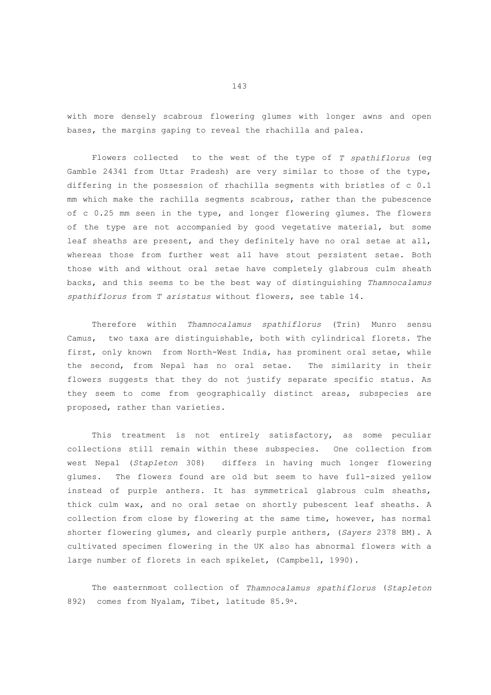with more densely scabrous flowering glumes with longer awns and open bases, the margins gaping to reveal the rhachilla and palea.

 Flowers collected to the west of the type of *T spathiflorus* (eg Gamble 24341 from Uttar Pradesh) are very similar to those of the type, differing in the possession of rhachilla segments with bristles of c 0.1 mm which make the rachilla segments scabrous, rather than the pubescence of c 0.25 mm seen in the type, and longer flowering glumes. The flowers of the type are not accompanied by good vegetative material, but some leaf sheaths are present, and they definitely have no oral setae at all, whereas those from further west all have stout persistent setae. Both those with and without oral setae have completely glabrous culm sheath backs, and this seems to be the best way of distinguishing *Thamnocalamus spathiflorus* from *T aristatus* without flowers, see table 14.

 Therefore within *Thamnocalamus spathiflorus* (Trin) Munro sensu Camus, two taxa are distinguishable, both with cylindrical florets. The first, only known from North-West India, has prominent oral setae, while the second, from Nepal has no oral setae. The similarity in their flowers suggests that they do not justify separate specific status. As they seem to come from geographically distinct areas, subspecies are proposed, rather than varieties.

 This treatment is not entirely satisfactory, as some peculiar collections still remain within these subspecies. One collection from west Nepal (*Stapleton* 308) differs in having much longer flowering glumes. The flowers found are old but seem to have full-sized yellow instead of purple anthers. It has symmetrical glabrous culm sheaths, thick culm wax, and no oral setae on shortly pubescent leaf sheaths. A collection from close by flowering at the same time, however, has normal shorter flowering glumes, and clearly purple anthers, (*Sayers* 2378 BM). A cultivated specimen flowering in the UK also has abnormal flowers with a large number of florets in each spikelet, (Campbell, 1990).

 The easternmost collection of *Thamnocalamus spathiflorus* (*Stapleton* 892) comes from Nyalam, Tibet, latitude 85.9°.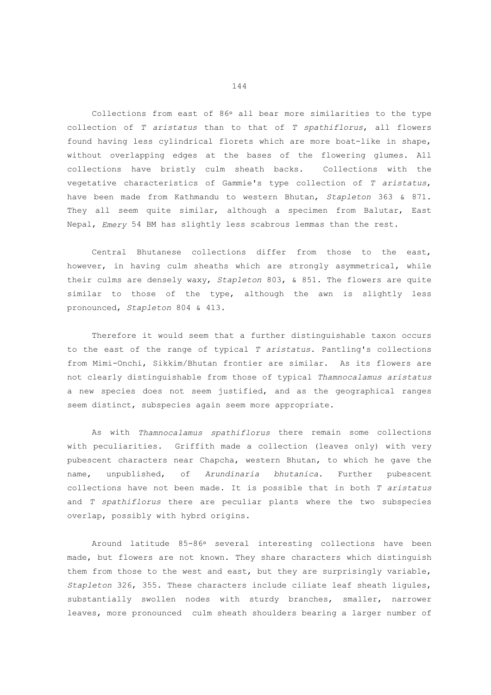Collections from east of 86° all bear more similarities to the type collection of *T aristatus* than to that of *T spathiflorus*, all flowers found having less cylindrical florets which are more boat-like in shape, without overlapping edges at the bases of the flowering glumes. All collections have bristly culm sheath backs. Collections with the vegetative characteristics of Gammie's type collection of *T aristatus*, have been made from Kathmandu to western Bhutan, *Stapleton* 363 & 871. They all seem quite similar, although a specimen from Balutar, East Nepal, *Emery* 54 BM has slightly less scabrous lemmas than the rest.

 Central Bhutanese collections differ from those to the east, however, in having culm sheaths which are strongly asymmetrical, while their culms are densely waxy, *Stapleton* 803, & 851. The flowers are quite similar to those of the type, although the awn is slightly less pronounced, *Stapleton* 804 & 413.

 Therefore it would seem that a further distinguishable taxon occurs to the east of the range of typical *T aristatus*. Pantling's collections from Mimi-Onchi, Sikkim/Bhutan frontier are similar. As its flowers are not clearly distinguishable from those of typical *Thamnocalamus aristatus* a new species does not seem justified, and as the geographical ranges seem distinct, subspecies again seem more appropriate.

 As with *Thamnocalamus spathiflorus* there remain some collections with peculiarities. Griffith made a collection (leaves only) with very pubescent characters near Chapcha, western Bhutan, to which he gave the name, unpublished, of *Arundinaria bhutanica*. Further pubescent collections have not been made. It is possible that in both *T aristatus* and *T spathiflorus* there are peculiar plants where the two subspecies overlap, possibly with hybrd origins.

Around latitude 85-86° several interesting collections have been made, but flowers are not known. They share characters which distinguish them from those to the west and east, but they are surprisingly variable, *Stapleton* 326, 355. These characters include ciliate leaf sheath ligules, substantially swollen nodes with sturdy branches, smaller, narrower leaves, more pronounced culm sheath shoulders bearing a larger number of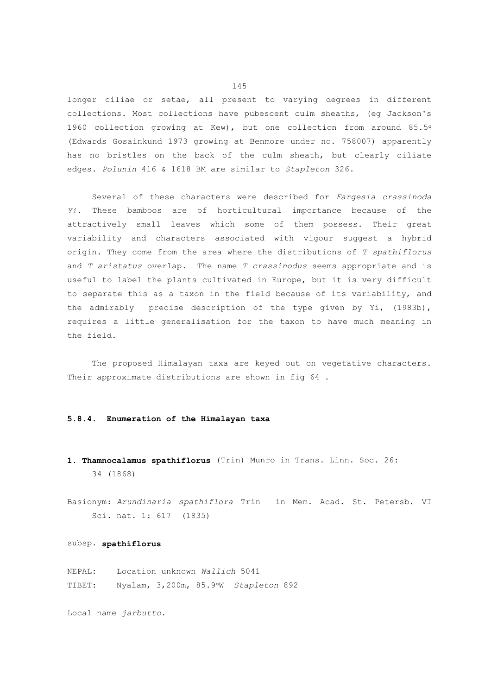longer ciliae or setae, all present to varying degrees in different collections. Most collections have pubescent culm sheaths, (eg Jackson's 1960 collection growing at Kew), but one collection from around 85.5-(Edwards Gosainkund 1973 growing at Benmore under no. 758007) apparently has no bristles on the back of the culm sheath, but clearly ciliate edges. *Polunin* 416 & 1618 BM are similar to *Stapleton* 326.

 Several of these characters were described for *Fargesia crassinoda Yi*. These bamboos are of horticultural importance because of the attractively small leaves which some of them possess. Their great variability and characters associated with vigour suggest a hybrid origin. They come from the area where the distributions of *T spathiflorus* and *T aristatus* overlap. The name *T crassinodus* seems appropriate and is useful to label the plants cultivated in Europe, but it is very difficult to separate this as a taxon in the field because of its variability, and the admirably precise description of the type given by Yi, (1983b), requires a little generalisation for the taxon to have much meaning in the field.

 The proposed Himalayan taxa are keyed out on vegetative characters. Their approximate distributions are shown in fig 64 .

## **5.8.4. Enumeration of the Himalayan taxa**

- **1. Thamnocalamus spathiflorus** (Trin) Munro in Trans. Linn. Soc. 26: 34 (1868)
- Basionym: *Arundinaria spathiflora* Trin in Mem. Acad. St. Petersb. VI Sci. nat. 1: 617 (1835)

#### subsp. **spathiflorus**

NEPAL: Location unknown *Wallich* 5041 TIBET: Nyalam, 3,200m, 85.9-W *Stapleton* 892

Local name *jarbutto*.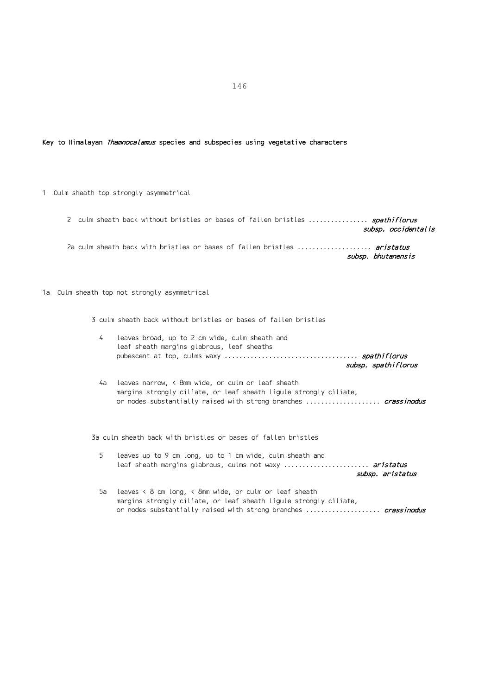## Key to Himalayan Thamnocalamus species and subspecies using vegetative characters

1 Culm sheath top strongly asymmetrical

2 culm sheath back without bristles or bases of fallen bristles ................ spathiflorus subsp. occidentalis 2a culm sheath back with bristles or bases of fallen bristles .................... aristatus subsp. bhutanensis

1a Culm sheath top not strongly asymmetrical

3 culm sheath back without bristles or bases of fallen bristles

| 4  | leaves broad, up to 2 cm wide, culm sheath and<br>leaf sheath margins glabrous, leaf sheaths<br>subsp. spathiflorus            |
|----|--------------------------------------------------------------------------------------------------------------------------------|
| 4a | leaves narrow. $\langle$ 8mm wide, or culm or leaf sheath<br>margins strongly ciliate, or leaf sheath ligule strongly ciliate, |

or nodes substantially raised with strong branches ..................... crassinodus

3a culm sheath back with bristles or bases of fallen bristles

- 5 leaves up to 9 cm long, up to 1 cm wide, culm sheath and leaf sheath margins glabrous, culms not waxy ........................ aristatus subsp. aristatus
- 5a leaves < 8 cm long, < 8mm wide, or culm or leaf sheath margins strongly ciliate, or leaf sheath ligule strongly ciliate, or nodes substantially raised with strong branches ..................... crassinodus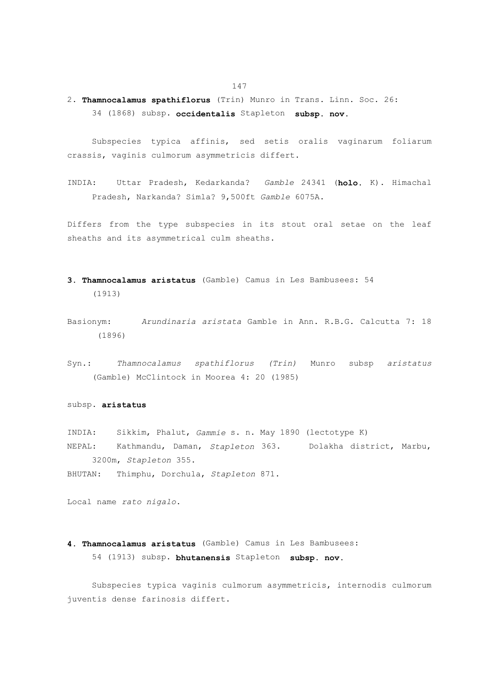2. **Thamnocalamus spathiflorus** (Trin) Munro in Trans. Linn. Soc. 26: 34 (1868) subsp. **occidentalis** Stapleton **subsp. nov.**

 Subspecies typica affinis, sed setis oralis vaginarum foliarum crassis, vaginis culmorum asymmetricis differt.

INDIA: Uttar Pradesh, Kedarkanda? *Gamble* 24341 (**holo.** K). Himachal Pradesh, Narkanda? Simla? 9,500ft *Gamble* 6075A.

Differs from the type subspecies in its stout oral setae on the leaf sheaths and its asymmetrical culm sheaths.

- **3. Thamnocalamus aristatus** (Gamble) Camus in Les Bambusees: 54 (1913)
- Basionym: *Arundinaria aristata* Gamble in Ann. R.B.G. Calcutta 7: 18 (1896)
- Syn.: *Thamnocalamus spathiflorus (Trin)* Munro subsp *aristatus* (Gamble) McClintock in Moorea 4: 20 (1985)

## subsp. **aristatus**

INDIA: Sikkim, Phalut, *Gammie* s. n. May 1890 (lectotype K) NEPAL: Kathmandu, Daman, *Stapleton* 363. Dolakha district, Marbu, 3200m, *Stapleton* 355.

BHUTAN: Thimphu, Dorchula, *Stapleton* 871.

Local name *rato nigalo*.

# **4. Thamnocalamus aristatus** (Gamble) Camus in Les Bambusees: 54 (1913) subsp. **bhutanensis** Stapleton **subsp. nov.**

 Subspecies typica vaginis culmorum asymmetricis, internodis culmorum juventis dense farinosis differt.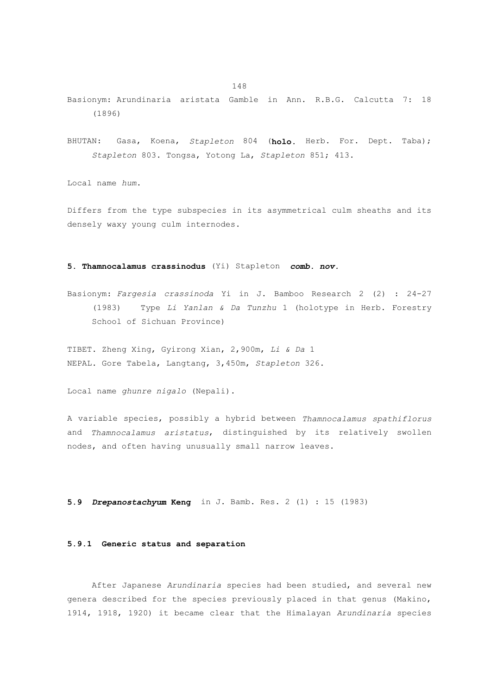- Basionym: Arundinaria aristata Gamble in Ann. R.B.G. Calcutta 7: 18 (1896)
- BHUTAN: Gasa, Koena, *Stapleton* 804 (**holo.** Herb. For. Dept. Taba); *Stapleton* 803. Tongsa, Yotong La, *Stapleton* 851; 413.

Local name *hum*.

Differs from the type subspecies in its asymmetrical culm sheaths and its densely waxy young culm internodes.

## **5. Thamnocalamus crassinodus** (Yi) Stapleton *comb. nov.*

Basionym: *Fargesia crassinoda* Yi in J. Bamboo Research 2 (2) : 24-27 (1983) Type *Li Yanlan & Da Tunzhu* 1 (holotype in Herb. Forestry School of Sichuan Province)

TIBET. Zheng Xing, Gyirong Xian, 2,900m, *Li & Da* 1 NEPAL. Gore Tabela, Langtang, 3,450m, *Stapleton* 326.

Local name *ghunre nigalo* (Nepali).

A variable species, possibly a hybrid between *Thamnocalamus spathiflorus* and *Thamnocalamus aristatus*, distinguished by its relatively swollen nodes, and often having unusually small narrow leaves.

**5.9** *Drepanostachyum* **Keng** in J. Bamb. Res. 2 (1) : 15 (1983)

## **5.9.1 Generic status and separation**

 After Japanese *Arundinaria* species had been studied, and several new genera described for the species previously placed in that genus (Makino, 1914, 1918, 1920) it became clear that the Himalayan *Arundinaria* species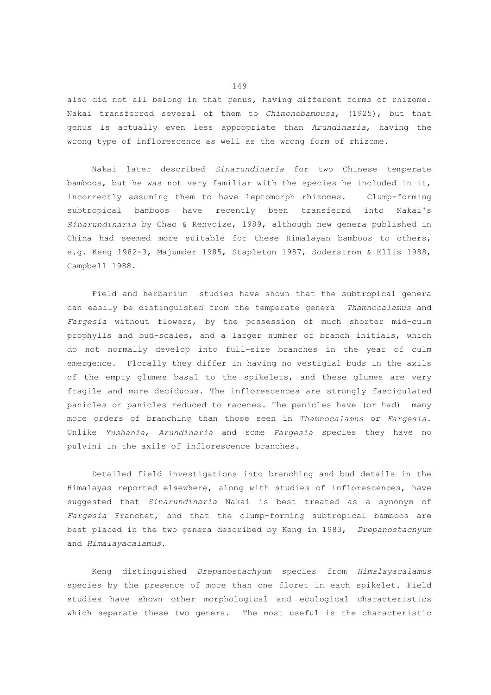also did not all belong in that genus, having different forms of rhizome. Nakai transferred several of them to *Chimonobambusa*, (1925), but that genus is actually even less appropriate than *Arundinaria*, having the wrong type of inflorescence as well as the wrong form of rhizome.

 Nakai later described *Sinarundinaria* for two Chinese temperate bamboos, but he was not very familiar with the species he included in it, incorrectly assuming them to have leptomorph rhizomes. Clump-forming subtropical bamboos have recently been transferrd into Nakai's *Sinarundinaria* by Chao & Renvoize, 1989, although new genera published in China had seemed more suitable for these Himalayan bamboos to others, e.g. Keng 1982-3, Majumder 1985, Stapleton 1987, Soderstrom & Ellis 1988, Campbell 1988.

 Field and herbarium studies have shown that the subtropical genera can easily be distinguished from the temperate genera *Thamnocalamus* and *Fargesia* without flowers, by the possession of much shorter mid-culm prophylls and bud-scales, and a larger number of branch initials, which do not normally develop into full-size branches in the year of culm emergence. Florally they differ in having no vestigial buds in the axils of the empty glumes basal to the spikelets, and these glumes are very fragile and more deciduous. The inflorescences are strongly fasciculated panicles or panicles reduced to racemes. The panicles have (or had) many more orders of branching than those seen in *Thamnocalamus* or *Fargesia*. Unlike *Yushania*, *Arundinaria* and some *Fargesia* species they have no pulvini in the axils of inflorescence branches.

 Detailed field investigations into branching and bud details in the Himalayas reported elsewhere, along with studies of inflorescences, have suggested that *Sinarundinaria* Nakai is best treated as a synonym of *Fargesia* Franchet, and that the clump-forming subtropical bamboos are best placed in the two genera described by Keng in 1983, *Drepanostachyum* and *Himalayacalamus*.

 Keng distinguished *Drepanostachyum* species from *Himalayacalamus* species by the presence of more than one floret in each spikelet. Field studies have shown other morphological and ecological characteristics which separate these two genera. The most useful is the characteristic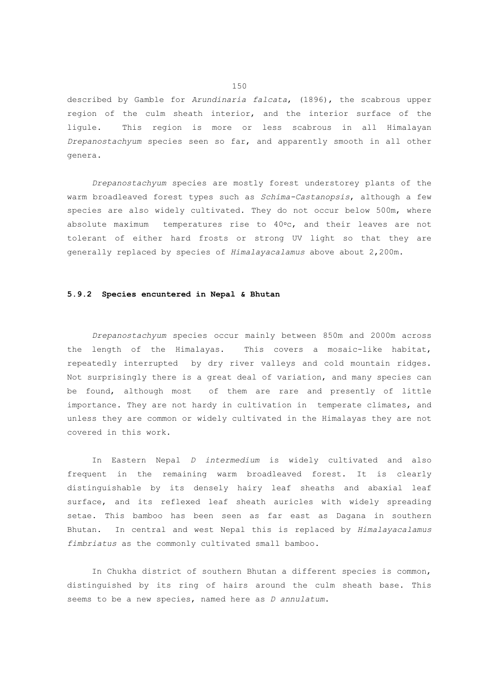described by Gamble for *Arundinaria falcata*, (1896), the scabrous upper region of the culm sheath interior, and the interior surface of the ligule. This region is more or less scabrous in all Himalayan *Drepanostachyum* species seen so far, and apparently smooth in all other genera.

 *Drepanostachyum* species are mostly forest understorey plants of the warm broadleaved forest types such as *Schima-Castanopsis*, although a few species are also widely cultivated. They do not occur below 500m, where absolute maximum temperatures rise to 40°c, and their leaves are not tolerant of either hard frosts or strong UV light so that they are generally replaced by species of *Himalayacalamus* above about 2,200m.

# **5.9.2 Species encuntered in Nepal & Bhutan**

 *Drepanostachyum* species occur mainly between 850m and 2000m across the length of the Himalayas. This covers a mosaic-like habitat, repeatedly interrupted by dry river valleys and cold mountain ridges. Not surprisingly there is a great deal of variation, and many species can be found, although most of them are rare and presently of little importance. They are not hardy in cultivation in temperate climates, and unless they are common or widely cultivated in the Himalayas they are not covered in this work.

 In Eastern Nepal *D intermedium* is widely cultivated and also frequent in the remaining warm broadleaved forest. It is clearly distinguishable by its densely hairy leaf sheaths and abaxial leaf surface, and its reflexed leaf sheath auricles with widely spreading setae. This bamboo has been seen as far east as Dagana in southern Bhutan. In central and west Nepal this is replaced by *Himalayacalamus fimbriatus* as the commonly cultivated small bamboo.

 In Chukha district of southern Bhutan a different species is common, distinguished by its ring of hairs around the culm sheath base. This seems to be a new species, named here as *D annulatum*.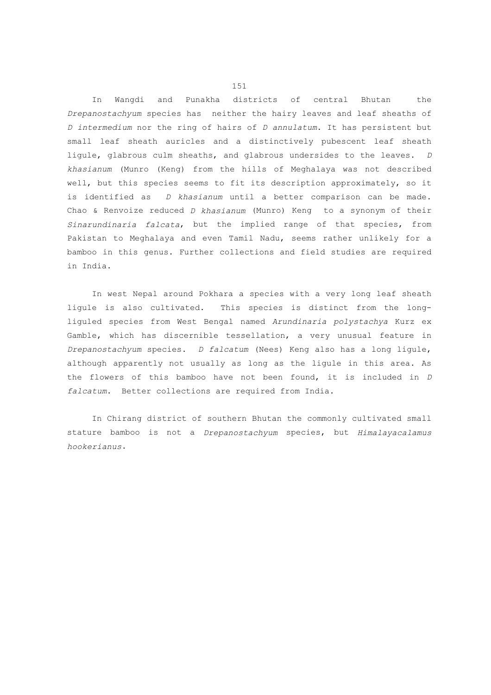In Wangdi and Punakha districts of central Bhutan the *Drepanostachyum* species has neither the hairy leaves and leaf sheaths of *D intermedium* nor the ring of hairs of *D annulatum*. It has persistent but small leaf sheath auricles and a distinctively pubescent leaf sheath ligule, glabrous culm sheaths, and glabrous undersides to the leaves. *D khasianum* (Munro (Keng) from the hills of Meghalaya was not described well, but this species seems to fit its description approximately, so it is identified as *D khasianum* until a better comparison can be made. Chao & Renvoize reduced *D khasianum* (Munro) Keng to a synonym of their *Sinarundinaria falcata*, but the implied range of that species, from Pakistan to Meghalaya and even Tamil Nadu, seems rather unlikely for a bamboo in this genus. Further collections and field studies are required in India.

 In west Nepal around Pokhara a species with a very long leaf sheath ligule is also cultivated. This species is distinct from the longliguled species from West Bengal named *Arundinaria polystachya* Kurz ex Gamble, which has discernible tessellation, a very unusual feature in *Drepanostachyum* species. *D falcatum* (Nees) Keng also has a long ligule, although apparently not usually as long as the ligule in this area. As the flowers of this bamboo have not been found, it is included in *D falcatum*. Better collections are required from India.

 In Chirang district of southern Bhutan the commonly cultivated small stature bamboo is not a *Drepanostachyum* species, but *Himalayacalamus hookerianus*.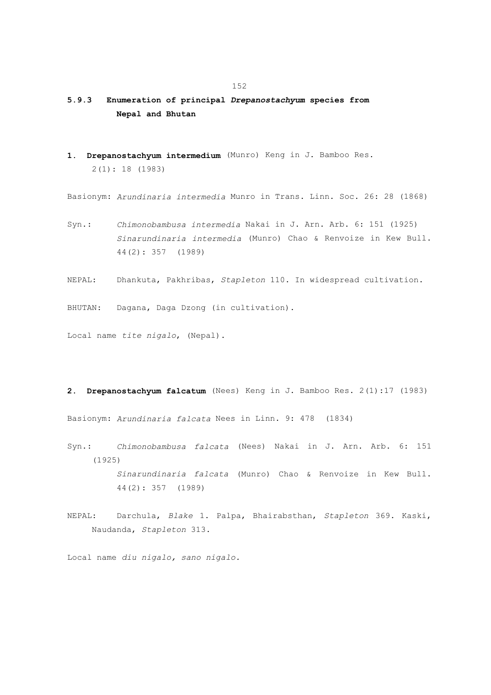# **5.9.3 Enumeration of principal** *Drepanostachyum* **species from Nepal and Bhutan**

**1. Drepanostachyum intermedium** (Munro) Keng in J. Bamboo Res. 2(1): 18 (1983)

Basionym: *Arundinaria intermedia* Munro in Trans. Linn. Soc. 26: 28 (1868)

- Syn.: *Chimonobambusa intermedia* Nakai in J. Arn. Arb. 6: 151 (1925)  *Sinarundinaria intermedia* (Munro) Chao & Renvoize in Kew Bull. 44(2): 357 (1989)
- NEPAL: Dhankuta, Pakhribas, *Stapleton* 110. In widespread cultivation.

BHUTAN: Dagana, Daga Dzong (in cultivation).

Local name *tite nigalo*, (Nepal).

**2. Drepanostachyum falcatum** (Nees) Keng in J. Bamboo Res. 2(1):17 (1983)

Basionym: *Arundinaria falcata* Nees in Linn. 9: 478 (1834)

- Syn.: *Chimonobambusa falcata* (Nees) Nakai in J. Arn. Arb. 6: 151 (1925)  *Sinarundinaria falcata* (Munro) Chao & Renvoize in Kew Bull. 44(2): 357 (1989)
- NEPAL: Darchula, *Blake* 1. Palpa, Bhairabsthan, *Stapleton* 369. Kaski, Naudanda, *Stapleton* 313.

Local name *diu nigalo, sano nigalo.*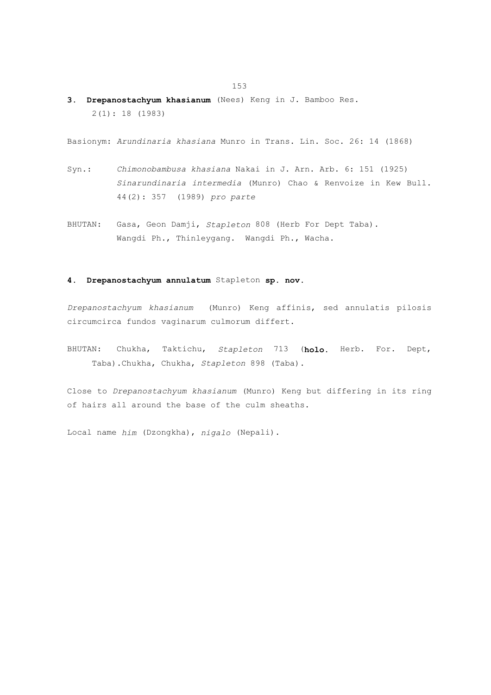**3. Drepanostachyum khasianum** (Nees) Keng in J. Bamboo Res. 2(1): 18 (1983)

Basionym: *Arundinaria khasiana* Munro in Trans. Lin. Soc. 26: 14 (1868)

- Syn.: *Chimonobambusa khasiana* Nakai in J. Arn. Arb. 6: 151 (1925)  *Sinarundinaria intermedia* (Munro) Chao & Renvoize in Kew Bull. 44(2): 357 (1989) *pro parte*
- BHUTAN: Gasa, Geon Damji, *Stapleton* 808 (Herb For Dept Taba). Wangdi Ph., Thinleygang. Wangdi Ph., Wacha.

## **4. Drepanostachyum annulatum** Stapleton **sp. nov.**

*Drepanostachyum khasianum* (Munro) Keng affinis, sed annulatis pilosis circumcirca fundos vaginarum culmorum differt.

BHUTAN: Chukha, Taktichu, *Stapleton* 713 (**holo.** Herb. For. Dept, Taba).Chukha, Chukha, *Stapleton* 898 (Taba).

Close to *Drepanostachyum khasianum* (Munro) Keng but differing in its ring of hairs all around the base of the culm sheaths.

Local name *him* (Dzongkha), *nigalo* (Nepali).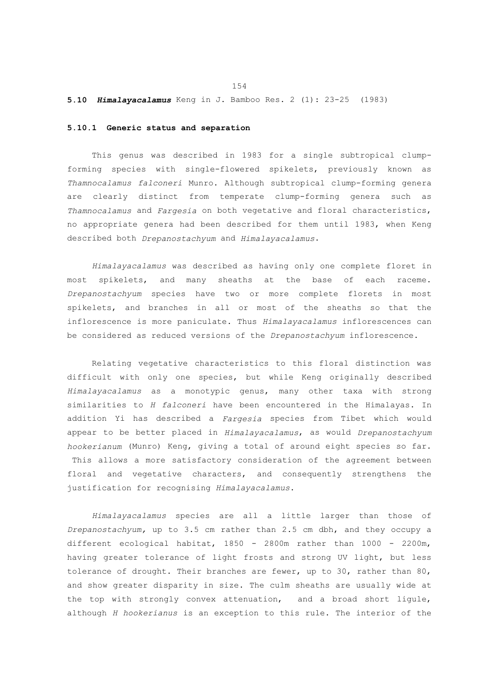## **5.10** *Himalayacalamus* Keng in J. Bamboo Res. 2 (1): 23-25 (1983)

## **5.10.1 Generic status and separation**

 This genus was described in 1983 for a single subtropical clumpforming species with single-flowered spikelets, previously known as *Thamnocalamus falconeri* Munro. Although subtropical clump-forming genera are clearly distinct from temperate clump-forming genera such as *Thamnocalamus* and *Fargesia* on both vegetative and floral characteristics, no appropriate genera had been described for them until 1983, when Keng described both *Drepanostachyum* and *Himalayacalamus*.

 *Himalayacalamus* was described as having only one complete floret in most spikelets, and many sheaths at the base of each raceme. *Drepanostachyum* species have two or more complete florets in most spikelets, and branches in all or most of the sheaths so that the inflorescence is more paniculate. Thus *Himalayacalamus* inflorescences can be considered as reduced versions of the *Drepanostachyum* inflorescence.

 Relating vegetative characteristics to this floral distinction was difficult with only one species, but while Keng originally described *Himalayacalamus* as a monotypic genus, many other taxa with strong similarities to *H falconeri* have been encountered in the Himalayas. In addition Yi has described a *Fargesia* species from Tibet which would appear to be better placed in *Himalayacalamus*, as would *Drepanostachyum hookerianum* (Munro) Keng, giving a total of around eight species so far. This allows a more satisfactory consideration of the agreement between floral and vegetative characters, and consequently strengthens the justification for recognising *Himalayacalamus*.

 *Himalayacalamus* species are all a little larger than those of *Drepanostachyum,* up to 3.5 cm rather than 2.5 cm dbh, and they occupy a different ecological habitat, 1850 - 2800m rather than 1000 - 2200m, having greater tolerance of light frosts and strong UV light, but less tolerance of drought. Their branches are fewer, up to 30, rather than 80, and show greater disparity in size. The culm sheaths are usually wide at the top with strongly convex attenuation, and a broad short ligule, although *H hookerianus* is an exception to this rule. The interior of the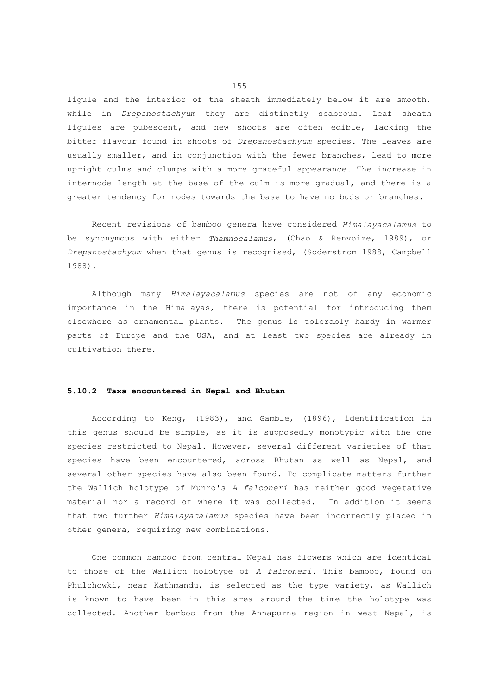ligule and the interior of the sheath immediately below it are smooth, while in *Drepanostachyum* they are distinctly scabrous. Leaf sheath ligules are pubescent, and new shoots are often edible, lacking the bitter flavour found in shoots of *Drepanostachyum* species. The leaves are usually smaller, and in conjunction with the fewer branches, lead to more upright culms and clumps with a more graceful appearance. The increase in internode length at the base of the culm is more gradual, and there is a greater tendency for nodes towards the base to have no buds or branches.

 Recent revisions of bamboo genera have considered *Himalayacalamus* to be synonymous with either *Thamnocalamus*, (Chao & Renvoize, 1989), or *Drepanostachyum* when that genus is recognised, (Soderstrom 1988, Campbell 1988).

 Although many *Himalayacalamus* species are not of any economic importance in the Himalayas, there is potential for introducing them elsewhere as ornamental plants. The genus is tolerably hardy in warmer parts of Europe and the USA, and at least two species are already in cultivation there.

## **5.10.2 Taxa encountered in Nepal and Bhutan**

 According to Keng, (1983), and Gamble, (1896), identification in this genus should be simple, as it is supposedly monotypic with the one species restricted to Nepal. However, several different varieties of that species have been encountered, across Bhutan as well as Nepal, and several other species have also been found. To complicate matters further the Wallich holotype of Munro's *A falconeri* has neither good vegetative material nor a record of where it was collected. In addition it seems that two further *Himalayacalamus* species have been incorrectly placed in other genera, requiring new combinations.

 One common bamboo from central Nepal has flowers which are identical to those of the Wallich holotype of *A falconeri*. This bamboo, found on Phulchowki, near Kathmandu, is selected as the type variety, as Wallich is known to have been in this area around the time the holotype was collected. Another bamboo from the Annapurna region in west Nepal, is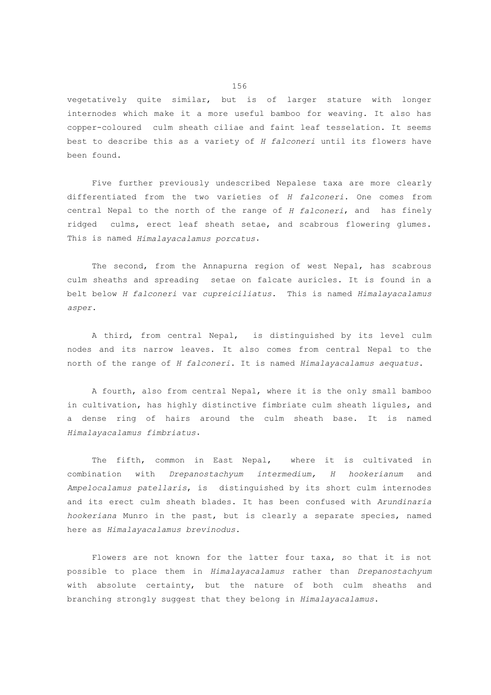vegetatively quite similar, but is of larger stature with longer internodes which make it a more useful bamboo for weaving. It also has copper-coloured culm sheath ciliae and faint leaf tesselation. It seems best to describe this as a variety of *H falconeri* until its flowers have been found.

 Five further previously undescribed Nepalese taxa are more clearly differentiated from the two varieties of *H falconeri*. One comes from central Nepal to the north of the range of *H falconeri*, and has finely ridged culms, erect leaf sheath setae, and scabrous flowering glumes. This is named *Himalayacalamus porcatus*.

The second, from the Annapurna region of west Nepal, has scabrous culm sheaths and spreading setae on falcate auricles. It is found in a belt below *H falconeri* var *cupreiciliatus*. This is named *Himalayacalamus asper*.

 A third, from central Nepal, is distinguished by its level culm nodes and its narrow leaves. It also comes from central Nepal to the north of the range of *H falconeri*. It is named *Himalayacalamus aequatus*.

 A fourth, also from central Nepal, where it is the only small bamboo in cultivation, has highly distinctive fimbriate culm sheath ligules, and a dense ring of hairs around the culm sheath base. It is named *Himalayacalamus fimbriatus*.

 The fifth, common in East Nepal, where it is cultivated in combination with *Drepanostachyum intermedium, H hookerianum* and *Ampelocalamus patellaris*, is distinguished by its short culm internodes and its erect culm sheath blades. It has been confused with *Arundinaria hookeriana* Munro in the past, but is clearly a separate species, named here as *Himalayacalamus brevinodus*.

 Flowers are not known for the latter four taxa, so that it is not possible to place them in *Himalayacalamus* rather than *Drepanostachyum* with absolute certainty, but the nature of both culm sheaths and branching strongly suggest that they belong in *Himalayacalamus*.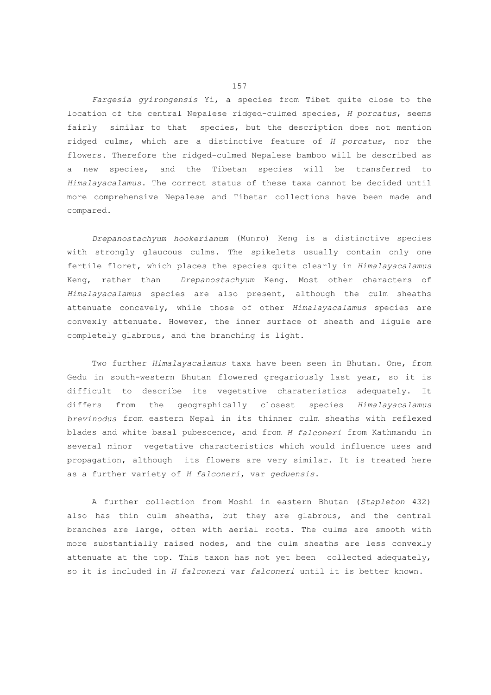*Fargesia gyirongensis* Yi, a species from Tibet quite close to the location of the central Nepalese ridged-culmed species, *H porcatus*, seems fairly similar to that species, but the description does not mention ridged culms, which are a distinctive feature of *H porcatus*, nor the flowers. Therefore the ridged-culmed Nepalese bamboo will be described as a new species, and the Tibetan species will be transferred to *Himalayacalamus*. The correct status of these taxa cannot be decided until more comprehensive Nepalese and Tibetan collections have been made and compared.

 *Drepanostachyum hookerianum* (Munro) Keng is a distinctive species with strongly glaucous culms. The spikelets usually contain only one fertile floret, which places the species quite clearly in *Himalayacalamus* Keng, rather than *Drepanostachyum* Keng. Most other characters of *Himalayacalamus* species are also present, although the culm sheaths attenuate concavely, while those of other *Himalayacalamus* species are convexly attenuate. However, the inner surface of sheath and ligule are completely glabrous, and the branching is light.

 Two further *Himalayacalamus* taxa have been seen in Bhutan. One, from Gedu in south-western Bhutan flowered gregariously last year, so it is difficult to describe its vegetative charateristics adequately. It differs from the geographically closest species *Himalayacalamus brevinodus* from eastern Nepal in its thinner culm sheaths with reflexed blades and white basal pubescence, and from *H falconeri* from Kathmandu in several minor vegetative characteristics which would influence uses and propagation, although its flowers are very similar. It is treated here as a further variety of *H falconeri*, var *geduensis*.

 A further collection from Moshi in eastern Bhutan (*Stapleton* 432) also has thin culm sheaths, but they are glabrous, and the central branches are large, often with aerial roots. The culms are smooth with more substantially raised nodes, and the culm sheaths are less convexly attenuate at the top. This taxon has not yet been collected adequately, so it is included in *H falconeri* var *falconeri* until it is better known.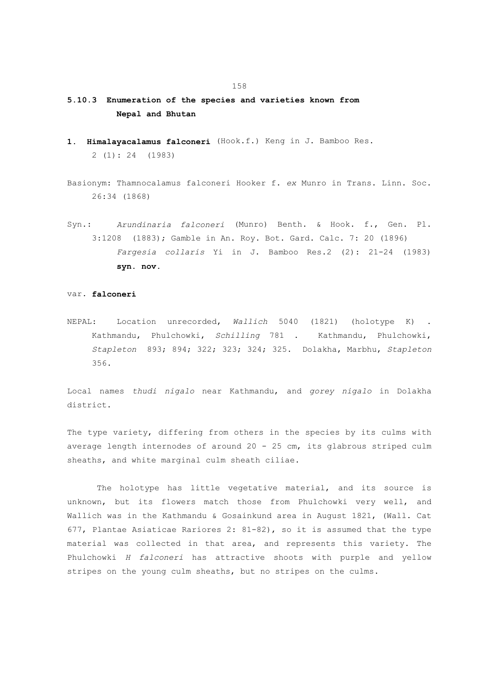- **5.10.3 Enumeration of the species and varieties known from Nepal and Bhutan**
- **1. Himalayacalamus falconeri** (Hook.f.) Keng in J. Bamboo Res. 2 (1): 24 (1983)
- Basionym: Thamnocalamus falconeri Hooker f. *ex* Munro in Trans. Linn. Soc. 26:34 (1868)
- Syn.: *Arundinaria falconeri* (Munro) Benth. & Hook. f., Gen. Pl. 3:1208 (1883); Gamble in An. Roy. Bot. Gard. Calc. 7: 20 (1896)  *Fargesia collaris* Yi in J. Bamboo Res.2 (2): 21-24 (1983) **syn. nov.**

## var. **falconeri**

NEPAL: Location unrecorded, *Wallich* 5040 (1821) (holotype K) . Kathmandu, Phulchowki, *Schilling* 781 . Kathmandu, Phulchowki, *Stapleton* 893; 894; 322; 323; 324; 325. Dolakha, Marbhu, *Stapleton* 356.

Local names *thudi nigalo* near Kathmandu, and *gorey nigalo* in Dolakha district.

The type variety, differing from others in the species by its culms with average length internodes of around 20 - 25 cm, its glabrous striped culm sheaths, and white marginal culm sheath ciliae.

 The holotype has little vegetative material, and its source is unknown, but its flowers match those from Phulchowki very well, and Wallich was in the Kathmandu & Gosainkund area in August 1821, (Wall. Cat 677, Plantae Asiaticae Rariores 2: 81-82), so it is assumed that the type material was collected in that area, and represents this variety. The Phulchowki *H falconeri* has attractive shoots with purple and yellow stripes on the young culm sheaths, but no stripes on the culms.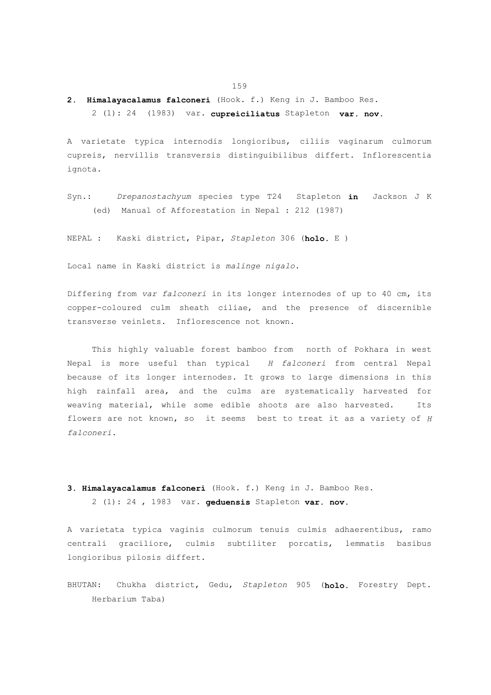**2. Himalayacalamus falconeri** (Hook. f.) Keng in J. Bamboo Res.

2 (1): 24 (1983) var. **cupreiciliatus** Stapleton **var. nov.**

A varietate typica internodis longioribus, ciliis vaginarum culmorum cupreis, nervillis transversis distinguibilibus differt. Inflorescentia ignota.

Syn.: *Drepanostachyum* species type T24 Stapleton **in** Jackson J K (ed) Manual of Afforestation in Nepal : 212 (1987)

NEPAL : Kaski district, Pipar, *Stapleton* 306 (**holo.** E )

Local name in Kaski district is *malinge nigalo.*

Differing from *var falconeri* in its longer internodes of up to 40 cm, its copper-coloured culm sheath ciliae, and the presence of discernible transverse veinlets. Inflorescence not known.

 This highly valuable forest bamboo from north of Pokhara in west Nepal is more useful than typical *H falconeri* from central Nepal because of its longer internodes. It grows to large dimensions in this high rainfall area, and the culms are systematically harvested for weaving material, while some edible shoots are also harvested. Its flowers are not known, so it seems best to treat it as a variety of *H falconeri.*

**3. Himalayacalamus falconeri** (Hook. f.) Keng in J. Bamboo Res. 2 (1): 24 , 1983 var. **geduensis** Stapleton **var. nov.**

A varietata typica vaginis culmorum tenuis culmis adhaerentibus, ramo centrali graciliore, culmis subtiliter porcatis, lemmatis basibus longioribus pilosis differt.

BHUTAN: Chukha district, Gedu, *Stapleton* 905 (**holo.** Forestry Dept. Herbarium Taba)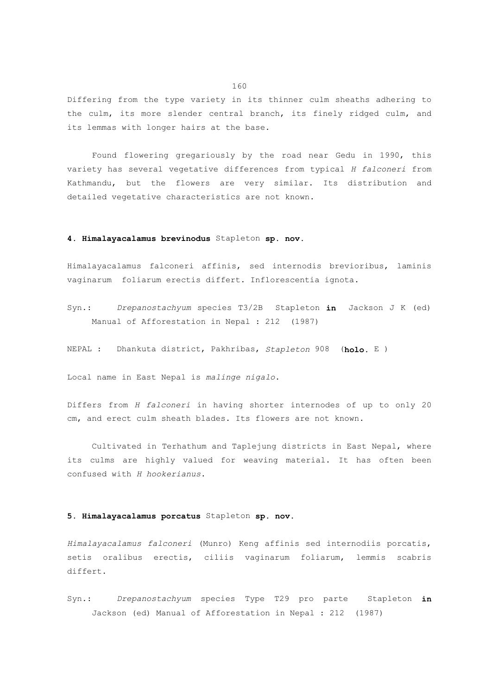Differing from the type variety in its thinner culm sheaths adhering to the culm, its more slender central branch, its finely ridged culm, and its lemmas with longer hairs at the base.

 Found flowering gregariously by the road near Gedu in 1990, this variety has several vegetative differences from typical *H falconeri* from Kathmandu, but the flowers are very similar. Its distribution and detailed vegetative characteristics are not known.

## **4. Himalayacalamus brevinodus** Stapleton **sp. nov.**

Himalayacalamus falconeri affinis, sed internodis brevioribus, laminis vaginarum foliarum erectis differt. Inflorescentia ignota.

- Syn.: *Drepanostachyum* species T3/2B Stapleton **in** Jackson J K (ed) Manual of Afforestation in Nepal : 212 (1987)
- NEPAL : Dhankuta district, Pakhribas, *Stapleton* 908 (**holo.** E )

Local name in East Nepal is *malinge nigalo*.

Differs from *H falconeri* in having shorter internodes of up to only 20 cm, and erect culm sheath blades. Its flowers are not known.

 Cultivated in Terhathum and Taplejung districts in East Nepal, where its culms are highly valued for weaving material. It has often been confused with *H hookerianus*.

## **5. Himalayacalamus porcatus** Stapleton **sp. nov.**

*Himalayacalamus falconeri* (Munro) Keng affinis sed internodiis porcatis, setis oralibus erectis, ciliis vaginarum foliarum, lemmis scabris differt.

Syn.: *Drepanostachyum* species Type T29 pro parte Stapleton **in** Jackson (ed) Manual of Afforestation in Nepal : 212 (1987)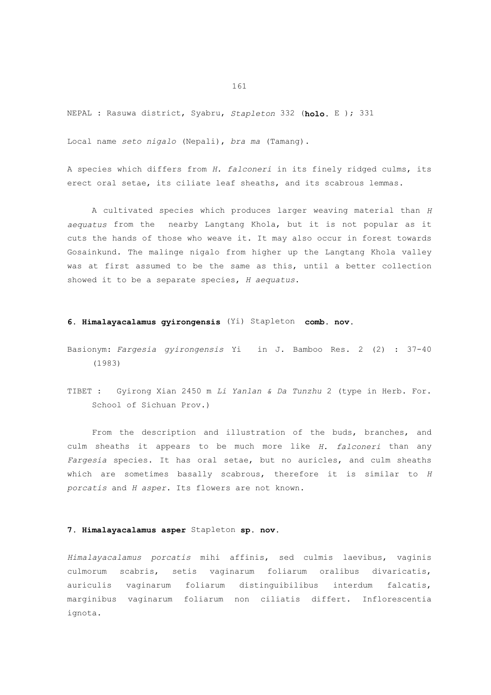NEPAL : Rasuwa district, Syabru, *Stapleton* 332 (**holo.** E ); 331

Local name *seto nigalo* (Nepali), *bra ma* (Tamang).

A species which differs from *H. falconeri* in its finely ridged culms, its erect oral setae, its ciliate leaf sheaths, and its scabrous lemmas.

 A cultivated species which produces larger weaving material than *H aequatus* from the nearby Langtang Khola, but it is not popular as it cuts the hands of those who weave it. It may also occur in forest towards Gosainkund. The malinge nigalo from higher up the Langtang Khola valley was at first assumed to be the same as this, until a better collection showed it to be a separate species, *H aequatus*.

# **6. Himalayacalamus gyirongensis** (Yi) Stapleton **comb. nov.**

- Basionym: *Fargesia gyirongensis* Yi in J. Bamboo Res. 2 (2) : 37-40 (1983)
- TIBET : Gyirong Xian 2450 m *Li Yanlan & Da Tunzhu* 2 (type in Herb. For. School of Sichuan Prov.)

 From the description and illustration of the buds, branches, and culm sheaths it appears to be much more like *H. falconeri* than any *Fargesia* species. It has oral setae, but no auricles, and culm sheaths which are sometimes basally scabrous, therefore it is similar to *H porcatis* and *H asper*. Its flowers are not known.

# **7. Himalayacalamus asper** Stapleton **sp. nov.**

*Himalayacalamus porcatis* mihi affinis, sed culmis laevibus, vaginis culmorum scabris, setis vaginarum foliarum oralibus divaricatis, auriculis vaginarum foliarum distinguibilibus interdum falcatis, marginibus vaginarum foliarum non ciliatis differt. Inflorescentia ignota.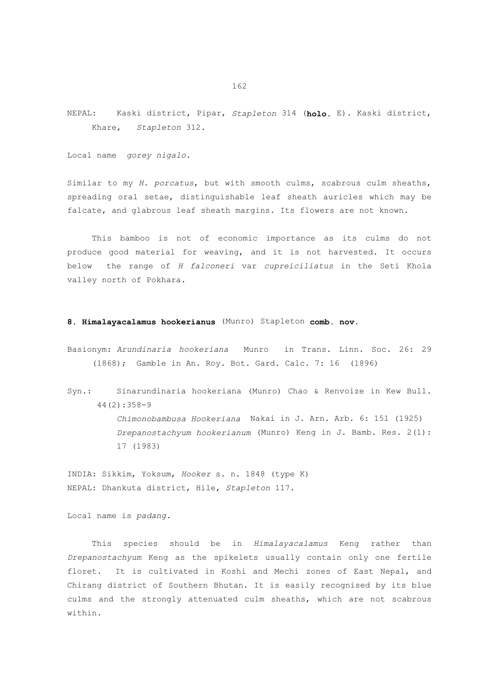NEPAL: Kaski district, Pipar, *Stapleton* 314 (**holo.** E). Kaski district, Khare, *Stapleton* 312.

Local name *gorey nigalo*.

Similar to my *H. porcatus*, but with smooth culms, scabrous culm sheaths, spreading oral setae, distinguishable leaf sheath auricles which may be falcate, and glabrous leaf sheath margins. Its flowers are not known.

 This bamboo is not of economic importance as its culms do not produce good material for weaving, and it is not harvested. It occurs below the range of *H falconeri* var *cupreiciliatus* in the Seti Khola valley north of Pokhara.

## **8. Himalayacalamus hookerianus** (Munro) Stapleton **comb. nov.**

Basionym: *Arundinaria hookeriana* Munro in Trans. Linn. Soc. 26: 29 (1868); Gamble in An. Roy. Bot. Gard. Calc. 7: 16 (1896)

Syn.: Sinarundinaria hookeriana (Munro) Chao & Renvoize in Kew Bull. 44(2):358-9

> *Chimonobambusa Hookeriana* Nakai in J. Arn. Arb. 6: 151 (1925)  *Drepanostachyum hookerianum* (Munro) Keng in J. Bamb. Res. 2(1): 17 (1983)

INDIA: Sikkim, Yoksum, *Hooker* s. n. 1848 (type K) NEPAL: Dhankuta district, Hile, *Stapleton* 117.

Local name is *padang.*

 This species should be in *Himalayacalamus* Keng rather than *Drepanostachyum* Keng as the spikelets usually contain only one fertile floret. It is cultivated in Koshi and Mechi zones of East Nepal, and Chirang district of Southern Bhutan. It is easily recognised by its blue culms and the strongly attenuated culm sheaths, which are not scabrous within.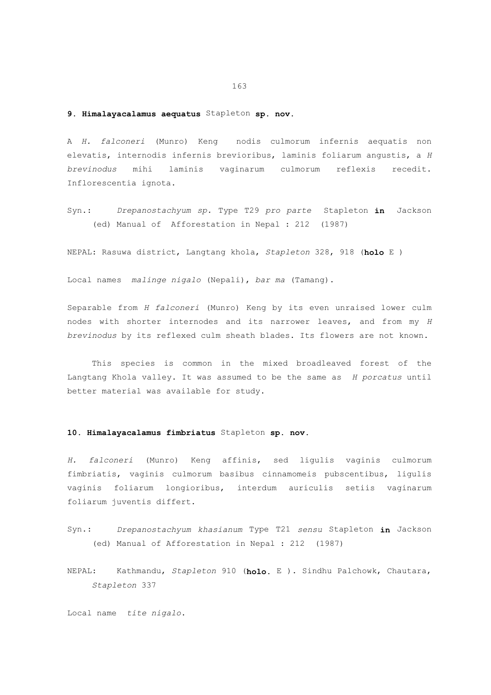# **9. Himalayacalamus aequatus** Stapleton **sp. nov.**

A *H. falconeri* (Munro) Keng nodis culmorum infernis aequatis non elevatis, internodis infernis brevioribus, laminis foliarum angustis, a *H brevinodus* mihi laminis vaginarum culmorum reflexis recedit. Inflorescentia ignota.

Syn.: *Drepanostachyum sp.* Type T29 *pro parte* Stapleton **in** Jackson (ed) Manual of Afforestation in Nepal : 212 (1987)

NEPAL: Rasuwa district, Langtang khola, *Stapleton* 328, 918 (**holo** E )

Local names *malinge nigalo* (Nepali), *bar ma* (Tamang).

Separable from *H falconeri* (Munro) Keng by its even unraised lower culm nodes with shorter internodes and its narrower leaves, and from my *H brevinodus* by its reflexed culm sheath blades. Its flowers are not known.

 This species is common in the mixed broadleaved forest of the Langtang Khola valley. It was assumed to be the same as *H porcatus* until better material was available for study.

#### **10. Himalayacalamus fimbriatus** Stapleton **sp. nov.**

*H. falconeri* (Munro) Keng affinis, sed ligulis vaginis culmorum fimbriatis, vaginis culmorum basibus cinnamomeis pubscentibus, ligulis vaginis foliarum longioribus, interdum auriculis setiis vaginarum foliarum juventis differt.

- Syn.: *Drepanostachyum khasianum* Type T21 *sensu* Stapleton **in** Jackson (ed) Manual of Afforestation in Nepal : 212 (1987)
- NEPAL: Kathmandu, *Stapleton* 910 (**holo.** E ). Sindhu Palchowk, Chautara, *Stapleton* 337

Local name *tite nigalo*.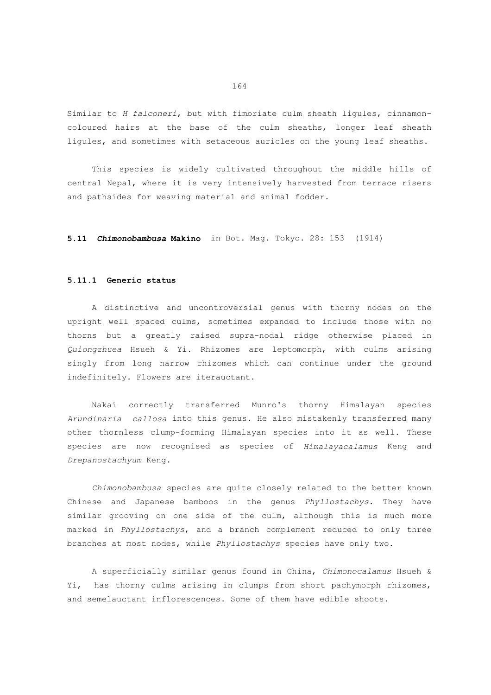Similar to *H falconeri*, but with fimbriate culm sheath ligules, cinnamoncoloured hairs at the base of the culm sheaths, longer leaf sheath ligules, and sometimes with setaceous auricles on the young leaf sheaths.

 This species is widely cultivated throughout the middle hills of central Nepal, where it is very intensively harvested from terrace risers and pathsides for weaving material and animal fodder.

**5.11** *Chimonobambusa* **Makino** in Bot. Mag. Tokyo. 28: 153 (1914)

#### **5.11.1 Generic status**

 A distinctive and uncontroversial genus with thorny nodes on the upright well spaced culms, sometimes expanded to include those with no thorns but a greatly raised supra-nodal ridge otherwise placed in *Quiongzhuea* Hsueh & Yi. Rhizomes are leptomorph, with culms arising singly from long narrow rhizomes which can continue under the ground indefinitely. Flowers are iterauctant.

 Nakai correctly transferred Munro's thorny Himalayan species *Arundinaria callosa* into this genus. He also mistakenly transferred many other thornless clump-forming Himalayan species into it as well. These species are now recognised as species of *Himalayacalamus* Keng and *Drepanostachyum* Keng.

 *Chimonobambusa* species are quite closely related to the better known Chinese and Japanese bamboos in the genus *Phyllostachys*. They have similar grooving on one side of the culm, although this is much more marked in *Phyllostachys*, and a branch complement reduced to only three branches at most nodes, while *Phyllostachys* species have only two.

 A superficially similar genus found in China, *Chimonocalamus* Hsueh & Yi, has thorny culms arising in clumps from short pachymorph rhizomes, and semelauctant inflorescences. Some of them have edible shoots.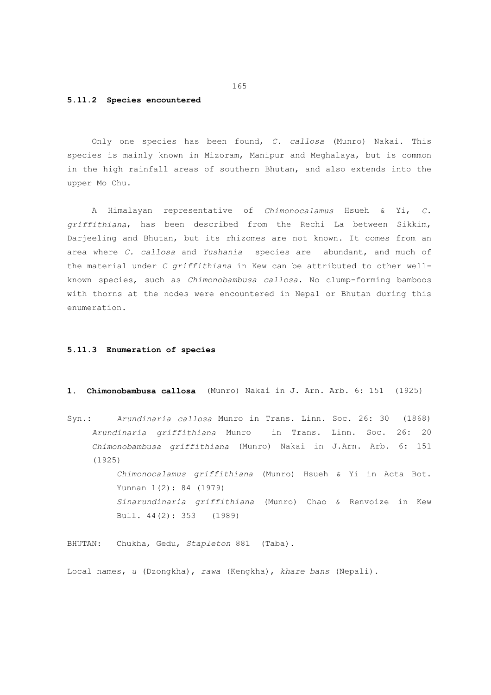#### **5.11.2 Species encountered**

 Only one species has been found, *C. callosa* (Munro) Nakai. This species is mainly known in Mizoram, Manipur and Meghalaya, but is common in the high rainfall areas of southern Bhutan, and also extends into the upper Mo Chu.

 A Himalayan representative of *Chimonocalamus* Hsueh & Yi, *C. griffithiana*, has been described from the Rechi La between Sikkim, Darjeeling and Bhutan, but its rhizomes are not known. It comes from an area where *C. callosa* and *Yushania* species are abundant, and much of the material under *C griffithiana* in Kew can be attributed to other wellknown species, such as *Chimonobambusa callosa*. No clump-forming bamboos with thorns at the nodes were encountered in Nepal or Bhutan during this enumeration.

#### **5.11.3 Enumeration of species**

- **1. Chimonobambusa callosa** (Munro) Nakai in J. Arn. Arb. 6: 151 (1925)
- Syn.: *Arundinaria callosa* Munro in Trans. Linn. Soc. 26: 30 (1868) *Arundinaria griffithiana* Munro in Trans. Linn. Soc. 26: 20 *Chimonobambusa griffithiana* (Munro) Nakai in J.Arn. Arb. 6: 151 (1925)

 *Chimonocalamus griffithiana* (Munro) Hsueh & Yi in Acta Bot. Yunnan 1(2): 84 (1979)  *Sinarundinaria griffithiana* (Munro) Chao & Renvoize in Kew Bull. 44(2): 353 (1989)

BHUTAN: Chukha, Gedu, *Stapleton* 881 (Taba).

Local names, *u* (Dzongkha), *rawa* (Kengkha), *khare bans* (Nepali).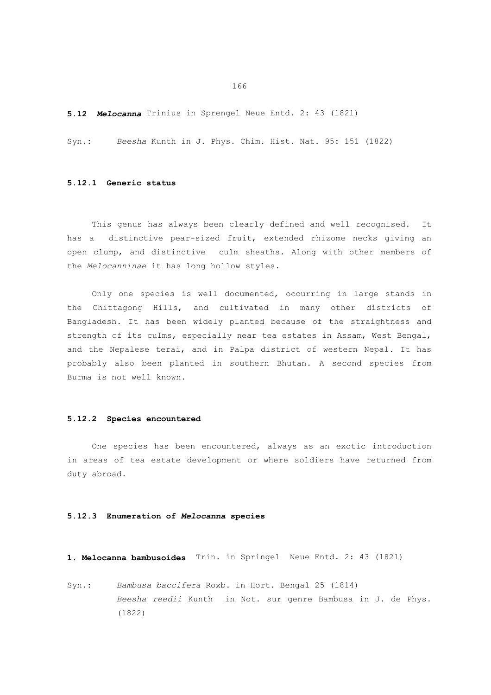166

**5.12** *Melocanna* Trinius in Sprengel Neue Entd. 2: 43 (1821)

Syn.: *Beesha* Kunth in J. Phys. Chim. Hist. Nat. 95: 151 (1822)

### **5.12.1 Generic status**

 This genus has always been clearly defined and well recognised. It has a distinctive pear-sized fruit, extended rhizome necks giving an open clump, and distinctive culm sheaths. Along with other members of the *Melocanninae* it has long hollow styles.

 Only one species is well documented, occurring in large stands in the Chittagong Hills, and cultivated in many other districts of Bangladesh. It has been widely planted because of the straightness and strength of its culms, especially near tea estates in Assam, West Bengal, and the Nepalese terai, and in Palpa district of western Nepal. It has probably also been planted in southern Bhutan. A second species from Burma is not well known.

#### **5.12.2 Species encountered**

 One species has been encountered, always as an exotic introduction in areas of tea estate development or where soldiers have returned from duty abroad.

#### **5.12.3 Enumeration of** *Melocanna* **species**

**1. Melocanna bambusoides** Trin. in Springel Neue Entd. 2: 43 (1821)

Syn.: *Bambusa baccifera* Roxb. in Hort. Bengal 25 (1814)  *Beesha reedii* Kunth in Not. sur genre Bambusa in J. de Phys. (1822)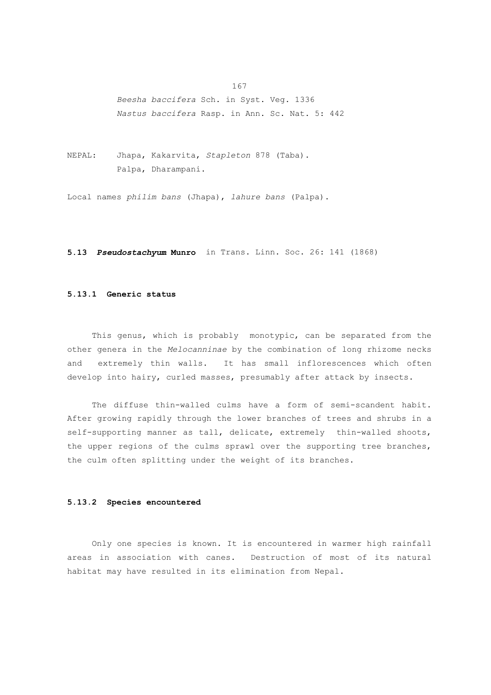*Beesha baccifera* Sch. in Syst. Veg. 1336  *Nastus baccifera* Rasp. in Ann. Sc. Nat. 5: 442

NEPAL: Jhapa, Kakarvita, *Stapleton* 878 (Taba). Palpa, Dharampani.

Local names *philim bans* (Jhapa), *lahure bans* (Palpa).

**5.13** *Pseudostachyum* **Munro** in Trans. Linn. Soc. 26: 141 (1868)

# **5.13.1 Generic status**

 This genus, which is probably monotypic, can be separated from the other genera in the *Melocanninae* by the combination of long rhizome necks and extremely thin walls. It has small inflorescences which often develop into hairy, curled masses, presumably after attack by insects.

 The diffuse thin-walled culms have a form of semi-scandent habit. After growing rapidly through the lower branches of trees and shrubs in a self-supporting manner as tall, delicate, extremely thin-walled shoots, the upper regions of the culms sprawl over the supporting tree branches, the culm often splitting under the weight of its branches.

# **5.13.2 Species encountered**

 Only one species is known. It is encountered in warmer high rainfall areas in association with canes. Destruction of most of its natural habitat may have resulted in its elimination from Nepal.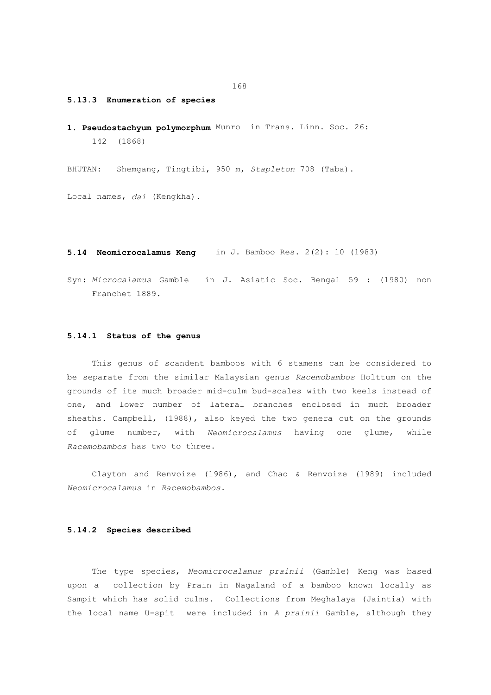#### **5.13.3 Enumeration of species**

**1. Pseudostachyum polymorphum** Munro in Trans. Linn. Soc. 26: 142 (1868)

BHUTAN: Shemgang, Tingtibi, 950 m, *Stapleton* 708 (Taba).

Local names, *dai* (Kengkha).

**5.14 Neomicrocalamus Keng** in J. Bamboo Res. 2(2): 10 (1983)

Syn: *Microcalamus* Gamble in J. Asiatic Soc. Bengal 59 : (1980) non Franchet 1889.

#### **5.14.1 Status of the genus**

 This genus of scandent bamboos with 6 stamens can be considered to be separate from the similar Malaysian genus *Racemobambos* Holttum on the grounds of its much broader mid-culm bud-scales with two keels instead of one, and lower number of lateral branches enclosed in much broader sheaths. Campbell, (1988), also keyed the two genera out on the grounds of glume number, with *Neomicrocalamus* having one glume, while *Racemobambos* has two to three.

 Clayton and Renvoize (1986), and Chao & Renvoize (1989) included *Neomicrocalamus* in *Racemobambos*.

# **5.14.2 Species described**

 The type species, *Neomicrocalamus prainii* (Gamble) Keng was based upon a collection by Prain in Nagaland of a bamboo known locally as Sampit which has solid culms. Collections from Meghalaya (Jaintia) with the local name U-spit were included in *A prainii* Gamble, although they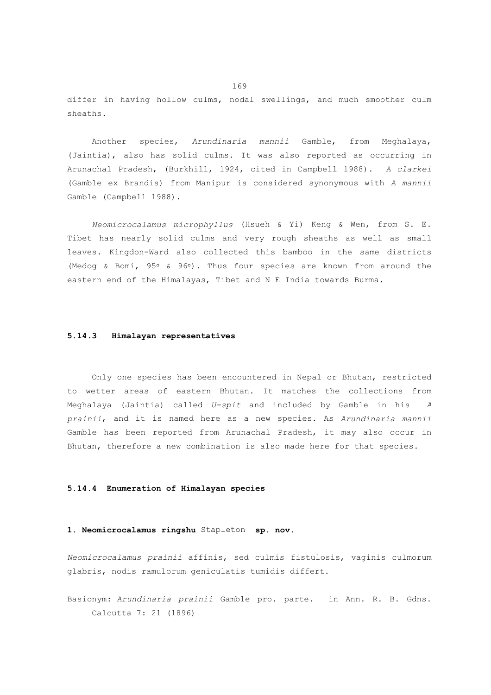differ in having hollow culms, nodal swellings, and much smoother culm sheaths.

 Another species, *Arundinaria mannii* Gamble, from Meghalaya, (Jaintia), also has solid culms. It was also reported as occurring in Arunachal Pradesh, (Burkhill, 1924, cited in Campbell 1988). *A clarkei* (Gamble ex Brandis) from Manipur is considered synonymous with *A mannii* Gamble (Campbell 1988).

 *Neomicrocalamus microphyllus* (Hsueh & Yi) Keng & Wen, from S. E. Tibet has nearly solid culms and very rough sheaths as well as small leaves. Kingdon-Ward also collected this bamboo in the same districts (Medog & Bomi, 95° & 96°). Thus four species are known from around the eastern end of the Himalayas, Tibet and N E India towards Burma.

#### **5.14.3 Himalayan representatives**

 Only one species has been encountered in Nepal or Bhutan, restricted to wetter areas of eastern Bhutan. It matches the collections from Meghalaya (Jaintia) called *U-spit* and included by Gamble in his *A prainii*, and it is named here as a new species. As *Arundinaria mannii* Gamble has been reported from Arunachal Pradesh, it may also occur in Bhutan, therefore a new combination is also made here for that species.

#### **5.14.4 Enumeration of Himalayan species**

### **1. Neomicrocalamus ringshu** Stapleton **sp. nov.**

*Neomicrocalamus prainii* affinis, sed culmis fistulosis, vaginis culmorum glabris, nodis ramulorum geniculatis tumidis differt.

Basionym: *Arundinaria prainii* Gamble pro. parte. in Ann. R. B. Gdns. Calcutta 7: 21 (1896)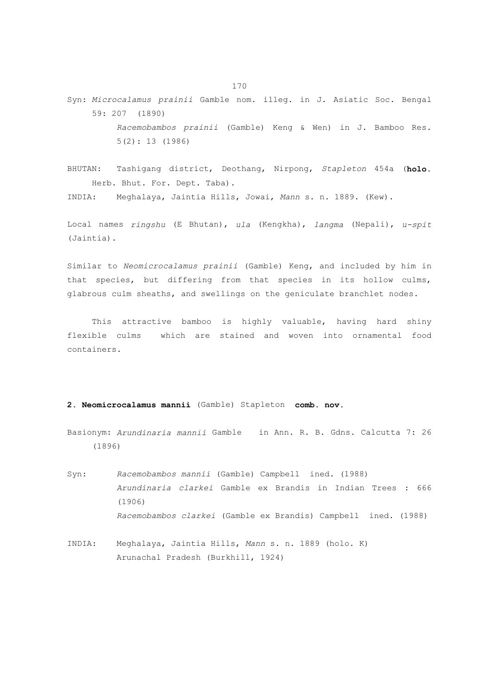- Syn: *Microcalamus prainii* Gamble nom. illeg. in J. Asiatic Soc. Bengal 59: 207 (1890)  *Racemobambos prainii* (Gamble) Keng & Wen) in J. Bamboo Res. 5(2): 13 (1986)
- BHUTAN: Tashigang district, Deothang, Nirpong, *Stapleton* 454a (**holo.** Herb. Bhut. For. Dept. Taba).

INDIA: Meghalaya, Jaintia Hills, Jowai, *Mann* s. n. 1889. (Kew).

Local names *ringshu* (E Bhutan), *ula* (Kengkha), *langma* (Nepali), *u-spit* (Jaintia).

Similar to *Neomicrocalamus prainii* (Gamble) Keng, and included by him in that species, but differing from that species in its hollow culms, glabrous culm sheaths, and swellings on the geniculate branchlet nodes.

 This attractive bamboo is highly valuable, having hard shiny flexible culms which are stained and woven into ornamental food containers.

# **2. Neomicrocalamus mannii** (Gamble) Stapleton **comb. nov.**

Basionym: *Arundinaria mannii* Gamble in Ann. R. B. Gdns. Calcutta 7: 26 (1896)

Syn: *Racemobambos mannii* (Gamble) Campbell ined. (1988)  *Arundinaria clarkei* Gamble ex Brandis in Indian Trees : 666 (1906)  *Racemobambos clarkei* (Gamble ex Brandis) Campbell ined. (1988)

INDIA: Meghalaya, Jaintia Hills, *Mann* s. n. 1889 (holo. K) Arunachal Pradesh (Burkhill, 1924)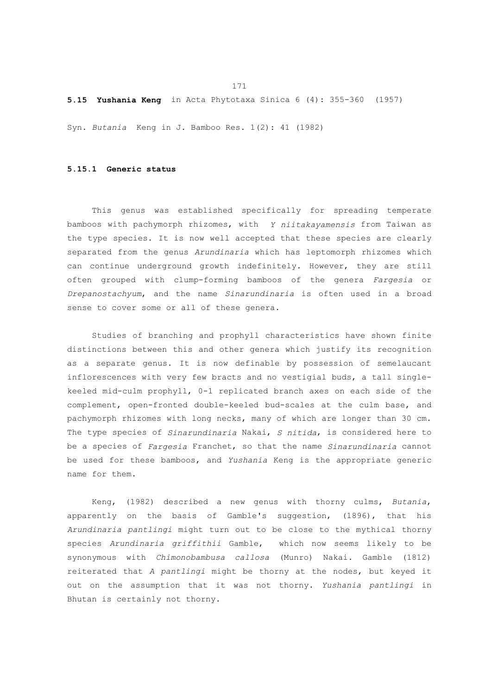**5.15 Yushania Keng** in Acta Phytotaxa Sinica 6 (4): 355-360 (1957)

Syn. *Butania* Keng in J. Bamboo Res. 1(2): 41 (1982)

### **5.15.1 Generic status**

 This genus was established specifically for spreading temperate bamboos with pachymorph rhizomes, with *Y niitakayamensis* from Taiwan as the type species. It is now well accepted that these species are clearly separated from the genus *Arundinaria* which has leptomorph rhizomes which can continue underground growth indefinitely. However, they are still often grouped with clump-forming bamboos of the genera *Fargesia* or *Drepanostachyum*, and the name *Sinarundinaria* is often used in a broad sense to cover some or all of these genera.

 Studies of branching and prophyll characteristics have shown finite distinctions between this and other genera which justify its recognition as a separate genus. It is now definable by possession of semelaucant inflorescences with very few bracts and no vestigial buds, a tall singlekeeled mid-culm prophyll, 0-1 replicated branch axes on each side of the complement, open-fronted double-keeled bud-scales at the culm base, and pachymorph rhizomes with long necks, many of which are longer than 30 cm. The type species of *Sinarundinaria* Nakai, *S nitida*, is considered here to be a species of *Fargesia* Franchet, so that the name *Sinarundinaria* cannot be used for these bamboos, and *Yushania* Keng is the appropriate generic name for them.

 Keng, (1982) described a new genus with thorny culms, *Butania*, apparently on the basis of Gamble's suggestion, (1896), that his *Arundinaria pantlingi* might turn out to be close to the mythical thorny species *Arundinaria griffithii* Gamble, which now seems likely to be synonymous with *Chimonobambusa callosa* (Munro) Nakai. Gamble (1812) reiterated that *A pantlingi* might be thorny at the nodes, but keyed it out on the assumption that it was not thorny. *Yushania pantlingi* in Bhutan is certainly not thorny.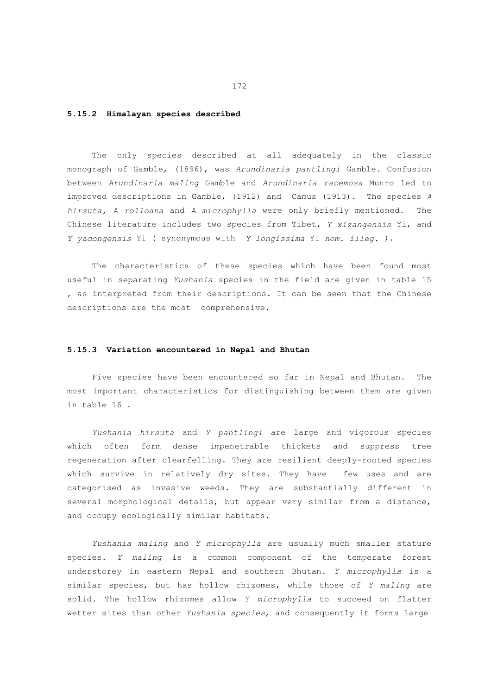# **5.15.2 Himalayan species described**

 The only species described at all adequately in the classic monograph of Gamble, (1896), was *Arundinaria pantlingi* Gamble. Confusion between *Arundinaria maling* Gamble and *Arundinaria racemosa* Munro led to improved descriptions in Gamble, (1912) and Camus (1913). The species *A hirsuta, A rolloana* and *A microphylla* were only briefly mentioned. The Chinese literature includes two species from Tibet, *Y xizangensis* Yi, and *Y yadongensis* Yi ( synonymous with *Y longissima* Yi *nom. illeg. )*.

 The characteristics of these species which have been found most useful in separating *Yushania* species in the field are given in table 15 , as interpreted from their descriptions. It can be seen that the Chinese descriptions are the most comprehensive.

# **5.15.3 Variation encountered in Nepal and Bhutan**

 Five species have been encountered so far in Nepal and Bhutan. The most important characteristics for distinguishing between them are given in table 16 .

 *Yushania hirsuta* and *Y pantlingi* are large and vigorous species which often form dense impenetrable thickets and suppress tree regeneration after clearfelling. They are resilient deeply-rooted species which survive in relatively dry sites. They have few uses and are categorised as invasive weeds. They are substantially different in several morphological details, but appear very similar from a distance, and occupy ecologically similar habitats.

 *Yushania maling* and *Y microphylla* are usually much smaller stature species. *Y maling* is a common component of the temperate forest understorey in eastern Nepal and southern Bhutan. *Y microphylla* is a similar species, but has hollow rhizomes, while those of *Y maling* are solid. The hollow rhizomes allow *Y microphylla* to succeed on flatter wetter sites than other *Yushania species*, and consequently it forms large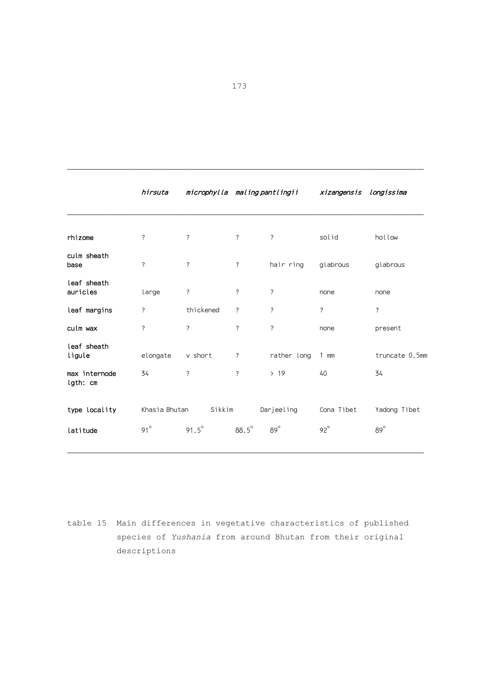|                           | hirsuta            | microphylla maling pantlingii |                          |             | xizangensis longissima |                          |
|---------------------------|--------------------|-------------------------------|--------------------------|-------------|------------------------|--------------------------|
|                           |                    |                               |                          |             |                        |                          |
| rhizome                   | ?                  | $\overline{\phantom{a}}$      | $\overline{\phantom{a}}$ | $\ddot{?}$  | solid                  | hollow                   |
| culm sheath<br>base       | $\overline{\cdot}$ | $\overline{\phantom{a}}$      | $\overline{\phantom{a}}$ | hair ring   | glabrous               | glabrous                 |
| leaf sheath<br>auricles   | large              | ?                             | ?                        | ?           | none                   | none                     |
| leaf margins              | ?                  | thickened                     | ?                        | ?           | ?                      | $\overline{\phantom{a}}$ |
| culm wax                  | ?                  | $\overline{\phantom{a}}$      | ?                        | ?           | none                   | present                  |
| leaf sheath<br>ligule     | elongate           | v short                       | ?                        | rather long | $1$ mm                 | truncate 0.5mm           |
| max internode<br>lgth: cm | 34                 | $\overline{\phantom{a}}$      | $\overline{\phantom{a}}$ | >19         | 40                     | 34                       |
| type locality             | Khasia Bhutan      | Sikkim                        |                          | Darjeeling  | Cona Tibet             | Yadong Tibet             |
| latitude                  | $91^\circ$         | $91.5^\circ$                  | $88.5^\circ$             | $89^\circ$  | $92^\circ$             | $89^\circ$               |

table 15 Main differences in vegetative characteristics of published species of *Yushania* from around Bhutan from their original descriptions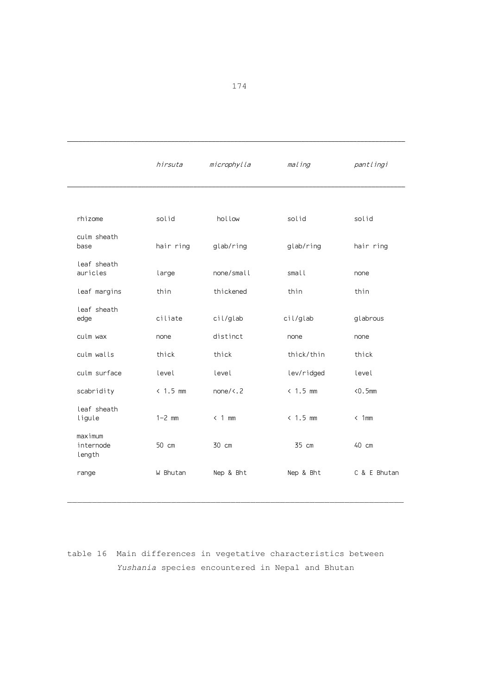|                                | hirsuta    | microphylla         | maling     | pantlingi     |
|--------------------------------|------------|---------------------|------------|---------------|
|                                |            |                     |            |               |
| rhizome                        | solid      | hollow              | solid      | solid         |
| culm sheath<br>base            | hair ring  | glab/ring           | glab/ring  | hair ring     |
| leaf sheath<br>auricles        | large      | none/small          | small      | none          |
| leaf margins                   | thin       | thickened           | thin       | thin          |
| leaf sheath<br>edge            | ciliate    | cil/glab            | cil/glab   | glabrous      |
| culm wax                       | none       | distinct            | none       | none          |
| culm walls                     | thick      | thick               | thick/thin | thick         |
| culm surface                   | level      | level               | lev/ridged | level         |
| scabridity                     | $< 1.5$ mm | none/ $\langle . 2$ | $< 1.5$ mm | $< 0.5$ mm    |
| leaf sheath<br>ligule          | $1-2$ mm   | $< 1$ mm            | $< 1.5$ mm | $\langle 1mm$ |
| maximum<br>internode<br>length | 50 cm      | 30 cm               | 35 cm      | 40 cm         |
| range                          | W Bhutan   | Nep & Bht           | Nep & Bht  | C & E Bhutan  |

table 16 Main differences in vegetative characteristics between  *Yushania* species encountered in Nepal and Bhutan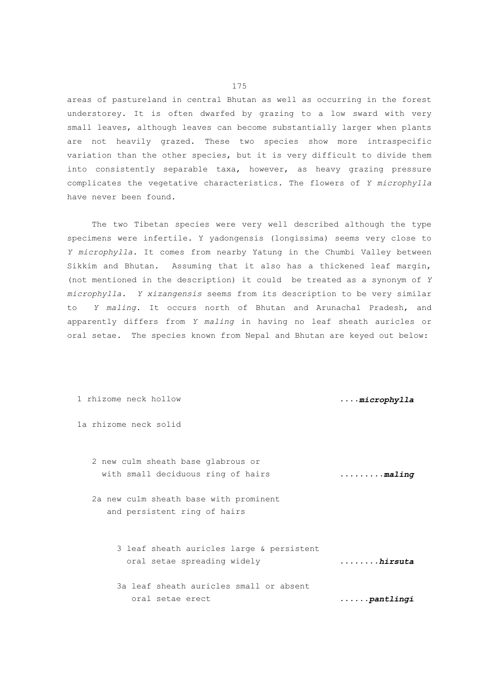areas of pastureland in central Bhutan as well as occurring in the forest understorey. It is often dwarfed by grazing to a low sward with very small leaves, although leaves can become substantially larger when plants are not heavily grazed. These two species show more intraspecific variation than the other species, but it is very difficult to divide them into consistently separable taxa, however, as heavy grazing pressure complicates the vegetative characteristics. The flowers of *Y microphylla* have never been found.

 The two Tibetan species were very well described although the type specimens were infertile. Y yadongensis (longissima) seems very close to *Y microphylla*. It comes from nearby Yatung in the Chumbi Valley between Sikkim and Bhutan. Assuming that it also has a thickened leaf margin, (not mentioned in the description) it could be treated as a synonym of *Y microphylla*. *Y xizangensis* seems from its description to be very similar to *Y maling*. It occurs north of Bhutan and Arunachal Pradesh, and apparently differs from *Y maling* in having no leaf sheath auricles or oral setae. The species known from Nepal and Bhutan are keyed out below:

 1 rhizome neck hollow ....*microphylla* 1a rhizome neck solid 2 new culm sheath base glabrous or with small deciduous ring of hairs .........*maling* 2a new culm sheath base with prominent and persistent ring of hairs 3 leaf sheath auricles large & persistent oral setae spreading widely ........*hirsuta* 3a leaf sheath auricles small or absent oral setae erect ......*pantlingi*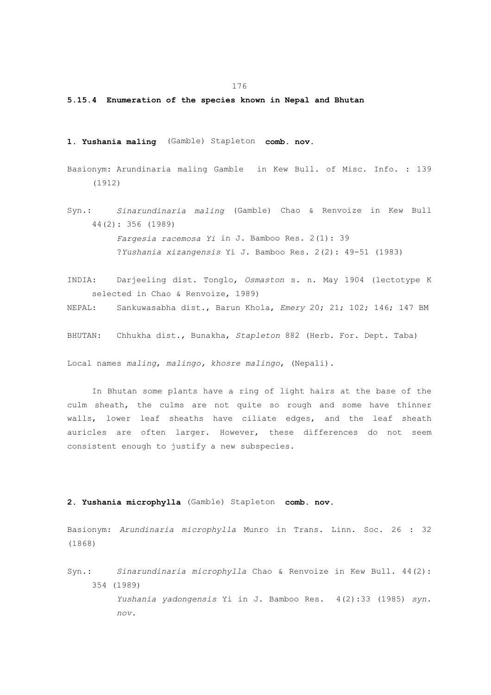176

#### **5.15.4 Enumeration of the species known in Nepal and Bhutan**

- **1. Yushania maling** (Gamble) Stapleton **comb. nov.**
- Basionym: Arundinaria maling Gamble in Kew Bull. of Misc. Info. : 139 (1912)
- Syn.: *Sinarundinaria maling* (Gamble) Chao & Renvoize in Kew Bull 44(2): 356 (1989)  *Fargesia racemosa Yi* in J. Bamboo Res. 2(1): 39 ?*Yushania xizangensis* Yi J. Bamboo Res. 2(2): 49-51 (1983)
- INDIA: Darjeeling dist. Tonglo, *Osmaston* s. n. May 1904 (lectotype K selected in Chao & Renvoize, 1989)

NEPAL: Sankuwasabha dist., Barun Khola, *Emery* 20; 21; 102; 146; 147 BM

BHUTAN: Chhukha dist., Bunakha, *Stapleton* 882 (Herb. For. Dept. Taba)

Local names *maling*, *malingo, khosre malingo*, (Nepali).

 In Bhutan some plants have a ring of light hairs at the base of the culm sheath, the culms are not quite so rough and some have thinner walls, lower leaf sheaths have ciliate edges, and the leaf sheath auricles are often larger. However, these differences do not seem consistent enough to justify a new subspecies.

## **2. Yushania microphylla** (Gamble) Stapleton **comb. nov.**

Basionym: *Arundinaria microphylla* Munro in Trans. Linn. Soc. 26 : 32 (1868)

Syn.: *Sinarundinaria microphylla* Chao & Renvoize in Kew Bull. 44(2): 354 (1989)

> *Yushania yadongensis* Yi in J. Bamboo Res. 4(2):33 (1985) *syn. nov.*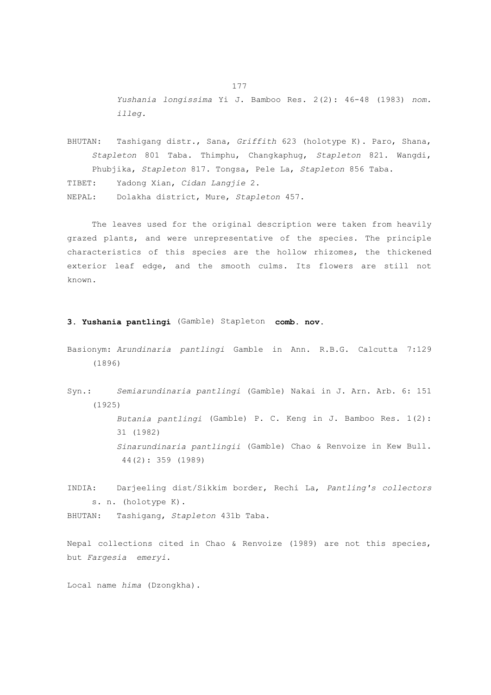*Yushania longissima* Yi J. Bamboo Res. 2(2): 46-48 (1983) *nom. illeg.*

BHUTAN: Tashigang distr., Sana, *Griffith* 623 (holotype K). Paro, Shana, *Stapleton* 801 Taba. Thimphu, Changkaphug, *Stapleton* 821. Wangdi, Phubjika, *Stapleton* 817. Tongsa, Pele La, *Stapleton* 856 Taba. TIBET: Yadong Xian, *Cidan Langjie* 2. NEPAL: Dolakha district, Mure, *Stapleton* 457.

 The leaves used for the original description were taken from heavily grazed plants, and were unrepresentative of the species. The principle characteristics of this species are the hollow rhizomes, the thickened exterior leaf edge, and the smooth culms. Its flowers are still not known.

## **3. Yushania pantlingi** (Gamble) Stapleton **comb. nov.**

- Basionym: *Arundinaria pantlingi* Gamble in Ann. R.B.G. Calcutta 7:129 (1896)
- Syn.: *Semiarundinaria pantlingi* (Gamble) Nakai in J. Arn. Arb. 6: 151 (1925)  *Butania pantlingi* (Gamble) P. C. Keng in J. Bamboo Res. 1(2): 31 (1982)  *Sinarundinaria pantlingii* (Gamble) Chao & Renvoize in Kew Bull. 44(2): 359 (1989)
- INDIA: Darjeeling dist/Sikkim border, Rechi La, *Pantling's collectors* s. n. (holotype K).

BHUTAN: Tashigang, *Stapleton* 431b Taba.

Nepal collections cited in Chao & Renvoize (1989) are not this species, but *Fargesia emeryi*.

Local name *hima* (Dzongkha).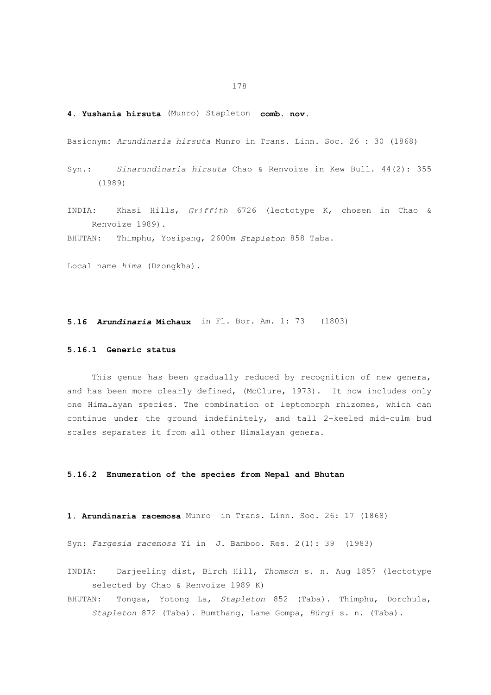# **4. Yushania hirsuta** (Munro) Stapleton **comb. nov.**

Basionym: *Arundinaria hirsuta* Munro in Trans. Linn. Soc. 26 : 30 (1868)

- Syn.: *Sinarundinaria hirsuta* Chao & Renvoize in Kew Bull. 44(2): 355 (1989)
- INDIA: Khasi Hills, *Griffith* 6726 (lectotype K, chosen in Chao & Renvoize 1989).

BHUTAN: Thimphu, Yosipang, 2600m *Stapleton* 858 Taba.

Local name *hima* (Dzongkha).

**5.16** *Arundinaria* **Michaux** in Fl. Bor. Am. 1: 73 (1803)

# **5.16.1 Generic status**

 This genus has been gradually reduced by recognition of new genera, and has been more clearly defined, (McClure, 1973). It now includes only one Himalayan species. The combination of leptomorph rhizomes, which can continue under the ground indefinitely, and tall 2-keeled mid-culm bud scales separates it from all other Himalayan genera.

# **5.16.2 Enumeration of the species from Nepal and Bhutan**

**1. Arundinaria racemosa** Munro in Trans. Linn. Soc. 26: 17 (1868)

Syn: *Fargesia racemosa* Yi in J. Bamboo. Res. 2(1): 39 (1983)

- INDIA: Darjeeling dist, Birch Hill, *Thomson* s. n. Aug 1857 (lectotype selected by Chao & Renvoize 1989 K)
- BHUTAN: Tongsa, Yotong La, *Stapleton* 852 (Taba). Thimphu, Dorchula, *Stapleton* 872 (Taba). Bumthang, Lame Gompa, *Bürgi* s. n. (Taba).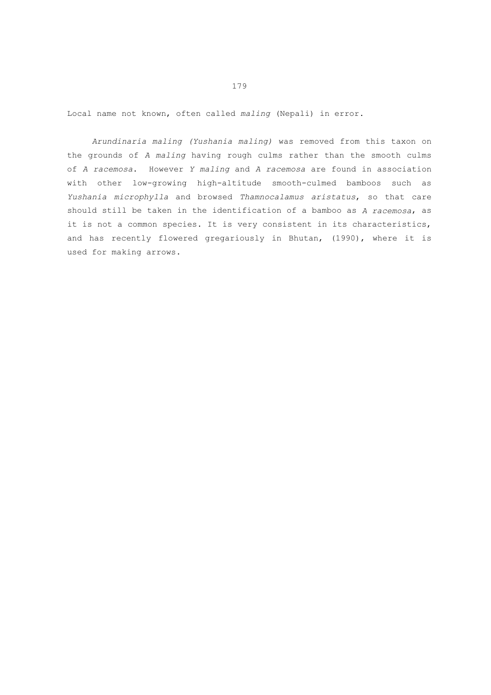Local name not known, often called *maling* (Nepali) in error.

 *Arundinaria maling (Yushania maling)* was removed from this taxon on the grounds of *A maling* having rough culms rather than the smooth culms of *A racemosa*. However *Y maling* and *A racemosa* are found in association with other low-growing high-altitude smooth-culmed bamboos such as *Yushania microphylla* and browsed *Thamnocalamus aristatus*, so that care should still be taken in the identification of a bamboo as *A racemosa*, as it is not a common species. It is very consistent in its characteristics, and has recently flowered gregariously in Bhutan, (1990), where it is used for making arrows.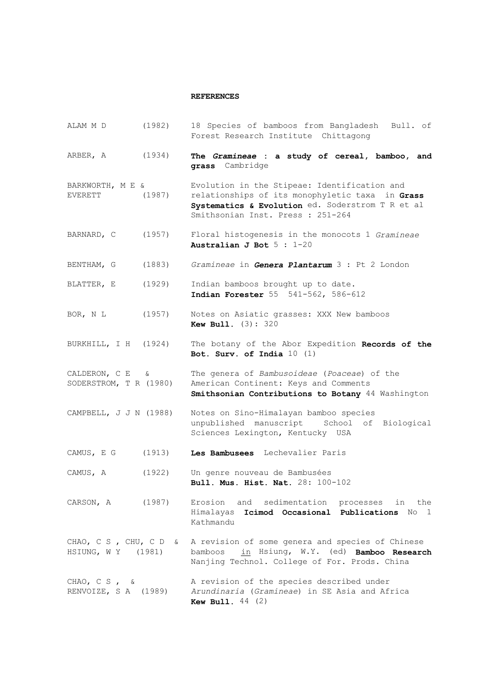# **REFERENCES**

| ALAM M D                                    | (1982) | 18 Species of bamboos from Bangladesh Bull. of<br>Forest Research Institute Chittagong                                                                                                   |
|---------------------------------------------|--------|------------------------------------------------------------------------------------------------------------------------------------------------------------------------------------------|
| ARBER, A                                    | (1934) | The Gramineae : a study of cereal, bamboo, and<br>grass Cambridge                                                                                                                        |
| BARKWORTH, M E &<br>EVERETT                 | (1987) | Evolution in the Stipeae: Identification and<br>relationships of its monophyletic taxa in Grass<br>Systematics & Evolution ed. Soderstrom T R et al<br>Smithsonian Inst. Press : 251-264 |
| BARNARD, C                                  | (1957) | Floral histogenesis in the monocots 1 Gramineae<br>Australian J Bot $5:1-20$                                                                                                             |
| BENTHAM, G                                  | (1883) | Gramineae in Genera Plantarum 3 : Pt 2 London                                                                                                                                            |
| BLATTER, E                                  | (1929) | Indian bamboos brought up to date.<br>Indian Forester 55 541-562, 586-612                                                                                                                |
| BOR, N L                                    | (1957) | Notes on Asiatic grasses: XXX New bamboos<br><b>Kew Bull.</b> (3): 320                                                                                                                   |
| BURKHILL, I H (1924)                        |        | The botany of the Abor Expedition Records of the<br>Bot. Surv. of India $10(1)$                                                                                                          |
| CALDERON, $C E$ &<br>SODERSTROM, T R (1980) |        | The genera of Bambusoideae (Poaceae) of the<br>American Continent: Keys and Comments<br>Smithsonian Contributions to Botany 44 Washington                                                |
| CAMPBELL, J J N (1988)                      |        | Notes on Sino-Himalayan bamboo species<br>unpublished manuscript School of Biological<br>Sciences Lexington, Kentucky USA                                                                |
| CAMUS, E G                                  | (1913) | Les Bambusees Lechevalier Paris                                                                                                                                                          |
| CAMUS, A                                    | (1922) | Un genre nouveau de Bambusées<br>Bull. Mus. Hist. Nat. 28: 100-102                                                                                                                       |
| CARSON, A (1987)                            |        | Erosion and sedimentation processes in the<br>Himalayas Icimod Occasional Publications No 1<br>Kathmandu                                                                                 |
| HSIUNG, W Y (1981)                          |        | CHAO, C S , CHU, C D & A revision of some genera and species of Chinese<br>bamboos in Hsiung, W.Y. (ed) Bamboo Research<br>Nanjing Technol. College of For. Prods. China                 |
| $CHAO, C S, \&$<br>RENVOIZE, S A (1989)     |        | A revision of the species described under<br>Arundinaria (Gramineae) in SE Asia and Africa<br><b>Kew Bull.</b> $44$ (2)                                                                  |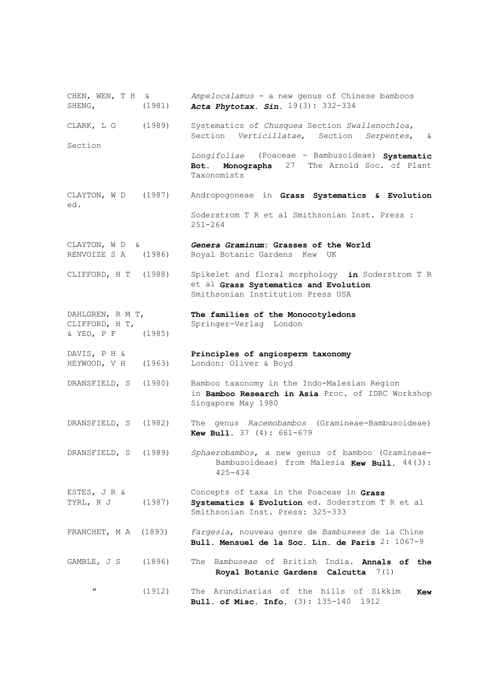CHEN, WEN, T H & *Ampelocalamus* - a new genus of Chinese bamboos SHENG, (1981) *Acta Phytotax. Sin.* 19(3): 332-334 CLARK, L G (1989) Systematics of *Chusquea* Section *Swallenochloa*, Section *Verticillatae*, Section *Serpentes*, & Section  *Longifoliae* (Poaceae - Bambusoideae) **Systematic Bot. Monographs** 27 The Arnold Soc. of Plant Taxonomists CLAYTON, W D (1987) Andropogoneae in **Grass Systematics & Evolution** ed. Soderstrom T R et al Smithsonian Inst. Press : 251-264 CLAYTON, W D & **Genera Graminum: Grasses of the World**<br>RENVOIZE S A (1986) Royal Botanic Gardens Kew UK Royal Botanic Gardens Kew UK CLIFFORD, H T (1988) Spikelet and floral morphology **in** Soderstrom T R et al **Grass Systematics and Evolution** Smithsonian Institution Press USA DAHLGREN, R M T, **The families of the Monocotyledons**<br>CLIFFORD, H T, Springer-Verlag London Springer-Verlag London & YEO, P F (1985) DAVIS, P H & **Principles of angiosperm taxonomy** HEYWOOD, V H (1963) London: Oliver & Boyd DRANSFIELD, S (1980) Bamboo taxonomy in the Indo-Malesian Region in **Bamboo Research in Asia** Proc. of IDRC Workshop Singapore May 1980 DRANSFIELD, S (1982) The genus *Racemobambos* (Gramineae-Bambusoideae) **Kew Bull.** 37 (4): 661-679 DRANSFIELD, S (1989) *Sphaerobambos*, a new genus of bamboo (Gramineae-Bambusoideae) from Malesia **Kew Bull.** 44(3): 425-434 ESTES, J R & Concepts of taxa in the Poaceae in **Grass** TYRL, R J (1987) **Systematics & Evolution** ed. Soderstrom T R et al Smithsonian Inst. Press: 325-333 FRANCHET, M A (1893) *Fargesia*, nouveau genre de *Bambusees* de la Chine  **Bull. Mensuel de la Soc. Lin. de Paris** 2: 1067-9 GAMBLE, J S (1896) The *Bambuseae* of British India. **Annals of the Royal Botanic Gardens Calcutta** 7(1) " (1912) The Arundinarias of the hills of Sikkim **Kew Bull. of Misc. Info.** (3): 135-140 1912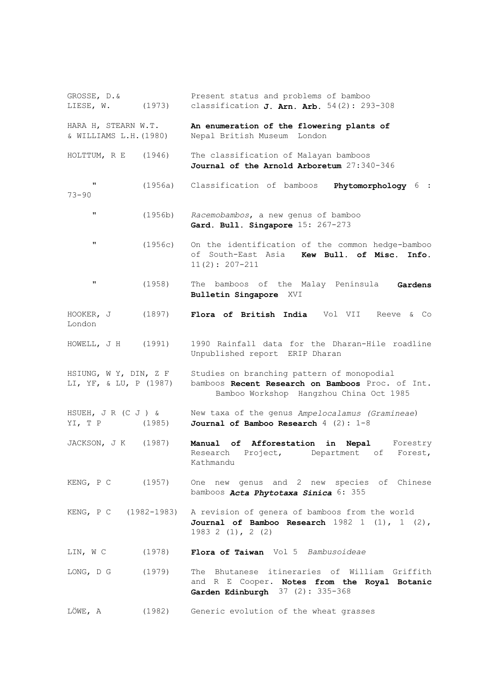GROSSE, D.& Present status and problems of bamboo LIESE, W. (1973) classification **J. Arn. Arb.** 54(2): 293-308 HARA H, STEARN W.T. **An enumeration of the flowering plants of**  $\alpha$  WILLIAMS L.H. (1980) Nepal British Museum London Nepal British Museum London HOLTTUM, R E (1946) The classification of Malayan bamboos  **Journal of the Arnold Arboretum** 27:340-346 " (1956a) Classification of bamboos **Phytomorphology** 6 : 73-90 " (1956b) *Racemobambos*, a new genus of bamboo  **Gard. Bull. Singapore** 15: 267-273 " (1956c) On the identification of the common hedge-bamboo of South-East Asia **Kew Bull. of Misc. Info.** 11(2): 207-211 " (1958) The bamboos of the Malay Peninsula **Gardens Bulletin Singapore** XVI HOOKER, J (1897) **Flora of British India** Vol VII Reeve & Co London HOWELL, J H (1991) 1990 Rainfall data for the Dharan-Hile roadline Unpublished report ERIP Dharan HSIUNG, W Y, DIN, Z F Studies on branching pattern of monopodial LI, YF, & LU, P (1987) bamboos **Recent Research on Bamboos** Proc. of Int. Bamboo Workshop Hangzhou China Oct 1985 HSUEH, J R (C J ) & New taxa of the genus *Ampelocalamus (Gramineae*) YI, T P (1985) **Journal of Bamboo Research** 4 (2): 1-8 JACKSON, J K (1987) Manual of Afforestation in Nepal Forestry Research Project, Department of Forest, Kathmandu KENG, P C (1957) One new genus and 2 new species of Chinese bamboos *Acta Phytotaxa Sinica* 6: 355 KENG, P C (1982-1983) A revision of genera of bamboos from the world  **Journal of Bamboo Research** 1982 1 (1), 1 (2), 1983 2 (1), 2 (2) LIN, W C (1978) **Flora of Taiwan** Vol 5 *Bambusoideae* LONG, D G (1979) The Bhutanese itineraries of William Griffith and R E Cooper. **Notes from the Royal Botanic Garden Edinburgh** 37 (2): 335-368 LÖWE, A (1982) Generic evolution of the wheat grasses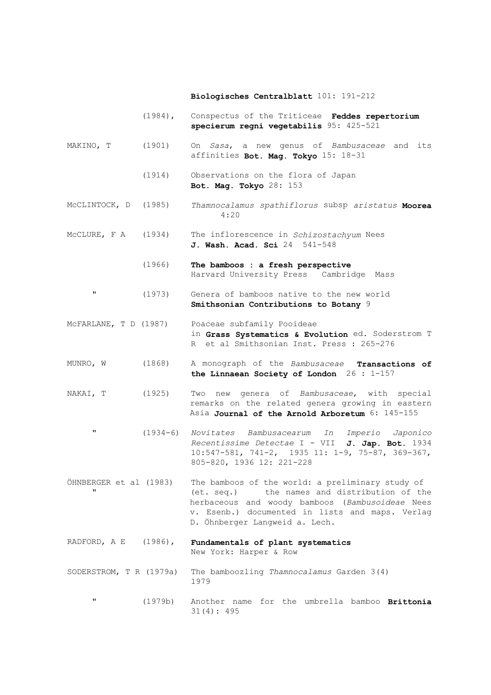#### **Biologisches Centralblatt** 101: 191-212

- (1984), Conspectus of the Triticeae **Feddes repertorium specierum regni vegetabilis** 95: 425-521
- MAKINO, T (1901) On *Sasa*, a new genus of *Bambusaceae* and its affinities **Bot. Mag. Tokyo** 15: 18-31
	- (1914) Observations on the flora of Japan  **Bot. Mag. Tokyo** 28: 153
- McCLINTOCK, D (1985) *Thamnocalamus spathiflorus* subsp *aristatus* **Moorea** 4:20
- McCLURE, F A (1934) The inflorescence in *Schizostachyum* Nees  **J. Wash. Acad. Sci** 24 541-548
	- (1966) **The bamboos : a fresh perspective** Harvard University Press Cambridge Mass
	- " (1973) Genera of bamboos native to the new world  **Smithsonian Contributions to Botany** 9
- McFARLANE, T D (1987) Poaceae subfamily Pooideae in **Grass Systematics & Evolution** ed. Soderstrom T R et al Smithsonian Inst. Press : 265-276
- MUNRO, W (1868) A monograph of the *Bambusaceae* **Transactions of the Linnaean Society of London** 26 : 1-157
- NAKAI, T (1925) Two new genera of *Bambusaceae*, with special remarks on the related genera growing in eastern Asia **Journal of the Arnold Arboretum** 6: 145-155
	- " (1934-6) *Novitates Bambusacearum In Imperio Japonico Recentissime Detectae* I - VII **J. Jap. Bot.** 1934 10:547-581, 741-2, 1935 11: 1-9, 75-87, 369-367, 805-820, 1936 12: 221-228
- ÖHNBERGER et al (1983) The bamboos of the world: a preliminary study of (et. seq.) the names and distribution of the herbaceous and woody bamboos (*Bambusoideae* Nees v. Esenb.) documented in lists and maps. Verlag D. Öhnberger Langweid a. Lech.
- RADFORD, A E (1986), **Fundamentals of plant systematics** New York: Harper & Row
- SODERSTROM, T R (1979a) The bamboozling *Thamnocalamus* Garden 3(4) 1979
	- " (1979b) Another name for the umbrella bamboo **Brittonia** 31(4): 495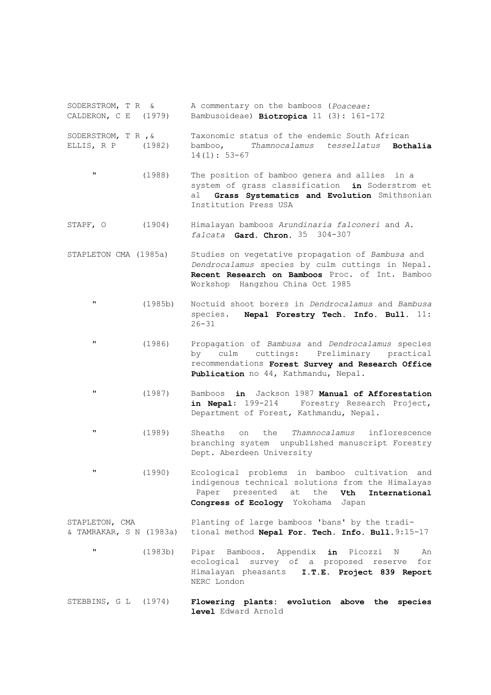- SODERSTROM, T R & A commentary on the bamboos (*Poaceae:*<br>CALDERON, C E (1979) Bambusoideae) **Biotropica** 11 (3): 161-Bambusoideae) **Biotropica** 11 (3): 161-172 SODERSTROM, T R ,& Taxonomic status of the endemic South African ELLIS, R P (1982) bamboo, *Thamnocalamus tessellatus* **Bothalia**  $14(1): 53-67$ 
	- " (1988) The position of bamboo genera and allies in a system of grass classification **in** Soderstrom et al **Grass Systematics and Evolution** Smithsonian Institution Press USA
- STAPF, O (1904) Himalayan bamboos *Arundinaria falconeri* and *A. falcata* **Gard. Chron.** 35 304-307
- STAPLETON CMA (1985a) Studies on vegetative propagation of *Bambusa* and  *Dendrocalamus* species by culm cuttings in Nepal. **Recent Research on Bamboos** Proc. of Int. Bamboo Workshop Hangzhou China Oct 1985
	- " (1985b) Noctuid shoot borers in *Dendrocalamus* and *Bambusa* species. **Nepal Forestry Tech. Info. Bull.** 11:  $26 - 31$
	- " (1986) Propagation of *Bambusa* and *Dendrocalamus* species by culm cuttings: Preliminary practical recommendations **Forest Survey and Research Office Publication** no 44, Kathmandu, Nepal.
	- " (1987) Bamboos **in** Jackson 1987 **Manual of Afforestation**  Forestry Research Project, Department of Forest, Kathmandu, Nepal.
	- " (1989) Sheaths on the *Thamnocalamus* inflorescence branching system unpublished manuscript Forestry Dept. Aberdeen University
	- " (1990) Ecological problems in bamboo cultivation and indigenous technical solutions from the Himalayas Paper presented at the **Vth International Congress of Ecology** Yokohama Japan
- STAPLETON, CMA Planting of large bamboos 'bans' by the tradi-& TAMRAKAR, S N (1983a) tional method **Nepal For. Tech. Info. Bull.**9:15-17
	- " (1983b) Pipar Bamboos. Appendix **in** Picozzi N An ecological survey of a proposed reserve for Himalayan pheasants **I.T.E. Project 839 Report**  NERC London
- STEBBINS, G L (1974) **Flowering plants: evolution above the species level** Edward Arnold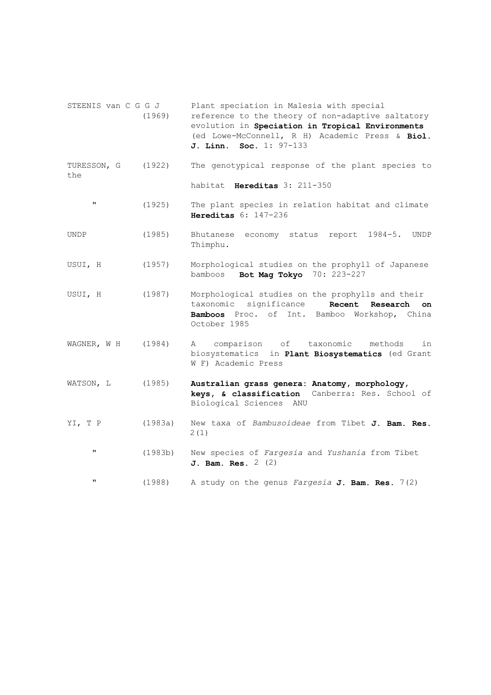STEENIS van C G G J Plant speciation in Malesia with special (1969) reference to the theory of non-adaptive saltatory evolution in **Speciation in Tropical Environments** (ed Lowe-McConnell, R H) Academic Press & **Biol. J. Linn. Soc.** 1: 97-133 TURESSON, G (1922) The genotypical response of the plant species to the habitat **Hereditas** 3: 211-350 " (1925) The plant species in relation habitat and climate  **Hereditas** 6: 147-236 UNDP (1985) Bhutanese economy status report 1984-5. UNDP Thimphu. USUI, H (1957) Morphological studies on the prophyll of Japanese bamboos **Bot Mag Tokyo** 70: 223-227 USUI, H (1987) Morphological studies on the prophylls and their taxonomic significance **Recent Research on Bamboos** Proc. of Int. Bamboo Workshop, China October 1985 WAGNER, W H (1984) A comparison of taxonomic methods in biosystematics in **Plant Biosystematics** (ed Grant W F) Academic Press WATSON, L (1985) **Australian grass genera: Anatomy, morphology, keys, & classification** Canberra: Res. School of Biological Sciences ANU YI, T P (1983a) New taxa of *Bambusoideae* from Tibet **J. Bam. Res.** 2(1) " (1983b) New species of *Fargesia* and *Yushania* from Tibet  **J. Bam. Res.** 2 (2) " (1988) A study on the genus *Fargesia* **J. Bam. Res.** 7(2)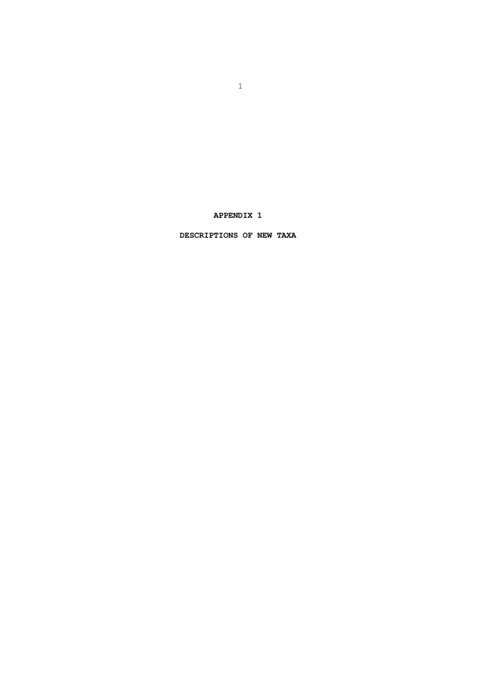**APPENDIX 1** 

 **DESCRIPTIONS OF NEW TAXA**

 $\sim$  1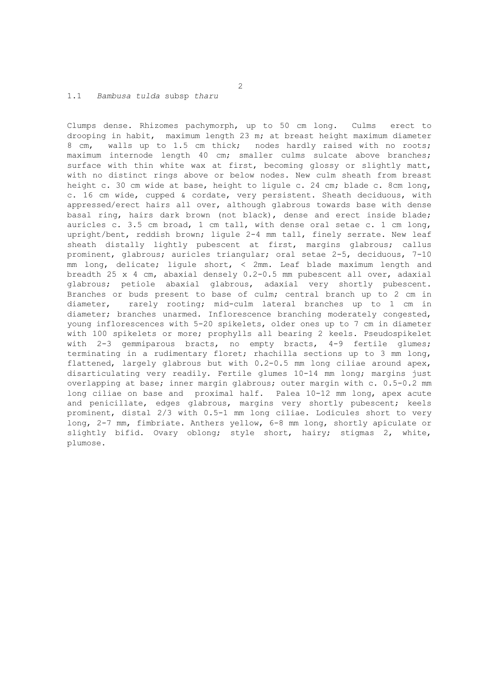#### 1.1 *Bambusa tulda* subsp *tharu*

Clumps dense. Rhizomes pachymorph, up to 50 cm long. Culms erect to drooping in habit, maximum length 23 m; at breast height maximum diameter 8 cm, walls up to 1.5 cm thick; nodes hardly raised with no roots; maximum internode length 40 cm; smaller culms sulcate above branches; surface with thin white wax at first, becoming glossy or slightly matt, with no distinct rings above or below nodes. New culm sheath from breast height c. 30 cm wide at base, height to ligule c. 24 cm; blade c. 8cm long, c. 16 cm wide, cupped & cordate, very persistent. Sheath deciduous, with appressed/erect hairs all over, although glabrous towards base with dense basal ring, hairs dark brown (not black), dense and erect inside blade; auricles c. 3.5 cm broad, 1 cm tall, with dense oral setae c. 1 cm long, upright/bent, reddish brown; ligule 2-4 mm tall, finely serrate. New leaf sheath distally lightly pubescent at first, margins glabrous; callus prominent, glabrous; auricles triangular; oral setae 2-5, deciduous, 7-10 mm long, delicate; ligule short, < 2mm. Leaf blade maximum length and breadth 25 x 4 cm, abaxial densely 0.2-0.5 mm pubescent all over, adaxial glabrous; petiole abaxial glabrous, adaxial very shortly pubescent. Branches or buds present to base of culm; central branch up to 2 cm in diameter, rarely rooting; mid-culm lateral branches up to 1 cm in diameter; branches unarmed. Inflorescence branching moderately congested, young inflorescences with 5-20 spikelets, older ones up to 7 cm in diameter with 100 spikelets or more; prophylls all bearing 2 keels. Pseudospikelet with 2-3 gemmiparous bracts, no empty bracts, 4-9 fertile glumes; terminating in a rudimentary floret; rhachilla sections up to 3 mm long, flattened, largely glabrous but with 0.2-0.5 mm long ciliae around apex, disarticulating very readily. Fertile glumes 10-14 mm long; margins just overlapping at base; inner margin glabrous; outer margin with c. 0.5-0.2 mm long ciliae on base and proximal half. Palea 10-12 mm long, apex acute and penicillate, edges glabrous, margins very shortly pubescent; keels prominent, distal 2/3 with 0.5-1 mm long ciliae. Lodicules short to very long, 2-7 mm, fimbriate. Anthers yellow, 6-8 mm long, shortly apiculate or slightly bifid. Ovary oblong; style short, hairy; stigmas 2, white, plumose.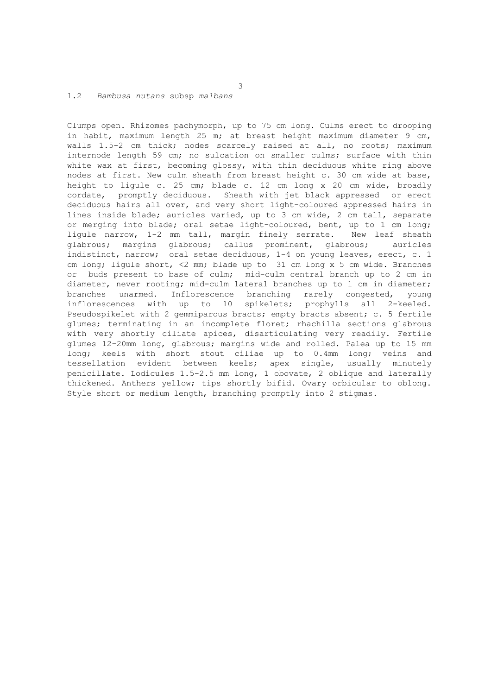# 1.2 *Bambusa nutans* subsp *malbans*

Clumps open. Rhizomes pachymorph, up to 75 cm long. Culms erect to drooping in habit, maximum length 25 m; at breast height maximum diameter 9 cm, walls 1.5-2 cm thick; nodes scarcely raised at all, no roots; maximum internode length 59 cm; no sulcation on smaller culms; surface with thin white wax at first, becoming glossy, with thin deciduous white ring above nodes at first. New culm sheath from breast height c. 30 cm wide at base, height to ligule c. 25 cm; blade c. 12 cm long x 20 cm wide, broadly cordate, promptly deciduous. Sheath with jet black appressed or erect deciduous hairs all over, and very short light-coloured appressed hairs in lines inside blade; auricles varied, up to 3 cm wide, 2 cm tall, separate or merging into blade; oral setae light-coloured, bent, up to 1 cm long; ligule narrow, 1-2 mm tall, margin finely serrate. New leaf sheath glabrous; margins glabrous; callus prominent, glabrous; auricles indistinct, narrow; oral setae deciduous, 1-4 on young leaves, erect, c. 1 cm long; ligule short, <2 mm; blade up to 31 cm long x 5 cm wide. Branches or buds present to base of culm; mid-culm central branch up to 2 cm in diameter, never rooting; mid-culm lateral branches up to 1 cm in diameter; branches unarmed. Inflorescence branching rarely congested, young inflorescences with up to l0 spikelets; prophylls all 2-keeled. Pseudospikelet with 2 gemmiparous bracts; empty bracts absent; c. 5 fertile glumes; terminating in an incomplete floret; rhachilla sections glabrous with very shortly ciliate apices, disarticulating very readily. Fertile glumes 12-20mm long, glabrous; margins wide and rolled. Palea up to 15 mm long; keels with short stout ciliae up to 0.4mm long; veins and tessellation evident between keels; apex single, usually minutely penicillate. Lodicules 1.5-2.5 mm long, 1 obovate, 2 oblique and laterally thickened. Anthers yellow; tips shortly bifid. Ovary orbicular to oblong. Style short or medium length, branching promptly into 2 stigmas.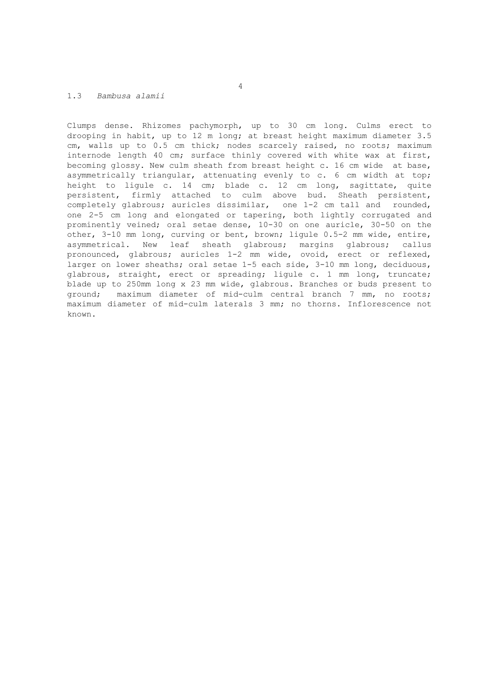# 1.3 *Bambusa alamii*

Clumps dense. Rhizomes pachymorph, up to 30 cm long. Culms erect to drooping in habit, up to 12 m long; at breast height maximum diameter 3.5 cm, walls up to 0.5 cm thick; nodes scarcely raised, no roots; maximum internode length 40 cm; surface thinly covered with white wax at first, becoming glossy. New culm sheath from breast height c. 16 cm wide at base, asymmetrically triangular, attenuating evenly to c. 6 cm width at top; height to ligule c. 14 cm; blade c. 12 cm long, sagittate, quite persistent, firmly attached to culm above bud. Sheath persistent, completely glabrous; auricles dissimilar, one 1-2 cm tall and rounded, one 2-5 cm long and elongated or tapering, both lightly corrugated and prominently veined; oral setae dense, 10-30 on one auricle, 30-50 on the other, 3-10 mm long, curving or bent, brown; ligule 0.5-2 mm wide, entire, asymmetrical. New leaf sheath glabrous; margins glabrous; callus pronounced, glabrous; auricles 1-2 mm wide, ovoid, erect or reflexed, larger on lower sheaths; oral setae 1-5 each side, 3-10 mm long, deciduous, glabrous, straight, erect or spreading; ligule c. 1 mm long, truncate; blade up to 250mm long x 23 mm wide, glabrous. Branches or buds present to ground; maximum diameter of mid-culm central branch 7 mm, no roots; maximum diameter of mid-culm laterals 3 mm; no thorns. Inflorescence not known.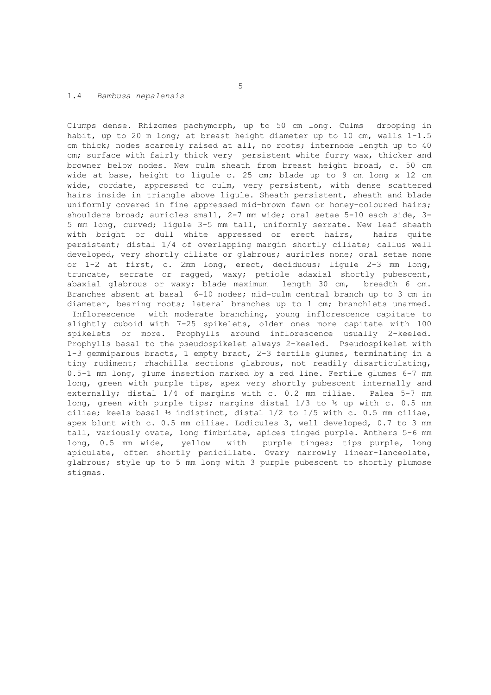#### 1.4 *Bambusa nepalensis*

Clumps dense. Rhizomes pachymorph, up to 50 cm long. Culms drooping in habit, up to 20 m long; at breast height diameter up to 10 cm, walls 1-1.5 cm thick; nodes scarcely raised at all, no roots; internode length up to 40 cm; surface with fairly thick very persistent white furry wax, thicker and browner below nodes. New culm sheath from breast height broad, c. 50 cm wide at base, height to ligule c. 25 cm; blade up to 9 cm long x 12 cm wide, cordate, appressed to culm, very persistent, with dense scattered hairs inside in triangle above ligule. Sheath persistent, sheath and blade uniformly covered in fine appressed mid-brown fawn or honey-coloured hairs; shoulders broad; auricles small, 2-7 mm wide; oral setae 5-10 each side, 3-5 mm long, curved; ligule 3-5 mm tall, uniformly serrate. New leaf sheath with bright or dull white appressed or erect hairs, hairs quite persistent; distal 1/4 of overlapping margin shortly ciliate; callus well developed, very shortly ciliate or glabrous; auricles none; oral setae none or 1-2 at first, c. 2mm long, erect, deciduous; ligule 2-3 mm long, truncate, serrate or ragged, waxy; petiole adaxial shortly pubescent, abaxial glabrous or waxy; blade maximum length 30 cm, breadth 6 cm. Branches absent at basal 6-10 nodes; mid-culm central branch up to 3 cm in diameter, bearing roots; lateral branches up to 1 cm; branchlets unarmed.

 Inflorescence with moderate branching, young inflorescence capitate to slightly cuboid with 7-25 spikelets, older ones more capitate with 100 spikelets or more. Prophylls around inflorescence usually 2-keeled. Prophylls basal to the pseudospikelet always 2-keeled. Pseudospikelet with 1-3 gemmiparous bracts, 1 empty bract, 2-3 fertile glumes, terminating in a tiny rudiment; rhachilla sections glabrous, not readily disarticulating, 0.5-1 mm long, glume insertion marked by a red line. Fertile glumes 6-7 mm long, green with purple tips, apex very shortly pubescent internally and externally; distal 1/4 of margins with c. 0.2 mm ciliae. Palea 5-7 mm long, green with purple tips; margins distal  $1/3$  to  $\frac{1}{2}$  up with c. 0.5 mm ciliae; keels basal ½ indistinct, distal 1/2 to 1/5 with c. 0.5 mm ciliae, apex blunt with c. 0.5 mm ciliae. Lodicules 3, well developed, 0.7 to 3 mm tall, variously ovate, long fimbriate, apices tinged purple. Anthers 5-6 mm long, 0.5 mm wide, yellow with purple tinges; tips purple, long apiculate, often shortly penicillate. Ovary narrowly linear-lanceolate, glabrous; style up to 5 mm long with 3 purple pubescent to shortly plumose stigmas.

 $\sim$  5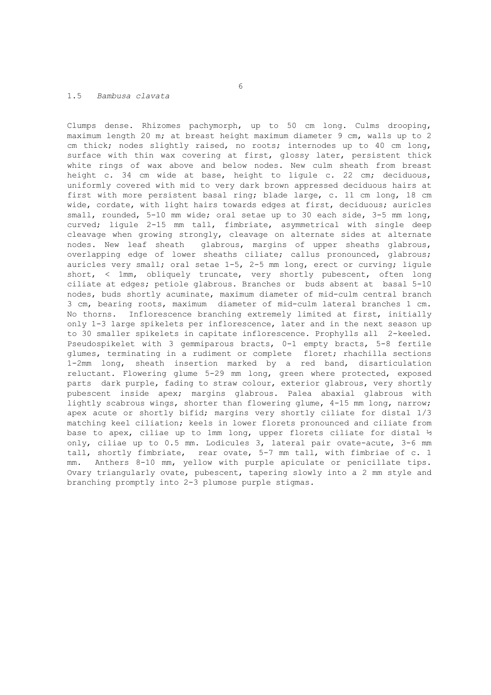# 1.5 *Bambusa clavata*

Clumps dense. Rhizomes pachymorph, up to 50 cm long. Culms drooping, maximum length 20 m; at breast height maximum diameter 9 cm, walls up to 2 cm thick; nodes slightly raised, no roots; internodes up to 40 cm long, surface with thin wax covering at first, glossy later, persistent thick white rings of wax above and below nodes. New culm sheath from breast height c. 34 cm wide at base, height to ligule c. 22 cm; deciduous, uniformly covered with mid to very dark brown appressed deciduous hairs at first with more persistent basal ring; blade large, c. 11 cm long, 18 cm wide, cordate, with light hairs towards edges at first, deciduous; auricles small, rounded, 5-10 mm wide; oral setae up to 30 each side, 3-5 mm long, curved; ligule 2-15 mm tall, fimbriate, asymmetrical with single deep cleavage when growing strongly, cleavage on alternate sides at alternate nodes. New leaf sheath glabrous, margins of upper sheaths glabrous, overlapping edge of lower sheaths ciliate; callus pronounced, glabrous; auricles very small; oral setae 1-5, 2-5 mm long, erect or curving; ligule short, < 1mm, obliquely truncate, very shortly pubescent, often long ciliate at edges; petiole glabrous. Branches or buds absent at basal 5-10 nodes, buds shortly acuminate, maximum diameter of mid-culm central branch 3 cm, bearing roots, maximum diameter of mid-culm lateral branches 1 cm. No thorns. Inflorescence branching extremely limited at first, initially only 1-3 large spikelets per inflorescence, later and in the next season up to 30 smaller spikelets in capitate inflorescence. Prophylls all 2-keeled. Pseudospikelet with 3 gemmiparous bracts, 0-1 empty bracts, 5-8 fertile glumes, terminating in a rudiment or complete floret; rhachilla sections 1-2mm long, sheath insertion marked by a red band, disarticulation reluctant. Flowering glume 5-29 mm long, green where protected, exposed parts dark purple, fading to straw colour, exterior glabrous, very shortly pubescent inside apex; margins glabrous. Palea abaxial glabrous with lightly scabrous wings, shorter than flowering glume, 4-15 mm long, narrow; apex acute or shortly bifid; margins very shortly ciliate for distal 1/3 matching keel ciliation; keels in lower florets pronounced and ciliate from base to apex, ciliae up to 1mm long, upper florets ciliate for distal  $\frac{1}{2}$ only, ciliae up to 0.5 mm. Lodicules 3, lateral pair ovate-acute, 3-6 mm tall, shortly fimbriate, rear ovate, 5-7 mm tall, with fimbriae of c. 1 mm. Anthers 8-10 mm, yellow with purple apiculate or penicillate tips. Ovary triangularly ovate, pubescent, tapering slowly into a 2 mm style and branching promptly into 2-3 plumose purple stigmas.

 $\sim$  6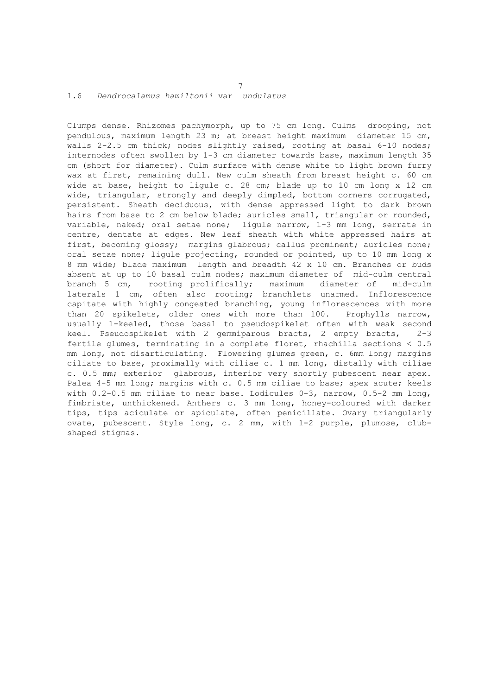## 1.6 *Dendrocalamus hamiltonii* var *undulatus*

Clumps dense. Rhizomes pachymorph, up to 75 cm long. Culms drooping, not pendulous, maximum length 23 m; at breast height maximum diameter 15 cm, walls 2-2.5 cm thick; nodes slightly raised, rooting at basal 6-10 nodes; internodes often swollen by 1-3 cm diameter towards base, maximum length 35 cm (short for diameter). Culm surface with dense white to light brown furry wax at first, remaining dull. New culm sheath from breast height c. 60 cm wide at base, height to ligule c. 28 cm; blade up to 10 cm long x 12 cm wide, triangular, strongly and deeply dimpled, bottom corners corrugated, persistent. Sheath deciduous, with dense appressed light to dark brown hairs from base to 2 cm below blade; auricles small, triangular or rounded, variable, naked; oral setae none; ligule narrow, 1-3 mm long, serrate in centre, dentate at edges. New leaf sheath with white appressed hairs at first, becoming glossy; margins glabrous; callus prominent; auricles none; oral setae none; ligule projecting, rounded or pointed, up to 10 mm long x 8 mm wide; blade maximum length and breadth 42 x 10 cm. Branches or buds absent at up to 10 basal culm nodes; maximum diameter of mid-culm central branch 5 cm, rooting prolifically; maximum diameter of mid-culm laterals 1 cm, often also rooting; branchlets unarmed. Inflorescence capitate with highly congested branching, young inflorescences with more than 20 spikelets, older ones with more than 100. Prophylls narrow, usually 1-keeled, those basal to pseudospikelet often with weak second keel. Pseudospikelet with 2 gemmiparous bracts, 2 empty bracts, 2-3 fertile glumes, terminating in a complete floret, rhachilla sections < 0.5 mm long, not disarticulating. Flowering glumes green, c. 6mm long; margins ciliate to base, proximally with ciliae c. 1 mm long, distally with ciliae c. 0.5 mm; exterior glabrous, interior very shortly pubescent near apex. Palea 4-5 mm long; margins with c. 0.5 mm ciliae to base; apex acute; keels with 0.2-0.5 mm ciliae to near base. Lodicules 0-3, narrow, 0.5-2 mm long, fimbriate, unthickened. Anthers c. 3 mm long, honey-coloured with darker tips, tips aciculate or apiculate, often penicillate. Ovary triangularly ovate, pubescent. Style long, c. 2 mm, with 1-2 purple, plumose, clubshaped stigmas.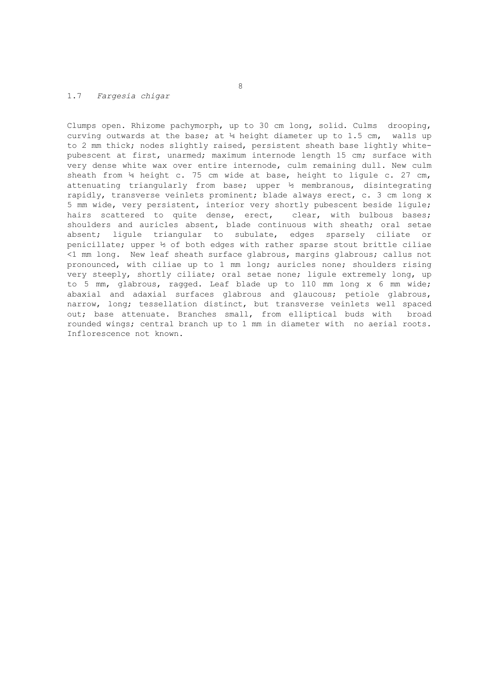# 1.7 *Fargesia chigar*

Clumps open. Rhizome pachymorph, up to 30 cm long, solid. Culms drooping, curving outwards at the base; at  $\frac{1}{4}$  height diameter up to 1.5 cm, walls up to 2 mm thick; nodes slightly raised, persistent sheath base lightly whitepubescent at first, unarmed; maximum internode length 15 cm; surface with very dense white wax over entire internode, culm remaining dull. New culm sheath from ¼ height c. 75 cm wide at base, height to ligule c. 27 cm, attenuating triangularly from base; upper ½ membranous, disintegrating rapidly, transverse veinlets prominent; blade always erect, c. 3 cm long x 5 mm wide, very persistent, interior very shortly pubescent beside ligule; hairs scattered to quite dense, erect, clear, with bulbous bases; shoulders and auricles absent, blade continuous with sheath; oral setae absent; ligule triangular to subulate, edges sparsely ciliate or penicillate; upper ½ of both edges with rather sparse stout brittle ciliae <1 mm long. New leaf sheath surface glabrous, margins glabrous; callus not pronounced, with ciliae up to 1 mm long; auricles none; shoulders rising very steeply, shortly ciliate; oral setae none; ligule extremely long, up to 5 mm, glabrous, ragged. Leaf blade up to 110 mm long x 6 mm wide; abaxial and adaxial surfaces glabrous and glaucous; petiole glabrous, narrow, long; tessellation distinct, but transverse veinlets well spaced out; base attenuate. Branches small, from elliptical buds with broad rounded wings; central branch up to 1 mm in diameter with no aerial roots. Inflorescence not known.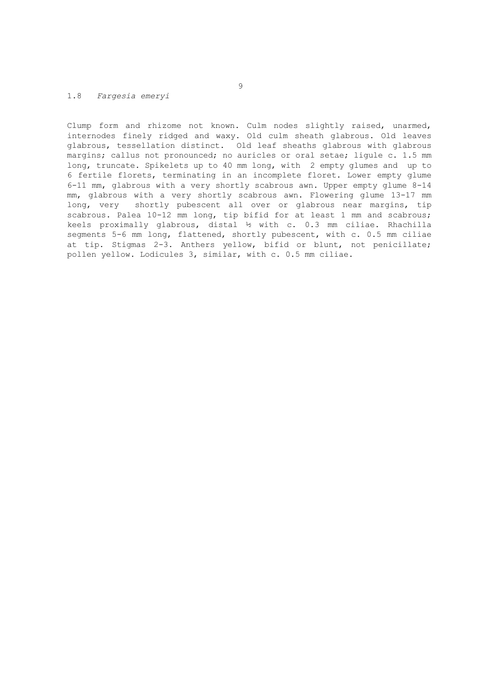### 1.8 *Fargesia emeryi*

Clump form and rhizome not known. Culm nodes slightly raised, unarmed, internodes finely ridged and waxy. Old culm sheath glabrous. Old leaves glabrous, tessellation distinct. Old leaf sheaths glabrous with glabrous margins; callus not pronounced; no auricles or oral setae; ligule c. 1.5 mm long, truncate. Spikelets up to 40 mm long, with 2 empty glumes and up to 6 fertile florets, terminating in an incomplete floret. Lower empty glume 6-11 mm, glabrous with a very shortly scabrous awn. Upper empty glume 8-14 mm, glabrous with a very shortly scabrous awn. Flowering glume 13-17 mm long, very shortly pubescent all over or glabrous near margins, tip scabrous. Palea 10-12 mm long, tip bifid for at least 1 mm and scabrous; keels proximally glabrous, distal ½ with c. 0.3 mm ciliae. Rhachilla segments 5-6 mm long, flattened, shortly pubescent, with c. 0.5 mm ciliae at tip. Stigmas 2-3. Anthers yellow, bifid or blunt, not penicillate; pollen yellow. Lodicules 3, similar, with c. 0.5 mm ciliae.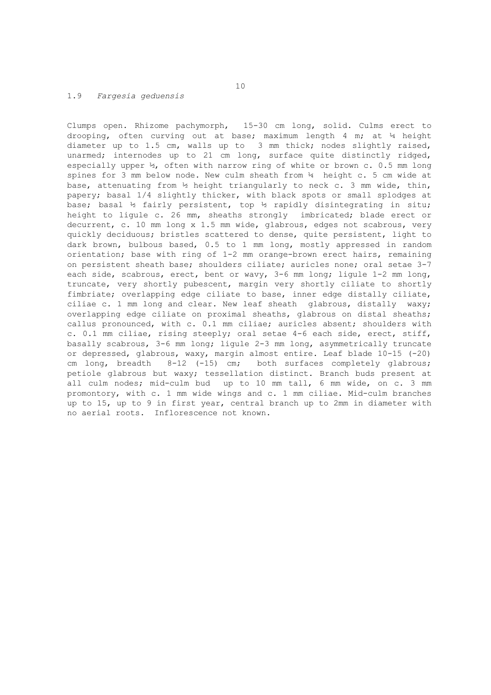# 1.9 *Fargesia geduensis*

Clumps open. Rhizome pachymorph, 15-30 cm long, solid. Culms erect to drooping, often curving out at base; maximum length 4 m; at ¼ height diameter up to 1.5 cm, walls up to 3 mm thick; nodes slightly raised, unarmed; internodes up to 21 cm long, surface quite distinctly ridged, especially upper  $\frac{1}{2}$ , often with narrow ring of white or brown c. 0.5 mm long spines for 3 mm below node. New culm sheath from ¼ height c. 5 cm wide at base, attenuating from ½ height triangularly to neck c. 3 mm wide, thin, papery; basal 1/4 slightly thicker, with black spots or small splodges at base; basal ½ fairly persistent, top ½ rapidly disintegrating in situ; height to ligule c. 26 mm, sheaths strongly imbricated; blade erect or decurrent, c. 10 mm long x 1.5 mm wide, glabrous, edges not scabrous, very quickly deciduous; bristles scattered to dense, quite persistent, light to dark brown, bulbous based, 0.5 to 1 mm long, mostly appressed in random orientation; base with ring of 1-2 mm orange-brown erect hairs, remaining on persistent sheath base; shoulders ciliate; auricles none; oral setae 3-7 each side, scabrous, erect, bent or wavy, 3-6 mm long; ligule 1-2 mm long, truncate, very shortly pubescent, margin very shortly ciliate to shortly fimbriate; overlapping edge ciliate to base, inner edge distally ciliate, ciliae c. 1 mm long and clear. New leaf sheath glabrous, distally waxy; overlapping edge ciliate on proximal sheaths, glabrous on distal sheaths; callus pronounced, with c. 0.1 mm ciliae; auricles absent; shoulders with c. 0.1 mm ciliae, rising steeply; oral setae 4-6 each side, erect, stiff, basally scabrous, 3-6 mm long; ligule 2-3 mm long, asymmetrically truncate or depressed, glabrous, waxy, margin almost entire. Leaf blade 10-15 (-20) cm long, breadth 8-12 (-15) cm; both surfaces completely glabrous; petiole glabrous but waxy; tessellation distinct. Branch buds present at all culm nodes; mid-culm bud up to 10 mm tall, 6 mm wide, on c. 3 mm promontory, with c. 1 mm wide wings and c. 1 mm ciliae. Mid-culm branches up to 15, up to 9 in first year, central branch up to 2mm in diameter with no aerial roots. Inflorescence not known.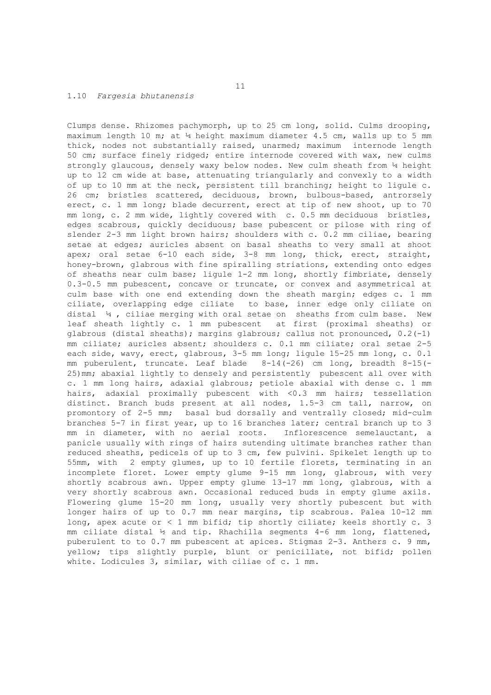#### 1.10 *Fargesia bhutanensis*

Clumps dense. Rhizomes pachymorph, up to 25 cm long, solid. Culms drooping, maximum length 10 m; at  $\frac{1}{4}$  height maximum diameter 4.5 cm, walls up to 5 mm thick, nodes not substantially raised, unarmed; maximum internode length 50 cm; surface finely ridged; entire internode covered with wax, new culms strongly glaucous, densely waxy below nodes. New culm sheath from ¼ height up to 12 cm wide at base, attenuating triangularly and convexly to a width of up to 10 mm at the neck, persistent till branching; height to ligule c. 26 cm; bristles scattered, deciduous, brown, bulbous-based, antrorsely erect, c. 1 mm long; blade decurrent, erect at tip of new shoot, up to 70 mm long, c. 2 mm wide, lightly covered with c. 0.5 mm deciduous bristles, edges scabrous, quickly deciduous; base pubescent or pilose with ring of slender 2-3 mm light brown hairs; shoulders with c. 0.2 mm ciliae, bearing setae at edges; auricles absent on basal sheaths to very small at shoot apex; oral setae 6-10 each side, 3-8 mm long, thick, erect, straight, honey-brown, glabrous with fine spiralling striations, extending onto edges of sheaths near culm base; ligule 1-2 mm long, shortly fimbriate, densely 0.3-0.5 mm pubescent, concave or truncate, or convex and asymmetrical at culm base with one end extending down the sheath margin; edges c. 1 mm ciliate, overlapping edge ciliate to base, inner edge only ciliate on distal ¼ , ciliae merging with oral setae on sheaths from culm base. New leaf sheath lightly c. 1 mm pubescent at first (proximal sheaths) or glabrous (distal sheaths); margins glabrous; callus not pronounced,  $0.2(-1)$ mm ciliate; auricles absent; shoulders c. 0.1 mm ciliate; oral setae 2-5 each side, wavy, erect, glabrous, 3-5 mm long; ligule 15-25 mm long, c. 0.1 mm puberulent, truncate. Leaf blade 8-14(-26) cm long, breadth 8-15(- 25)mm; abaxial lightly to densely and persistently pubescent all over with c. 1 mm long hairs, adaxial glabrous; petiole abaxial with dense c. 1 mm hairs, adaxial proximally pubescent with <0.3 mm hairs; tessellation distinct. Branch buds present at all nodes, 1.5-3 cm tall, narrow, on promontory of 2-5 mm; basal bud dorsally and ventrally closed; mid-culm branches 5-7 in first year, up to 16 branches later; central branch up to 3 mm in diameter, with no aerial roots. Inflorescence semelauctant, a panicle usually with rings of hairs sutending ultimate branches rather than reduced sheaths, pedicels of up to 3 cm, few pulvini. Spikelet length up to 55mm, with 2 empty glumes, up to 10 fertile florets, terminating in an incomplete floret. Lower empty glume 9-15 mm long, glabrous, with very shortly scabrous awn. Upper empty glume 13-17 mm long, glabrous, with a very shortly scabrous awn. Occasional reduced buds in empty glume axils. Flowering glume 15-20 mm long, usually very shortly pubescent but with longer hairs of up to 0.7 mm near margins, tip scabrous. Palea 10-12 mm long, apex acute or < 1 mm bifid; tip shortly ciliate; keels shortly c. 3 mm ciliate distal ½ and tip. Rhachilla segments 4-6 mm long, flattened, puberulent to to 0.7 mm pubescent at apices. Stigmas 2-3. Anthers c. 9 mm, yellow; tips slightly purple, blunt or penicillate, not bifid; pollen white. Lodicules 3, similar, with ciliae of c. 1 mm.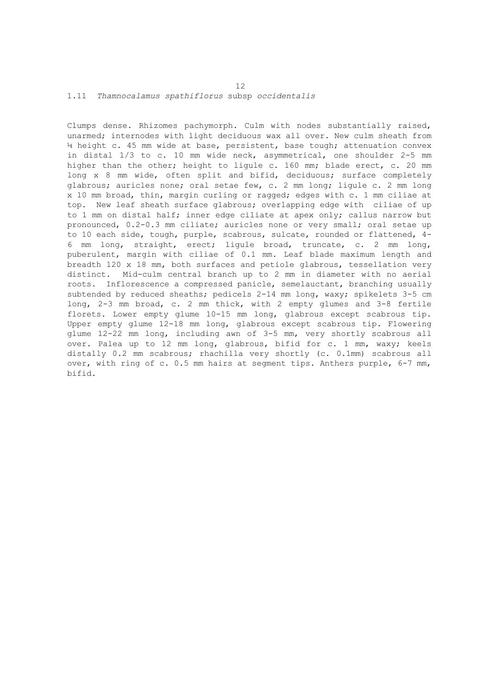### 1.11 *Thamnocalamus spathiflorus* subsp *occidentalis*

Clumps dense. Rhizomes pachymorph. Culm with nodes substantially raised, unarmed; internodes with light deciduous wax all over. New culm sheath from ¼ height c. 45 mm wide at base, persistent, base tough; attenuation convex in distal 1/3 to c. 10 mm wide neck, asymmetrical, one shoulder 2-5 mm higher than the other; height to ligule c. 160 mm; blade erect, c. 20 mm long x 8 mm wide, often split and bifid, deciduous; surface completely glabrous; auricles none; oral setae few, c. 2 mm long; ligule c. 2 mm long x 10 mm broad, thin, margin curling or ragged; edges with c. 1 mm ciliae at top. New leaf sheath surface glabrous; overlapping edge with ciliae of up to 1 mm on distal half; inner edge ciliate at apex only; callus narrow but pronounced, 0.2-0.3 mm ciliate; auricles none or very small; oral setae up to 10 each side, tough, purple, scabrous, sulcate, rounded or flattened, 4- 6 mm long, straight, erect; ligule broad, truncate, c. 2 mm long, puberulent, margin with ciliae of 0.1 mm. Leaf blade maximum length and breadth 120 x 18 mm, both surfaces and petiole glabrous, tessellation very distinct. Mid-culm central branch up to 2 mm in diameter with no aerial roots. Inflorescence a compressed panicle, semelauctant, branching usually subtended by reduced sheaths; pedicels 2-14 mm long, waxy; spikelets 3-5 cm long, 2-3 mm broad, c. 2 mm thick, with 2 empty glumes and 3-8 fertile florets. Lower empty glume 10-15 mm long, glabrous except scabrous tip. Upper empty glume 12-18 mm long, glabrous except scabrous tip. Flowering glume 12-22 mm long, including awn of 3-5 mm, very shortly scabrous all over. Palea up to 12 mm long, glabrous, bifid for c. 1 mm, waxy; keels distally 0.2 mm scabrous; rhachilla very shortly (c. 0.1mm) scabrous all over, with ring of c. 0.5 mm hairs at segment tips. Anthers purple, 6-7 mm, bifid.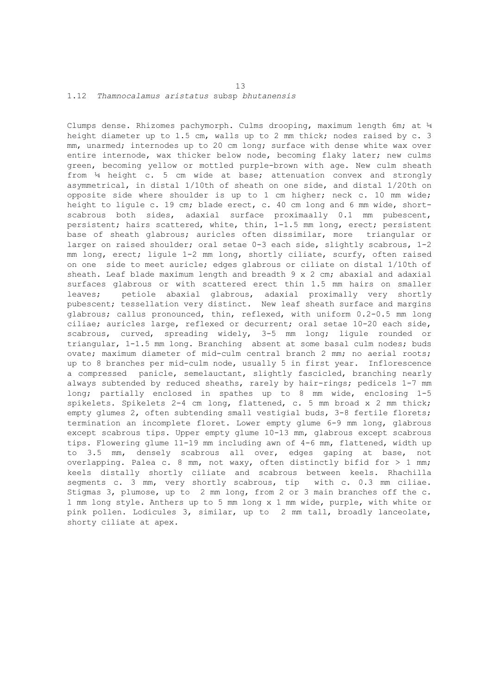#### 1.12 *Thamnocalamus aristatus* subsp *bhutanensis*

Clumps dense. Rhizomes pachymorph. Culms drooping, maximum length 6m; at ¼ height diameter up to 1.5 cm, walls up to 2 mm thick; nodes raised by c. 3 mm, unarmed; internodes up to 20 cm long; surface with dense white wax over entire internode, wax thicker below node, becoming flaky later; new culms green, becoming yellow or mottled purple-brown with age. New culm sheath from ¼ height c. 5 cm wide at base; attenuation convex and strongly asymmetrical, in distal 1/10th of sheath on one side, and distal 1/20th on opposite side where shoulder is up to 1 cm higher; neck c. 10 mm wide; height to ligule c. 19 cm; blade erect, c. 40 cm long and 6 mm wide, shortscabrous both sides, adaxial surface proximaally 0.1 mm pubescent, persistent; hairs scattered, white, thin, 1-1.5 mm long, erect; persistent base of sheath glabrous; auricles often dissimilar, more triangular or larger on raised shoulder; oral setae 0-3 each side, slightly scabrous, 1-2 mm long, erect; ligule 1-2 mm long, shortly ciliate, scurfy, often raised on one side to meet auricle; edges glabrous or ciliate on distal 1/10th of sheath. Leaf blade maximum length and breadth 9 x 2 cm; abaxial and adaxial surfaces glabrous or with scattered erect thin 1.5 mm hairs on smaller leaves; petiole abaxial glabrous, adaxial proximally very shortly pubescent; tessellation very distinct. New leaf sheath surface and margins glabrous; callus pronounced, thin, reflexed, with uniform 0.2-0.5 mm long ciliae; auricles large, reflexed or decurrent; oral setae 10-20 each side, scabrous, curved, spreading widely, 3-5 mm long; ligule rounded or triangular, 1-1.5 mm long. Branching absent at some basal culm nodes; buds ovate; maximum diameter of mid-culm central branch 2 mm; no aerial roots; up to 8 branches per mid-culm node, usually 5 in first year. Inflorescence a compressed panicle, semelauctant, slightly fascicled, branching nearly always subtended by reduced sheaths, rarely by hair-rings; pedicels 1-7 mm long; partially enclosed in spathes up to 8 mm wide, enclosing 1-5 spikelets. Spikelets 2-4 cm long, flattened, c. 5 mm broad x 2 mm thick; empty glumes 2, often subtending small vestigial buds, 3-8 fertile florets; termination an incomplete floret. Lower empty glume 6-9 mm long, glabrous except scabrous tips. Upper empty glume 10-13 mm, glabrous except scabrous tips. Flowering glume 11-19 mm including awn of 4-6 mm, flattened, width up to 3.5 mm, densely scabrous all over, edges gaping at base, not overlapping. Palea c. 8 mm, not waxy, often distinctly bifid for > 1 mm; keels distally shortly ciliate and scabrous between keels. Rhachilla segments c. 3 mm, very shortly scabrous, tip with c. 0.3 mm ciliae. Stigmas 3, plumose, up to 2 mm long, from 2 or 3 main branches off the c. 1 mm long style. Anthers up to 5 mm long x 1 mm wide, purple, with white or pink pollen. Lodicules 3, similar, up to 2 mm tall, broadly lanceolate, shorty ciliate at apex.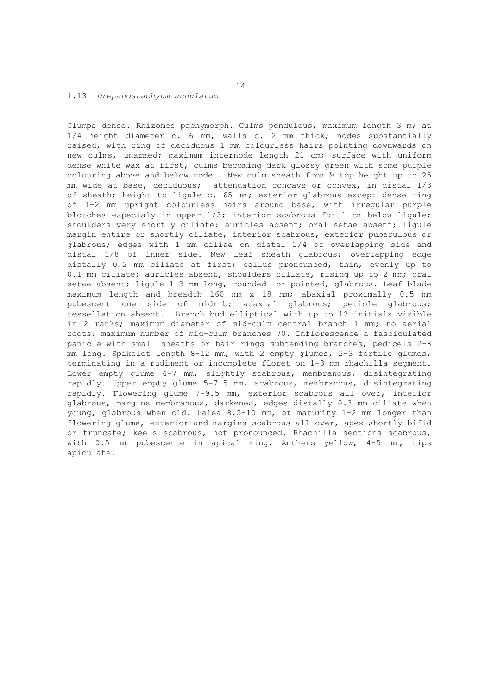### 1.13 *Drepanostachyum annulatum*

Clumps dense. Rhizomes pachymorph. Culms pendulous, maximum length 3 m; at 1/4 height diameter c. 6 mm, walls c. 2 mm thick; nodes substantially raised, with ring of deciduous 1 mm colourless hairs pointing downwards on new culms, unarmed; maximum internode length 21 cm; surface with uniform dense white wax at first, culms becoming dark glossy green with some purple colouring above and below node. New culm sheath from ¼ top height up to 25 mm wide at base, deciduous; attenuation concave or convex, in distal 1/3 of sheath; height to ligule c. 65 mm; exterior glabrous except dense ring of 1-2 mm upright colourless hairs around base, with irregular purple blotches especialy in upper  $1/3$ ; interior scabrous for 1 cm below liqule; shoulders very shortly ciliate; auricles absent; oral setae absent; ligule margin entire or shortly ciliate, interior scabrous, exterior puberulous or glabrous; edges with 1 mm ciliae on distal 1/4 of overlapping side and distal 1/8 of inner side. New leaf sheath glabrous; overlapping edge distally 0.2 mm ciliate at first; callus pronounced, thin, evenly up to 0.1 mm ciliate; auricles absent, shoulders ciliate, rising up to 2 mm; oral setae absent; ligule 1-3 mm long, rounded or pointed, glabrous. Leaf blade maximum length and breadth 160 mm x 18 mm; abaxial proximally 0.5 mm pubescent one side of midrib; adaxial glabrous; petiole glabrous; tessellation absent. Branch bud elliptical with up to 12 initials visible in 2 ranks; maximum diameter of mid-culm central branch 1 mm; no aerial roots; maximum number of mid-culm branches 70. Inflorescence a fasciculated panicle with small sheaths or hair rings subtending branches; pedicels 2-8 mm long. Spikelet length 8-12 mm, with 2 empty glumes, 2-3 fertile glumes, terminating in a rudiment or incomplete floret on 1-3 mm rhachilla segment. Lower empty glume 4-7 mm, slightly scabrous, membranous, disintegrating rapidly. Upper empty glume 5-7.5 mm, scabrous, membranous, disintegrating rapidly. Flowering glume 7-9.5 mm, exterior scabrous all over, interior glabrous, margins membranous, darkened, edges distally 0.3 mm ciliate when young, glabrous when old. Palea 8.5-10 mm, at maturity 1-2 mm longer than flowering glume, exterior and margins scabrous all over, apex shortly bifid or truncate; keels scabrous, not pronounced. Rhachilla sections scabrous, with 0.5 mm pubescence in apical ring. Anthers yellow, 4-5 mm, tips apiculate.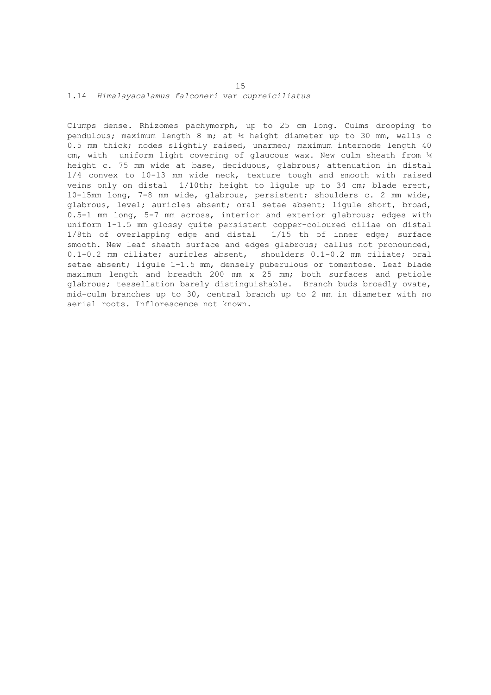# 1.14 *Himalayacalamus falconeri* var *cupreiciliatus*

Clumps dense. Rhizomes pachymorph, up to 25 cm long. Culms drooping to pendulous; maximum length 8 m; at ¼ height diameter up to 30 mm, walls c 0.5 mm thick; nodes slightly raised, unarmed; maximum internode length 40 cm, with uniform light covering of glaucous wax. New culm sheath from  $\frac{1}{4}$ height c. 75 mm wide at base, deciduous, glabrous; attenuation in distal 1/4 convex to 10-13 mm wide neck, texture tough and smooth with raised veins only on distal 1/10th; height to ligule up to 34 cm; blade erect, 10-15mm long, 7-8 mm wide, glabrous, persistent; shoulders c. 2 mm wide, glabrous, level; auricles absent; oral setae absent; ligule short, broad, 0.5-1 mm long, 5-7 mm across, interior and exterior glabrous; edges with uniform 1-1.5 mm glossy quite persistent copper-coloured ciliae on distal 1/8th of overlapping edge and distal 1/15 th of inner edge; surface smooth. New leaf sheath surface and edges glabrous; callus not pronounced, 0.1-0.2 mm ciliate; auricles absent, shoulders 0.1-0.2 mm ciliate; oral setae absent; ligule 1-1.5 mm, densely puberulous or tomentose. Leaf blade maximum length and breadth 200 mm x 25 mm; both surfaces and petiole glabrous; tessellation barely distinguishable. Branch buds broadly ovate, mid-culm branches up to 30, central branch up to 2 mm in diameter with no aerial roots. Inflorescence not known.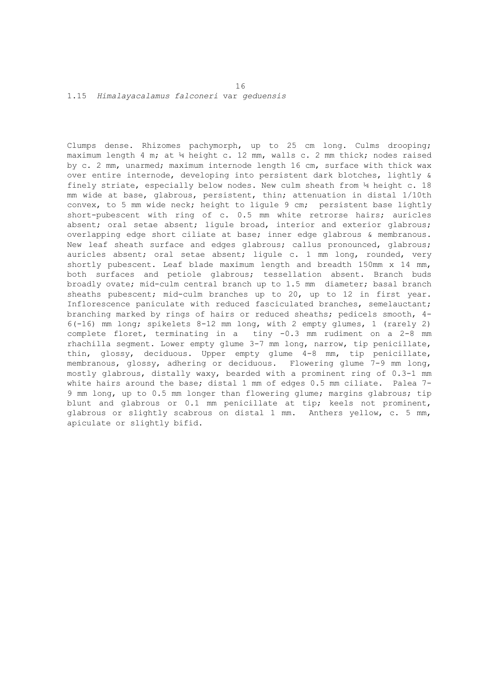1.15 *Himalayacalamus falconeri* var *geduensis*

Clumps dense. Rhizomes pachymorph, up to 25 cm long. Culms drooping; maximum length 4 m; at ¼ height c. 12 mm, walls c. 2 mm thick; nodes raised by c. 2 mm, unarmed; maximum internode length 16 cm, surface with thick wax over entire internode, developing into persistent dark blotches, lightly & finely striate, especially below nodes. New culm sheath from ¼ height c. 18 mm wide at base, glabrous, persistent, thin; attenuation in distal 1/10th convex, to 5 mm wide neck; height to ligule 9 cm; persistent base lightly short-pubescent with ring of c. 0.5 mm white retrorse hairs; auricles absent; oral setae absent; ligule broad, interior and exterior glabrous; overlapping edge short ciliate at base; inner edge glabrous & membranous. New leaf sheath surface and edges glabrous; callus pronounced, glabrous; auricles absent; oral setae absent; ligule c. 1 mm long, rounded, very shortly pubescent. Leaf blade maximum length and breadth 150mm x 14 mm, both surfaces and petiole glabrous; tessellation absent. Branch buds broadly ovate; mid-culm central branch up to 1.5 mm diameter; basal branch sheaths pubescent; mid-culm branches up to 20, up to 12 in first year. Inflorescence paniculate with reduced fasciculated branches, semelauctant; branching marked by rings of hairs or reduced sheaths; pedicels smooth, 4- 6(-16) mm long; spikelets 8-12 mm long, with 2 empty glumes, 1 (rarely 2) complete floret, terminating in a tiny -0.3 mm rudiment on a 2-8 mm rhachilla segment. Lower empty glume 3-7 mm long, narrow, tip penicillate, thin, glossy, deciduous. Upper empty glume 4-8 mm, tip penicillate, membranous, glossy, adhering or deciduous. Flowering glume 7-9 mm long, mostly glabrous, distally waxy, bearded with a prominent ring of 0.3-1 mm white hairs around the base; distal 1 mm of edges 0.5 mm ciliate. Palea 7-9 mm long, up to 0.5 mm longer than flowering glume; margins glabrous; tip blunt and glabrous or 0.1 mm penicillate at tip; keels not prominent, glabrous or slightly scabrous on distal 1 mm. Anthers yellow, c. 5 mm, apiculate or slightly bifid.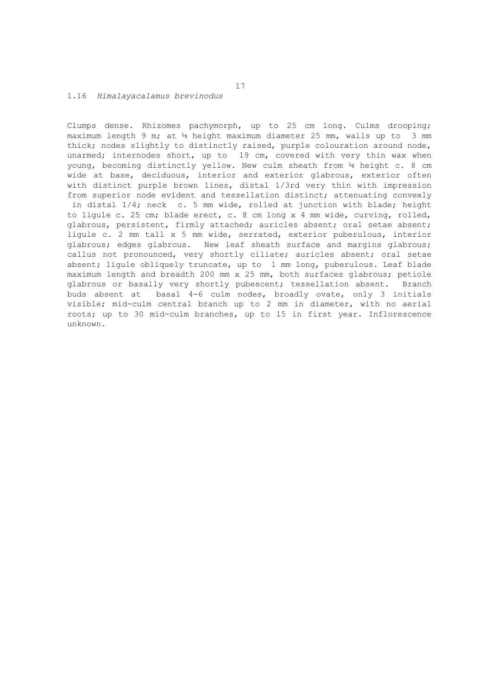# 1.16 *Himalayacalamus brevinodus*

Clumps dense. Rhizomes pachymorph, up to 25 cm long. Culms drooping; maximum length 9 m; at  $\frac{1}{4}$  height maximum diameter 25 mm, walls up to 3 mm thick; nodes slightly to distinctly raised, purple colouration around node, unarmed; internodes short, up to 19 cm, covered with very thin wax when young, becoming distinctly yellow. New culm sheath from ¼ height c. 8 cm wide at base, deciduous, interior and exterior glabrous, exterior often with distinct purple brown lines, distal 1/3rd very thin with impression from superior node evident and tessellation distinct; attenuating convexly in distal 1/4; neck c. 5 mm wide, rolled at junction with blade; height to ligule c. 25 cm; blade erect, c. 8 cm long x 4 mm wide, curving, rolled, glabrous, persistent, firmly attached; auricles absent; oral setae absent; ligule c. 2 mm tall x 5 mm wide, serrated, exterior puberulous, interior glabrous; edges glabrous. New leaf sheath surface and margins glabrous; callus not pronounced, very shortly ciliate; auricles absent; oral setae absent; ligule obliquely truncate, up to 1 mm long, puberulous. Leaf blade maximum length and breadth 200 mm x 25 mm, both surfaces glabrous; petiole glabrous or basally very shortly pubescent; tessellation absent. Branch buds absent at basal 4-6 culm nodes, broadly ovate, only 3 initials visible; mid-culm central branch up to 2 mm in diameter, with no aerial roots; up to 30 mid-culm branches, up to 15 in first year. Inflorescence unknown.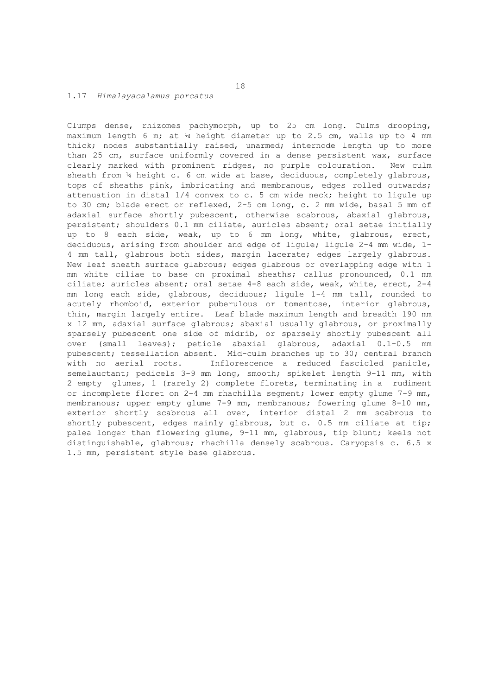### 1.17 *Himalayacalamus porcatus*

Clumps dense, rhizomes pachymorph, up to 25 cm long. Culms drooping, maximum length 6 m; at ¼ height diameter up to 2.5 cm, walls up to 4 mm thick; nodes substantially raised, unarmed; internode length up to more than 25 cm, surface uniformly covered in a dense persistent wax, surface clearly marked with prominent ridges, no purple colouration. New culm sheath from ¼ height c. 6 cm wide at base, deciduous, completely glabrous, tops of sheaths pink, imbricating and membranous, edges rolled outwards; attenuation in distal 1/4 convex to c. 5 cm wide neck; height to ligule up to 30 cm; blade erect or reflexed, 2-5 cm long, c. 2 mm wide, basal 5 mm of adaxial surface shortly pubescent, otherwise scabrous, abaxial glabrous, persistent; shoulders 0.1 mm ciliate, auricles absent; oral setae initially up to 8 each side, weak, up to 6 mm long, white, glabrous, erect, deciduous, arising from shoulder and edge of ligule; ligule 2-4 mm wide, 1- 4 mm tall, glabrous both sides, margin lacerate; edges largely glabrous. New leaf sheath surface glabrous; edges glabrous or overlapping edge with 1 mm white ciliae to base on proximal sheaths; callus pronounced, 0.1 mm ciliate; auricles absent; oral setae 4-8 each side, weak, white, erect, 2-4 mm long each side, glabrous, deciduous; ligule 1-4 mm tall, rounded to acutely rhomboid, exterior puberulous or tomentose, interior glabrous, thin, margin largely entire. Leaf blade maximum length and breadth 190 mm x 12 mm, adaxial surface glabrous; abaxial usually glabrous, or proximally sparsely pubescent one side of midrib, or sparsely shortly pubescent all over (small leaves); petiole abaxial glabrous, adaxial 0.1-0.5 mm pubescent; tessellation absent. Mid-culm branches up to 30; central branch with no aerial roots. Inflorescence a reduced fascicled panicle, semelauctant; pedicels 3-9 mm long, smooth; spikelet length 9-11 mm, with 2 empty glumes, 1 (rarely 2) complete florets, terminating in a rudiment or incomplete floret on 2-4 mm rhachilla segment; lower empty glume 7-9 mm, membranous; upper empty glume 7-9 mm, membranous; fowering glume 8-10 mm, exterior shortly scabrous all over, interior distal 2 mm scabrous to shortly pubescent, edges mainly glabrous, but c. 0.5 mm ciliate at tip; palea longer than flowering glume, 9-11 mm, glabrous, tip blunt; keels not distinguishable, glabrous; rhachilla densely scabrous. Caryopsis c. 6.5 x 1.5 mm, persistent style base glabrous.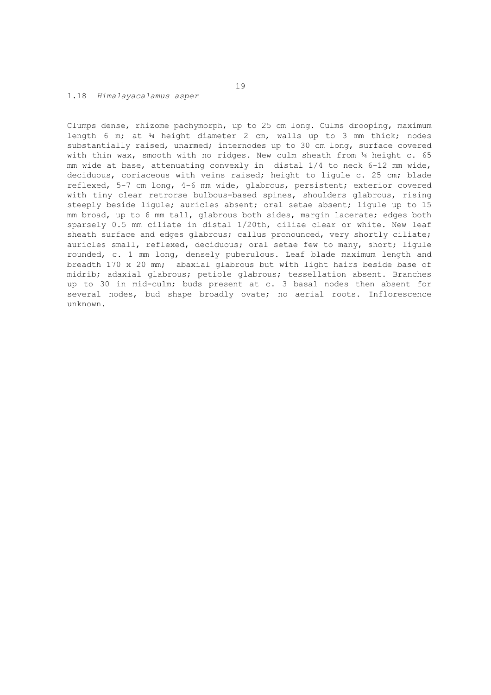# 1.18 *Himalayacalamus asper*

Clumps dense, rhizome pachymorph, up to 25 cm long. Culms drooping, maximum length 6 m; at ¼ height diameter 2 cm, walls up to 3 mm thick; nodes substantially raised, unarmed; internodes up to 30 cm long, surface covered with thin wax, smooth with no ridges. New culm sheath from  $\frac{1}{4}$  height c. 65 mm wide at base, attenuating convexly in distal 1/4 to neck 6-12 mm wide, deciduous, coriaceous with veins raised; height to ligule c. 25 cm; blade reflexed, 5-7 cm long, 4-6 mm wide, glabrous, persistent; exterior covered with tiny clear retrorse bulbous-based spines, shoulders glabrous, rising steeply beside ligule; auricles absent; oral setae absent; ligule up to 15 mm broad, up to 6 mm tall, glabrous both sides, margin lacerate; edges both sparsely 0.5 mm ciliate in distal 1/20th, ciliae clear or white. New leaf sheath surface and edges glabrous; callus pronounced, very shortly ciliate; auricles small, reflexed, deciduous; oral setae few to many, short; ligule rounded, c. 1 mm long, densely puberulous. Leaf blade maximum length and breadth 170 x 20 mm; abaxial glabrous but with light hairs beside base of midrib; adaxial glabrous; petiole glabrous; tessellation absent. Branches up to 30 in mid-culm; buds present at c. 3 basal nodes then absent for several nodes, bud shape broadly ovate; no aerial roots. Inflorescence unknown.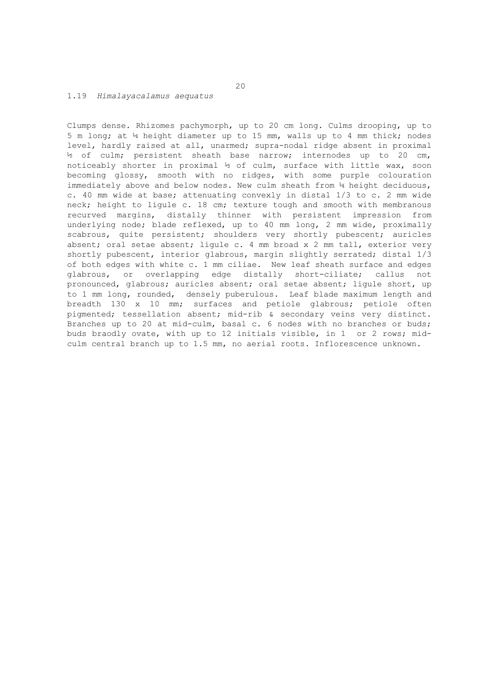# 1.19 *Himalayacalamus aequatus*

Clumps dense. Rhizomes pachymorph, up to 20 cm long. Culms drooping, up to 5 m long; at ¼ height diameter up to 15 mm, walls up to 4 mm thick; nodes level, hardly raised at all, unarmed; supra-nodal ridge absent in proximal ½ of culm; persistent sheath base narrow; internodes up to 20 cm, noticeably shorter in proximal ½ of culm, surface with little wax, soon becoming glossy, smooth with no ridges, with some purple colouration immediately above and below nodes. New culm sheath from 4 height deciduous, c. 40 mm wide at base; attenuating convexly in distal 1/3 to c. 2 mm wide neck; height to ligule c. 18 cm; texture tough and smooth with membranous recurved margins, distally thinner with persistent impression from underlying node; blade reflexed, up to 40 mm long, 2 mm wide, proximally scabrous, quite persistent; shoulders very shortly pubescent; auricles absent; oral setae absent; ligule c. 4 mm broad x 2 mm tall, exterior very shortly pubescent, interior glabrous, margin slightly serrated; distal  $1/3$ of both edges with white c. 1 mm ciliae. New leaf sheath surface and edges glabrous, or overlapping edge distally short-ciliate; callus not pronounced, glabrous; auricles absent; oral setae absent; ligule short, up to 1 mm long, rounded, densely puberulous. Leaf blade maximum length and breadth 130 x 10 mm; surfaces and petiole glabrous; petiole often pigmented; tessellation absent; mid-rib & secondary veins very distinct. Branches up to 20 at mid-culm, basal c. 6 nodes with no branches or buds; buds braodly ovate, with up to 12 initials visible, in 1 or 2 rows; midculm central branch up to 1.5 mm, no aerial roots. Inflorescence unknown.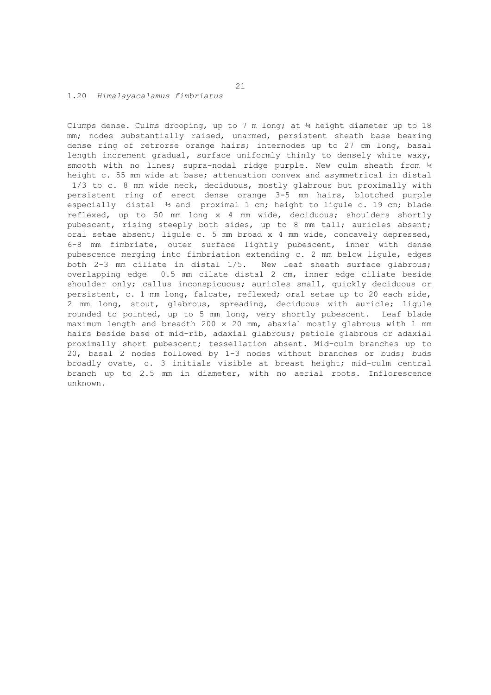# 1.20 *Himalayacalamus fimbriatus*

Clumps dense. Culms drooping, up to 7 m long; at ¼ height diameter up to 18 mm; nodes substantially raised, unarmed, persistent sheath base bearing dense ring of retrorse orange hairs; internodes up to 27 cm long, basal length increment gradual, surface uniformly thinly to densely white waxy, smooth with no lines; supra-nodal ridge purple. New culm sheath from  $\frac{1}{4}$ height c. 55 mm wide at base; attenuation convex and asymmetrical in distal 1/3 to c. 8 mm wide neck, deciduous, mostly glabrous but proximally with persistent ring of erect dense orange 3-5 mm hairs, blotched purple especially distal ½ and proximal 1 cm; height to ligule c. 19 cm; blade reflexed, up to 50 mm long x 4 mm wide, deciduous; shoulders shortly pubescent, rising steeply both sides, up to 8 mm tall; auricles absent; oral setae absent; ligule c. 5 mm broad x 4 mm wide, concavely depressed, 6-8 mm fimbriate, outer surface lightly pubescent, inner with dense pubescence merging into fimbriation extending c. 2 mm below ligule, edges both 2-3 mm ciliate in distal 1/5. New leaf sheath surface glabrous; overlapping edge 0.5 mm cilate distal 2 cm, inner edge ciliate beside shoulder only; callus inconspicuous; auricles small, quickly deciduous or persistent, c. 1 mm long, falcate, reflexed; oral setae up to 20 each side, 2 mm long, stout, glabrous, spreading, deciduous with auricle; ligule rounded to pointed, up to 5 mm long, very shortly pubescent. Leaf blade maximum length and breadth 200 x 20 mm, abaxial mostly glabrous with 1 mm hairs beside base of mid-rib, adaxial glabrous; petiole glabrous or adaxial proximally short pubescent; tessellation absent. Mid-culm branches up to 20, basal 2 nodes followed by 1-3 nodes without branches or buds; buds broadly ovate, c. 3 initials visible at breast height; mid-culm central branch up to 2.5 mm in diameter, with no aerial roots. Inflorescence unknown.

21